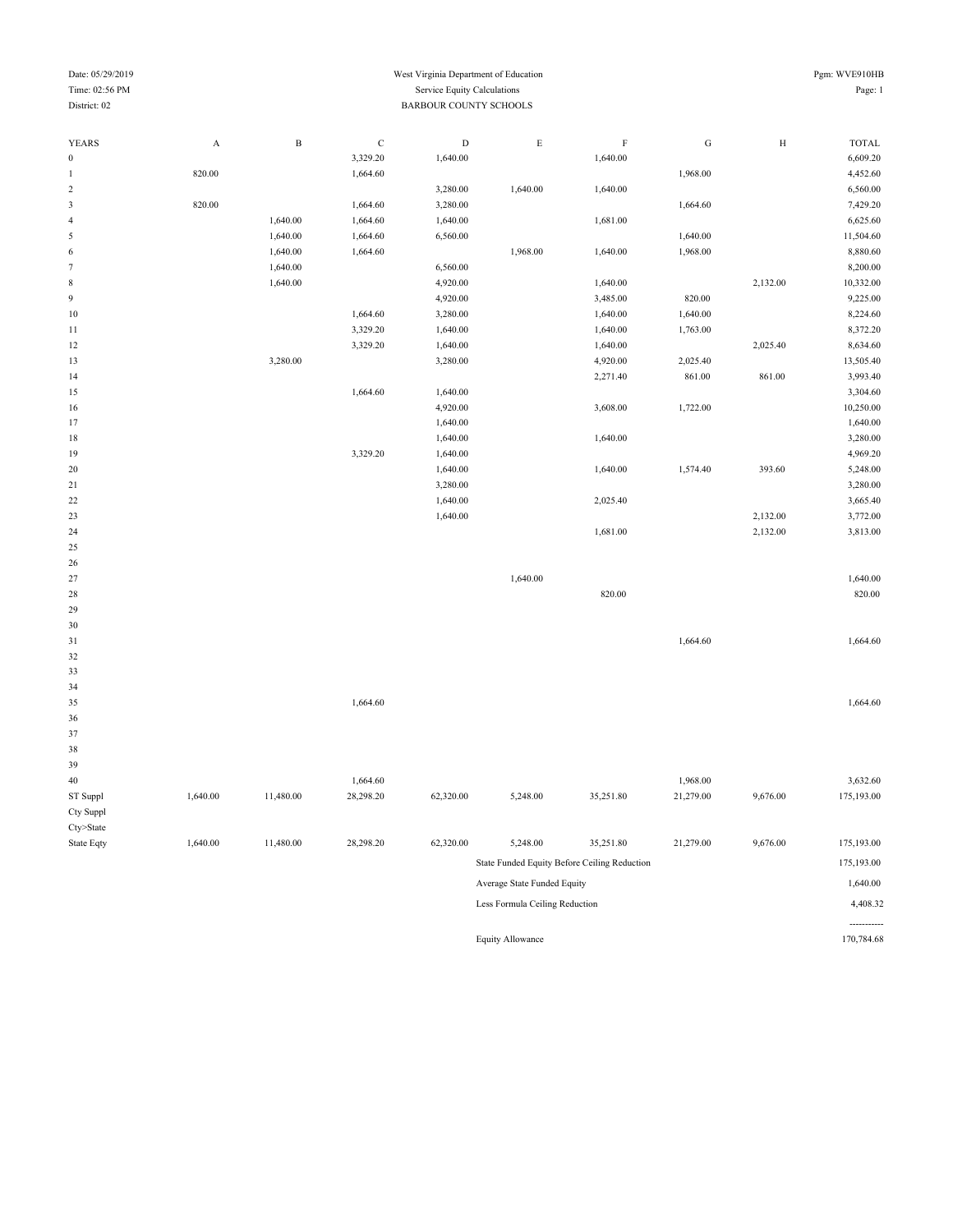| Pgm: WVE910HB |
|---------------|
| Page: 1       |

-----------

### Date: 05/29/2019 West Virginia Department of Education Time: 02:56 PM Service Equity Calculations <br>
BARBOUR COUNTY SCHOO BARBOUR COUNTY SCHOOLS

| <b>YEARS</b>                | A        | $\, {\bf B}$ | $\mathbf C$ | $\mathbf D$ | $\mathbf E$                    | $\rm F$                                      | ${\bf G}$ | $\rm H$  | <b>TOTAL</b> |
|-----------------------------|----------|--------------|-------------|-------------|--------------------------------|----------------------------------------------|-----------|----------|--------------|
| $\boldsymbol{0}$            |          |              | 3,329.20    | 1,640.00    |                                | 1,640.00                                     |           |          | 6,609.20     |
| $\mathbf{1}$                | 820.00   |              | 1,664.60    |             |                                |                                              | 1,968.00  |          | 4,452.60     |
| $\sqrt{2}$                  |          |              |             | 3,280.00    | 1,640.00                       | 1,640.00                                     |           |          | 6,560.00     |
| $\ensuremath{\mathfrak{Z}}$ | 820.00   |              | 1,664.60    | 3,280.00    |                                |                                              | 1,664.60  |          | 7,429.20     |
| $\sqrt{4}$                  |          | 1,640.00     | 1,664.60    | 1,640.00    |                                | 1,681.00                                     |           |          | 6,625.60     |
| $\mathfrak s$               |          | 1,640.00     | 1,664.60    | 6,560.00    |                                |                                              | 1,640.00  |          | 11,504.60    |
| 6                           |          | 1,640.00     | 1,664.60    |             | 1,968.00                       | 1,640.00                                     | 1,968.00  |          | 8,880.60     |
| $\tau$                      |          | 1,640.00     |             | 6,560.00    |                                |                                              |           |          | 8,200.00     |
| $\,$ 8 $\,$                 |          | 1,640.00     |             | 4,920.00    |                                | 1,640.00                                     |           | 2,132.00 | 10,332.00    |
| 9                           |          |              |             | 4,920.00    |                                | 3,485.00                                     | 820.00    |          | 9,225.00     |
| $10$                        |          |              | 1,664.60    | 3,280.00    |                                | 1,640.00                                     | 1,640.00  |          | 8,224.60     |
| $11\,$                      |          |              | 3,329.20    | 1,640.00    |                                | 1,640.00                                     | 1,763.00  |          | 8,372.20     |
| 12                          |          |              | 3,329.20    | 1,640.00    |                                | 1,640.00                                     |           | 2,025.40 | 8,634.60     |
| 13                          |          | 3,280.00     |             | 3,280.00    |                                | 4,920.00                                     | 2,025.40  |          | 13,505.40    |
| 14                          |          |              |             |             |                                | 2,271.40                                     | 861.00    | 861.00   | 3,993.40     |
| 15                          |          |              | 1,664.60    | 1,640.00    |                                |                                              |           |          | 3,304.60     |
| 16                          |          |              |             | 4,920.00    |                                | 3,608.00                                     | 1,722.00  |          | 10,250.00    |
| 17                          |          |              |             | 1,640.00    |                                |                                              |           |          | 1,640.00     |
| 18                          |          |              |             | 1,640.00    |                                | 1,640.00                                     |           |          | 3,280.00     |
| 19                          |          |              | 3,329.20    | 1,640.00    |                                |                                              |           |          | 4,969.20     |
| 20                          |          |              |             | 1,640.00    |                                | 1,640.00                                     | 1,574.40  | 393.60   | 5,248.00     |
| $21\,$                      |          |              |             | 3,280.00    |                                |                                              |           |          | 3,280.00     |
| $22\,$                      |          |              |             | 1,640.00    |                                | 2,025.40                                     |           |          | 3,665.40     |
| 23                          |          |              |             | 1,640.00    |                                |                                              |           | 2,132.00 | 3,772.00     |
| 24                          |          |              |             |             |                                | 1,681.00                                     |           | 2,132.00 | 3,813.00     |
| 25                          |          |              |             |             |                                |                                              |           |          |              |
| 26                          |          |              |             |             |                                |                                              |           |          |              |
| 27                          |          |              |             |             | 1,640.00                       |                                              |           |          | 1,640.00     |
| 28                          |          |              |             |             |                                | 820.00                                       |           |          | 820.00       |
| 29                          |          |              |             |             |                                |                                              |           |          |              |
| 30                          |          |              |             |             |                                |                                              |           |          |              |
| 31                          |          |              |             |             |                                |                                              | 1,664.60  |          | 1,664.60     |
| 32                          |          |              |             |             |                                |                                              |           |          |              |
| 33                          |          |              |             |             |                                |                                              |           |          |              |
| 34                          |          |              |             |             |                                |                                              |           |          |              |
| 35                          |          |              | 1,664.60    |             |                                |                                              |           |          | 1,664.60     |
| 36                          |          |              |             |             |                                |                                              |           |          |              |
| $37\,$                      |          |              |             |             |                                |                                              |           |          |              |
| $38\,$                      |          |              |             |             |                                |                                              |           |          |              |
| 39                          |          |              |             |             |                                |                                              |           |          |              |
| $40\,$                      |          |              | 1,664.60    |             |                                |                                              | 1,968.00  |          | 3,632.60     |
| ST Suppl                    | 1,640.00 | 11,480.00    | 28,298.20   | 62,320.00   | 5,248.00                       | 35,251.80                                    | 21,279.00 | 9,676.00 | 175,193.00   |
| Cty Suppl                   |          |              |             |             |                                |                                              |           |          |              |
| $Cty$ >State                |          |              |             |             |                                |                                              |           |          |              |
| State Eqty                  | 1,640.00 | 11,480.00    | 28,298.20   | 62,320.00   | 5,248.00                       | 35,251.80                                    | 21,279.00 | 9,676.00 | 175,193.00   |
|                             |          |              |             |             |                                | State Funded Equity Before Ceiling Reduction |           |          | 175,193.00   |
|                             |          |              |             |             | Average State Funded Equity    |                                              |           |          | 1,640.00     |
|                             |          |              |             |             | Less Formula Ceiling Reduction |                                              |           |          | 4,408.32     |

Equity Allowance 170,784.68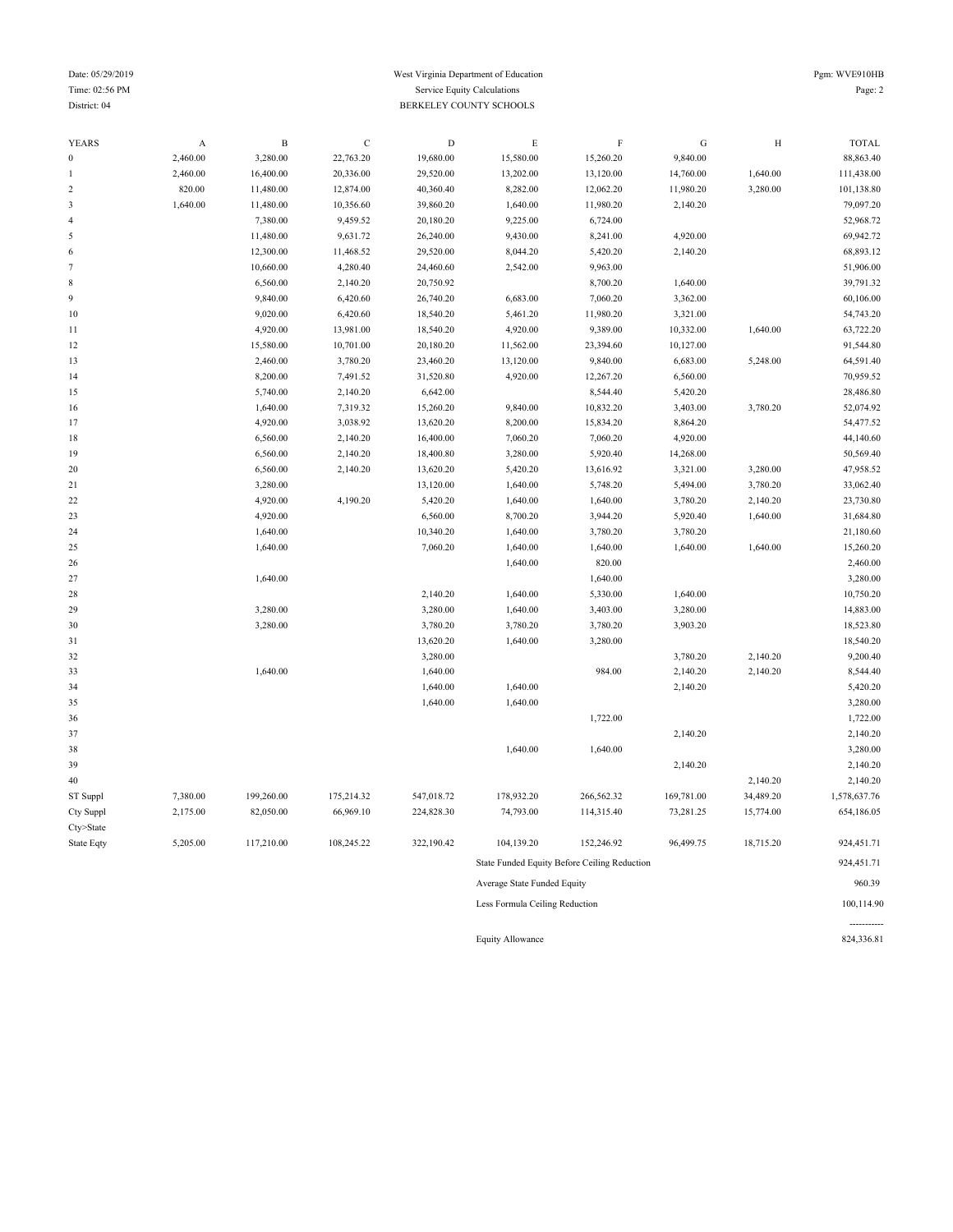### Date: 05/29/2019 Pgm: WVE910HB Time: 02:56 PM Service Equity Calculations Page: 2 District: 04 BERKELEY COUNTY SCHOOLS

| <b>YEARS</b>     | A        | $\, {\bf B}$ | $\mathbf C$ | $\mathbf D$ | E                              | $\rm F$                                      | G          | $\rm H$   | <b>TOTAL</b> |
|------------------|----------|--------------|-------------|-------------|--------------------------------|----------------------------------------------|------------|-----------|--------------|
| $\boldsymbol{0}$ | 2,460.00 | 3,280.00     | 22,763.20   | 19,680.00   | 15,580.00                      | 15,260.20                                    | 9,840.00   |           | 88,863.40    |
| 1                | 2,460.00 | 16,400.00    | 20,336.00   | 29,520.00   | 13,202.00                      | 13,120.00                                    | 14,760.00  | 1,640.00  | 111,438.00   |
| $\sqrt{2}$       | 820.00   | 11,480.00    | 12,874.00   | 40,360.40   | 8,282.00                       | 12,062.20                                    | 11,980.20  | 3,280.00  | 101,138.80   |
| $\mathfrak z$    | 1,640.00 | 11,480.00    | 10,356.60   | 39,860.20   | 1,640.00                       | 11,980.20                                    | 2,140.20   |           | 79,097.20    |
| $\overline{4}$   |          | 7,380.00     | 9,459.52    | 20,180.20   | 9,225.00                       | 6,724.00                                     |            |           | 52,968.72    |
| $\sqrt{5}$       |          | 11,480.00    | 9,631.72    | 26,240.00   | 9,430.00                       | 8,241.00                                     | 4,920.00   |           | 69,942.72    |
| 6                |          | 12,300.00    | 11,468.52   | 29,520.00   | 8,044.20                       | 5,420.20                                     | 2,140.20   |           | 68,893.12    |
| $\boldsymbol{7}$ |          | 10,660.00    | 4,280.40    | 24,460.60   | 2,542.00                       | 9,963.00                                     |            |           | 51,906.00    |
| $\,$ 8 $\,$      |          | 6,560.00     | 2,140.20    | 20,750.92   |                                | 8,700.20                                     | 1,640.00   |           | 39,791.32    |
| $\overline{9}$   |          | 9,840.00     | 6,420.60    | 26,740.20   | 6,683.00                       | 7,060.20                                     | 3,362.00   |           | 60,106.00    |
| 10               |          | 9,020.00     | 6,420.60    | 18,540.20   | 5,461.20                       | 11,980.20                                    | 3,321.00   |           | 54,743.20    |
| 11               |          | 4,920.00     | 13,981.00   | 18,540.20   | 4,920.00                       | 9,389.00                                     | 10,332.00  | 1,640.00  | 63,722.20    |
| 12               |          | 15,580.00    | 10,701.00   | 20,180.20   | 11,562.00                      | 23,394.60                                    | 10,127.00  |           | 91,544.80    |
| 13               |          | 2,460.00     | 3,780.20    | 23,460.20   | 13,120.00                      | 9,840.00                                     | 6,683.00   | 5,248.00  | 64,591.40    |
| 14               |          | 8,200.00     | 7,491.52    | 31,520.80   | 4,920.00                       | 12,267.20                                    | 6,560.00   |           | 70,959.52    |
| 15               |          | 5,740.00     | 2,140.20    | 6,642.00    |                                | 8,544.40                                     | 5,420.20   |           | 28,486.80    |
| 16               |          | 1,640.00     | 7,319.32    | 15,260.20   | 9,840.00                       | 10,832.20                                    | 3,403.00   | 3,780.20  | 52,074.92    |
| 17               |          | 4,920.00     | 3,038.92    | 13,620.20   | 8,200.00                       | 15,834.20                                    | 8,864.20   |           | 54,477.52    |
| 18               |          | 6,560.00     | 2,140.20    | 16,400.00   | 7,060.20                       | 7,060.20                                     | 4,920.00   |           | 44,140.60    |
| 19               |          | 6,560.00     | 2,140.20    | 18,400.80   | 3,280.00                       | 5,920.40                                     | 14,268.00  |           | 50,569.40    |
| 20               |          | 6,560.00     | 2,140.20    | 13,620.20   | 5,420.20                       | 13,616.92                                    | 3,321.00   | 3,280.00  | 47,958.52    |
| 21               |          | 3,280.00     |             | 13,120.00   | 1,640.00                       | 5,748.20                                     | 5,494.00   | 3,780.20  | 33,062.40    |
| 22               |          | 4,920.00     | 4,190.20    | 5,420.20    | 1,640.00                       | 1,640.00                                     | 3,780.20   | 2,140.20  | 23,730.80    |
| 23               |          | 4,920.00     |             | 6,560.00    | 8,700.20                       | 3,944.20                                     | 5,920.40   | 1,640.00  | 31,684.80    |
| 24               |          | 1,640.00     |             | 10,340.20   | 1,640.00                       | 3,780.20                                     | 3,780.20   |           | 21,180.60    |
| 25               |          | 1,640.00     |             | 7,060.20    | 1,640.00                       | 1,640.00                                     | 1,640.00   | 1,640.00  | 15,260.20    |
| 26               |          |              |             |             | 1,640.00                       | 820.00                                       |            |           | 2,460.00     |
| 27               |          | 1,640.00     |             |             |                                | 1,640.00                                     |            |           | 3,280.00     |
| 28               |          |              |             | 2,140.20    | 1,640.00                       | 5,330.00                                     | 1,640.00   |           | 10,750.20    |
| 29               |          | 3,280.00     |             | 3,280.00    | 1,640.00                       | 3,403.00                                     | 3,280.00   |           | 14,883.00    |
| 30               |          | 3,280.00     |             | 3,780.20    | 3,780.20                       | 3,780.20                                     | 3,903.20   |           | 18,523.80    |
| 31               |          |              |             | 13,620.20   | 1,640.00                       | 3,280.00                                     |            |           | 18,540.20    |
| 32               |          |              |             | 3,280.00    |                                |                                              | 3,780.20   | 2,140.20  | 9,200.40     |
| 33               |          | 1,640.00     |             | 1,640.00    |                                | 984.00                                       | 2,140.20   | 2,140.20  | 8,544.40     |
| 34               |          |              |             | 1,640.00    | 1,640.00                       |                                              | 2,140.20   |           | 5,420.20     |
| 35               |          |              |             | 1,640.00    | 1,640.00                       |                                              |            |           | 3,280.00     |
| 36               |          |              |             |             |                                | 1,722.00                                     |            |           | 1,722.00     |
| 37               |          |              |             |             |                                |                                              | 2,140.20   |           | 2,140.20     |
| 38               |          |              |             |             | 1,640.00                       | 1,640.00                                     |            |           | 3,280.00     |
| 39               |          |              |             |             |                                |                                              | 2,140.20   |           | 2,140.20     |
| 40               |          |              |             |             |                                |                                              |            | 2,140.20  | 2,140.20     |
| ST Suppl         | 7,380.00 | 199,260.00   | 175,214.32  | 547,018.72  | 178,932.20                     | 266,562.32                                   | 169,781.00 | 34,489.20 | 1,578,637.76 |
| Cty Suppl        | 2,175.00 | 82,050.00    | 66,969.10   | 224,828.30  | 74,793.00                      | 114,315.40                                   | 73,281.25  | 15,774.00 | 654,186.05   |
| Cty>State        |          |              |             |             |                                |                                              |            |           |              |
| State Eqty       | 5,205.00 | 117,210.00   | 108,245.22  | 322,190.42  | 104,139.20                     | 152,246.92                                   | 96,499.75  | 18,715.20 | 924,451.71   |
|                  |          |              |             |             |                                | State Funded Equity Before Ceiling Reduction |            |           | 924,451.71   |
|                  |          |              |             |             | Average State Funded Equity    |                                              |            |           | 960.39       |
|                  |          |              |             |             | Less Formula Ceiling Reduction |                                              |            |           | 100,114.90   |

Equity Allowance 824,336.81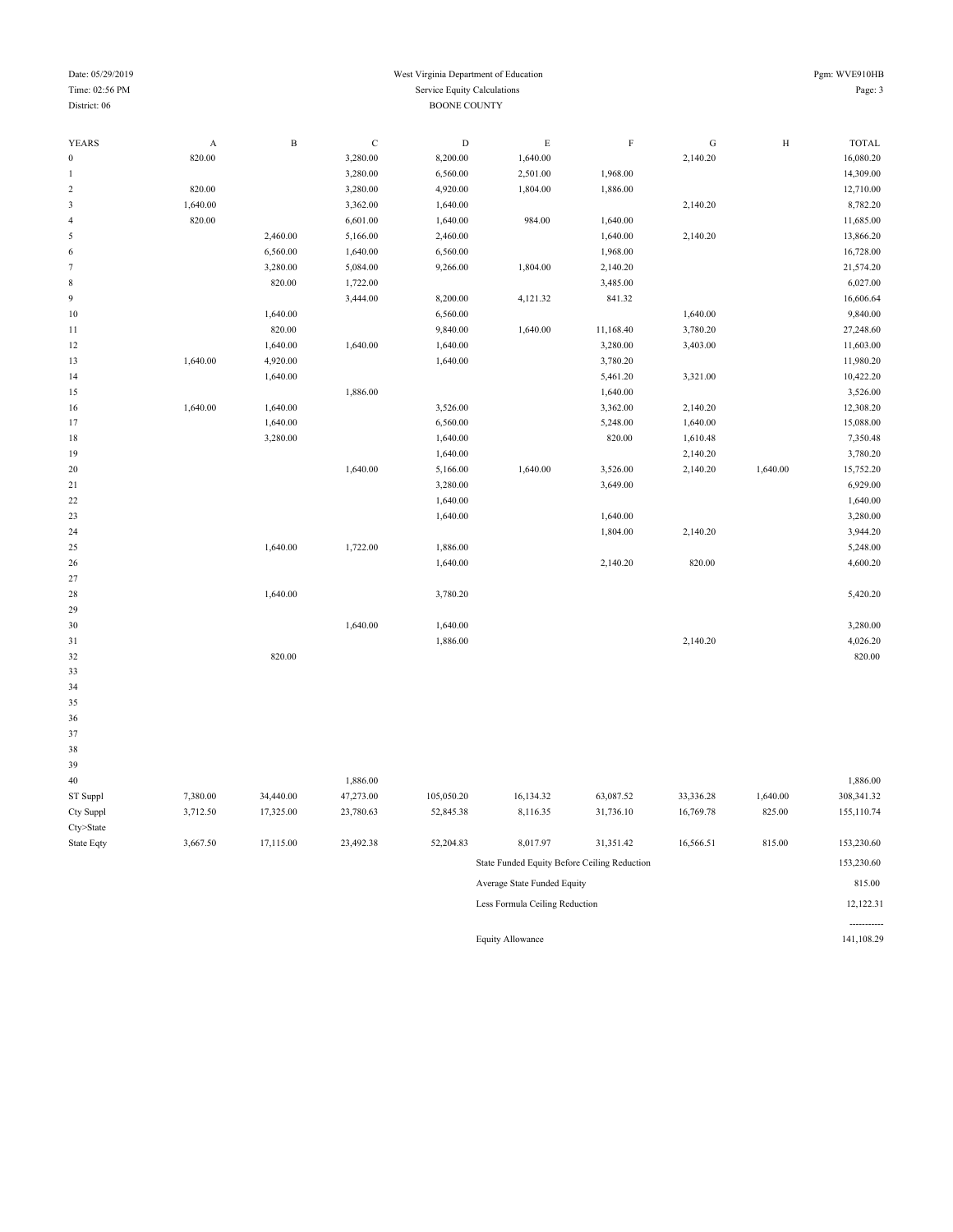| Time: 02:56 PM                   |                                     |                     |                      | Service Equity Calculations |               |             |           |              | Page: 3                   |  |  |
|----------------------------------|-------------------------------------|---------------------|----------------------|-----------------------------|---------------|-------------|-----------|--------------|---------------------------|--|--|
| District: 06                     |                                     | <b>BOONE COUNTY</b> |                      |                             |               |             |           |              |                           |  |  |
|                                  |                                     |                     |                      |                             |               |             |           |              |                           |  |  |
| <b>YEARS</b><br>$\boldsymbol{0}$ | $\boldsymbol{\mathsf{A}}$<br>820.00 | $\, {\bf B}$        | $\mathbf C$          | $\mathbf D$<br>8,200.00     | E<br>1,640.00 | $\mathbf F$ | ${\bf G}$ | $\, {\rm H}$ | <b>TOTAL</b><br>16,080.20 |  |  |
| $\,1\,$                          |                                     |                     | 3,280.00<br>3,280.00 | 6,560.00                    | 2,501.00      | 1,968.00    | 2,140.20  |              | 14,309.00                 |  |  |
| $\sqrt{2}$                       | 820.00                              |                     | 3,280.00             | 4,920.00                    | 1,804.00      | 1,886.00    |           |              | 12,710.00                 |  |  |
| $\mathfrak z$                    | 1,640.00                            |                     | 3,362.00             | 1,640.00                    |               |             | 2,140.20  |              | 8,782.20                  |  |  |
| $\sqrt{4}$                       | 820.00                              |                     | 6,601.00             | 1,640.00                    | 984.00        | 1,640.00    |           |              | 11,685.00                 |  |  |
| $\sqrt{5}$                       |                                     | 2,460.00            | 5,166.00             | 2,460.00                    |               | 1,640.00    | 2,140.20  |              | 13,866.20                 |  |  |
| $\sqrt{6}$                       |                                     | 6,560.00            | 1,640.00             | 6,560.00                    |               | 1,968.00    |           |              | 16,728.00                 |  |  |
| $\boldsymbol{7}$                 |                                     | 3,280.00            | 5,084.00             | 9,266.00                    | 1,804.00      | 2,140.20    |           |              | 21,574.20                 |  |  |
| $\,$ 8 $\,$                      |                                     | 820.00              | 1,722.00             |                             |               | 3,485.00    |           |              | 6,027.00                  |  |  |
| $\boldsymbol{9}$                 |                                     |                     | 3,444.00             | 8,200.00                    | 4,121.32      | 841.32      |           |              | 16,606.64                 |  |  |
| $10$                             |                                     | 1,640.00            |                      | 6,560.00                    |               |             | 1,640.00  |              | 9,840.00                  |  |  |
|                                  |                                     |                     |                      |                             |               |             |           |              |                           |  |  |
| 11                               |                                     | 820.00              |                      | 9,840.00                    | 1,640.00      | 11,168.40   | 3,780.20  |              | 27,248.60                 |  |  |
| 12                               |                                     | 1,640.00            | 1,640.00             | 1,640.00                    |               | 3,280.00    | 3,403.00  |              | 11,603.00                 |  |  |
| 13                               | 1,640.00                            | 4,920.00            |                      | 1,640.00                    |               | 3,780.20    |           |              | 11,980.20                 |  |  |
| 14                               |                                     | 1,640.00            |                      |                             |               | 5,461.20    | 3,321.00  |              | 10,422.20                 |  |  |
| 15                               |                                     |                     | 1,886.00             |                             |               | 1,640.00    |           |              | 3,526.00                  |  |  |
| 16                               | 1,640.00                            | 1,640.00            |                      | 3,526.00                    |               | 3,362.00    | 2,140.20  |              | 12,308.20                 |  |  |
| 17                               |                                     | 1,640.00            |                      | 6,560.00                    |               | 5,248.00    | 1,640.00  |              | 15,088.00                 |  |  |
| 18                               |                                     | 3,280.00            |                      | 1,640.00                    |               | 820.00      | 1,610.48  |              | 7,350.48                  |  |  |
| 19                               |                                     |                     |                      | 1,640.00                    |               |             | 2,140.20  |              | 3,780.20                  |  |  |
| 20                               |                                     |                     | 1,640.00             | 5,166.00                    | 1,640.00      | 3,526.00    | 2,140.20  | 1,640.00     | 15,752.20                 |  |  |
| $21\,$                           |                                     |                     |                      | 3,280.00                    |               | 3,649.00    |           |              | 6,929.00                  |  |  |
| 22                               |                                     |                     |                      | 1,640.00                    |               |             |           |              | 1,640.00                  |  |  |
| 23                               |                                     |                     |                      | 1,640.00                    |               | 1,640.00    |           |              | 3,280.00                  |  |  |
| 24                               |                                     |                     |                      |                             |               | 1,804.00    | 2,140.20  |              | 3,944.20                  |  |  |
| 25                               |                                     | 1,640.00            | 1,722.00             | 1,886.00                    |               |             |           |              | 5,248.00                  |  |  |
| 26                               |                                     |                     |                      | 1,640.00                    |               | 2,140.20    | 820.00    |              | 4,600.20                  |  |  |
| 27                               |                                     |                     |                      |                             |               |             |           |              |                           |  |  |
| 28                               |                                     | 1,640.00            |                      | 3,780.20                    |               |             |           |              | 5,420.20                  |  |  |
| 29                               |                                     |                     |                      |                             |               |             |           |              |                           |  |  |
| 30                               |                                     |                     | 1,640.00             | 1,640.00                    |               |             |           |              | 3,280.00                  |  |  |
| 31                               |                                     |                     |                      | 1,886.00                    |               |             | 2,140.20  |              | 4,026.20                  |  |  |
| 32                               |                                     | 820.00              |                      |                             |               |             |           |              | 820.00                    |  |  |
| 33                               |                                     |                     |                      |                             |               |             |           |              |                           |  |  |
| 34                               |                                     |                     |                      |                             |               |             |           |              |                           |  |  |
| 35                               |                                     |                     |                      |                             |               |             |           |              |                           |  |  |
| 36                               |                                     |                     |                      |                             |               |             |           |              |                           |  |  |
| 37                               |                                     |                     |                      |                             |               |             |           |              |                           |  |  |
| 38                               |                                     |                     |                      |                             |               |             |           |              |                           |  |  |
| 39                               |                                     |                     |                      |                             |               |             |           |              |                           |  |  |
| 40                               |                                     |                     | 1,886.00             |                             |               |             |           |              | 1,886.00                  |  |  |
| ST Suppl                         | 7,380.00                            | 34,440.00           | 47,273.00            | 105,050.20                  | 16,134.32     | 63,087.52   | 33,336.28 | 1,640.00     | 308,341.32                |  |  |
| Cty Suppl                        | 3,712.50                            | 17,325.00           | 23,780.63            | 52,845.38                   | 8,116.35      | 31,736.10   | 16,769.78 | 825.00       | 155,110.74                |  |  |
| Cty>State                        |                                     |                     |                      |                             |               |             |           |              |                           |  |  |
| State Eqty                       | 3,667.50                            | 17,115.00           | 23,492.38            | 52,204.83                   | 8,017.97      | 31,351.42   | 16,566.51 | 815.00       | 153,230.60                |  |  |

| 54.845.38 | 8.110.33                                     | 31,730.10 | 10.709.78 | 823.UU | 133,110.74 |  |  |  |
|-----------|----------------------------------------------|-----------|-----------|--------|------------|--|--|--|
| 52,204.83 | 8,017.97                                     | 31,351.42 | 16,566.51 | 815.00 | 153,230.60 |  |  |  |
|           | State Funded Equity Before Ceiling Reduction |           |           |        | 153,230.60 |  |  |  |
|           | Average State Funded Equity                  |           |           | 815.00 |            |  |  |  |
|           | Less Formula Ceiling Reduction               |           |           |        | 12,122.31  |  |  |  |
|           |                                              |           |           |        |            |  |  |  |
|           | <b>Equity Allowance</b>                      |           |           |        | 141,108.29 |  |  |  |

Date: 05/29/2019 West Virginia Department of Education Pgm: WVE910HB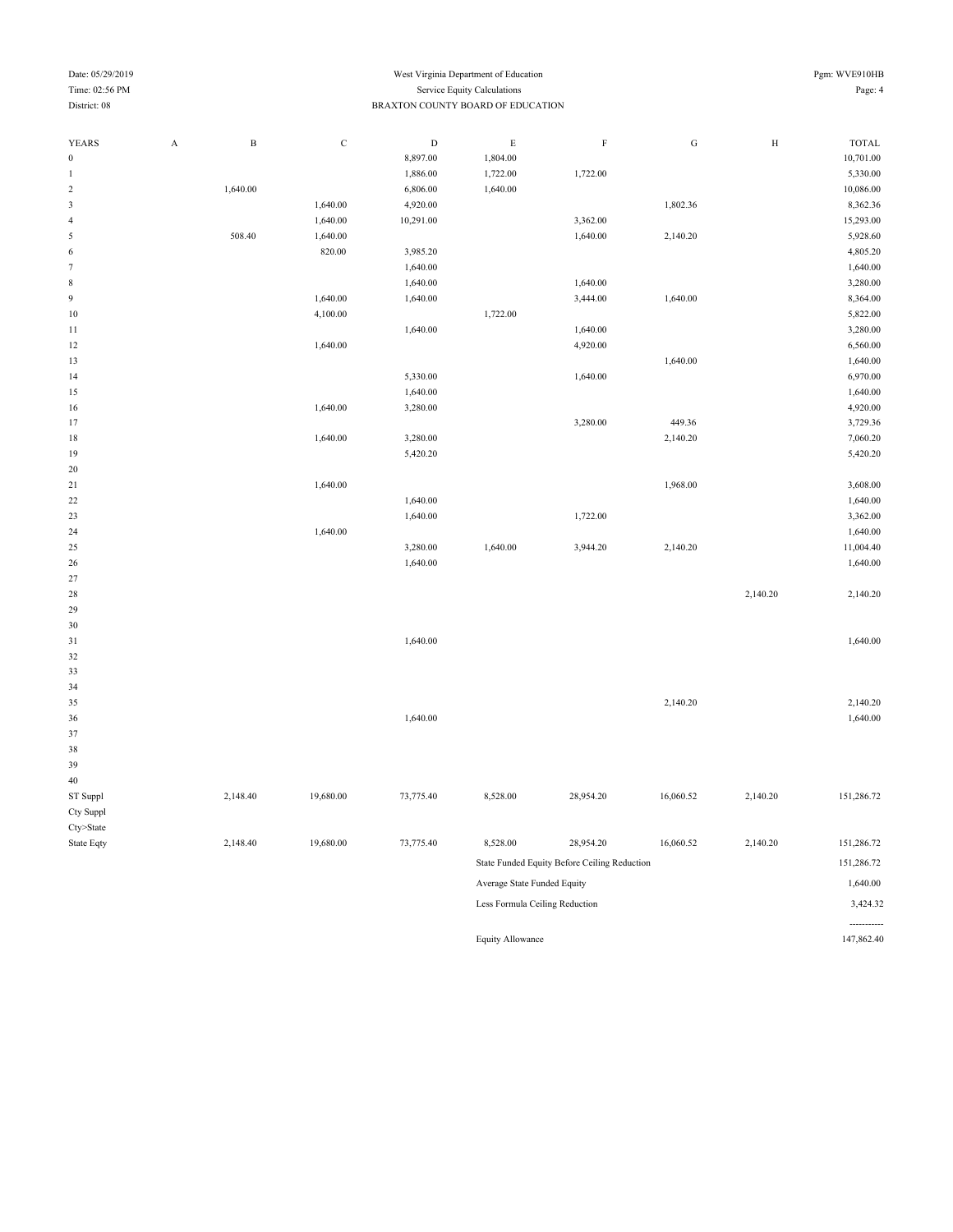#### Date: 05/29/2019 Pgm: WVE910HB Time: 02:56 PM Service Equity Calculations Page: 4 District: 08 BRAXTON COUNTY BOARD OF EDUCATION

| <b>YEARS</b>     | $\boldsymbol{\mathsf{A}}$ | $\, {\bf B}$ | $\mathbf C$ | $\mathbf D$ | $\mathbf E$                    | $\mathbf F$                                  | ${\bf G}$ | $\mathbf H$ | <b>TOTAL</b> |
|------------------|---------------------------|--------------|-------------|-------------|--------------------------------|----------------------------------------------|-----------|-------------|--------------|
| $\boldsymbol{0}$ |                           |              |             | 8,897.00    | 1,804.00                       |                                              |           |             | 10,701.00    |
| 1                |                           |              |             | 1,886.00    | 1,722.00                       | 1,722.00                                     |           |             | 5,330.00     |
| $\sqrt{2}$       |                           | 1,640.00     |             | 6,806.00    | 1,640.00                       |                                              |           |             | 10,086.00    |
| 3                |                           |              | 1,640.00    | 4,920.00    |                                |                                              | 1,802.36  |             | 8,362.36     |
| $\overline{4}$   |                           |              | 1,640.00    | 10,291.00   |                                | 3,362.00                                     |           |             | 15,293.00    |
| $\sqrt{5}$       |                           | 508.40       | 1,640.00    |             |                                | 1,640.00                                     | 2,140.20  |             | 5,928.60     |
| 6                |                           |              | 820.00      | 3,985.20    |                                |                                              |           |             | 4,805.20     |
| $\tau$           |                           |              |             | 1,640.00    |                                |                                              |           |             | 1,640.00     |
| $\,$ 8 $\,$      |                           |              |             | 1,640.00    |                                | 1,640.00                                     |           |             | 3,280.00     |
| $\overline{9}$   |                           |              | 1,640.00    | 1,640.00    |                                | 3,444.00                                     | 1,640.00  |             | 8,364.00     |
| $10\,$           |                           |              | 4,100.00    |             | 1,722.00                       |                                              |           |             | 5,822.00     |
| $11\,$           |                           |              |             | 1,640.00    |                                | 1,640.00                                     |           |             | 3,280.00     |
| 12               |                           |              | 1,640.00    |             |                                | 4,920.00                                     |           |             | 6,560.00     |
| 13               |                           |              |             |             |                                |                                              | 1,640.00  |             | 1,640.00     |
| 14               |                           |              |             | 5,330.00    |                                | 1,640.00                                     |           |             | 6,970.00     |
| 15               |                           |              |             | 1,640.00    |                                |                                              |           |             | 1,640.00     |
| 16               |                           |              | 1,640.00    | 3,280.00    |                                |                                              |           |             | 4,920.00     |
| 17               |                           |              |             |             |                                | 3,280.00                                     | 449.36    |             | 3,729.36     |
| 18               |                           |              | 1,640.00    | 3,280.00    |                                |                                              | 2,140.20  |             | 7,060.20     |
| 19               |                           |              |             | 5,420.20    |                                |                                              |           |             | 5,420.20     |
| 20               |                           |              |             |             |                                |                                              |           |             |              |
| 21               |                           |              | 1,640.00    |             |                                |                                              | 1,968.00  |             | 3,608.00     |
| $22\,$           |                           |              |             | 1,640.00    |                                |                                              |           |             | 1,640.00     |
| $23\,$           |                           |              |             | 1,640.00    |                                | 1,722.00                                     |           |             | 3,362.00     |
| 24               |                           |              | 1,640.00    |             |                                |                                              |           |             | 1,640.00     |
| $25\,$           |                           |              |             | 3,280.00    | 1,640.00                       | 3,944.20                                     | 2,140.20  |             | 11,004.40    |
| 26               |                           |              |             | 1,640.00    |                                |                                              |           |             | 1,640.00     |
| $27\,$           |                           |              |             |             |                                |                                              |           |             |              |
| $28\,$           |                           |              |             |             |                                |                                              |           | 2,140.20    | 2,140.20     |
| 29               |                           |              |             |             |                                |                                              |           |             |              |
| 30               |                           |              |             |             |                                |                                              |           |             |              |
| 31               |                           |              |             | 1,640.00    |                                |                                              |           |             | 1,640.00     |
| $32\,$           |                           |              |             |             |                                |                                              |           |             |              |
| $33\,$           |                           |              |             |             |                                |                                              |           |             |              |
| 34               |                           |              |             |             |                                |                                              |           |             |              |
| 35               |                           |              |             |             |                                |                                              | 2,140.20  |             | 2,140.20     |
| 36               |                           |              |             | 1,640.00    |                                |                                              |           |             | 1,640.00     |
| $37\,$           |                           |              |             |             |                                |                                              |           |             |              |
| $38\,$           |                           |              |             |             |                                |                                              |           |             |              |
| 39               |                           |              |             |             |                                |                                              |           |             |              |
| $40\,$           |                           |              |             |             |                                |                                              |           |             |              |
| ST Suppl         |                           | 2,148.40     | 19,680.00   | 73,775.40   | 8,528.00                       | 28,954.20                                    | 16,060.52 | 2,140.20    | 151,286.72   |
| Cty Suppl        |                           |              |             |             |                                |                                              |           |             |              |
| Cty>State        |                           |              |             |             |                                |                                              |           |             |              |
| State Eqty       |                           | 2,148.40     | 19,680.00   | 73,775.40   | 8,528.00                       | 28,954.20                                    | 16,060.52 | 2,140.20    | 151,286.72   |
|                  |                           |              |             |             |                                | State Funded Equity Before Ceiling Reduction |           |             | 151,286.72   |
|                  |                           |              |             |             | Average State Funded Equity    |                                              |           |             | 1,640.00     |
|                  |                           |              |             |             | Less Formula Ceiling Reduction |                                              |           |             | 3,424.32     |
|                  |                           |              |             |             |                                |                                              |           |             |              |
|                  |                           |              |             |             |                                |                                              |           |             |              |

Equity Allowance 147,862.40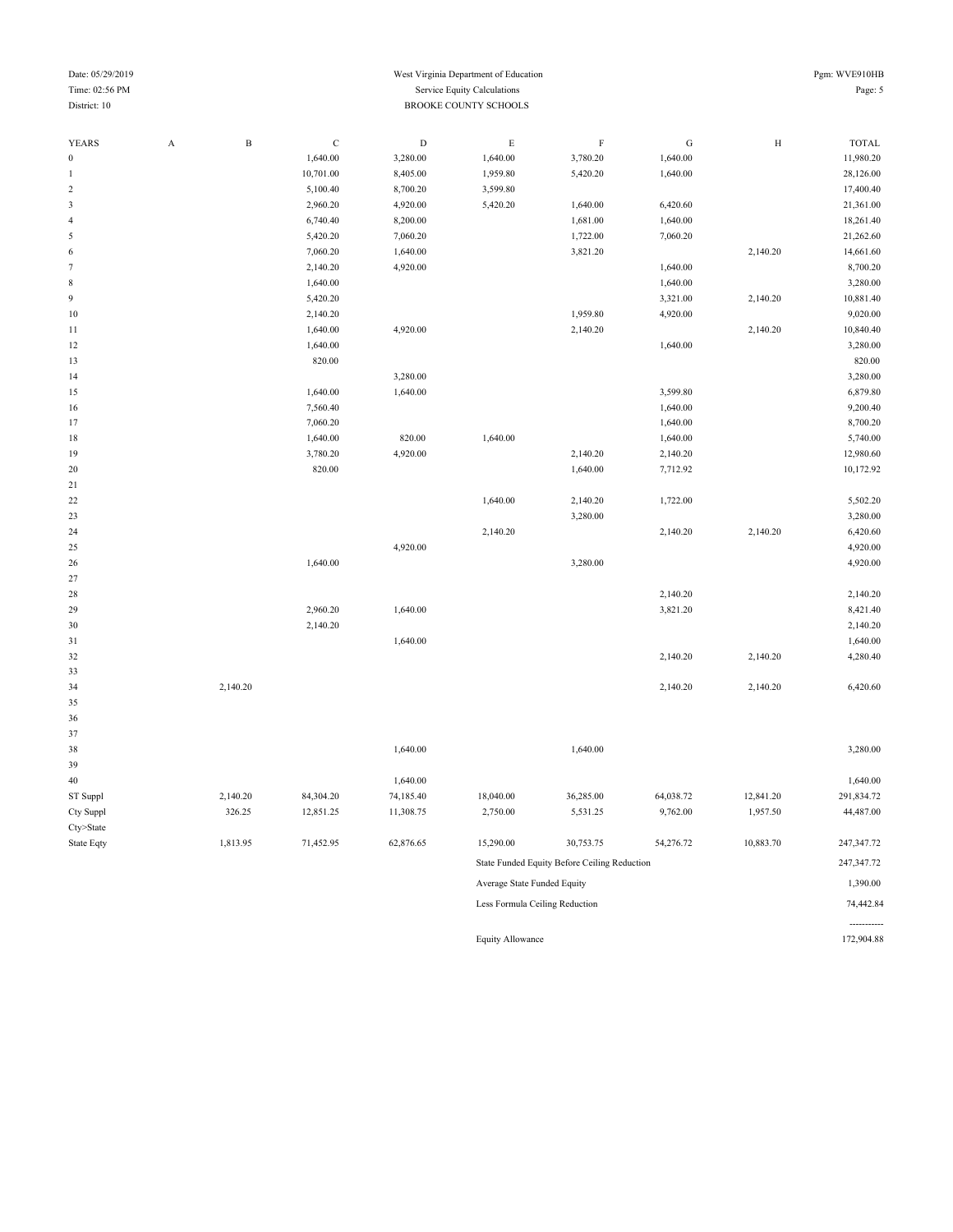| Time: 02:56 PM |                           |              |             |             | Service Equity Calculations |                                              |           |           | Page: 5      |
|----------------|---------------------------|--------------|-------------|-------------|-----------------------------|----------------------------------------------|-----------|-----------|--------------|
| District: 10   |                           |              |             |             | BROOKE COUNTY SCHOOLS       |                                              |           |           |              |
|                |                           |              |             |             |                             |                                              |           |           |              |
| <b>YEARS</b>   | $\boldsymbol{\mathsf{A}}$ | $\, {\bf B}$ | $\mathbf C$ | $\mathbf D$ | $\mathbf E$                 | $\rm F$                                      | ${\bf G}$ | $\rm H$   | <b>TOTAL</b> |
| $\bf{0}$       |                           |              | 1,640.00    | 3,280.00    | 1,640.00                    | 3,780.20                                     | 1,640.00  |           | 11,980.20    |
| 1              |                           |              | 10,701.00   | 8,405.00    | 1,959.80                    | 5,420.20                                     | 1,640.00  |           | 28,126.00    |
| $\overline{2}$ |                           |              | 5,100.40    | 8,700.20    | 3,599.80                    |                                              |           |           | 17,400.40    |
| 3              |                           |              | 2,960.20    | 4,920.00    | 5,420.20                    | 1,640.00                                     | 6,420.60  |           | 21,361.00    |
| $\overline{4}$ |                           |              | 6,740.40    | 8,200.00    |                             | 1,681.00                                     | 1,640.00  |           | 18,261.40    |
| 5              |                           |              | 5,420.20    | 7,060.20    |                             | 1,722.00                                     | 7,060.20  |           | 21,262.60    |
| 6              |                           |              | 7,060.20    | 1,640.00    |                             | 3,821.20                                     |           | 2,140.20  | 14,661.60    |
| 7              |                           |              | 2,140.20    | 4,920.00    |                             |                                              | 1,640.00  |           | 8,700.20     |
| $\,$ 8 $\,$    |                           |              | 1,640.00    |             |                             |                                              | 1,640.00  |           | 3,280.00     |
| 9              |                           |              | 5,420.20    |             |                             |                                              | 3,321.00  | 2,140.20  | 10,881.40    |
| 10             |                           |              | 2,140.20    |             |                             | 1,959.80                                     | 4,920.00  |           | 9,020.00     |
| 11             |                           |              | 1,640.00    | 4,920.00    |                             | 2,140.20                                     |           | 2,140.20  | 10,840.40    |
| 12             |                           |              | 1,640.00    |             |                             |                                              | 1,640.00  |           | 3,280.00     |
| 13             |                           |              | 820.00      |             |                             |                                              |           |           | 820.00       |
| 14             |                           |              |             | 3,280.00    |                             |                                              |           |           | 3,280.00     |
| 15             |                           |              | 1,640.00    | 1,640.00    |                             |                                              | 3,599.80  |           | 6,879.80     |
| 16             |                           |              | 7,560.40    |             |                             |                                              | 1,640.00  |           | 9,200.40     |
| 17             |                           |              | 7,060.20    |             |                             |                                              | 1,640.00  |           | 8,700.20     |
| 18             |                           |              | 1,640.00    | 820.00      | 1,640.00                    |                                              | 1,640.00  |           | 5,740.00     |
| 19             |                           |              | 3,780.20    | 4,920.00    |                             | 2,140.20                                     | 2,140.20  |           | 12,980.60    |
| $20\,$         |                           |              | 820.00      |             |                             | 1,640.00                                     | 7,712.92  |           | 10,172.92    |
| $21\,$         |                           |              |             |             |                             |                                              |           |           |              |
| 22             |                           |              |             |             | 1,640.00                    | 2,140.20                                     | 1,722.00  |           | 5,502.20     |
| 23             |                           |              |             |             |                             | 3,280.00                                     |           |           | 3,280.00     |
| 24             |                           |              |             |             | 2,140.20                    |                                              | 2,140.20  | 2,140.20  | 6,420.60     |
| 25             |                           |              |             | 4,920.00    |                             |                                              |           |           | 4,920.00     |
| 26             |                           |              | 1,640.00    |             |                             | 3,280.00                                     |           |           | 4,920.00     |
| $27\,$         |                           |              |             |             |                             |                                              |           |           |              |
| 28             |                           |              |             |             |                             |                                              | 2,140.20  |           | 2,140.20     |
| 29             |                           |              | 2,960.20    | 1,640.00    |                             |                                              | 3,821.20  |           | 8,421.40     |
| 30             |                           |              | 2,140.20    |             |                             |                                              |           |           | 2,140.20     |
| 31             |                           |              |             | 1,640.00    |                             |                                              |           |           | 1,640.00     |
| $32\,$         |                           |              |             |             |                             |                                              | 2,140.20  | 2,140.20  | 4,280.40     |
| 33             |                           |              |             |             |                             |                                              |           |           |              |
| 34             |                           | 2,140.20     |             |             |                             |                                              | 2,140.20  | 2,140.20  | 6,420.60     |
| 35             |                           |              |             |             |                             |                                              |           |           |              |
| 36             |                           |              |             |             |                             |                                              |           |           |              |
| 37             |                           |              |             |             |                             |                                              |           |           |              |
| 38             |                           |              |             | 1,640.00    |                             | 1,640.00                                     |           |           | 3,280.00     |
| 39             |                           |              |             |             |                             |                                              |           |           |              |
| $40\,$         |                           |              |             | 1,640.00    |                             |                                              |           |           | 1,640.00     |
| ST Suppl       |                           | 2,140.20     | 84,304.20   | 74,185.40   | 18,040.00                   | 36,285.00                                    | 64,038.72 | 12,841.20 | 291,834.72   |
| Cty Suppl      |                           | 326.25       | 12,851.25   | 11,308.75   | 2,750.00                    | 5,531.25                                     | 9,762.00  | 1,957.50  | 44,487.00    |
| Cty>State      |                           |              |             |             |                             |                                              |           |           |              |
| State Eqty     |                           | 1,813.95     | 71,452.95   | 62,876.65   | 15,290.00                   | 30,753.75                                    | 54,276.72 | 10,883.70 | 247,347.72   |
|                |                           |              |             |             |                             | State Funded Equity Before Ceiling Reduction |           |           | 247,347.72   |

Equity Allowance

----------<br>172,904.88

Average State Funded Equity 1,390.00 Less Formula Ceiling Reduction 74,442.84

# Date: 05/29/2019 West Virginia Department of Education Pgm: WVE910HB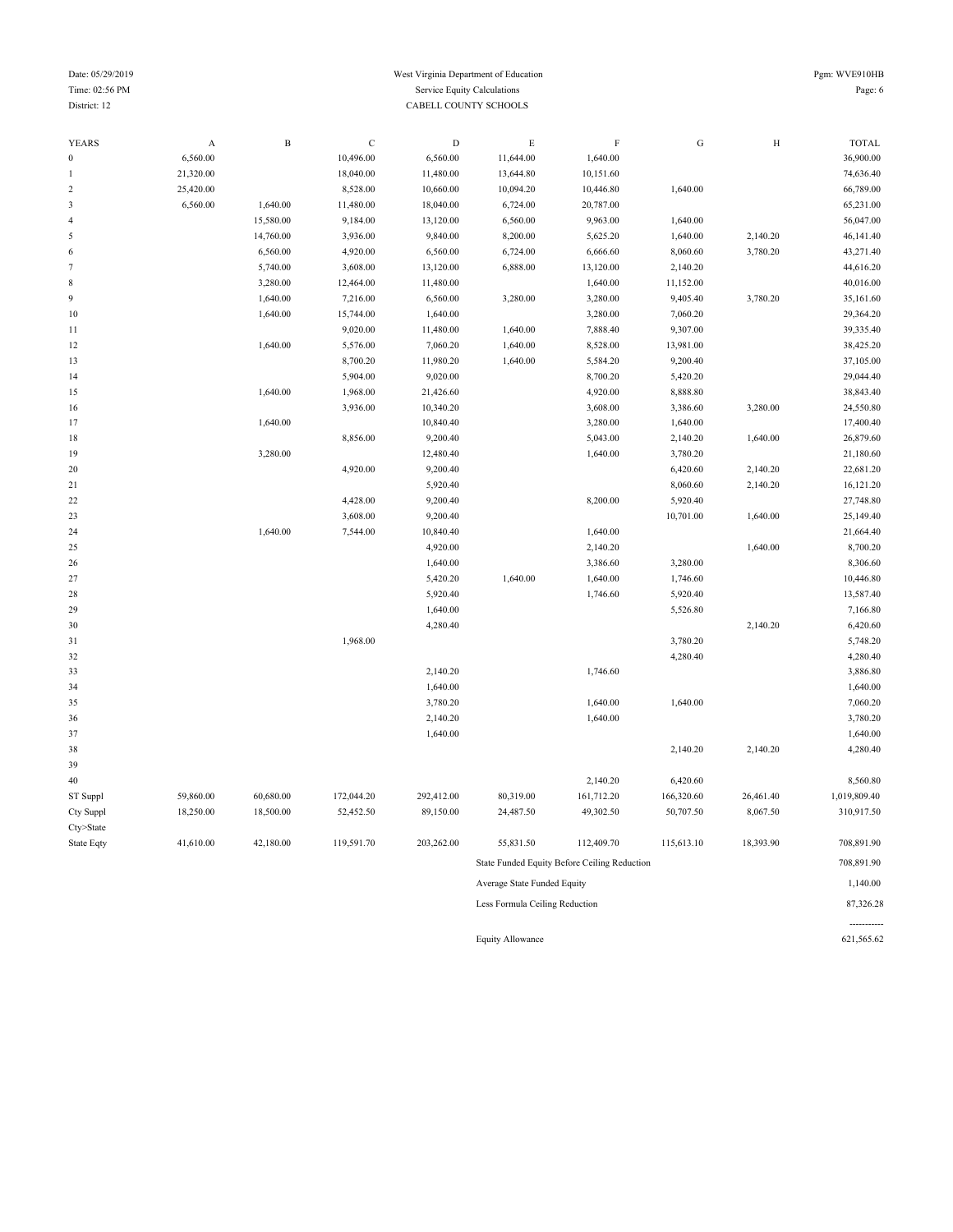#### Date: 05/29/2019 Pgm: WVE910HB Time: 02:56 PM Service Equity Calculations Page: 6 District: 12 CABELL COUNTY SCHOOLS

-----------

| YEARS            | A         | B         | C          | D          | Е                              | F                                            | G          | Η         | TOTAL        |
|------------------|-----------|-----------|------------|------------|--------------------------------|----------------------------------------------|------------|-----------|--------------|
| $\boldsymbol{0}$ | 6,560.00  |           | 10,496.00  | 6,560.00   | 11,644.00                      | 1,640.00                                     |            |           | 36,900.00    |
|                  | 21,320.00 |           | 18,040.00  | 11,480.00  | 13,644.80                      | 10,151.60                                    |            |           | 74,636.40    |
| $\overline{c}$   | 25,420.00 |           | 8,528.00   | 10,660.00  | 10,094.20                      | 10,446.80                                    | 1,640.00   |           | 66,789.00    |
| 3                | 6,560.00  | 1,640.00  | 11,480.00  | 18,040.00  | 6,724.00                       | 20,787.00                                    |            |           | 65,231.00    |
| 4                |           | 15,580.00 | 9,184.00   | 13,120.00  | 6,560.00                       | 9,963.00                                     | 1,640.00   |           | 56,047.00    |
| 5                |           | 14,760.00 | 3,936.00   | 9,840.00   | 8,200.00                       | 5,625.20                                     | 1,640.00   | 2,140.20  | 46,141.40    |
| 6                |           | 6,560.00  | 4,920.00   | 6,560.00   | 6,724.00                       | 6,666.60                                     | 8,060.60   | 3,780.20  | 43,271.40    |
|                  |           | 5,740.00  | 3,608.00   | 13,120.00  | 6,888.00                       | 13,120.00                                    | 2,140.20   |           | 44,616.20    |
| 8                |           | 3,280.00  | 12,464.00  | 11,480.00  |                                | 1,640.00                                     | 11,152.00  |           | 40,016.00    |
| 9                |           | 1,640.00  | 7,216.00   | 6,560.00   | 3,280.00                       | 3,280.00                                     | 9,405.40   | 3,780.20  | 35,161.60    |
| 10               |           | 1,640.00  | 15,744.00  | 1,640.00   |                                | 3,280.00                                     | 7,060.20   |           | 29,364.20    |
| 11               |           |           | 9,020.00   | 11,480.00  | 1,640.00                       | 7,888.40                                     | 9,307.00   |           | 39,335.40    |
| 12               |           | 1,640.00  | 5,576.00   | 7,060.20   | 1,640.00                       | 8,528.00                                     | 13,981.00  |           | 38,425.20    |
| 13               |           |           | 8,700.20   | 11,980.20  | 1,640.00                       | 5,584.20                                     | 9,200.40   |           | 37,105.00    |
| 14               |           |           | 5,904.00   | 9,020.00   |                                | 8,700.20                                     | 5,420.20   |           | 29,044.40    |
| 15               |           | 1,640.00  | 1,968.00   | 21,426.60  |                                | 4,920.00                                     | 8,888.80   |           | 38,843.40    |
| 16               |           |           | 3,936.00   | 10,340.20  |                                | 3,608.00                                     | 3,386.60   | 3,280.00  | 24,550.80    |
| 17               |           | 1,640.00  |            | 10,840.40  |                                | 3,280.00                                     | 1,640.00   |           | 17,400.40    |
| 18               |           |           | 8,856.00   | 9,200.40   |                                | 5,043.00                                     | 2,140.20   | 1,640.00  | 26,879.60    |
| 19               |           | 3,280.00  |            | 12,480.40  |                                | 1,640.00                                     | 3,780.20   |           | 21,180.60    |
| 20               |           |           | 4,920.00   | 9,200.40   |                                |                                              | 6,420.60   | 2,140.20  | 22,681.20    |
| 21               |           |           |            | 5,920.40   |                                |                                              | 8,060.60   | 2,140.20  | 16,121.20    |
| 22               |           |           | 4,428.00   | 9,200.40   |                                | 8,200.00                                     | 5,920.40   |           | 27,748.80    |
| 23               |           |           | 3,608.00   | 9,200.40   |                                |                                              | 10,701.00  | 1,640.00  | 25,149.40    |
| 24               |           | 1,640.00  | 7,544.00   | 10,840.40  |                                | 1,640.00                                     |            |           | 21,664.40    |
| 25               |           |           |            | 4,920.00   |                                | 2,140.20                                     |            | 1,640.00  | 8,700.20     |
| 26               |           |           |            | 1,640.00   |                                | 3,386.60                                     | 3,280.00   |           | 8,306.60     |
| 27               |           |           |            | 5,420.20   | 1,640.00                       | 1,640.00                                     | 1,746.60   |           | 10,446.80    |
| 28               |           |           |            | 5,920.40   |                                | 1,746.60                                     | 5,920.40   |           | 13,587.40    |
| 29               |           |           |            | 1,640.00   |                                |                                              | 5,526.80   |           | 7,166.80     |
| 30               |           |           |            | 4,280.40   |                                |                                              |            | 2,140.20  | 6,420.60     |
| 31               |           |           | 1,968.00   |            |                                |                                              | 3,780.20   |           | 5,748.20     |
| 32               |           |           |            |            |                                |                                              | 4,280.40   |           | 4,280.40     |
| 33               |           |           |            | 2,140.20   |                                | 1,746.60                                     |            |           | 3,886.80     |
| 34               |           |           |            | 1,640.00   |                                |                                              |            |           | 1,640.00     |
| 35               |           |           |            | 3,780.20   |                                | 1,640.00                                     | 1,640.00   |           | 7,060.20     |
| 36               |           |           |            | 2,140.20   |                                | 1,640.00                                     |            |           | 3,780.20     |
| 37               |           |           |            | 1,640.00   |                                |                                              |            |           | 1,640.00     |
| 38               |           |           |            |            |                                |                                              | 2,140.20   | 2,140.20  | 4,280.40     |
| 39               |           |           |            |            |                                |                                              |            |           |              |
| 40               |           |           |            |            |                                | 2,140.20                                     | 6,420.60   |           | 8,560.80     |
| ST Suppl         | 59,860.00 | 60,680.00 | 172,044.20 | 292,412.00 | 80,319.00                      | 161,712.20                                   | 166,320.60 | 26,461.40 | 1,019,809.40 |
| Cty Suppl        | 18,250.00 | 18,500.00 | 52,452.50  | 89,150.00  | 24,487.50                      | 49,302.50                                    | 50,707.50  | 8,067.50  | 310,917.50   |
| Cty>State        |           |           |            |            |                                |                                              |            |           |              |
| State Eqty       | 41,610.00 | 42,180.00 | 119,591.70 | 203,262.00 | 55,831.50                      | 112,409.70                                   | 115,613.10 | 18,393.90 | 708,891.90   |
|                  |           |           |            |            |                                | State Funded Equity Before Ceiling Reduction |            |           | 708,891.90   |
|                  |           |           |            |            | Average State Funded Equity    |                                              |            |           | 1,140.00     |
|                  |           |           |            |            | Less Formula Ceiling Reduction |                                              |            |           | 87,326.28    |
|                  |           |           |            |            |                                |                                              |            |           |              |

Equity Allowance 621,565.62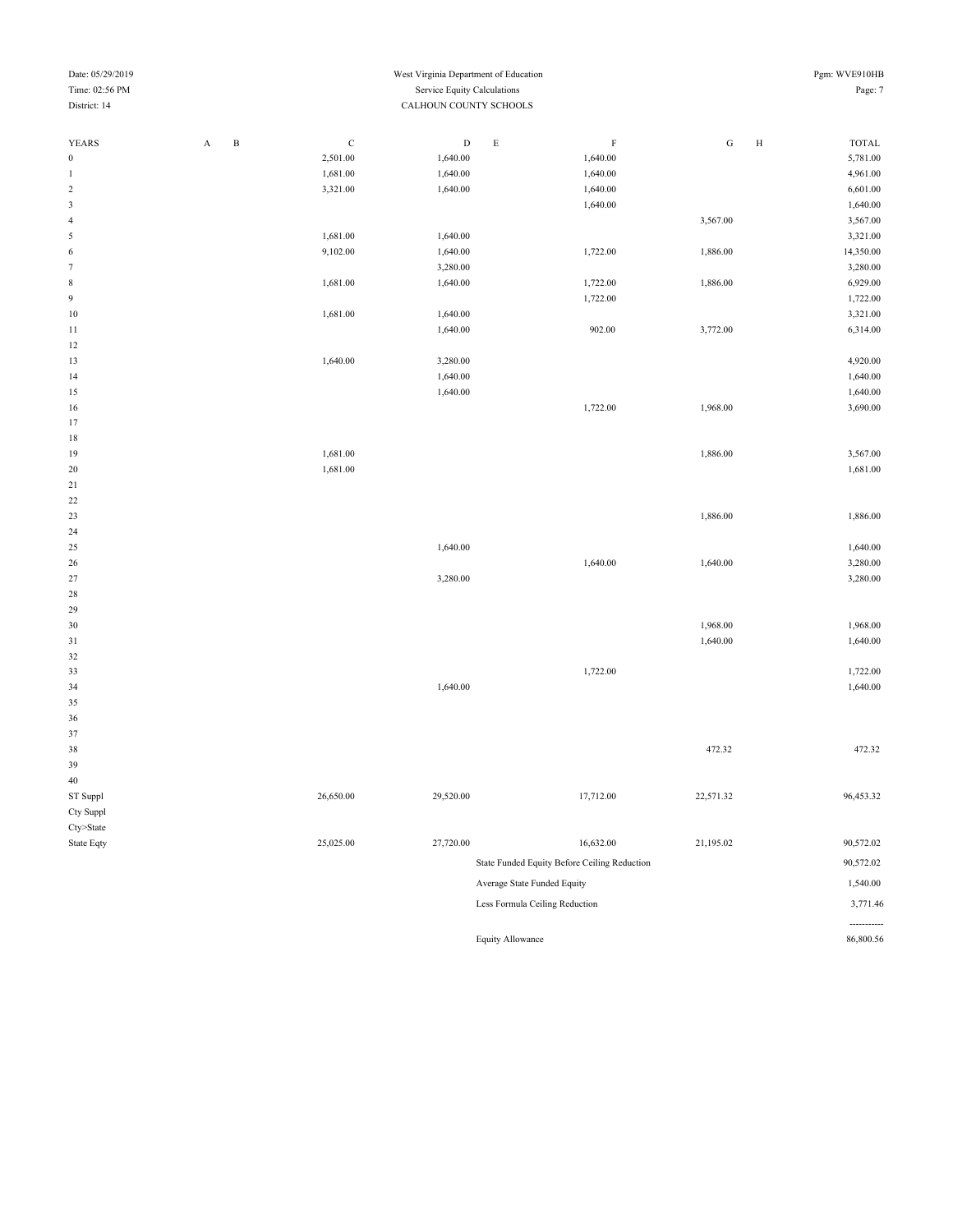| Date: 05/29/2019 |                        |                             |             | West Virginia Department of Education |                  |                                              |           |        | Pgm: WVE910HB |  |
|------------------|------------------------|-----------------------------|-------------|---------------------------------------|------------------|----------------------------------------------|-----------|--------|---------------|--|
| Time: 02:56 PM   |                        | Service Equity Calculations |             |                                       |                  |                                              |           |        |               |  |
| District: 14     | CALHOUN COUNTY SCHOOLS |                             |             |                                       |                  |                                              |           |        |               |  |
|                  |                        |                             |             |                                       |                  |                                              |           |        |               |  |
| <b>YEARS</b>     | A                      | $\, {\bf B}$                | $\mathbf C$ | $\mathbf D$                           | $\mathbf E$      | F                                            | ${\rm G}$ | $\,$ H | TOTAL         |  |
| $\boldsymbol{0}$ |                        |                             | 2,501.00    | 1,640.00                              |                  | 1,640.00                                     |           |        | 5,781.00      |  |
| $\mathbf{1}$     |                        |                             | 1,681.00    | 1,640.00                              |                  | 1,640.00                                     |           |        | 4,961.00      |  |
| $\sqrt{2}$       |                        |                             | 3,321.00    | 1,640.00                              |                  | 1,640.00                                     |           |        | 6,601.00      |  |
| $\sqrt{3}$       |                        |                             |             |                                       |                  | 1,640.00                                     |           |        | 1,640.00      |  |
| $\sqrt{4}$       |                        |                             |             |                                       |                  |                                              | 3,567.00  |        | 3,567.00      |  |
| 5                |                        |                             | 1,681.00    | 1,640.00                              |                  |                                              |           |        | 3,321.00      |  |
| $\sqrt{6}$       |                        |                             | 9,102.00    | 1,640.00                              |                  | 1,722.00                                     | 1,886.00  |        | 14,350.00     |  |
| $\tau$           |                        |                             |             | 3,280.00                              |                  |                                              |           |        | 3,280.00      |  |
|                  |                        |                             |             |                                       |                  |                                              |           |        |               |  |
| $\,$ 8 $\,$      |                        |                             | 1,681.00    | 1,640.00                              |                  | 1,722.00                                     | 1,886.00  |        | 6,929.00      |  |
| $\boldsymbol{9}$ |                        |                             |             |                                       |                  | 1,722.00                                     |           |        | 1,722.00      |  |
| 10               |                        |                             | 1,681.00    | 1,640.00                              |                  |                                              |           |        | 3,321.00      |  |
| 11               |                        |                             |             | 1,640.00                              |                  | 902.00                                       | 3,772.00  |        | 6,314.00      |  |
| 12               |                        |                             |             |                                       |                  |                                              |           |        |               |  |
| 13               |                        |                             | 1,640.00    | 3,280.00                              |                  |                                              |           |        | 4,920.00      |  |
| 14               |                        |                             |             | 1,640.00                              |                  |                                              |           |        | 1,640.00      |  |
| 15               |                        |                             |             | 1,640.00                              |                  |                                              |           |        | 1,640.00      |  |
| 16               |                        |                             |             |                                       |                  | 1,722.00                                     | 1,968.00  |        | 3,690.00      |  |
| 17               |                        |                             |             |                                       |                  |                                              |           |        |               |  |
| $18\,$           |                        |                             |             |                                       |                  |                                              |           |        |               |  |
| 19               |                        |                             | 1,681.00    |                                       |                  |                                              | 1,886.00  |        | 3,567.00      |  |
| 20               |                        |                             | 1,681.00    |                                       |                  |                                              |           |        | 1,681.00      |  |
| 21               |                        |                             |             |                                       |                  |                                              |           |        |               |  |
| 22               |                        |                             |             |                                       |                  |                                              |           |        |               |  |
| 23               |                        |                             |             |                                       |                  |                                              | 1,886.00  |        | 1,886.00      |  |
| 24               |                        |                             |             |                                       |                  |                                              |           |        |               |  |
| 25               |                        |                             |             | 1,640.00                              |                  |                                              |           |        | 1,640.00      |  |
| 26               |                        |                             |             |                                       |                  | 1,640.00                                     | 1,640.00  |        | 3,280.00      |  |
| $27\,$           |                        |                             |             | 3,280.00                              |                  |                                              |           |        | 3,280.00      |  |
| 28               |                        |                             |             |                                       |                  |                                              |           |        |               |  |
| 29               |                        |                             |             |                                       |                  |                                              |           |        |               |  |
| 30               |                        |                             |             |                                       |                  |                                              | 1,968.00  |        | 1,968.00      |  |
| 31               |                        |                             |             |                                       |                  |                                              | 1,640.00  |        | 1,640.00      |  |
| 32               |                        |                             |             |                                       |                  |                                              |           |        |               |  |
| 33               |                        |                             |             |                                       |                  | 1,722.00                                     |           |        | 1,722.00      |  |
| 34               |                        |                             |             | 1,640.00                              |                  |                                              |           |        | 1,640.00      |  |
| 35               |                        |                             |             |                                       |                  |                                              |           |        |               |  |
| 36               |                        |                             |             |                                       |                  |                                              |           |        |               |  |
| 37               |                        |                             |             |                                       |                  |                                              |           |        |               |  |
| 38               |                        |                             |             |                                       |                  |                                              | 472.32    |        | 472.32        |  |
| 39               |                        |                             |             |                                       |                  |                                              |           |        |               |  |
| 40               |                        |                             |             |                                       |                  |                                              |           |        |               |  |
| ST Suppl         |                        |                             | 26,650.00   | 29,520.00                             |                  | 17,712.00                                    | 22,571.32 |        | 96,453.32     |  |
| Cty Suppl        |                        |                             |             |                                       |                  |                                              |           |        |               |  |
| $Cty$ >State     |                        |                             |             |                                       |                  |                                              |           |        |               |  |
|                  |                        |                             | 25,025.00   |                                       |                  |                                              |           |        |               |  |
| State Eqty       |                        |                             |             | 27,720.00                             |                  | 16,632.00                                    | 21,195.02 |        | 90,572.02     |  |
|                  |                        |                             |             |                                       |                  | State Funded Equity Before Ceiling Reduction |           |        | 90,572.02     |  |
|                  |                        |                             |             |                                       |                  | Average State Funded Equity                  |           |        | 1,540.00      |  |
|                  |                        |                             |             |                                       |                  | Less Formula Ceiling Reduction               |           |        | 3,771.46      |  |
|                  |                        |                             |             |                                       |                  |                                              |           |        |               |  |
|                  |                        |                             |             |                                       |                  |                                              |           |        | -----------   |  |
|                  |                        |                             |             |                                       | Equity Allowance |                                              |           |        | 86,800.56     |  |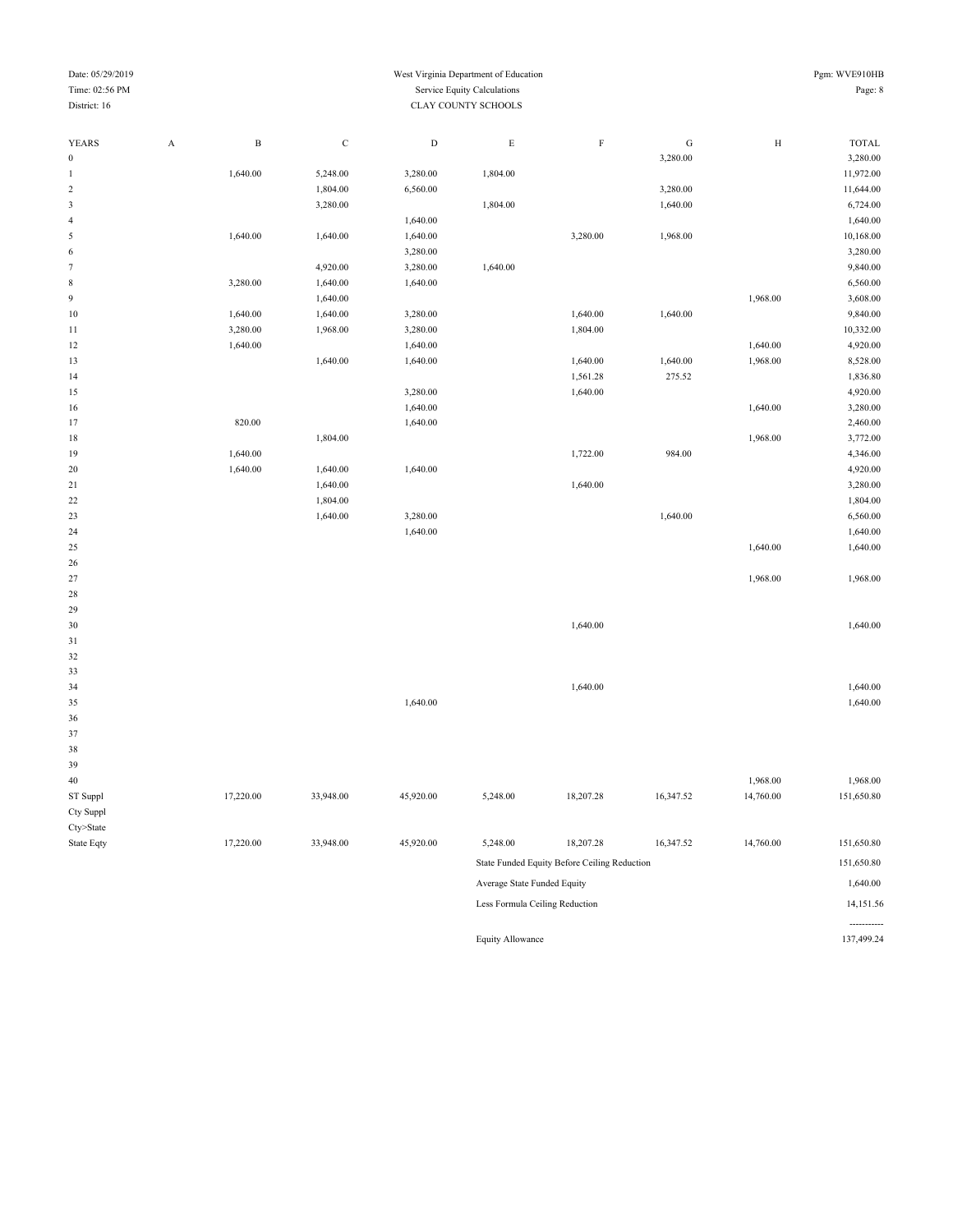| Pgm: WVE910HB |
|---------------|
| Page: 8       |

-----------<br>137,499.24

#### Date: 05/29/2019 West Virginia Department of Education Time: 02:56 PM Service Equity Calculations District: 16 CLAY COUNTY SCHOOLS

| YEARS            | $\mathbf{A}$ | $\, {\bf B}$ | $\mathbf C$ | $\mathbf D$ | $\mathbf E$                    | $\rm F$                                      | ${\bf G}$ | $\, {\rm H}$ | <b>TOTAL</b> |
|------------------|--------------|--------------|-------------|-------------|--------------------------------|----------------------------------------------|-----------|--------------|--------------|
| $\boldsymbol{0}$ |              |              |             |             |                                |                                              | 3,280.00  |              | 3,280.00     |
| $\mathbf{1}$     |              | 1,640.00     | 5,248.00    | 3,280.00    | 1,804.00                       |                                              |           |              | 11,972.00    |
| $\sqrt{2}$       |              |              | 1,804.00    | 6,560.00    |                                |                                              | 3,280.00  |              | 11,644.00    |
| $\sqrt{3}$       |              |              | 3,280.00    |             | 1,804.00                       |                                              | 1,640.00  |              | 6,724.00     |
| $\overline{4}$   |              |              |             | 1,640.00    |                                |                                              |           |              | 1,640.00     |
| 5                |              | 1,640.00     | 1,640.00    | 1,640.00    |                                | 3,280.00                                     | 1,968.00  |              | 10,168.00    |
| 6                |              |              |             | 3,280.00    |                                |                                              |           |              | 3,280.00     |
| $\tau$           |              |              | 4,920.00    | 3,280.00    | 1,640.00                       |                                              |           |              | 9,840.00     |
| $\,$ 8 $\,$      |              | 3,280.00     | 1,640.00    | 1,640.00    |                                |                                              |           |              | 6,560.00     |
| $\overline{9}$   |              |              | 1,640.00    |             |                                |                                              |           | 1,968.00     | 3,608.00     |
| $10\,$           |              | 1,640.00     | 1,640.00    | 3,280.00    |                                | 1,640.00                                     | 1,640.00  |              | 9,840.00     |
| 11               |              | 3,280.00     | 1,968.00    | 3,280.00    |                                | 1,804.00                                     |           |              | 10,332.00    |
| 12               |              | 1,640.00     |             | 1,640.00    |                                |                                              |           | 1,640.00     | 4,920.00     |
| 13               |              |              | 1,640.00    | 1,640.00    |                                | 1,640.00                                     | 1,640.00  | 1,968.00     | 8,528.00     |
| 14               |              |              |             |             |                                | 1,561.28                                     | 275.52    |              | 1,836.80     |
| 15               |              |              |             | 3,280.00    |                                | 1,640.00                                     |           |              | 4,920.00     |
| 16               |              |              |             | 1,640.00    |                                |                                              |           | 1,640.00     | 3,280.00     |
| 17               |              | 820.00       |             | 1,640.00    |                                |                                              |           |              | 2,460.00     |
| 18               |              |              | 1,804.00    |             |                                |                                              |           | 1,968.00     | 3,772.00     |
| 19               |              | 1,640.00     |             |             |                                | 1,722.00                                     | 984.00    |              | 4,346.00     |
| 20               |              | 1,640.00     | 1,640.00    | 1,640.00    |                                |                                              |           |              | 4,920.00     |
| 21               |              |              | 1,640.00    |             |                                | 1,640.00                                     |           |              | 3,280.00     |
| $22\,$           |              |              | 1,804.00    |             |                                |                                              |           |              | 1,804.00     |
| 23               |              |              | 1,640.00    | 3,280.00    |                                |                                              | 1,640.00  |              | 6,560.00     |
| 24               |              |              |             | 1,640.00    |                                |                                              |           |              | 1,640.00     |
| 25               |              |              |             |             |                                |                                              |           | 1,640.00     | 1,640.00     |
| 26               |              |              |             |             |                                |                                              |           |              |              |
| $27\,$           |              |              |             |             |                                |                                              |           | 1,968.00     | 1,968.00     |
| 28               |              |              |             |             |                                |                                              |           |              |              |
| 29               |              |              |             |             |                                |                                              |           |              |              |
| $30\,$           |              |              |             |             |                                | 1,640.00                                     |           |              | 1,640.00     |
| $31\,$           |              |              |             |             |                                |                                              |           |              |              |
| $32\,$           |              |              |             |             |                                |                                              |           |              |              |
| 33               |              |              |             |             |                                |                                              |           |              |              |
| 34               |              |              |             |             |                                | 1,640.00                                     |           |              | 1,640.00     |
| 35               |              |              |             | 1,640.00    |                                |                                              |           |              | 1,640.00     |
| 36               |              |              |             |             |                                |                                              |           |              |              |
| 37               |              |              |             |             |                                |                                              |           |              |              |
| 38               |              |              |             |             |                                |                                              |           |              |              |
| 39               |              |              |             |             |                                |                                              |           |              |              |
| 40               |              |              |             |             |                                |                                              |           | 1,968.00     | 1,968.00     |
| ST Suppl         |              | 17,220.00    | 33,948.00   | 45,920.00   | 5,248.00                       | 18,207.28                                    | 16,347.52 | 14,760.00    | 151,650.80   |
| Cty Suppl        |              |              |             |             |                                |                                              |           |              |              |
| Cty>State        |              |              |             |             |                                |                                              |           |              |              |
| State Eqty       |              | 17,220.00    | 33,948.00   | 45,920.00   | 5,248.00                       | 18,207.28                                    | 16,347.52 | 14,760.00    | 151,650.80   |
|                  |              |              |             |             |                                | State Funded Equity Before Ceiling Reduction |           |              | 151,650.80   |
|                  |              |              |             |             | Average State Funded Equity    |                                              |           |              | 1,640.00     |
|                  |              |              |             |             | Less Formula Ceiling Reduction |                                              |           |              | 14,151.56    |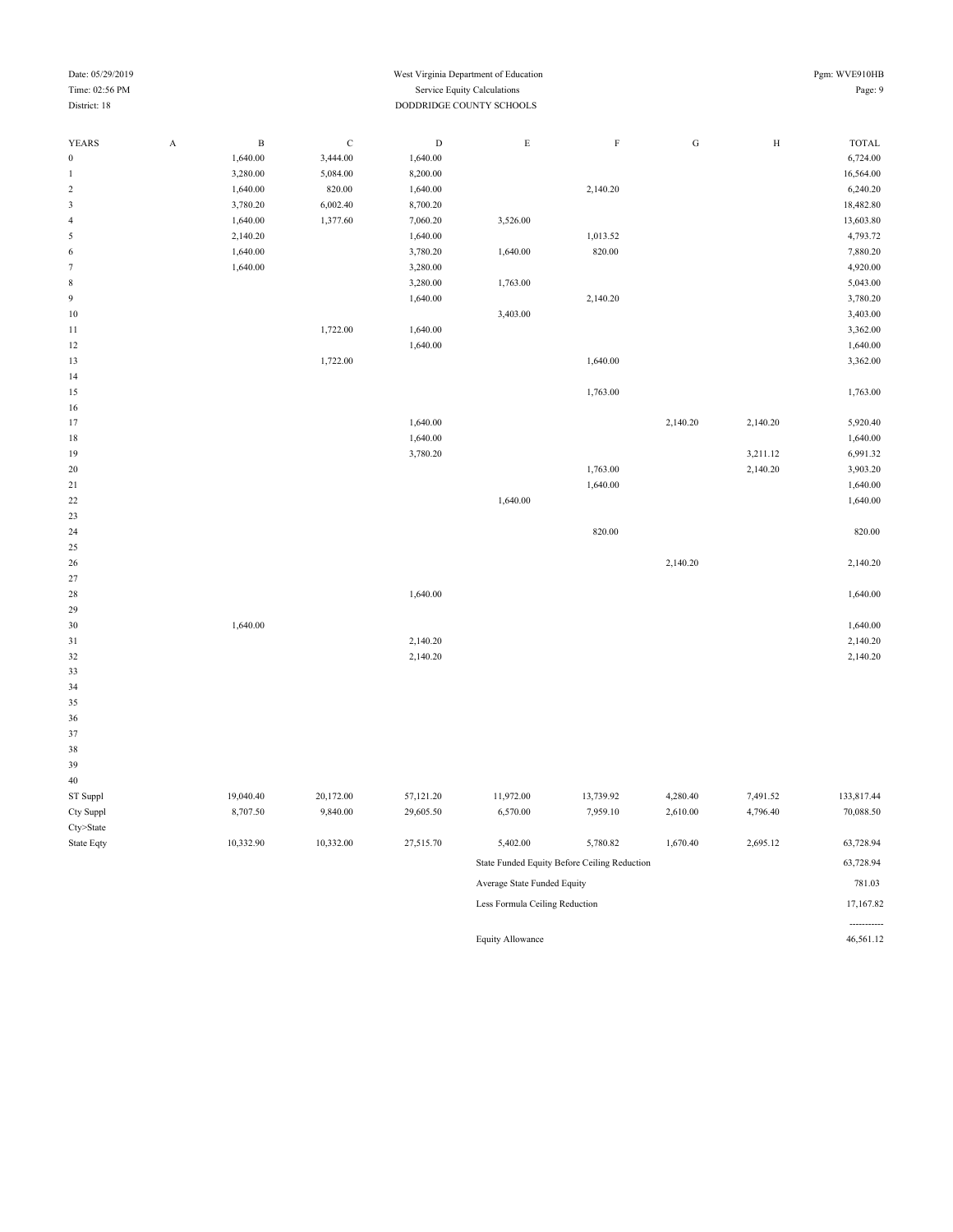#### Date: 05/29/2019 Pgm: WVE910HB Time: 02:56 PM Service Equity Calculations Page: 9 District: 18 DODDRIDGE COUNTY SCHOOLS

| YEARS            | $\mathbf A$ | $\, {\bf B}$ | ${\bf C}$ | $\mathbf D$ | $\mathbf E$ | $\mathbf F$ | ${\bf G}$ | $\, {\rm H}$ | <b>TOTAL</b> |
|------------------|-------------|--------------|-----------|-------------|-------------|-------------|-----------|--------------|--------------|
| $\boldsymbol{0}$ |             | 1,640.00     | 3,444.00  | 1,640.00    |             |             |           |              | 6,724.00     |
| $\mathbf{1}$     |             | 3,280.00     | 5,084.00  | 8,200.00    |             |             |           |              | 16,564.00    |
| $\sqrt{2}$       |             | 1,640.00     | 820.00    | 1,640.00    |             | 2,140.20    |           |              | 6,240.20     |
| $\mathfrak{Z}$   |             | 3,780.20     | 6,002.40  | 8,700.20    |             |             |           |              | 18,482.80    |
| $\sqrt{4}$       |             | 1,640.00     | 1,377.60  | 7,060.20    | 3,526.00    |             |           |              | 13,603.80    |
| 5                |             | 2,140.20     |           | 1,640.00    |             | 1,013.52    |           |              | 4,793.72     |
| $\,$ 6 $\,$      |             | 1,640.00     |           | 3,780.20    | 1,640.00    | 820.00      |           |              | 7,880.20     |
| $\boldsymbol{7}$ |             | 1,640.00     |           | 3,280.00    |             |             |           |              | 4,920.00     |
| $\,$ 8 $\,$      |             |              |           | 3,280.00    | 1,763.00    |             |           |              | 5,043.00     |
| $\overline{9}$   |             |              |           | 1,640.00    |             | 2,140.20    |           |              | 3,780.20     |
| $10\,$           |             |              |           |             | 3,403.00    |             |           |              | 3,403.00     |
| $11\,$           |             |              | 1,722.00  | 1,640.00    |             |             |           |              | 3,362.00     |
| $12\,$           |             |              |           | 1,640.00    |             |             |           |              | 1,640.00     |
| 13               |             |              | 1,722.00  |             |             | 1,640.00    |           |              | 3,362.00     |
| 14               |             |              |           |             |             |             |           |              |              |
| $15\,$           |             |              |           |             |             | 1,763.00    |           |              | 1,763.00     |
| 16               |             |              |           |             |             |             |           |              |              |
| 17               |             |              |           | 1,640.00    |             |             | 2,140.20  | 2,140.20     | 5,920.40     |
| $18\,$           |             |              |           | 1,640.00    |             |             |           |              | 1,640.00     |
| 19               |             |              |           | 3,780.20    |             |             |           | 3,211.12     | 6,991.32     |
| $20\,$           |             |              |           |             |             | 1,763.00    |           | 2,140.20     | 3,903.20     |
| $21\,$           |             |              |           |             |             | 1,640.00    |           |              | 1,640.00     |
| $22\,$           |             |              |           |             | 1,640.00    |             |           |              | 1,640.00     |
| $23\,$           |             |              |           |             |             |             |           |              |              |
| 24               |             |              |           |             |             | 820.00      |           |              | 820.00       |
| $25\,$           |             |              |           |             |             |             |           |              |              |
| 26               |             |              |           |             |             |             | 2,140.20  |              | 2,140.20     |
| $27\,$           |             |              |           |             |             |             |           |              |              |
| $28\,$           |             |              |           | 1,640.00    |             |             |           |              | 1,640.00     |
| 29               |             |              |           |             |             |             |           |              |              |
| $30\,$           |             | 1,640.00     |           |             |             |             |           |              | 1,640.00     |
| 31               |             |              |           | 2,140.20    |             |             |           |              | 2,140.20     |
| $32\,$           |             |              |           | 2,140.20    |             |             |           |              | 2,140.20     |
| 33               |             |              |           |             |             |             |           |              |              |
| 34               |             |              |           |             |             |             |           |              |              |
| 35               |             |              |           |             |             |             |           |              |              |
| $36\,$           |             |              |           |             |             |             |           |              |              |
| 37               |             |              |           |             |             |             |           |              |              |
| $38\,$           |             |              |           |             |             |             |           |              |              |
| 39               |             |              |           |             |             |             |           |              |              |
| 40               |             |              |           |             |             |             |           |              |              |

ST Suppl 20,172.00 57,121.20 11,972.00 13,739.92 4,280.40 7,491.52 133,817.44 Cty Suppl 8,707.50 9,840.00 29,605.50 6,570.00 7,959.10 2,610.00 4,796.40 70,088.50 Cty>State State Eqty 10,332.90 10,332.00 27,515.70 5,402.00 5,780.82 1,670.40 2,695.12 63,728.94

| 5,402.00                                     | 5,780.82 | 1,670.40 | 2,695.12 | 63,728.94 |
|----------------------------------------------|----------|----------|----------|-----------|
| State Funded Equity Before Ceiling Reduction |          |          |          | 63,728.94 |
| Average State Funded Equity                  |          |          |          | 781.03    |
| Less Formula Ceiling Reduction               |          |          |          | 17,167.82 |
|                                              |          |          |          |           |
| Equity Allowance                             |          |          |          | 46.561.12 |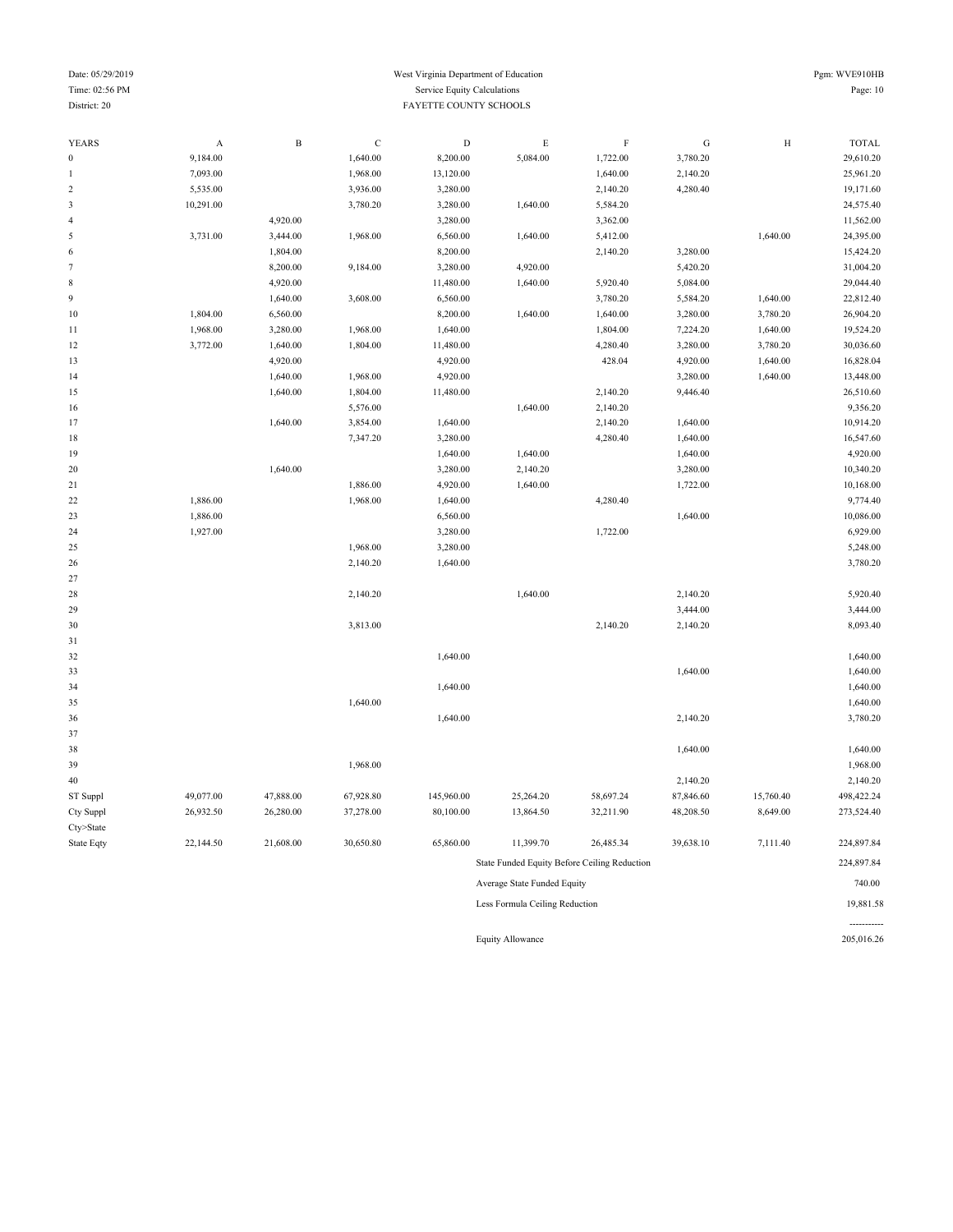#### Date: 05/29/2019 Pgm: WVE910HB Time: 02:56 PM Service Equity Calculations Page: 10 **District: 20** FAYETTE COUNTY SCHOOLS

| <b>YEARS</b>     | A         | $\, {\bf B}$ | $\mathbf C$ | $\mathbf D$ | $\mathop{\hbox{\bf E}}$        | $\mathbf F$                                  | ${\bf G}$ | $\, {\rm H}$ | <b>TOTAL</b> |
|------------------|-----------|--------------|-------------|-------------|--------------------------------|----------------------------------------------|-----------|--------------|--------------|
| $\boldsymbol{0}$ | 9,184.00  |              | 1,640.00    | 8,200.00    | 5,084.00                       | 1,722.00                                     | 3,780.20  |              | 29,610.20    |
| 1                | 7,093.00  |              | 1,968.00    | 13,120.00   |                                | 1,640.00                                     | 2,140.20  |              | 25,961.20    |
| $\sqrt{2}$       | 5,535.00  |              | 3,936.00    | 3,280.00    |                                | 2,140.20                                     | 4,280.40  |              | 19,171.60    |
| $\mathfrak{Z}$   | 10,291.00 |              | 3,780.20    | 3,280.00    | 1,640.00                       | 5,584.20                                     |           |              | 24,575.40    |
| $\overline{4}$   |           | 4,920.00     |             | 3,280.00    |                                | 3,362.00                                     |           |              | 11,562.00    |
| 5                | 3,731.00  | 3,444.00     | 1,968.00    | 6,560.00    | 1,640.00                       | 5,412.00                                     |           | 1,640.00     | 24,395.00    |
| 6                |           | 1,804.00     |             | 8,200.00    |                                | 2,140.20                                     | 3,280.00  |              | 15,424.20    |
| $\tau$           |           | 8,200.00     | 9,184.00    | 3,280.00    | 4,920.00                       |                                              | 5,420.20  |              | 31,004.20    |
| $\,$ 8 $\,$      |           | 4,920.00     |             | 11,480.00   | 1,640.00                       | 5,920.40                                     | 5,084.00  |              | 29,044.40    |
| 9                |           | 1,640.00     | 3,608.00    | 6,560.00    |                                | 3,780.20                                     | 5,584.20  | 1,640.00     | 22,812.40    |
| 10               | 1,804.00  | 6,560.00     |             | 8,200.00    | 1,640.00                       | 1,640.00                                     | 3,280.00  | 3,780.20     | 26,904.20    |
| 11               | 1,968.00  | 3,280.00     | 1,968.00    | 1,640.00    |                                | 1,804.00                                     | 7,224.20  | 1,640.00     | 19,524.20    |
| 12               | 3,772.00  | 1,640.00     | 1,804.00    | 11,480.00   |                                | 4,280.40                                     | 3,280.00  | 3,780.20     | 30,036.60    |
| 13               |           | 4,920.00     |             | 4,920.00    |                                | 428.04                                       | 4,920.00  | 1,640.00     | 16,828.04    |
| 14               |           | 1,640.00     | 1,968.00    | 4,920.00    |                                |                                              | 3,280.00  | 1,640.00     | 13,448.00    |
| 15               |           | 1,640.00     | 1,804.00    | 11,480.00   |                                | 2,140.20                                     | 9,446.40  |              | 26,510.60    |
| 16               |           |              | 5,576.00    |             | 1,640.00                       | 2,140.20                                     |           |              | 9,356.20     |
| 17               |           | 1,640.00     | 3,854.00    | 1,640.00    |                                | 2,140.20                                     | 1,640.00  |              | 10,914.20    |
| 18               |           |              | 7,347.20    | 3,280.00    |                                | 4,280.40                                     | 1,640.00  |              | 16,547.60    |
| 19               |           |              |             | 1,640.00    | 1,640.00                       |                                              | 1,640.00  |              | 4,920.00     |
| 20               |           | 1,640.00     |             | 3,280.00    | 2,140.20                       |                                              | 3,280.00  |              | 10,340.20    |
| 21               |           |              | 1,886.00    | 4,920.00    | 1,640.00                       |                                              | 1,722.00  |              | 10,168.00    |
| $22\,$           | 1,886.00  |              | 1,968.00    | 1,640.00    |                                | 4,280.40                                     |           |              | 9,774.40     |
| 23               | 1,886.00  |              |             | 6,560.00    |                                |                                              | 1,640.00  |              | 10,086.00    |
| 24               | 1,927.00  |              |             | 3,280.00    |                                | 1,722.00                                     |           |              | 6,929.00     |
| 25               |           |              | 1,968.00    | 3,280.00    |                                |                                              |           |              | 5,248.00     |
| 26               |           |              | 2,140.20    | 1,640.00    |                                |                                              |           |              | 3,780.20     |
| 27               |           |              |             |             |                                |                                              |           |              |              |
| 28               |           |              | 2,140.20    |             | 1,640.00                       |                                              | 2,140.20  |              | 5,920.40     |
| 29               |           |              |             |             |                                |                                              | 3,444.00  |              | 3,444.00     |
| 30               |           |              | 3,813.00    |             |                                | 2,140.20                                     | 2,140.20  |              | 8,093.40     |
| 31               |           |              |             |             |                                |                                              |           |              |              |
| 32               |           |              |             | 1,640.00    |                                |                                              |           |              | 1,640.00     |
| 33               |           |              |             |             |                                |                                              | 1,640.00  |              | 1,640.00     |
| 34               |           |              |             | 1,640.00    |                                |                                              |           |              | 1,640.00     |
| 35               |           |              | 1,640.00    |             |                                |                                              |           |              | 1,640.00     |
| 36               |           |              |             | 1,640.00    |                                |                                              | 2,140.20  |              | 3,780.20     |
| 37               |           |              |             |             |                                |                                              |           |              |              |
| 38               |           |              |             |             |                                |                                              | 1,640.00  |              | 1,640.00     |
| 39               |           |              | 1,968.00    |             |                                |                                              |           |              | 1,968.00     |
| $40\,$           |           |              |             |             |                                |                                              | 2,140.20  |              | 2,140.20     |
| ST Suppl         | 49,077.00 | 47,888.00    | 67,928.80   | 145,960.00  | 25,264.20                      | 58,697.24                                    | 87,846.60 | 15,760.40    | 498,422.24   |
| Cty Suppl        | 26,932.50 | 26,280.00    | 37,278.00   | 80,100.00   | 13,864.50                      | 32,211.90                                    | 48,208.50 | 8,649.00     | 273,524.40   |
| Cty>State        |           |              |             |             |                                |                                              |           |              |              |
| State Eqty       | 22,144.50 | 21,608.00    | 30,650.80   | 65,860.00   | 11,399.70                      | 26,485.34                                    | 39,638.10 | 7,111.40     | 224,897.84   |
|                  |           |              |             |             |                                | State Funded Equity Before Ceiling Reduction |           |              | 224,897.84   |
|                  |           |              |             |             | Average State Funded Equity    |                                              |           |              | 740.00       |
|                  |           |              |             |             | Less Formula Ceiling Reduction |                                              |           |              | 19,881.58    |
|                  |           |              |             |             |                                |                                              |           |              |              |
|                  |           |              |             |             | <b>Equity Allowance</b>        |                                              |           |              | 205,016.26   |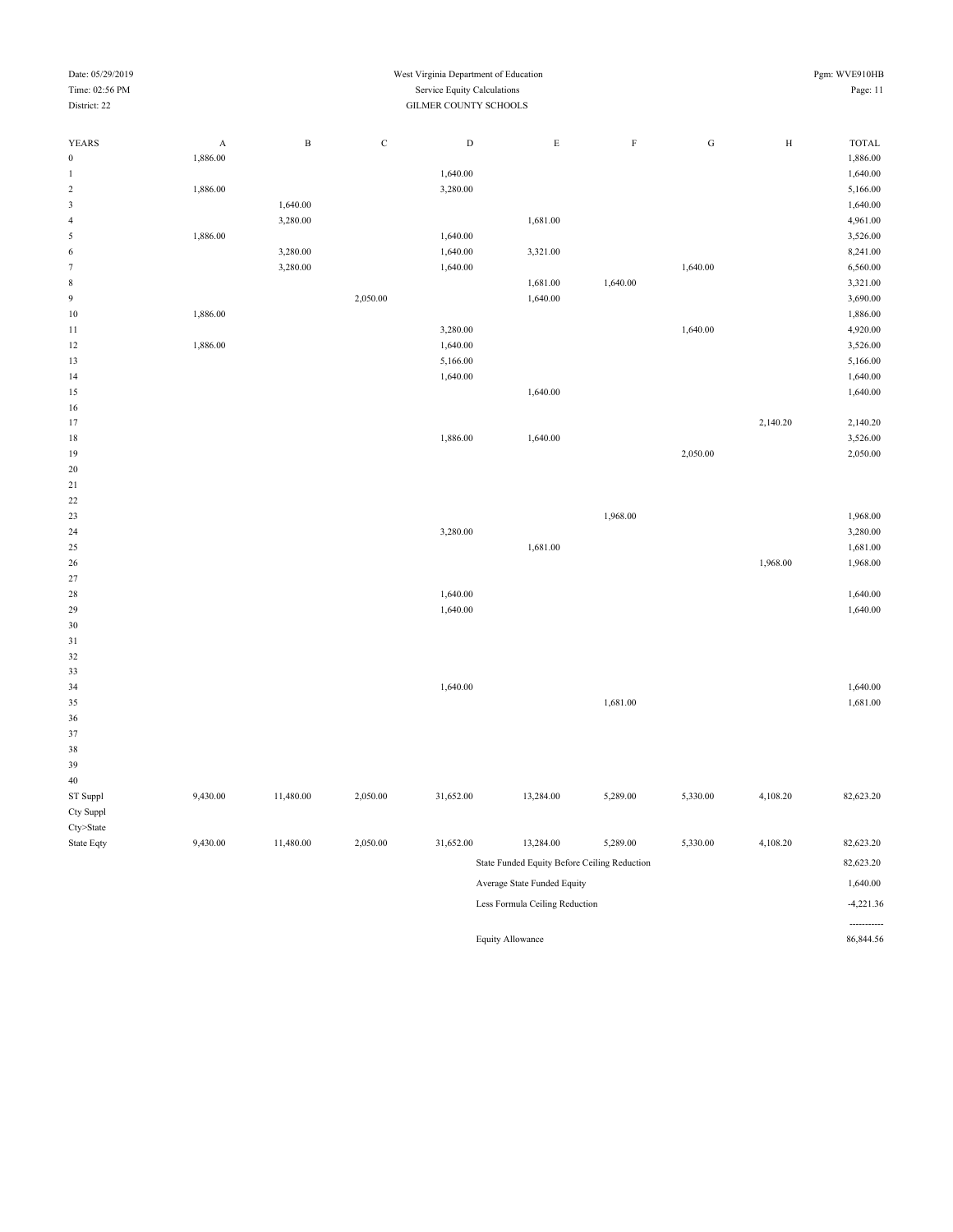| Time: 02:56 PM                   | Service Equity Calculations  |                                                           |           |           |                                |             |           |              | Page: 11                |  |  |  |  |
|----------------------------------|------------------------------|-----------------------------------------------------------|-----------|-----------|--------------------------------|-------------|-----------|--------------|-------------------------|--|--|--|--|
| District: 22                     |                              | GILMER COUNTY SCHOOLS                                     |           |           |                                |             |           |              |                         |  |  |  |  |
|                                  |                              |                                                           |           |           |                                |             |           |              |                         |  |  |  |  |
| <b>YEARS</b><br>$\boldsymbol{0}$ | $\boldsymbol{A}$<br>1,886.00 | $\, {\bf B}$                                              | ${\bf C}$ | ${\rm D}$ | $\mathbf E$                    | $\mathbf F$ | ${\bf G}$ | $\, {\rm H}$ | TOTAL<br>1,886.00       |  |  |  |  |
| 1                                |                              |                                                           |           | 1,640.00  |                                |             |           |              | 1,640.00                |  |  |  |  |
| $\,2$                            | 1,886.00                     |                                                           |           | 3,280.00  |                                |             |           |              | 5,166.00                |  |  |  |  |
| $\sqrt{3}$                       |                              | 1,640.00                                                  |           |           |                                |             |           |              | 1,640.00                |  |  |  |  |
| $\overline{4}$                   |                              | 3,280.00                                                  |           |           | 1,681.00                       |             |           |              | 4,961.00                |  |  |  |  |
| $\sqrt{5}$                       | 1,886.00                     |                                                           |           | 1,640.00  |                                |             |           |              | 3,526.00                |  |  |  |  |
| 6                                |                              | 3,280.00                                                  |           | 1,640.00  | 3,321.00                       |             |           |              | 8,241.00                |  |  |  |  |
| $\boldsymbol{7}$                 |                              | 3,280.00                                                  |           | 1,640.00  |                                |             | 1,640.00  |              | 6,560.00                |  |  |  |  |
| $\,$ 8 $\,$                      |                              |                                                           |           |           | 1,681.00                       | 1,640.00    |           |              | 3,321.00                |  |  |  |  |
| $\boldsymbol{9}$                 |                              |                                                           | 2,050.00  |           | 1,640.00                       |             |           |              | 3,690.00                |  |  |  |  |
| 10                               | 1,886.00                     |                                                           |           |           |                                |             |           |              | 1,886.00                |  |  |  |  |
| 11                               |                              |                                                           |           | 3,280.00  |                                |             | 1,640.00  |              | 4,920.00                |  |  |  |  |
| 12                               | 1,886.00                     |                                                           |           | 1,640.00  |                                |             |           |              | 3,526.00                |  |  |  |  |
| 13                               |                              |                                                           |           | 5,166.00  |                                |             |           |              | 5,166.00                |  |  |  |  |
| 14                               |                              |                                                           |           | 1,640.00  |                                |             |           |              | 1,640.00                |  |  |  |  |
| 15                               |                              |                                                           |           |           | 1,640.00                       |             |           |              | 1,640.00                |  |  |  |  |
| 16                               |                              |                                                           |           |           |                                |             |           |              |                         |  |  |  |  |
| 17                               |                              |                                                           |           |           |                                |             |           | 2,140.20     | 2,140.20                |  |  |  |  |
| 18                               |                              |                                                           |           | 1,886.00  | 1,640.00                       |             |           |              | 3,526.00                |  |  |  |  |
| 19                               |                              |                                                           |           |           |                                |             | 2,050.00  |              | 2,050.00                |  |  |  |  |
| 20                               |                              |                                                           |           |           |                                |             |           |              |                         |  |  |  |  |
| 21                               |                              |                                                           |           |           |                                |             |           |              |                         |  |  |  |  |
| 22                               |                              |                                                           |           |           |                                |             |           |              |                         |  |  |  |  |
| 23                               |                              |                                                           |           |           |                                | 1,968.00    |           |              | 1,968.00                |  |  |  |  |
| 24                               |                              |                                                           |           | 3,280.00  |                                |             |           |              | 3,280.00                |  |  |  |  |
| 25                               |                              |                                                           |           |           | 1,681.00                       |             |           |              | 1,681.00                |  |  |  |  |
| 26                               |                              |                                                           |           |           |                                |             |           | 1,968.00     | 1,968.00                |  |  |  |  |
| 27                               |                              |                                                           |           |           |                                |             |           |              |                         |  |  |  |  |
| 28                               |                              |                                                           |           | 1,640.00  |                                |             |           |              | 1,640.00                |  |  |  |  |
| 29                               |                              |                                                           |           | 1,640.00  |                                |             |           |              | 1,640.00                |  |  |  |  |
| 30                               |                              |                                                           |           |           |                                |             |           |              |                         |  |  |  |  |
| 31                               |                              |                                                           |           |           |                                |             |           |              |                         |  |  |  |  |
| 32                               |                              |                                                           |           |           |                                |             |           |              |                         |  |  |  |  |
| 33                               |                              |                                                           |           |           |                                |             |           |              |                         |  |  |  |  |
| 34                               |                              |                                                           |           | 1,640.00  |                                |             |           |              | 1,640.00                |  |  |  |  |
| 35                               |                              |                                                           |           |           |                                | 1,681.00    |           |              | 1,681.00                |  |  |  |  |
| 36                               |                              |                                                           |           |           |                                |             |           |              |                         |  |  |  |  |
| 37                               |                              |                                                           |           |           |                                |             |           |              |                         |  |  |  |  |
| 38                               |                              |                                                           |           |           |                                |             |           |              |                         |  |  |  |  |
| 39                               |                              |                                                           |           |           |                                |             |           |              |                         |  |  |  |  |
| 40                               |                              |                                                           |           |           |                                |             |           |              |                         |  |  |  |  |
| ST Suppl                         | 9,430.00                     | 11,480.00                                                 | 2,050.00  | 31,652.00 | 13,284.00                      | 5,289.00    | 5,330.00  | 4,108.20     | 82,623.20               |  |  |  |  |
| Cty Suppl                        |                              |                                                           |           |           |                                |             |           |              |                         |  |  |  |  |
| Cty>State                        |                              |                                                           |           |           |                                |             |           |              |                         |  |  |  |  |
| State Eqty                       | 9,430.00                     | 11,480.00                                                 | 2,050.00  | 31,652.00 | 13,284.00                      | 5,289.00    | 5,330.00  | 4,108.20     | 82,623.20               |  |  |  |  |
|                                  |                              | State Funded Equity Before Ceiling Reduction<br>82,623.20 |           |           |                                |             |           |              |                         |  |  |  |  |
|                                  |                              | Average State Funded Equity                               |           |           |                                |             |           |              |                         |  |  |  |  |
|                                  |                              |                                                           |           |           | Less Formula Ceiling Reduction |             |           |              | 1,640.00<br>$-4,221.36$ |  |  |  |  |
|                                  |                              |                                                           |           |           |                                |             |           |              |                         |  |  |  |  |

Date: 05/29/2019 West Virginia Department of Education Pgm: WVE910HB

Equity Allowance 86,844.56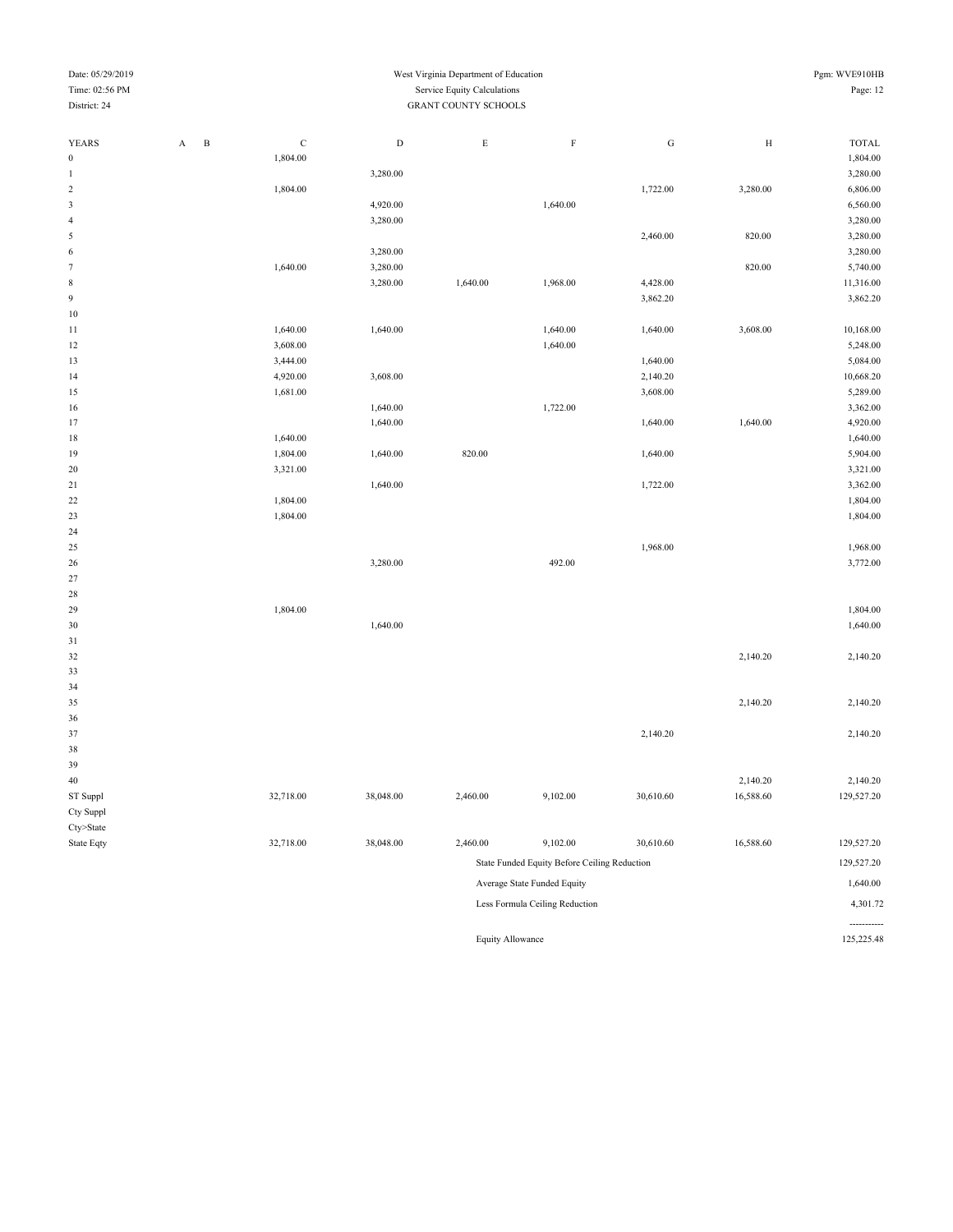| Date: 05/29/2019<br>West Virginia Department of Education |                                |                                              |             |           |                             |                             |           |            | Pgm: WVE910HB                 |
|-----------------------------------------------------------|--------------------------------|----------------------------------------------|-------------|-----------|-----------------------------|-----------------------------|-----------|------------|-------------------------------|
| Time: 02:56 PM                                            |                                |                                              |             |           | Service Equity Calculations |                             |           |            | Page: 12                      |
| District: 24                                              |                                |                                              |             |           | <b>GRANT COUNTY SCHOOLS</b> |                             |           |            |                               |
|                                                           |                                |                                              |             |           |                             |                             |           |            |                               |
| YEARS                                                     | A                              | $\, {\bf B}$                                 | $\mathbf C$ | ${\rm D}$ | $\mathbf E$                 | $\mathbf F$                 | ${\bf G}$ | $_{\rm H}$ | $\ensuremath{\mathsf{TOTAL}}$ |
| $\boldsymbol{0}$                                          |                                |                                              | 1,804.00    |           |                             |                             |           |            | 1,804.00                      |
| $\mathbf{1}$                                              |                                |                                              |             | 3,280.00  |                             |                             |           |            | 3,280.00                      |
| $\sqrt{2}$                                                |                                |                                              | 1,804.00    |           |                             |                             | 1,722.00  | 3,280.00   | 6,806.00                      |
| $\sqrt{3}$                                                |                                |                                              |             | 4,920.00  |                             | 1,640.00                    |           |            | 6,560.00                      |
| $\sqrt{4}$                                                |                                |                                              |             | 3,280.00  |                             |                             |           |            | 3,280.00                      |
| 5                                                         |                                |                                              |             |           |                             |                             | 2,460.00  | 820.00     | 3,280.00                      |
| $\sqrt{6}$                                                |                                |                                              |             | 3,280.00  |                             |                             |           |            | 3,280.00                      |
| $\tau$                                                    |                                |                                              | 1,640.00    | 3,280.00  |                             |                             |           | 820.00     | 5,740.00                      |
| $\,$ 8 $\,$                                               |                                |                                              |             | 3,280.00  | 1,640.00                    | 1,968.00                    | 4,428.00  |            | 11,316.00                     |
| $\boldsymbol{9}$                                          |                                |                                              |             |           |                             |                             | 3,862.20  |            | 3,862.20                      |
| 10                                                        |                                |                                              |             |           |                             |                             |           |            |                               |
| 11                                                        |                                |                                              | 1,640.00    | 1,640.00  |                             | 1,640.00                    | 1,640.00  | 3,608.00   | 10,168.00                     |
| 12                                                        |                                |                                              | 3,608.00    |           |                             | 1,640.00                    |           |            | 5,248.00                      |
| 13                                                        |                                |                                              | 3,444.00    |           |                             |                             | 1,640.00  |            | 5,084.00                      |
| 14                                                        |                                |                                              | 4,920.00    | 3,608.00  |                             |                             | 2,140.20  |            | 10,668.20                     |
| 15                                                        |                                |                                              | 1,681.00    |           |                             |                             | 3,608.00  |            | 5,289.00                      |
| 16                                                        |                                |                                              |             | 1,640.00  |                             | 1,722.00                    |           |            | 3,362.00                      |
| 17                                                        |                                |                                              |             | 1,640.00  |                             |                             | 1,640.00  | 1,640.00   | 4,920.00                      |
| 18                                                        |                                |                                              | 1,640.00    |           |                             |                             |           |            | 1,640.00                      |
| 19                                                        |                                |                                              | 1,804.00    | 1,640.00  | 820.00                      |                             | 1,640.00  |            | 5,904.00                      |
| 20                                                        |                                |                                              | 3,321.00    |           |                             |                             |           |            | 3,321.00                      |
| 21                                                        |                                |                                              |             | 1,640.00  |                             |                             | 1,722.00  |            | 3,362.00                      |
| 22                                                        |                                |                                              | 1,804.00    |           |                             |                             |           |            | 1,804.00                      |
| 23                                                        |                                |                                              | 1,804.00    |           |                             |                             |           |            | 1,804.00                      |
| 24                                                        |                                |                                              |             |           |                             |                             |           |            |                               |
| 25                                                        |                                |                                              |             |           |                             |                             | 1,968.00  |            | 1,968.00                      |
| 26                                                        |                                |                                              |             | 3,280.00  |                             | 492.00                      |           |            | 3,772.00                      |
| 27                                                        |                                |                                              |             |           |                             |                             |           |            |                               |
| 28                                                        |                                |                                              |             |           |                             |                             |           |            |                               |
| 29                                                        |                                |                                              | 1,804.00    |           |                             |                             |           |            | 1,804.00                      |
| 30                                                        |                                |                                              |             | 1,640.00  |                             |                             |           |            | 1,640.00                      |
| 31                                                        |                                |                                              |             |           |                             |                             |           |            |                               |
| 32                                                        |                                |                                              |             |           |                             |                             |           | 2,140.20   | 2,140.20                      |
| 33                                                        |                                |                                              |             |           |                             |                             |           |            |                               |
| 34                                                        |                                |                                              |             |           |                             |                             |           |            |                               |
| 35                                                        |                                |                                              |             |           |                             |                             |           | 2,140.20   | 2,140.20                      |
| 36                                                        |                                |                                              |             |           |                             |                             |           |            |                               |
| 37                                                        |                                |                                              |             |           |                             |                             | 2,140.20  |            | 2,140.20                      |
| 38                                                        |                                |                                              |             |           |                             |                             |           |            |                               |
| 39                                                        |                                |                                              |             |           |                             |                             |           |            |                               |
| 40                                                        |                                |                                              |             |           |                             |                             |           | 2,140.20   | 2,140.20                      |
|                                                           |                                |                                              |             |           |                             |                             |           |            |                               |
| ST Suppl                                                  |                                |                                              | 32,718.00   | 38,048.00 | 2,460.00                    | 9,102.00                    | 30,610.60 | 16,588.60  | 129,527.20                    |
| Cty Suppl                                                 |                                |                                              |             |           |                             |                             |           |            |                               |
| $Cty$ >State                                              |                                |                                              |             |           |                             |                             |           |            |                               |
| State Eqty                                                |                                |                                              | 32,718.00   | 38,048.00 | 2,460.00                    | 9,102.00                    | 30,610.60 | 16,588.60  | 129,527.20                    |
|                                                           |                                | State Funded Equity Before Ceiling Reduction |             |           |                             |                             |           |            | 129,527.20                    |
|                                                           |                                |                                              |             |           |                             | Average State Funded Equity |           |            | 1,640.00                      |
|                                                           |                                |                                              |             |           |                             |                             |           |            | 4,301.72                      |
|                                                           | Less Formula Ceiling Reduction |                                              |             |           |                             |                             |           |            |                               |

Equity Allowance 125,225.48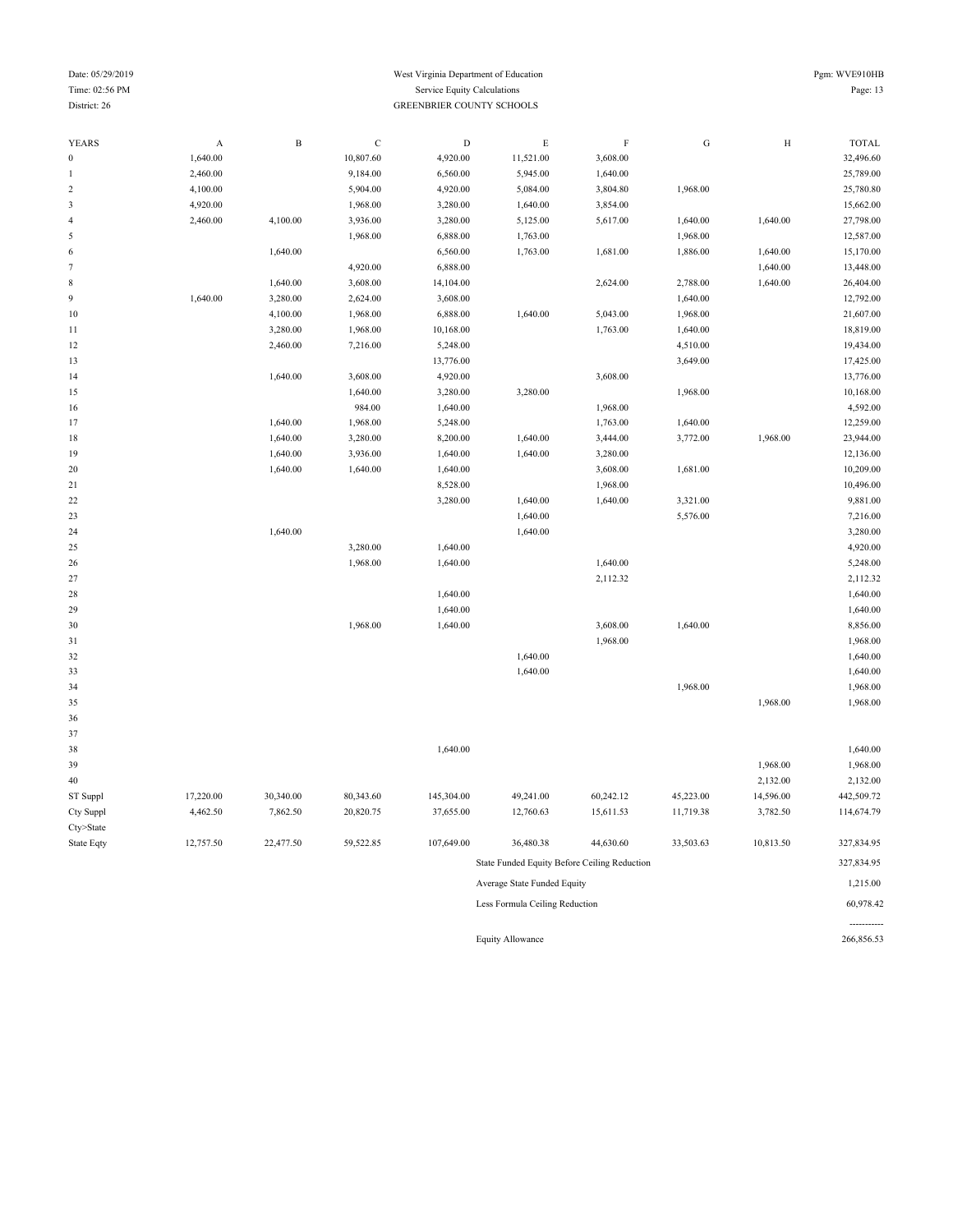Cty>State

#### Date: 05/29/2019 West Virginia Department of Education Pgm: WVE910HB Time: 02:56 PM Service Equity Calculations Page: 13 District: 26 GREENBRIER COUNTY SCHOOLS

| <b>YEARS</b>     | $\boldsymbol{A}$ | $\, {\bf B}$ | $\mathbf C$ | $\mathbf D$ | $\mathop{\hbox{\bf E}}$ | $\mathbf F$ | ${\rm G}$ | $\, {\rm H}$ | <b>TOTAL</b> |
|------------------|------------------|--------------|-------------|-------------|-------------------------|-------------|-----------|--------------|--------------|
| $\boldsymbol{0}$ | 1,640.00         |              | 10,807.60   | 4,920.00    | 11,521.00               | 3,608.00    |           |              | 32,496.60    |
| $\mathbf{1}$     | 2,460.00         |              | 9,184.00    | 6,560.00    | 5,945.00                | 1,640.00    |           |              | 25,789.00    |
| $\overline{c}$   | 4,100.00         |              | 5,904.00    | 4,920.00    | 5,084.00                | 3,804.80    | 1,968.00  |              | 25,780.80    |
| $\mathbf{3}$     | 4,920.00         |              | 1,968.00    | 3,280.00    | 1,640.00                | 3,854.00    |           |              | 15,662.00    |
| $\overline{4}$   | 2,460.00         | 4,100.00     | 3,936.00    | 3,280.00    | 5,125.00                | 5,617.00    | 1,640.00  | 1,640.00     | 27,798.00    |
| 5                |                  |              | 1,968.00    | 6,888.00    | 1,763.00                |             | 1,968.00  |              | 12,587.00    |
| 6                |                  | 1,640.00     |             | 6,560.00    | 1,763.00                | 1,681.00    | 1,886.00  | 1,640.00     | 15,170.00    |
| $\tau$           |                  |              | 4,920.00    | 6,888.00    |                         |             |           | 1,640.00     | 13,448.00    |
| $\,$ 8 $\,$      |                  | 1,640.00     | 3,608.00    | 14,104.00   |                         | 2,624.00    | 2,788.00  | 1,640.00     | 26,404.00    |
| $\boldsymbol{9}$ | 1,640.00         | 3,280.00     | 2,624.00    | 3,608.00    |                         |             | 1,640.00  |              | 12,792.00    |
| 10               |                  | 4,100.00     | 1,968.00    | 6,888.00    | 1,640.00                | 5,043.00    | 1,968.00  |              | 21,607.00    |
| 11               |                  | 3,280.00     | 1,968.00    | 10,168.00   |                         | 1,763.00    | 1,640.00  |              | 18,819.00    |
| 12               |                  | 2,460.00     | 7,216.00    | 5,248.00    |                         |             | 4,510.00  |              | 19,434.00    |
| 13               |                  |              |             | 13,776.00   |                         |             | 3,649.00  |              | 17,425.00    |
| 14               |                  | 1,640.00     | 3,608.00    | 4,920.00    |                         | 3,608.00    |           |              | 13,776.00    |
| 15               |                  |              | 1,640.00    | 3,280.00    | 3,280.00                |             | 1,968.00  |              | 10,168.00    |
| 16               |                  |              | 984.00      | 1,640.00    |                         | 1,968.00    |           |              | 4,592.00     |
| 17               |                  | 1,640.00     | 1,968.00    | 5,248.00    |                         | 1,763.00    | 1,640.00  |              | 12,259.00    |
| 18               |                  | 1,640.00     | 3,280.00    | 8,200.00    | 1,640.00                | 3,444.00    | 3,772.00  | 1,968.00     | 23,944.00    |
| 19               |                  | 1,640.00     | 3,936.00    | 1,640.00    | 1,640.00                | 3,280.00    |           |              | 12,136.00    |
| 20               |                  | 1,640.00     | 1,640.00    | 1,640.00    |                         | 3,608.00    | 1,681.00  |              | 10,209.00    |
| 21               |                  |              |             | 8,528.00    |                         | 1,968.00    |           |              | 10,496.00    |
| 22               |                  |              |             | 3,280.00    | 1,640.00                | 1,640.00    | 3,321.00  |              | 9,881.00     |
| 23               |                  |              |             |             | 1,640.00                |             | 5,576.00  |              | 7,216.00     |
| 24               |                  | 1,640.00     |             |             | 1,640.00                |             |           |              | 3,280.00     |
| 25               |                  |              | 3,280.00    | 1,640.00    |                         |             |           |              | 4,920.00     |
| 26               |                  |              | 1,968.00    | 1,640.00    |                         | 1,640.00    |           |              | 5,248.00     |
| 27               |                  |              |             |             |                         | 2,112.32    |           |              | 2,112.32     |
| 28               |                  |              |             | 1,640.00    |                         |             |           |              | 1,640.00     |
| 29               |                  |              |             | 1,640.00    |                         |             |           |              | 1,640.00     |
| 30               |                  |              | 1,968.00    | 1,640.00    |                         | 3,608.00    | 1,640.00  |              | 8,856.00     |
| 31               |                  |              |             |             |                         | 1,968.00    |           |              | 1,968.00     |
| 32               |                  |              |             |             | 1,640.00                |             |           |              | 1,640.00     |
| 33               |                  |              |             |             | 1,640.00                |             |           |              | 1,640.00     |
| 34               |                  |              |             |             |                         |             | 1,968.00  |              | 1,968.00     |
| 35               |                  |              |             |             |                         |             |           | 1,968.00     | 1,968.00     |
| 36               |                  |              |             |             |                         |             |           |              |              |
| 37               |                  |              |             |             |                         |             |           |              |              |
| 38               |                  |              |             | 1,640.00    |                         |             |           |              | 1,640.00     |
| 39               |                  |              |             |             |                         |             |           | 1,968.00     | 1,968.00     |
| $40\,$           |                  |              |             |             |                         |             |           | 2,132.00     | 2,132.00     |
| ST Suppl         | 17,220.00        | 30,340.00    | 80,343.60   | 145,304.00  | 49,241.00               | 60,242.12   | 45,223.00 | 14,596.00    | 442,509.72   |
|                  |                  |              |             |             |                         |             |           |              |              |

Cty Suppl 4,462.50 7,862.50 20,820.75 37,655.00 12,760.63 15,611.53 11,719.38 3,782.50 114,674.79 State Eqty 12,757.50 22,477.50 59,522.85 107,649.00 36,480.38 44,630.60 33,503.63 10,813.50 327,834.95 State Funded Equity Before Ceiling Reduction 327,834.95 Average State Funded Equity 1,215.00 Less Formula Ceiling Reduction 60,978.42

Equity Allowance 266,856.53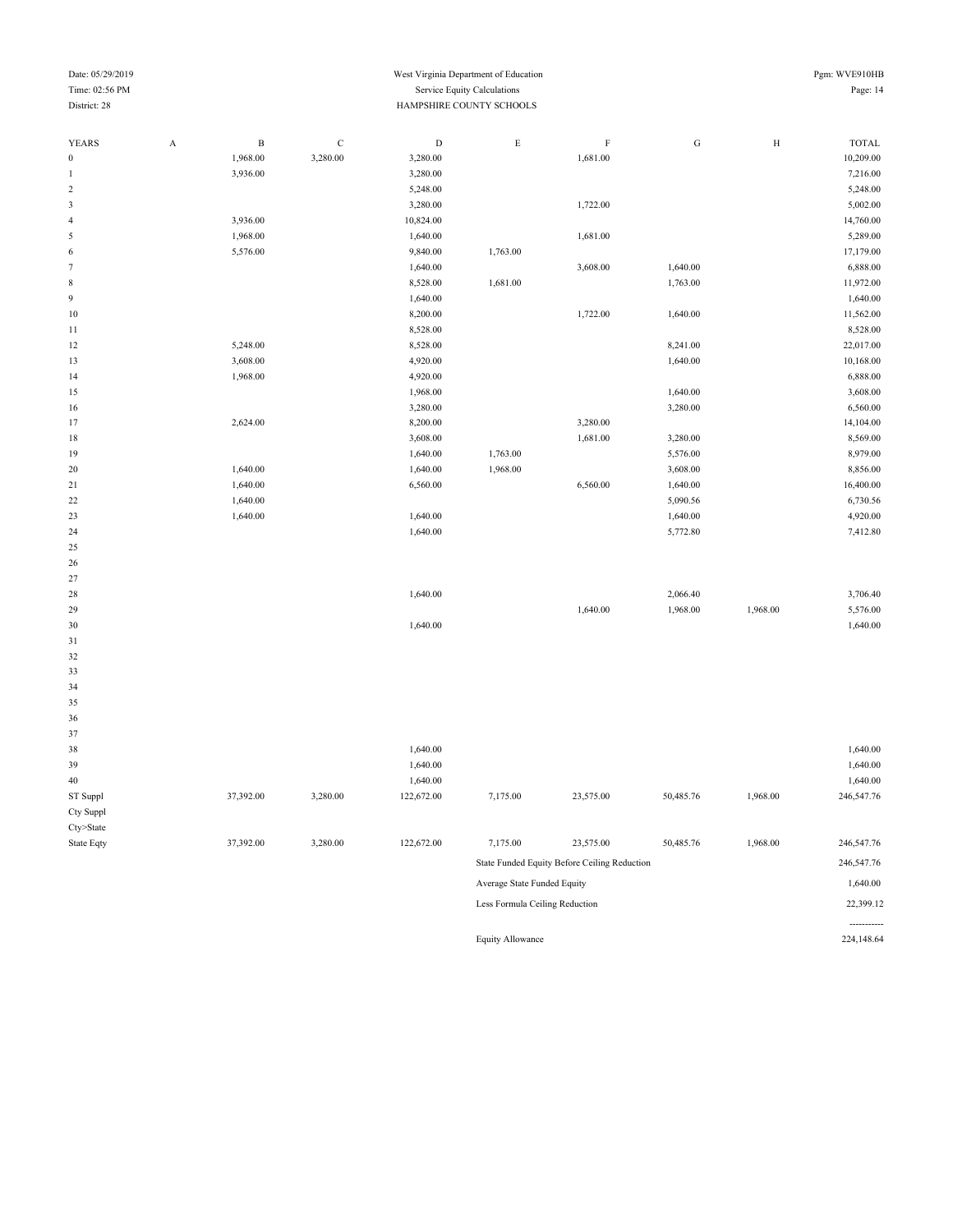#### Date: 05/29/2019 Pgm: WVE910HB Time: 02:56 PM Service Equity Calculations Page: 14 District: 28 HAMPSHIRE COUNTY SCHOOLS

| <b>YEARS</b>     | A | $\, {\bf B}$ | $\mathbf C$ | $\mathbf D$ | $\mathbf E$ | $\mathbf F$                                  | ${\rm G}$ | $\, {\rm H}$ | <b>TOTAL</b> |
|------------------|---|--------------|-------------|-------------|-------------|----------------------------------------------|-----------|--------------|--------------|
| $\boldsymbol{0}$ |   | 1,968.00     | 3,280.00    | 3,280.00    |             | 1,681.00                                     |           |              | 10,209.00    |
| $\mathbf{1}$     |   | 3,936.00     |             | 3,280.00    |             |                                              |           |              | 7,216.00     |
| $\sqrt{2}$       |   |              |             | 5,248.00    |             |                                              |           |              | 5,248.00     |
| $\mathbf{3}$     |   |              |             | 3,280.00    |             | 1,722.00                                     |           |              | 5,002.00     |
| $\overline{4}$   |   | 3,936.00     |             | 10,824.00   |             |                                              |           |              | 14,760.00    |
| 5                |   | 1,968.00     |             | 1,640.00    |             | 1,681.00                                     |           |              | 5,289.00     |
| 6                |   | 5,576.00     |             | 9,840.00    | 1,763.00    |                                              |           |              | 17,179.00    |
| $\tau$           |   |              |             | 1,640.00    |             | 3,608.00                                     | 1,640.00  |              | 6,888.00     |
| $\,$ 8 $\,$      |   |              |             | 8,528.00    | 1,681.00    |                                              | 1,763.00  |              | 11,972.00    |
| $\overline{9}$   |   |              |             | 1,640.00    |             |                                              |           |              | 1,640.00     |
| $10\,$           |   |              |             | 8,200.00    |             | 1,722.00                                     | 1,640.00  |              | 11,562.00    |
| $1\,1$           |   |              |             | 8,528.00    |             |                                              |           |              | 8,528.00     |
| 12               |   | 5,248.00     |             | 8,528.00    |             |                                              | 8,241.00  |              | 22,017.00    |
| 13               |   | 3,608.00     |             | 4,920.00    |             |                                              | 1,640.00  |              | 10,168.00    |
| 14               |   | 1,968.00     |             | 4,920.00    |             |                                              |           |              | 6,888.00     |
| 15               |   |              |             | 1,968.00    |             |                                              | 1,640.00  |              | 3,608.00     |
| 16               |   |              |             | 3,280.00    |             |                                              | 3,280.00  |              | 6,560.00     |
| 17               |   | 2,624.00     |             | 8,200.00    |             | 3,280.00                                     |           |              | 14,104.00    |
| $18\,$           |   |              |             | 3,608.00    |             | 1,681.00                                     | 3,280.00  |              | 8,569.00     |
| 19               |   |              |             | 1,640.00    | 1,763.00    |                                              | 5,576.00  |              | 8,979.00     |
| 20               |   | 1,640.00     |             | 1,640.00    | 1,968.00    |                                              | 3,608.00  |              | 8,856.00     |
| 21               |   | 1,640.00     |             | 6,560.00    |             | 6,560.00                                     | 1,640.00  |              | 16,400.00    |
| $22\,$           |   | 1,640.00     |             |             |             |                                              | 5,090.56  |              | 6,730.56     |
| 23               |   | 1,640.00     |             | 1,640.00    |             |                                              | 1,640.00  |              | 4,920.00     |
| 24               |   |              |             | 1,640.00    |             |                                              | 5,772.80  |              | 7,412.80     |
| 25               |   |              |             |             |             |                                              |           |              |              |
| 26               |   |              |             |             |             |                                              |           |              |              |
| 27               |   |              |             |             |             |                                              |           |              |              |
| 28               |   |              |             | 1,640.00    |             |                                              | 2,066.40  |              | 3,706.40     |
| 29               |   |              |             |             |             | 1,640.00                                     | 1,968.00  | 1,968.00     | 5,576.00     |
| $30\,$           |   |              |             | 1,640.00    |             |                                              |           |              | 1,640.00     |
| 31               |   |              |             |             |             |                                              |           |              |              |
| 32               |   |              |             |             |             |                                              |           |              |              |
| 33               |   |              |             |             |             |                                              |           |              |              |
| 34               |   |              |             |             |             |                                              |           |              |              |
| 35               |   |              |             |             |             |                                              |           |              |              |
| 36               |   |              |             |             |             |                                              |           |              |              |
| 37               |   |              |             |             |             |                                              |           |              |              |
| 38               |   |              |             | 1,640.00    |             |                                              |           |              | 1,640.00     |
| 39               |   |              |             | 1,640.00    |             |                                              |           |              | 1,640.00     |
| $40\,$           |   |              |             | 1,640.00    |             |                                              |           |              | 1,640.00     |
| ST Suppl         |   | 37,392.00    | 3,280.00    | 122,672.00  | 7,175.00    | 23,575.00                                    | 50,485.76 | 1,968.00     | 246,547.76   |
| Cty Suppl        |   |              |             |             |             |                                              |           |              |              |
| Cty>State        |   |              |             |             |             |                                              |           |              |              |
| State Eqty       |   | 37,392.00    | 3,280.00    | 122,672.00  | 7,175.00    | 23,575.00                                    | 50,485.76 | 1,968.00     | 246,547.76   |
|                  |   |              |             |             |             | State Funded Equity Before Ceiling Reduction |           |              | 246,547.76   |

Average State Funded Equity 1,640.00 Less Formula Ceiling Reduction 22,399.12 ----------<br>224,148.64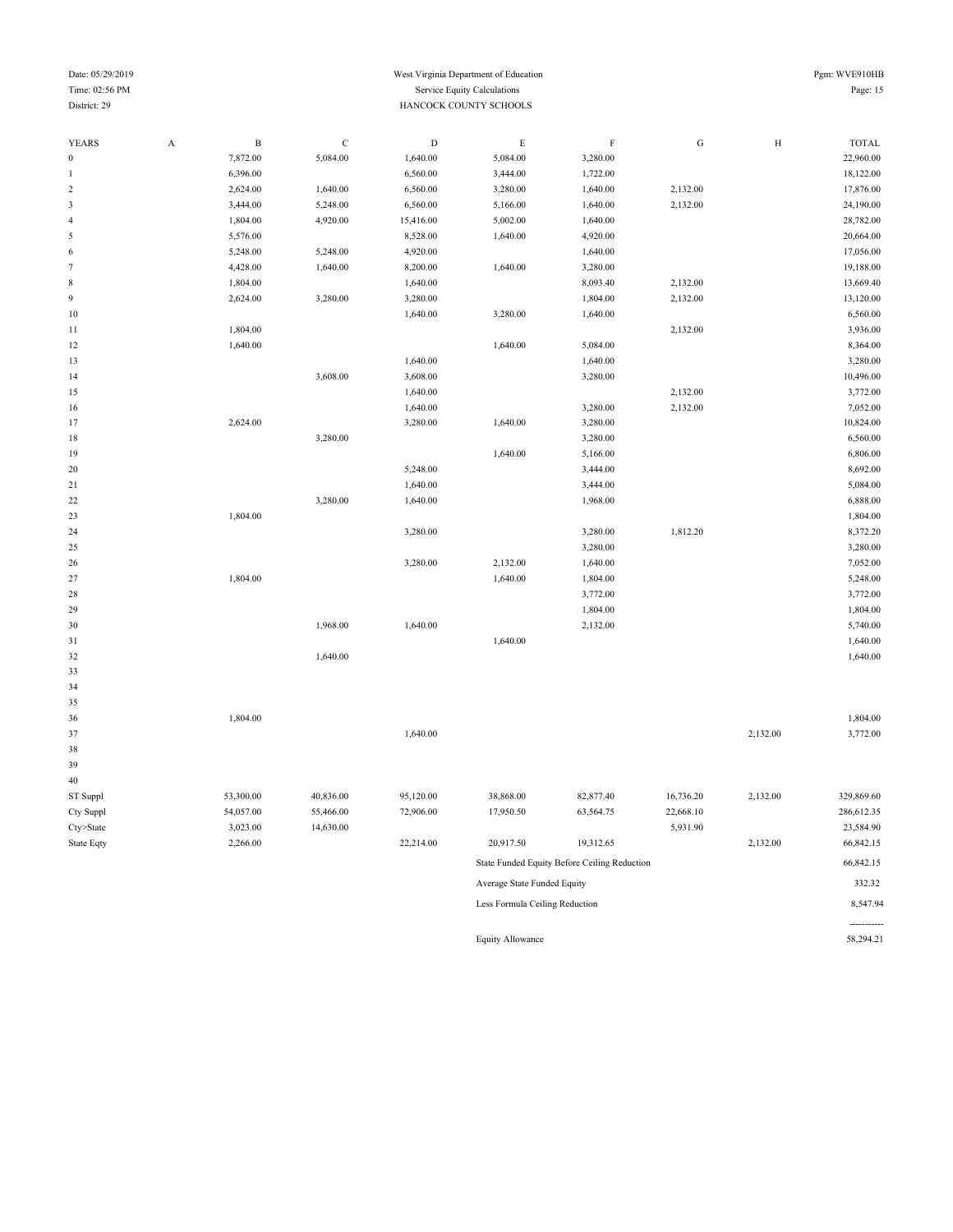#### Date: 05/29/2019 Pgm: WVE910HB Time: 02:56 PM Service Equity Calculations Page: 15 District: 29 HANCOCK COUNTY SCHOOLS

| <b>YEARS</b>     | $\boldsymbol{\mathsf{A}}$ | $\, {\bf B}$ | $\mathbf C$ | $\mathbf D$ | $\mathop{\hbox{\bf E}}$        | $\mathbf F$                                  | ${\bf G}$ | $\, {\rm H}$ | <b>TOTAL</b> |
|------------------|---------------------------|--------------|-------------|-------------|--------------------------------|----------------------------------------------|-----------|--------------|--------------|
| $\boldsymbol{0}$ |                           | 7,872.00     | 5,084.00    | 1,640.00    | 5,084.00                       | 3,280.00                                     |           |              | 22,960.00    |
| $\mathbf{1}$     |                           | 6,396.00     |             | 6,560.00    | 3,444.00                       | 1,722.00                                     |           |              | 18,122.00    |
| $\sqrt{2}$       |                           | 2,624.00     | 1,640.00    | 6,560.00    | 3,280.00                       | 1,640.00                                     | 2,132.00  |              | 17,876.00    |
| $\sqrt{3}$       |                           | 3,444.00     | 5,248.00    | 6,560.00    | 5,166.00                       | 1,640.00                                     | 2,132.00  |              | 24,190.00    |
| $\sqrt{4}$       |                           | 1,804.00     | 4,920.00    | 15,416.00   | 5,002.00                       | 1,640.00                                     |           |              | 28,782.00    |
| $\sqrt{5}$       |                           | 5,576.00     |             | 8,528.00    | 1,640.00                       | 4,920.00                                     |           |              | 20,664.00    |
| 6                |                           | 5,248.00     | 5,248.00    | 4,920.00    |                                | 1,640.00                                     |           |              | 17,056.00    |
| $\tau$           |                           | 4,428.00     | 1,640.00    | 8,200.00    | 1,640.00                       | 3,280.00                                     |           |              | 19,188.00    |
| $\,$ 8 $\,$      |                           | 1,804.00     |             | 1,640.00    |                                | 8,093.40                                     | 2,132.00  |              | 13,669.40    |
| $\overline{9}$   |                           | 2,624.00     | 3,280.00    | 3,280.00    |                                | 1,804.00                                     | 2,132.00  |              | 13,120.00    |
| 10               |                           |              |             | 1,640.00    | 3,280.00                       | 1,640.00                                     |           |              | 6,560.00     |
| 11               |                           | 1,804.00     |             |             |                                |                                              | 2,132.00  |              | 3,936.00     |
| 12               |                           | 1,640.00     |             |             | 1,640.00                       | 5,084.00                                     |           |              | 8,364.00     |
| 13               |                           |              |             | 1,640.00    |                                | 1,640.00                                     |           |              | 3,280.00     |
| 14               |                           |              | 3,608.00    | 3,608.00    |                                | 3,280.00                                     |           |              | 10,496.00    |
| 15               |                           |              |             | 1,640.00    |                                |                                              | 2,132.00  |              | 3,772.00     |
| 16               |                           |              |             | 1,640.00    |                                | 3,280.00                                     | 2,132.00  |              | 7,052.00     |
| 17               |                           | 2,624.00     |             | 3,280.00    | 1,640.00                       | 3,280.00                                     |           |              | 10,824.00    |
| $18\,$           |                           |              | 3,280.00    |             |                                | 3,280.00                                     |           |              | 6,560.00     |
| 19               |                           |              |             |             | 1,640.00                       | 5,166.00                                     |           |              | 6,806.00     |
| 20               |                           |              |             | 5,248.00    |                                | 3,444.00                                     |           |              | 8,692.00     |
| 21               |                           |              |             | 1,640.00    |                                | 3,444.00                                     |           |              | 5,084.00     |
| $22\,$           |                           |              | 3,280.00    | 1,640.00    |                                | 1,968.00                                     |           |              | 6,888.00     |
| 23               |                           | 1,804.00     |             |             |                                |                                              |           |              | 1,804.00     |
| 24               |                           |              |             | 3,280.00    |                                | 3,280.00                                     | 1,812.20  |              | 8,372.20     |
| 25               |                           |              |             |             |                                | 3,280.00                                     |           |              | 3,280.00     |
| 26               |                           |              |             | 3,280.00    | 2,132.00                       | 1,640.00                                     |           |              | 7,052.00     |
| 27               |                           | 1,804.00     |             |             | 1,640.00                       | 1,804.00                                     |           |              | 5,248.00     |
| 28               |                           |              |             |             |                                | 3,772.00                                     |           |              | 3,772.00     |
| 29               |                           |              |             |             |                                | 1,804.00                                     |           |              | 1,804.00     |
| 30               |                           |              | 1,968.00    | 1,640.00    |                                | 2,132.00                                     |           |              | 5,740.00     |
| 31               |                           |              |             |             | 1,640.00                       |                                              |           |              | 1,640.00     |
| 32               |                           |              | 1,640.00    |             |                                |                                              |           |              | 1,640.00     |
| 33               |                           |              |             |             |                                |                                              |           |              |              |
| 34               |                           |              |             |             |                                |                                              |           |              |              |
| 35               |                           |              |             |             |                                |                                              |           |              |              |
| 36               |                           | 1,804.00     |             |             |                                |                                              |           |              | 1,804.00     |
| 37               |                           |              |             | 1,640.00    |                                |                                              |           | 2,132.00     | 3,772.00     |
| 38               |                           |              |             |             |                                |                                              |           |              |              |
| 39               |                           |              |             |             |                                |                                              |           |              |              |
| 40               |                           |              |             |             |                                |                                              |           |              |              |
| ST Suppl         |                           | 53,300.00    | 40,836.00   | 95,120.00   | 38,868.00                      | 82,877.40                                    | 16,736.20 | 2,132.00     | 329,869.60   |
| Cty Suppl        |                           | 54,057.00    | 55,466.00   | 72,906.00   | 17,950.50                      | 63,564.75                                    | 22,668.10 |              | 286,612.35   |
| Cty>State        |                           | 3,023.00     | 14,630.00   |             |                                |                                              | 5,931.90  |              | 23,584.90    |
| State Eqty       |                           | 2,266.00     |             | 22,214.00   | 20,917.50                      | 19,312.65                                    |           | 2,132.00     | 66,842.15    |
|                  |                           |              |             |             |                                | State Funded Equity Before Ceiling Reduction |           |              | 66,842.15    |
|                  |                           |              |             |             | Average State Funded Equity    |                                              |           |              | 332.32       |
|                  |                           |              |             |             | Less Formula Ceiling Reduction |                                              |           |              | 8,547.94     |

Equity Allowance

----------<br>58,294.21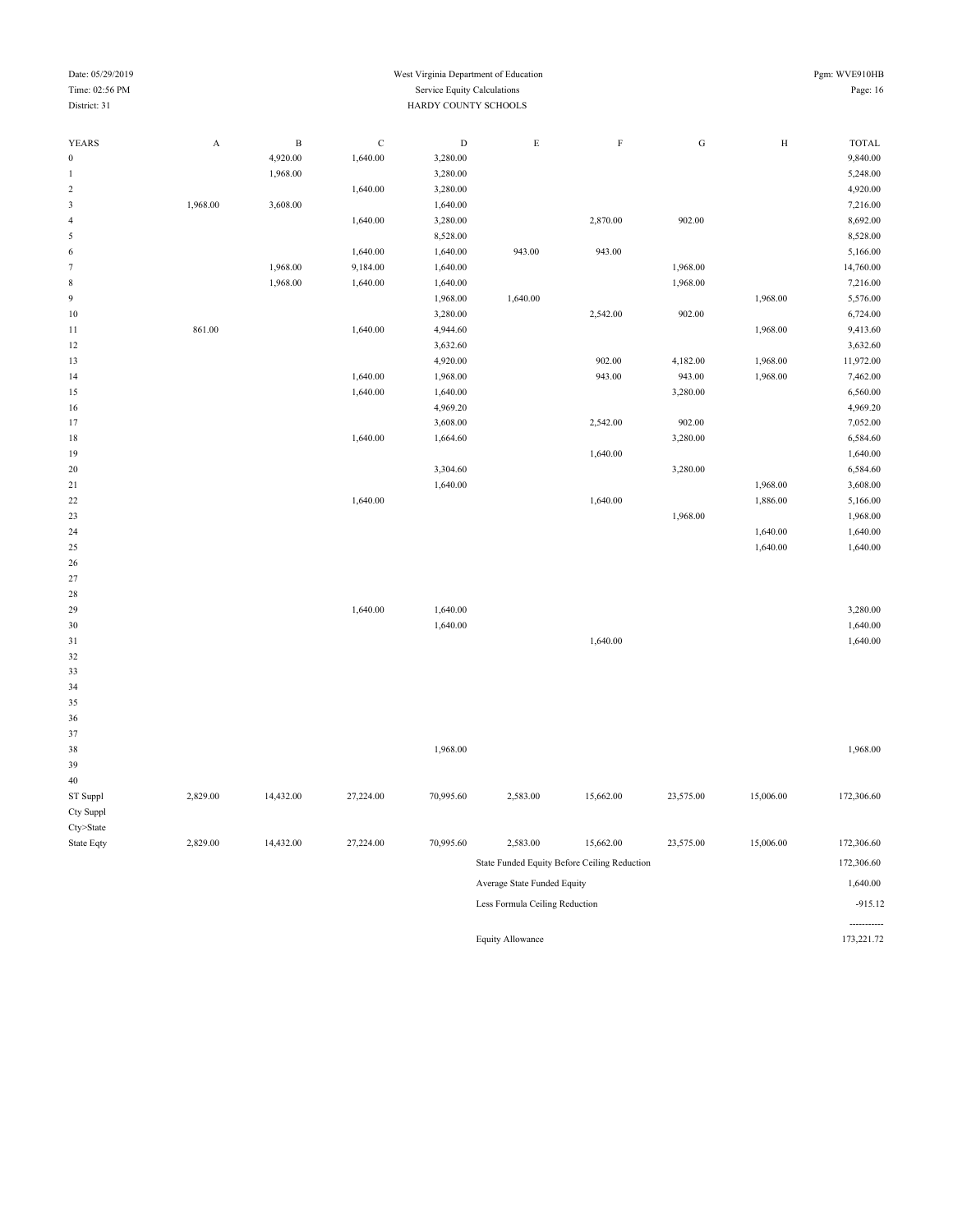| Time: 02:56 PM   |             |              |             | Service Equity Calculations |             |           |           |           | Page: 16     |
|------------------|-------------|--------------|-------------|-----------------------------|-------------|-----------|-----------|-----------|--------------|
| District: 31     |             |              |             | HARDY COUNTY SCHOOLS        |             |           |           |           |              |
|                  |             |              |             |                             |             |           |           |           |              |
| YEARS            | $\mathbf A$ | $\, {\bf B}$ | $\mathbf C$ | $\mathbf D$                 | $\mathbf E$ | $\rm F$   | ${\rm G}$ | $\rm H$   | <b>TOTAL</b> |
| $\boldsymbol{0}$ |             | 4,920.00     | 1,640.00    | 3,280.00                    |             |           |           |           | 9,840.00     |
| $\,1\,$          |             | 1,968.00     |             | 3,280.00                    |             |           |           |           | 5,248.00     |
| $\sqrt{2}$       |             |              | 1,640.00    | 3,280.00                    |             |           |           |           | 4,920.00     |
| $\mathfrak z$    | 1,968.00    | 3,608.00     |             | 1,640.00                    |             |           |           |           | 7,216.00     |
| $\overline{4}$   |             |              | 1,640.00    | 3,280.00                    |             | 2,870.00  | 902.00    |           | 8,692.00     |
| $\sqrt{5}$       |             |              |             | 8,528.00                    |             |           |           |           | 8,528.00     |
| $\,$ 6 $\,$      |             |              | 1,640.00    | 1,640.00                    | 943.00      | 943.00    |           |           | 5,166.00     |
| $\overline{7}$   |             | 1,968.00     | 9,184.00    | 1,640.00                    |             |           | 1,968.00  |           | 14,760.00    |
| $\,$ 8 $\,$      |             | 1,968.00     | 1,640.00    | 1,640.00                    |             |           | 1,968.00  |           | 7,216.00     |
| 9                |             |              |             | 1,968.00                    | 1,640.00    |           |           | 1,968.00  | 5,576.00     |
| $10\,$           |             |              |             | 3,280.00                    |             | 2,542.00  | 902.00    |           | 6,724.00     |
| $11\,$           | 861.00      |              | 1,640.00    | 4,944.60                    |             |           |           | 1,968.00  | 9,413.60     |
| 12               |             |              |             | 3,632.60                    |             |           |           |           | 3,632.60     |
| 13               |             |              |             | 4,920.00                    |             | 902.00    | 4,182.00  | 1,968.00  | 11,972.00    |
| 14               |             |              | 1,640.00    | 1,968.00                    |             | 943.00    | 943.00    | 1,968.00  | 7,462.00     |
| 15               |             |              | 1,640.00    | 1,640.00                    |             |           | 3,280.00  |           | 6,560.00     |
| 16               |             |              |             | 4,969.20                    |             |           |           |           | 4,969.20     |
| 17               |             |              |             | 3,608.00                    |             | 2,542.00  | 902.00    |           | 7,052.00     |
| 18               |             |              | 1,640.00    | 1,664.60                    |             |           | 3,280.00  |           | 6,584.60     |
| 19               |             |              |             |                             |             | 1,640.00  |           |           | 1,640.00     |
| $20\,$           |             |              |             | 3,304.60                    |             |           | 3,280.00  |           | 6,584.60     |
| $21\,$           |             |              |             | 1,640.00                    |             |           |           | 1,968.00  | 3,608.00     |
| $22\,$           |             |              | 1,640.00    |                             |             | 1,640.00  |           | 1,886.00  | 5,166.00     |
| 23               |             |              |             |                             |             |           | 1,968.00  |           | 1,968.00     |
| 24               |             |              |             |                             |             |           |           | 1,640.00  | 1,640.00     |
| $25\,$           |             |              |             |                             |             |           |           | 1,640.00  | 1,640.00     |
| $26\,$           |             |              |             |                             |             |           |           |           |              |
| $27\,$           |             |              |             |                             |             |           |           |           |              |
| 28               |             |              |             |                             |             |           |           |           |              |
| 29               |             |              | 1,640.00    | 1,640.00                    |             |           |           |           | 3,280.00     |
| $30\,$           |             |              |             | 1,640.00                    |             |           |           |           | 1,640.00     |
| 31               |             |              |             |                             |             | 1,640.00  |           |           | 1,640.00     |
| 32               |             |              |             |                             |             |           |           |           |              |
| 33               |             |              |             |                             |             |           |           |           |              |
| 34               |             |              |             |                             |             |           |           |           |              |
| 35               |             |              |             |                             |             |           |           |           |              |
| 36               |             |              |             |                             |             |           |           |           |              |
| 37               |             |              |             |                             |             |           |           |           |              |
| 38               |             |              |             | 1,968.00                    |             |           |           |           | 1,968.00     |
| 39               |             |              |             |                             |             |           |           |           |              |
| $40\,$           |             |              |             |                             |             |           |           |           |              |
| ST Suppl         | 2,829.00    | 14,432.00    | 27,224.00   | 70,995.60                   | 2,583.00    | 15,662.00 | 23,575.00 | 15,006.00 | 172,306.60   |
| Cty Suppl        |             |              |             |                             |             |           |           |           |              |
| Cty>State        |             |              |             |                             |             |           |           |           |              |
|                  |             |              |             |                             |             |           |           |           |              |

Date: 05/29/2019 West Virginia Department of Education Pgm: WVE910HB

State Eqty 2,829.00 14,432.00 27,224.00 70,995.60 2,583.00 15,662.00 23,575.00 15,006.00 172,306.60 State Funded Equity Before Ceiling Reduction 172,306.60 Average State Funded Equity 1,640.00 Less Formula Ceiling Reduction -915.12 Equity Allowance

-----------<br>173,221.72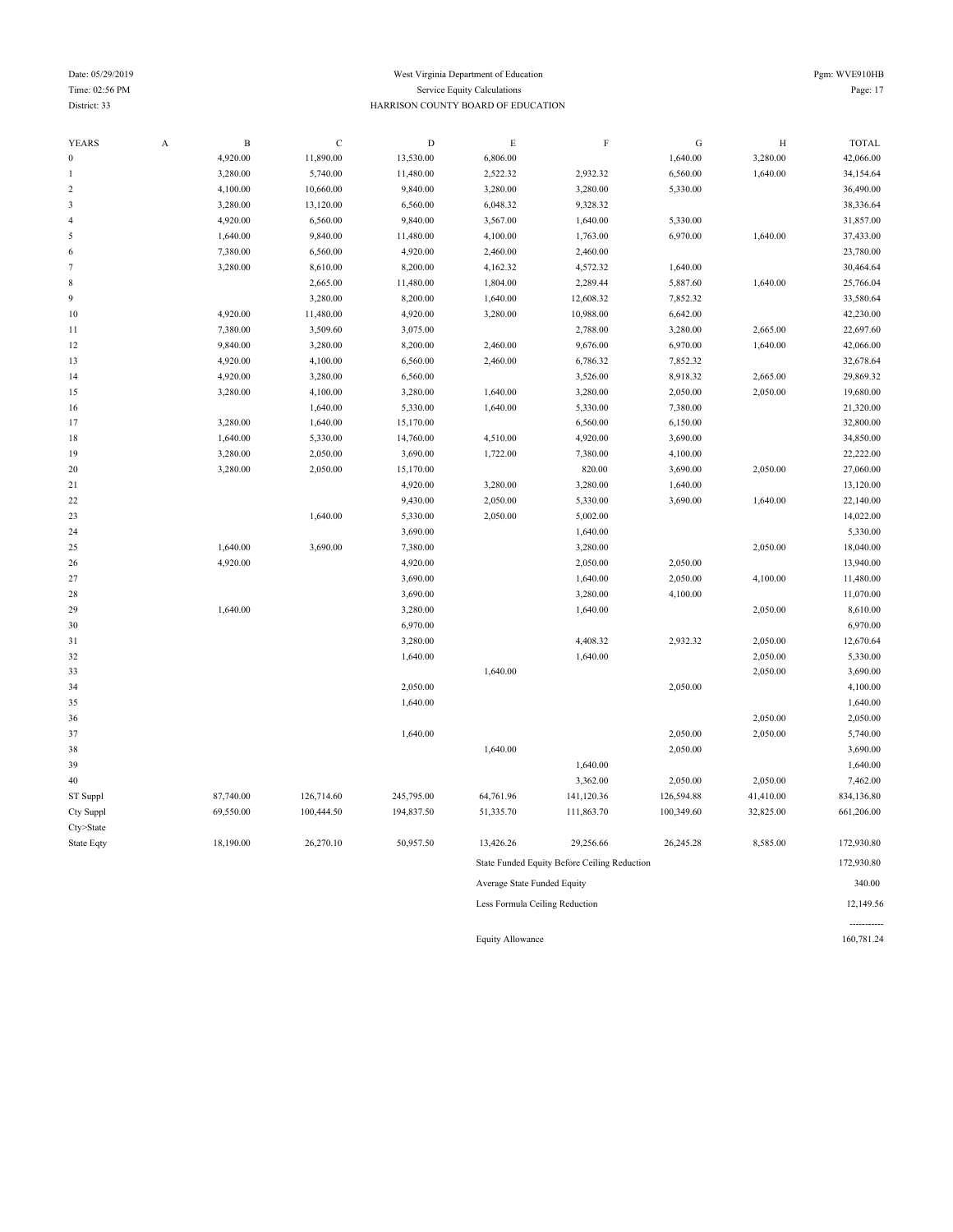----------<br>160,781.24

| <b>YEARS</b>            | A | $\overline{B}$ | $\mathbf C$ | $\mathbf D$ | $\mathbf E$                    | F                                            | ${\bf G}$  | $\rm H$   | <b>TOTAL</b> |
|-------------------------|---|----------------|-------------|-------------|--------------------------------|----------------------------------------------|------------|-----------|--------------|
| $\boldsymbol{0}$        |   | 4,920.00       | 11,890.00   | 13,530.00   | 6,806.00                       |                                              | 1,640.00   | 3,280.00  | 42,066.00    |
| $\mathbf{1}$            |   | 3,280.00       | 5,740.00    | 11,480.00   | 2,522.32                       | 2,932.32                                     | 6,560.00   | 1,640.00  | 34,154.64    |
| $\overline{\mathbf{c}}$ |   | 4,100.00       | 10,660.00   | 9,840.00    | 3,280.00                       | 3,280.00                                     | 5,330.00   |           | 36,490.00    |
| 3                       |   | 3,280.00       | 13,120.00   | 6,560.00    | 6,048.32                       | 9,328.32                                     |            |           | 38,336.64    |
| $\overline{4}$          |   | 4,920.00       | 6,560.00    | 9,840.00    | 3,567.00                       | 1,640.00                                     | 5,330.00   |           | 31,857.00    |
| 5                       |   | 1,640.00       | 9,840.00    | 11,480.00   | 4,100.00                       | 1,763.00                                     | 6,970.00   | 1,640.00  | 37,433.00    |
| 6                       |   | 7,380.00       | 6,560.00    | 4,920.00    | 2,460.00                       | 2,460.00                                     |            |           | 23,780.00    |
| $\tau$                  |   | 3,280.00       | 8,610.00    | 8,200.00    | 4,162.32                       | 4,572.32                                     | 1,640.00   |           | 30,464.64    |
| 8                       |   |                | 2,665.00    | 11,480.00   | 1,804.00                       | 2,289.44                                     | 5,887.60   | 1,640.00  | 25,766.04    |
| 9                       |   |                | 3,280.00    | 8,200.00    | 1,640.00                       | 12,608.32                                    | 7,852.32   |           | 33,580.64    |
| $10$                    |   | 4,920.00       | 11,480.00   | 4,920.00    | 3,280.00                       | 10,988.00                                    | 6,642.00   |           | 42,230.00    |
| 11                      |   | 7,380.00       | 3,509.60    | 3,075.00    |                                | 2,788.00                                     | 3,280.00   | 2,665.00  | 22,697.60    |
| 12                      |   | 9,840.00       | 3,280.00    | 8,200.00    | 2,460.00                       | 9,676.00                                     | 6,970.00   | 1,640.00  | 42,066.00    |
| 13                      |   | 4,920.00       | 4,100.00    | 6,560.00    | 2,460.00                       | 6,786.32                                     | 7,852.32   |           | 32,678.64    |
| 14                      |   | 4,920.00       | 3,280.00    | 6,560.00    |                                | 3,526.00                                     | 8,918.32   | 2,665.00  | 29,869.32    |
| 15                      |   | 3,280.00       | 4,100.00    | 3,280.00    | 1,640.00                       | 3,280.00                                     | 2,050.00   | 2,050.00  | 19,680.00    |
| 16                      |   |                | 1,640.00    | 5,330.00    | 1,640.00                       | 5,330.00                                     | 7,380.00   |           | 21,320.00    |
| 17                      |   | 3,280.00       | 1,640.00    | 15,170.00   |                                | 6,560.00                                     | 6,150.00   |           | 32,800.00    |
| 18                      |   | 1,640.00       | 5,330.00    | 14,760.00   | 4,510.00                       | 4,920.00                                     | 3,690.00   |           | 34,850.00    |
| 19                      |   | 3,280.00       | 2,050.00    | 3,690.00    | 1,722.00                       | 7,380.00                                     | 4,100.00   |           | 22,222.00    |
| 20                      |   | 3,280.00       | 2,050.00    | 15,170.00   |                                | 820.00                                       | 3,690.00   | 2,050.00  | 27,060.00    |
| 21                      |   |                |             | 4,920.00    | 3,280.00                       | 3,280.00                                     | 1,640.00   |           | 13,120.00    |
| 22                      |   |                |             | 9,430.00    | 2,050.00                       | 5,330.00                                     | 3,690.00   | 1,640.00  | 22,140.00    |
| 23                      |   |                | 1,640.00    | 5,330.00    | 2,050.00                       | 5,002.00                                     |            |           | 14,022.00    |
| 24                      |   |                |             | 3,690.00    |                                | 1,640.00                                     |            |           | 5,330.00     |
| 25                      |   | 1,640.00       | 3,690.00    | 7,380.00    |                                | 3,280.00                                     |            | 2,050.00  | 18,040.00    |
| 26                      |   | 4,920.00       |             | 4,920.00    |                                | 2,050.00                                     | 2,050.00   |           | 13,940.00    |
| 27                      |   |                |             | 3,690.00    |                                | 1,640.00                                     | 2,050.00   | 4,100.00  | 11,480.00    |
| 28                      |   |                |             | 3,690.00    |                                | 3,280.00                                     | 4,100.00   |           | 11,070.00    |
| 29                      |   | 1,640.00       |             | 3,280.00    |                                | 1,640.00                                     |            | 2,050.00  | 8,610.00     |
| 30                      |   |                |             | 6,970.00    |                                |                                              |            |           | 6,970.00     |
| 31                      |   |                |             | 3,280.00    |                                | 4,408.32                                     | 2,932.32   | 2,050.00  | 12,670.64    |
| 32                      |   |                |             | 1,640.00    |                                | 1,640.00                                     |            | 2,050.00  | 5,330.00     |
| 33                      |   |                |             |             | 1,640.00                       |                                              |            | 2,050.00  | 3,690.00     |
| 34                      |   |                |             | 2,050.00    |                                |                                              | 2,050.00   |           | 4,100.00     |
| 35                      |   |                |             | 1,640.00    |                                |                                              |            |           | 1,640.00     |
| 36                      |   |                |             |             |                                |                                              |            | 2,050.00  | 2,050.00     |
| 37                      |   |                |             | 1,640.00    |                                |                                              | 2,050.00   | 2,050.00  | 5,740.00     |
| 38                      |   |                |             |             | 1,640.00                       |                                              | 2,050.00   |           | 3,690.00     |
| 39                      |   |                |             |             |                                | 1,640.00                                     |            |           | 1,640.00     |
| 40                      |   |                |             |             |                                | 3,362.00                                     | 2,050.00   | 2,050.00  | 7,462.00     |
| ST Suppl                |   | 87,740.00      | 126,714.60  | 245,795.00  | 64,761.96                      | 141,120.36                                   | 126,594.88 | 41,410.00 | 834,136.80   |
| Cty Suppl               |   | 69,550.00      | 100,444.50  | 194,837.50  | 51,335.70                      | 111,863.70                                   | 100,349.60 | 32,825.00 | 661,206.00   |
| Cty>State               |   |                |             |             |                                |                                              |            |           |              |
| State Eqty              |   | 18,190.00      | 26,270.10   | 50,957.50   | 13,426.26                      | 29,256.66                                    | 26,245.28  | 8,585.00  | 172,930.80   |
|                         |   |                |             |             |                                | State Funded Equity Before Ceiling Reduction |            |           | 172,930.80   |
|                         |   |                |             |             | Average State Funded Equity    |                                              |            |           | 340.00       |
|                         |   |                |             |             | Less Formula Ceiling Reduction |                                              |            |           | 12,149.56    |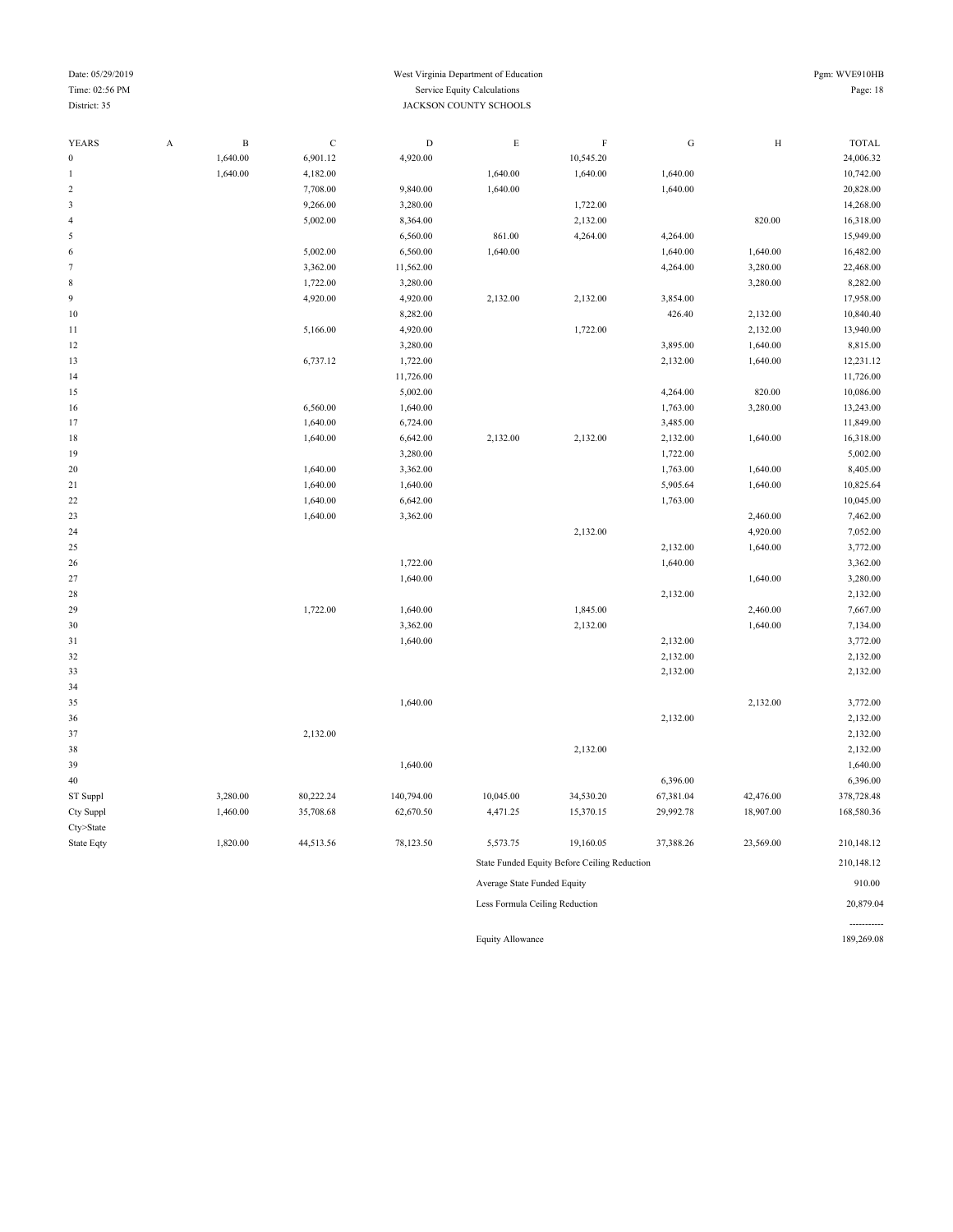#### Date: 05/29/2019 Pgm: WVE910HB Time: 02:56 PM Service Equity Calculations Page: 18 District: 35 JACKSON COUNTY SCHOOLS

-----------

| YEARS            | $\boldsymbol{\mathsf{A}}$ | $\, {\bf B}$ | $\mathbf C$ | $\mathbf D$ | ${\rm E}$                      | $\rm F$                                      | ${\bf G}$ | $\rm H$   | <b>TOTAL</b> |
|------------------|---------------------------|--------------|-------------|-------------|--------------------------------|----------------------------------------------|-----------|-----------|--------------|
| $\boldsymbol{0}$ |                           | 1,640.00     | 6,901.12    | 4,920.00    |                                | 10,545.20                                    |           |           | 24,006.32    |
| $\mathbf{1}$     |                           | 1,640.00     | 4,182.00    |             | 1,640.00                       | 1,640.00                                     | 1,640.00  |           | 10,742.00    |
| $\sqrt{2}$       |                           |              | 7,708.00    | 9,840.00    | 1,640.00                       |                                              | 1,640.00  |           | 20,828.00    |
| $\mathfrak{Z}$   |                           |              | 9,266.00    | 3,280.00    |                                | 1,722.00                                     |           |           | 14,268.00    |
| $\overline{4}$   |                           |              | 5,002.00    | 8,364.00    |                                | 2,132.00                                     |           | 820.00    | 16,318.00    |
| $\mathfrak s$    |                           |              |             | 6,560.00    | 861.00                         | 4,264.00                                     | 4,264.00  |           | 15,949.00    |
| $\sqrt{6}$       |                           |              | 5,002.00    | 6,560.00    | 1,640.00                       |                                              | 1,640.00  | 1,640.00  | 16,482.00    |
| $\tau$           |                           |              | 3,362.00    | 11,562.00   |                                |                                              | 4,264.00  | 3,280.00  | 22,468.00    |
| $\,$ 8 $\,$      |                           |              | 1,722.00    | 3,280.00    |                                |                                              |           | 3,280.00  | 8,282.00     |
| 9                |                           |              | 4,920.00    | 4,920.00    | 2,132.00                       | 2,132.00                                     | 3,854.00  |           | 17,958.00    |
| 10               |                           |              |             | 8,282.00    |                                |                                              | 426.40    | 2,132.00  | 10,840.40    |
| $1\,1$           |                           |              | 5,166.00    | 4,920.00    |                                | 1,722.00                                     |           | 2,132.00  | 13,940.00    |
| 12               |                           |              |             | 3,280.00    |                                |                                              | 3,895.00  | 1,640.00  | 8,815.00     |
| 13               |                           |              | 6,737.12    | 1,722.00    |                                |                                              | 2,132.00  | 1,640.00  | 12,231.12    |
| 14               |                           |              |             | 11,726.00   |                                |                                              |           |           | 11,726.00    |
| 15               |                           |              |             | 5,002.00    |                                |                                              | 4,264.00  | 820.00    | 10,086.00    |
| 16               |                           |              | 6,560.00    | 1,640.00    |                                |                                              | 1,763.00  | 3,280.00  | 13,243.00    |
| 17               |                           |              | 1,640.00    | 6,724.00    |                                |                                              | 3,485.00  |           | 11,849.00    |
| 18               |                           |              | 1,640.00    | 6,642.00    | 2,132.00                       | 2,132.00                                     | 2,132.00  | 1,640.00  | 16,318.00    |
| 19               |                           |              |             | 3,280.00    |                                |                                              | 1,722.00  |           | 5,002.00     |
| 20               |                           |              | 1,640.00    | 3,362.00    |                                |                                              | 1,763.00  | 1,640.00  | 8,405.00     |
| 21               |                           |              | 1,640.00    | 1,640.00    |                                |                                              | 5,905.64  | 1,640.00  | 10,825.64    |
| 22               |                           |              | 1,640.00    | 6,642.00    |                                |                                              | 1,763.00  |           | 10,045.00    |
| 23               |                           |              | 1,640.00    | 3,362.00    |                                |                                              |           | 2,460.00  | 7,462.00     |
| 24               |                           |              |             |             |                                | 2,132.00                                     |           | 4,920.00  | 7,052.00     |
| 25               |                           |              |             |             |                                |                                              | 2,132.00  | 1,640.00  | 3,772.00     |
| 26               |                           |              |             | 1,722.00    |                                |                                              | 1,640.00  |           | 3,362.00     |
| 27               |                           |              |             | 1,640.00    |                                |                                              |           | 1,640.00  | 3,280.00     |
| 28               |                           |              |             |             |                                |                                              | 2,132.00  |           | 2,132.00     |
| 29               |                           |              | 1,722.00    | 1,640.00    |                                | 1,845.00                                     |           | 2,460.00  | 7,667.00     |
| 30               |                           |              |             | 3,362.00    |                                | 2,132.00                                     |           | 1,640.00  | 7,134.00     |
| $3\sqrt{1}$      |                           |              |             | 1,640.00    |                                |                                              | 2,132.00  |           | 3,772.00     |
| 32               |                           |              |             |             |                                |                                              | 2,132.00  |           | 2,132.00     |
| 33               |                           |              |             |             |                                |                                              | 2,132.00  |           | 2,132.00     |
| 34               |                           |              |             |             |                                |                                              |           |           |              |
| 35               |                           |              |             | 1,640.00    |                                |                                              |           | 2,132.00  | 3,772.00     |
| 36               |                           |              |             |             |                                |                                              | 2,132.00  |           | 2,132.00     |
| 37               |                           |              | 2,132.00    |             |                                |                                              |           |           | 2,132.00     |
| 38               |                           |              |             |             |                                | 2,132.00                                     |           |           | 2,132.00     |
| 39               |                           |              |             | 1,640.00    |                                |                                              |           |           | 1,640.00     |
| 40               |                           |              |             |             |                                |                                              | 6,396.00  |           | 6,396.00     |
| ST Suppl         |                           | 3,280.00     | 80,222.24   | 140,794.00  | 10,045.00                      | 34,530.20                                    | 67,381.04 | 42,476.00 | 378,728.48   |
| Cty Suppl        |                           | 1,460.00     | 35,708.68   | 62,670.50   | 4,471.25                       | 15,370.15                                    | 29,992.78 | 18,907.00 | 168,580.36   |
| Cty>State        |                           |              |             |             |                                |                                              |           |           |              |
| State Eqty       |                           | 1,820.00     | 44,513.56   | 78,123.50   | 5,573.75                       | 19,160.05                                    | 37,388.26 | 23,569.00 | 210,148.12   |
|                  |                           |              |             |             |                                | State Funded Equity Before Ceiling Reduction |           |           | 210,148.12   |
|                  |                           |              |             |             | Average State Funded Equity    |                                              |           |           | 910.00       |
|                  |                           |              |             |             | Less Formula Ceiling Reduction |                                              |           |           | 20,879.04    |

Equity Allowance 189,269.08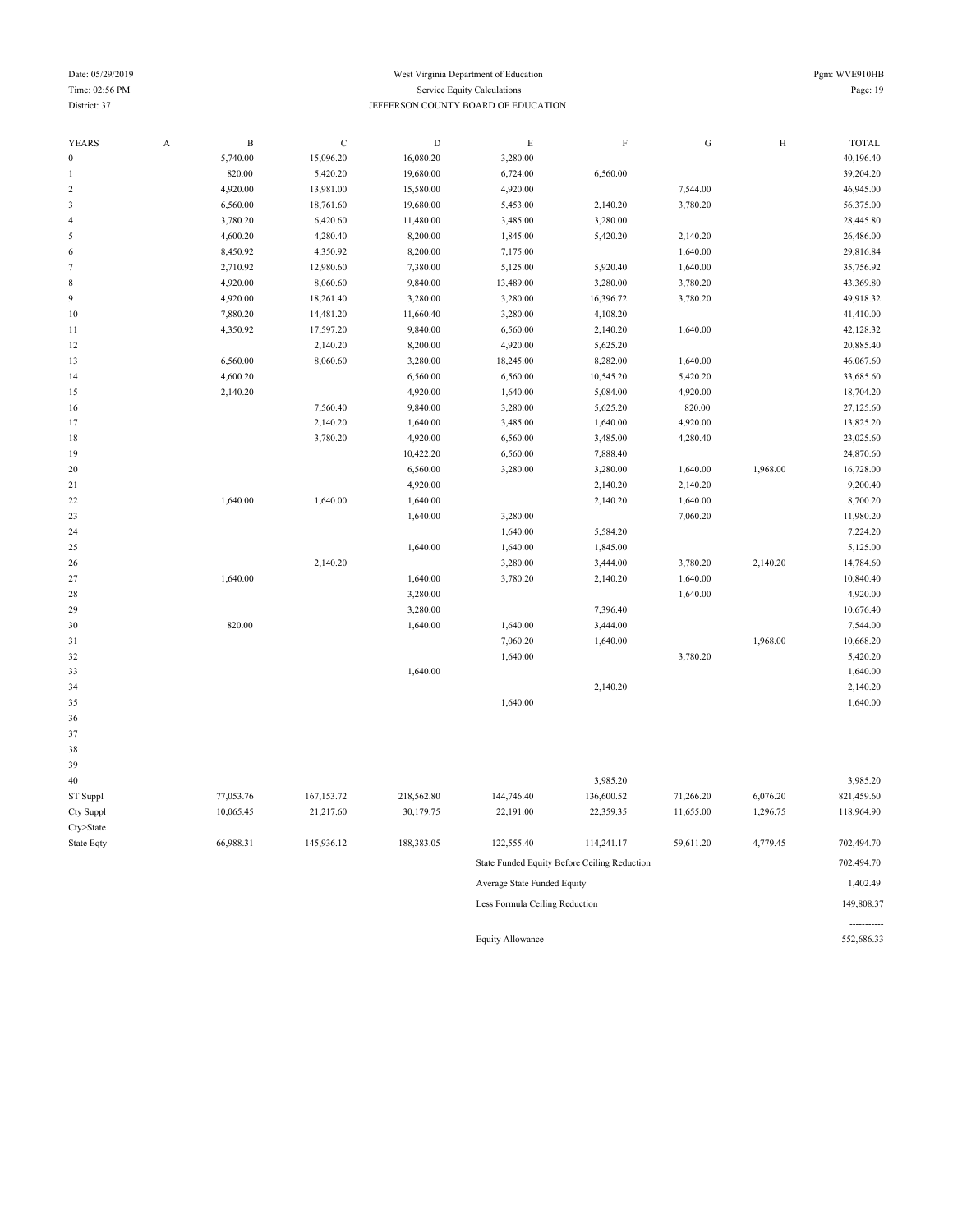### Date: 05/29/2019 West Virginia Department of Education Pgm: WVE910HB Time: 02:56 PM Service Equity Calculations Page: 19 District: 37 JEFFERSON COUNTY BOARD OF EDUCATION

| <b>YEARS</b>             | $\boldsymbol{\mathrm{A}}$ | $\, {\bf B}$ | $\mathbf C$ | $\mathbf D$ | $\mathbf E$ | $\rm F$    | ${\bf G}$ | $\, {\rm H}$ | <b>TOTAL</b> |
|--------------------------|---------------------------|--------------|-------------|-------------|-------------|------------|-----------|--------------|--------------|
| $\boldsymbol{0}$         |                           | 5,740.00     | 15,096.20   | 16,080.20   | 3,280.00    |            |           |              | 40,196.40    |
| $\mathbf{1}$             |                           | 820.00       | 5,420.20    | 19,680.00   | 6,724.00    | 6,560.00   |           |              | 39,204.20    |
| $\sqrt{2}$               |                           | 4,920.00     | 13,981.00   | 15,580.00   | 4,920.00    |            | 7,544.00  |              | 46,945.00    |
| $\sqrt{3}$               |                           | 6,560.00     | 18,761.60   | 19,680.00   | 5,453.00    | 2,140.20   | 3,780.20  |              | 56,375.00    |
| $\overline{\mathcal{L}}$ |                           | 3,780.20     | 6,420.60    | 11,480.00   | 3,485.00    | 3,280.00   |           |              | 28,445.80    |
| 5                        |                           | 4,600.20     | 4,280.40    | 8,200.00    | 1,845.00    | 5,420.20   | 2,140.20  |              | 26,486.00    |
| 6                        |                           | 8,450.92     | 4,350.92    | 8,200.00    | 7,175.00    |            | 1,640.00  |              | 29,816.84    |
| $\tau$                   |                           | 2,710.92     | 12,980.60   | 7,380.00    | 5,125.00    | 5,920.40   | 1,640.00  |              | 35,756.92    |
| 8                        |                           | 4,920.00     | 8,060.60    | 9,840.00    | 13,489.00   | 3,280.00   | 3,780.20  |              | 43,369.80    |
| 9                        |                           | 4,920.00     | 18,261.40   | 3,280.00    | 3,280.00    | 16,396.72  | 3,780.20  |              | 49,918.32    |
| 10                       |                           | 7,880.20     | 14,481.20   | 11,660.40   | 3,280.00    | 4,108.20   |           |              | 41,410.00    |
| 11                       |                           | 4,350.92     | 17,597.20   | 9,840.00    | 6,560.00    | 2,140.20   | 1,640.00  |              | 42,128.32    |
| 12                       |                           |              | 2,140.20    | 8,200.00    | 4,920.00    | 5,625.20   |           |              | 20,885.40    |
| 13                       |                           | 6,560.00     | 8,060.60    | 3,280.00    | 18,245.00   | 8,282.00   | 1,640.00  |              | 46,067.60    |
| 14                       |                           | 4,600.20     |             | 6,560.00    | 6,560.00    | 10,545.20  | 5,420.20  |              | 33,685.60    |
| 15                       |                           | 2,140.20     |             | 4,920.00    | 1,640.00    | 5,084.00   | 4,920.00  |              | 18,704.20    |
| 16                       |                           |              | 7,560.40    | 9,840.00    | 3,280.00    | 5,625.20   | 820.00    |              | 27,125.60    |
| 17                       |                           |              | 2,140.20    | 1,640.00    | 3,485.00    | 1,640.00   | 4,920.00  |              | 13,825.20    |
| 18                       |                           |              | 3,780.20    | 4,920.00    | 6,560.00    | 3,485.00   | 4,280.40  |              | 23,025.60    |
| 19                       |                           |              |             | 10,422.20   | 6,560.00    | 7,888.40   |           |              | 24,870.60    |
| 20                       |                           |              |             | 6,560.00    | 3,280.00    | 3,280.00   | 1,640.00  | 1,968.00     | 16,728.00    |
| 21                       |                           |              |             | 4,920.00    |             | 2,140.20   | 2,140.20  |              | 9,200.40     |
| 22                       |                           | 1,640.00     | 1,640.00    | 1,640.00    |             | 2,140.20   | 1,640.00  |              | 8,700.20     |
| 23                       |                           |              |             | 1,640.00    | 3,280.00    |            | 7,060.20  |              | 11,980.20    |
| 24                       |                           |              |             |             | 1,640.00    | 5,584.20   |           |              | 7,224.20     |
| 25                       |                           |              |             | 1,640.00    | 1,640.00    | 1,845.00   |           |              | 5,125.00     |
| 26                       |                           |              | 2,140.20    |             | 3,280.00    | 3,444.00   | 3,780.20  | 2,140.20     | 14,784.60    |
| 27                       |                           | 1,640.00     |             | 1,640.00    | 3,780.20    | 2,140.20   | 1,640.00  |              | 10,840.40    |
| 28                       |                           |              |             | 3,280.00    |             |            | 1,640.00  |              | 4,920.00     |
| 29                       |                           |              |             | 3,280.00    |             | 7,396.40   |           |              | 10,676.40    |
| 30                       |                           | 820.00       |             | 1,640.00    | 1,640.00    | 3,444.00   |           |              | 7,544.00     |
| 31                       |                           |              |             |             | 7,060.20    | 1,640.00   |           | 1,968.00     | 10,668.20    |
| 32                       |                           |              |             |             | 1,640.00    |            | 3,780.20  |              | 5,420.20     |
| 33                       |                           |              |             | 1,640.00    |             |            |           |              | 1,640.00     |
| 34                       |                           |              |             |             |             | 2,140.20   |           |              | 2,140.20     |
| 35                       |                           |              |             |             | 1,640.00    |            |           |              | 1,640.00     |
| 36                       |                           |              |             |             |             |            |           |              |              |
| 37                       |                           |              |             |             |             |            |           |              |              |
| 38                       |                           |              |             |             |             |            |           |              |              |
| 39                       |                           |              |             |             |             |            |           |              |              |
| 40                       |                           |              |             |             |             | 3,985.20   |           |              | 3,985.20     |
| ST Suppl                 |                           | 77,053.76    | 167, 153.72 | 218,562.80  | 144,746.40  | 136,600.52 | 71,266.20 | 6,076.20     | 821,459.60   |
|                          |                           | 1000515      | 21.217.6    | 20.1707     | 22.101.00   | 22.25025   | 11.77700  | 1.00000      | 110.051.00   |

Cty>State

Cty Suppl 10,065.45 21,217.60 30,179.75 22,191.00 22,359.35 11,655.00 1,296.75 118,964.90 State Eqty 66,988.31 145,936.12 188,383.05 122,555.40 114,241.17 59,611.20 4,779.45 702,494.70 State Funded Equity Before Ceiling Reduction 702,494.70 Average State Funded Equity 1,402.49 Less Formula Ceiling Reduction 149,808.37 ----------- Equity Allowance 552,686.33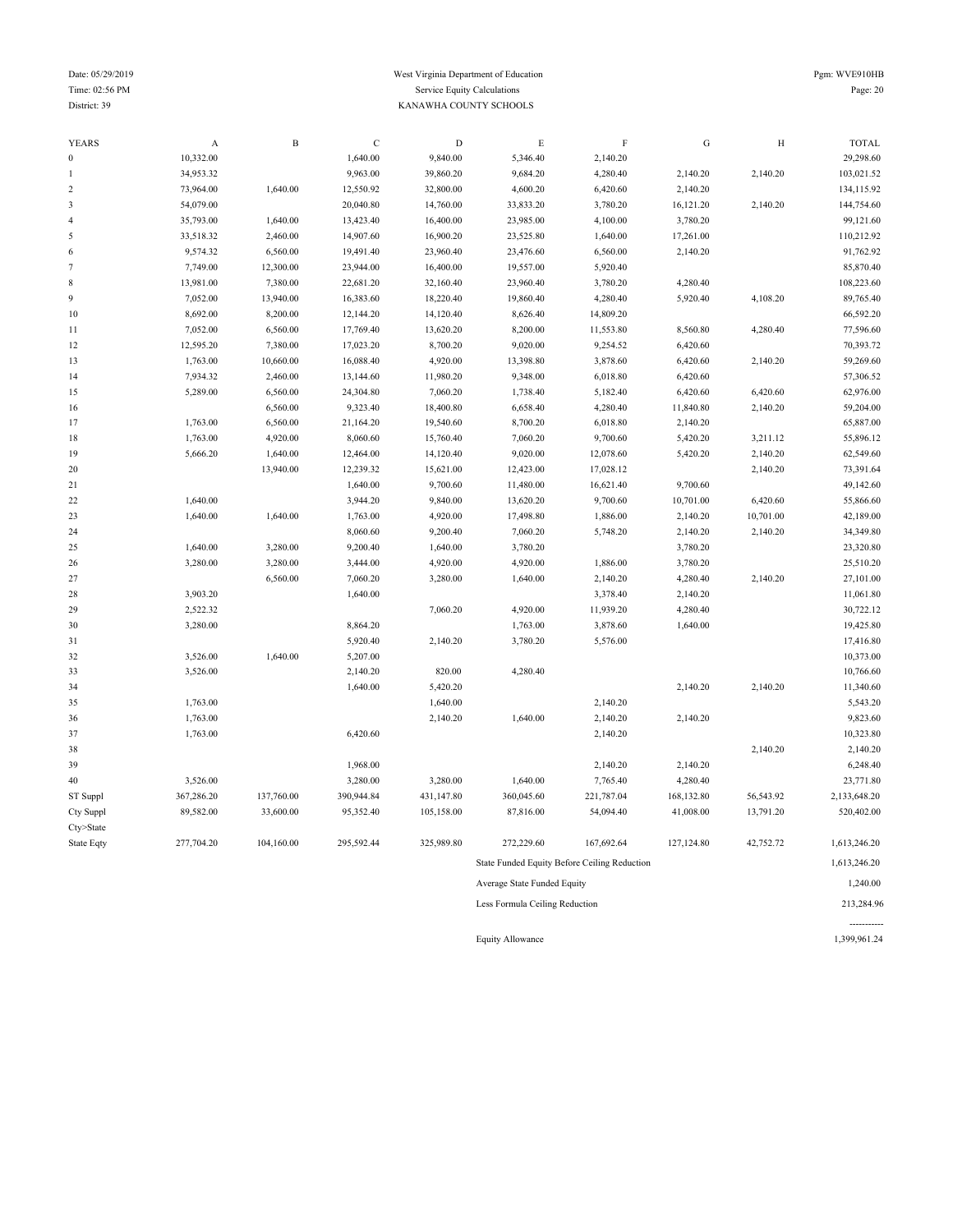#### Date: 05/29/2019 Pgm: WVE910HB Time: 02:56 PM Service Equity Calculations Page: 20 District: 39 KANAWHA COUNTY SCHOOLS

| <b>YEARS</b>     | A          | $\, {\bf B}$ | $\mathbf C$ | $\mathbf D$ | $\mathop{\hbox{\bf E}}$                      | $\mathbf F$ | ${\bf G}$  | H         | <b>TOTAL</b> |
|------------------|------------|--------------|-------------|-------------|----------------------------------------------|-------------|------------|-----------|--------------|
| $\boldsymbol{0}$ | 10,332.00  |              | 1,640.00    | 9,840.00    | 5,346.40                                     | 2,140.20    |            |           | 29,298.60    |
| $\overline{1}$   | 34,953.32  |              | 9,963.00    | 39,860.20   | 9,684.20                                     | 4,280.40    | 2,140.20   | 2,140.20  | 103,021.52   |
| $\overline{2}$   | 73,964.00  | 1,640.00     | 12,550.92   | 32,800.00   | 4,600.20                                     | 6,420.60    | 2,140.20   |           | 134,115.92   |
| 3                | 54,079.00  |              | 20,040.80   | 14,760.00   | 33,833.20                                    | 3,780.20    | 16,121.20  | 2,140.20  | 144,754.60   |
| $\overline{4}$   | 35,793.00  | 1,640.00     | 13,423.40   | 16,400.00   | 23,985.00                                    | 4,100.00    | 3,780.20   |           | 99,121.60    |
| 5                | 33,518.32  | 2,460.00     | 14,907.60   | 16,900.20   | 23,525.80                                    | 1,640.00    | 17,261.00  |           | 110,212.92   |
| 6                | 9,574.32   | 6,560.00     | 19,491.40   | 23,960.40   | 23,476.60                                    | 6,560.00    | 2,140.20   |           | 91,762.92    |
| 7                | 7,749.00   | 12,300.00    | 23,944.00   | 16,400.00   | 19,557.00                                    | 5,920.40    |            |           | 85,870.40    |
| 8                | 13,981.00  | 7,380.00     | 22,681.20   | 32,160.40   | 23,960.40                                    | 3,780.20    | 4,280.40   |           | 108,223.60   |
| 9                | 7,052.00   | 13,940.00    | 16,383.60   | 18,220.40   | 19,860.40                                    | 4,280.40    | 5,920.40   | 4,108.20  | 89,765.40    |
| 10               | 8,692.00   | 8,200.00     | 12,144.20   | 14,120.40   | 8,626.40                                     | 14,809.20   |            |           | 66,592.20    |
| 11               | 7,052.00   | 6,560.00     | 17,769.40   | 13,620.20   | 8,200.00                                     | 11,553.80   | 8,560.80   | 4,280.40  | 77,596.60    |
| 12               | 12,595.20  | 7,380.00     | 17,023.20   | 8,700.20    | 9,020.00                                     | 9,254.52    | 6,420.60   |           | 70,393.72    |
| 13               | 1,763.00   | 10,660.00    | 16,088.40   | 4,920.00    | 13,398.80                                    | 3,878.60    | 6,420.60   | 2,140.20  | 59,269.60    |
| 14               | 7,934.32   | 2,460.00     | 13,144.60   | 11,980.20   | 9,348.00                                     | 6,018.80    | 6,420.60   |           | 57,306.52    |
| 15               | 5,289.00   | 6,560.00     | 24,304.80   | 7,060.20    | 1,738.40                                     | 5,182.40    | 6,420.60   | 6,420.60  | 62,976.00    |
| 16               |            | 6,560.00     | 9,323.40    | 18,400.80   | 6,658.40                                     | 4,280.40    | 11,840.80  | 2,140.20  | 59,204.00    |
| 17               | 1,763.00   | 6,560.00     | 21,164.20   | 19,540.60   | 8,700.20                                     | 6,018.80    | 2,140.20   |           | 65,887.00    |
| 18               | 1,763.00   | 4,920.00     | 8,060.60    | 15,760.40   | 7,060.20                                     | 9,700.60    | 5,420.20   | 3,211.12  | 55,896.12    |
| 19               | 5,666.20   | 1,640.00     | 12,464.00   | 14,120.40   | 9,020.00                                     | 12,078.60   | 5,420.20   | 2,140.20  | 62,549.60    |
| 20               |            | 13,940.00    | 12,239.32   | 15,621.00   | 12,423.00                                    | 17,028.12   |            | 2,140.20  | 73,391.64    |
| 21               |            |              | 1,640.00    | 9,700.60    | 11,480.00                                    | 16,621.40   | 9,700.60   |           | 49,142.60    |
| 22               | 1,640.00   |              | 3,944.20    | 9,840.00    | 13,620.20                                    | 9,700.60    | 10,701.00  | 6,420.60  | 55,866.60    |
| 23               | 1,640.00   | 1,640.00     | 1,763.00    | 4,920.00    | 17,498.80                                    | 1,886.00    | 2,140.20   | 10,701.00 | 42,189.00    |
| 24               |            |              | 8,060.60    | 9,200.40    | 7,060.20                                     | 5,748.20    | 2,140.20   | 2,140.20  | 34,349.80    |
| 25               | 1,640.00   | 3,280.00     | 9,200.40    | 1,640.00    | 3,780.20                                     |             | 3,780.20   |           | 23,320.80    |
| 26               | 3,280.00   | 3,280.00     | 3,444.00    | 4,920.00    | 4,920.00                                     | 1,886.00    | 3,780.20   |           | 25,510.20    |
| 27               |            | 6,560.00     | 7,060.20    | 3,280.00    | 1,640.00                                     | 2,140.20    | 4,280.40   | 2,140.20  | 27,101.00    |
| 28               | 3,903.20   |              | 1,640.00    |             |                                              | 3,378.40    | 2,140.20   |           | 11,061.80    |
| 29               | 2,522.32   |              |             | 7,060.20    | 4,920.00                                     | 11,939.20   | 4,280.40   |           | 30,722.12    |
| 30               | 3,280.00   |              | 8,864.20    |             | 1,763.00                                     | 3,878.60    | 1,640.00   |           | 19,425.80    |
| 31               |            |              | 5,920.40    | 2,140.20    | 3,780.20                                     | 5,576.00    |            |           | 17,416.80    |
| 32               | 3,526.00   | 1,640.00     | 5,207.00    |             |                                              |             |            |           | 10,373.00    |
| 33               | 3,526.00   |              | 2,140.20    | 820.00      | 4,280.40                                     |             |            |           | 10,766.60    |
| 34               |            |              | 1,640.00    | 5,420.20    |                                              |             | 2,140.20   | 2,140.20  | 11,340.60    |
| 35               | 1,763.00   |              |             | 1,640.00    |                                              | 2,140.20    |            |           | 5,543.20     |
| 36               | 1,763.00   |              |             | 2,140.20    | 1,640.00                                     | 2,140.20    | 2,140.20   |           | 9,823.60     |
| 37               | 1,763.00   |              | 6,420.60    |             |                                              | 2,140.20    |            |           | 10,323.80    |
| 38               |            |              |             |             |                                              |             |            | 2,140.20  | 2,140.20     |
| 39               |            |              | 1,968.00    |             |                                              | 2,140.20    | 2,140.20   |           | 6,248.40     |
| 40               | 3,526.00   |              | 3,280.00    | 3,280.00    | 1,640.00                                     | 7,765.40    | 4,280.40   |           | 23,771.80    |
| ST Suppl         | 367,286.20 | 137,760.00   | 390,944.84  | 431,147.80  | 360,045.60                                   | 221,787.04  | 168,132.80 | 56,543.92 | 2,133,648.20 |
| Cty Suppl        | 89,582.00  | 33,600.00    | 95,352.40   | 105,158.00  | 87,816.00                                    | 54,094.40   | 41,008.00  | 13,791.20 | 520,402.00   |
| Cty>State        |            |              |             |             |                                              |             |            |           |              |
| State Eqty       | 277,704.20 | 104,160.00   | 295,592.44  | 325,989.80  | 272,229.60                                   | 167,692.64  | 127,124.80 | 42,752.72 | 1,613,246.20 |
|                  |            |              |             |             | State Funded Equity Before Ceiling Reduction |             |            |           | 1,613,246.20 |
|                  |            |              |             |             | Average State Funded Equity                  |             |            |           | 1,240.00     |
|                  |            |              |             |             | Less Formula Ceiling Reduction               |             |            |           | 213,284.96   |

Equity Allowance 1,399,961.24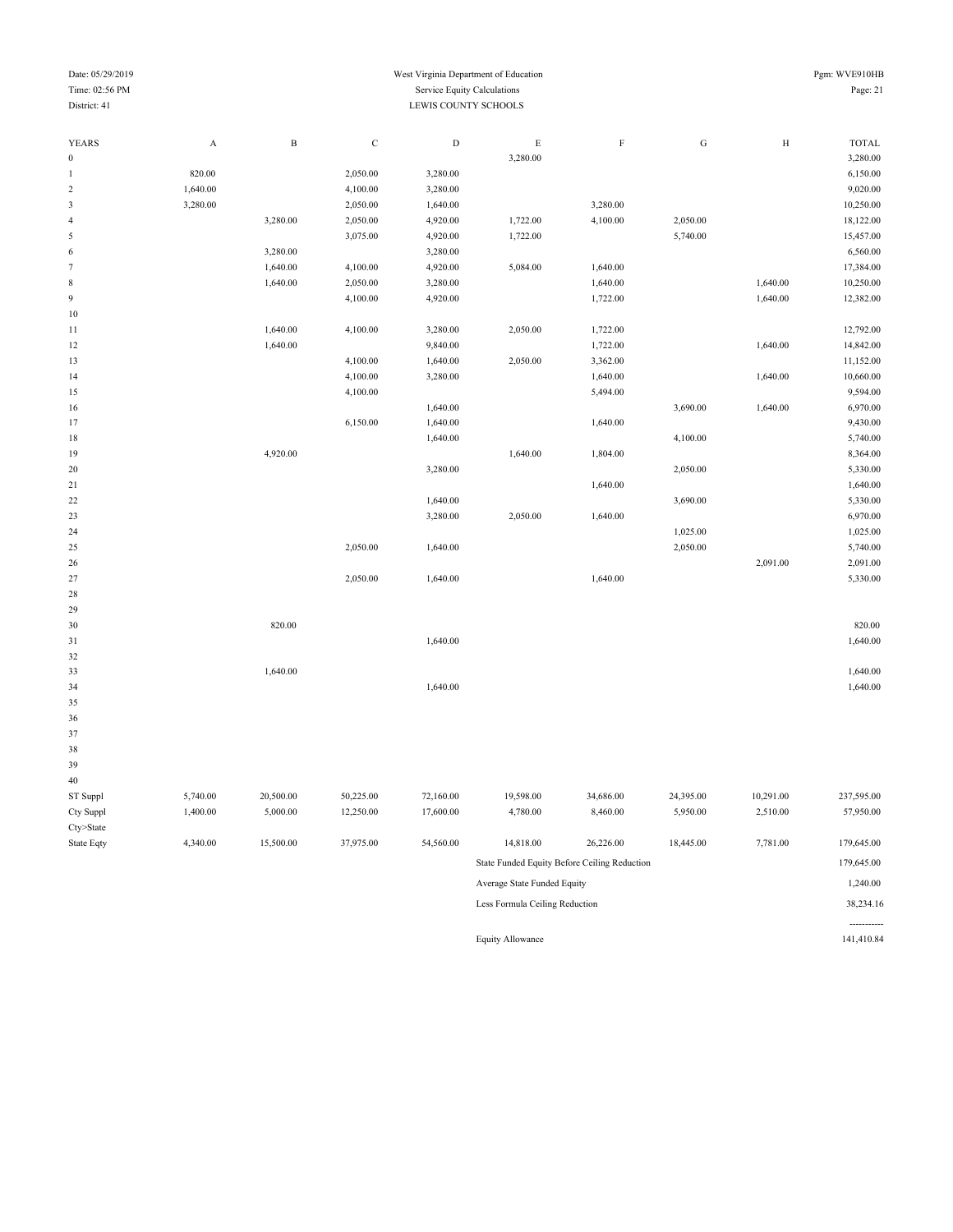| Date: 05/29/2019        |             |              |             | West Virginia Department of Education |             |             |           |           | Pgm: WVE910HB |
|-------------------------|-------------|--------------|-------------|---------------------------------------|-------------|-------------|-----------|-----------|---------------|
| Time: 02:56 PM          |             |              |             | Service Equity Calculations           |             |             |           |           | Page: 21      |
| District: 41            |             |              |             | LEWIS COUNTY SCHOOLS                  |             |             |           |           |               |
|                         |             |              |             |                                       |             |             |           |           |               |
| YEARS                   | $\mathbf A$ | $\, {\bf B}$ | $\mathbf C$ | $\mathbf D$                           | $\mathbf E$ | $\mathbf F$ | ${\bf G}$ | $\rm H$   | <b>TOTAL</b>  |
| $\boldsymbol{0}$        |             |              |             |                                       | 3,280.00    |             |           |           | 3,280.00      |
| $\mathbf{1}$            | 820.00      |              | 2,050.00    | 3,280.00                              |             |             |           |           | 6,150.00      |
| $\sqrt{2}$              | 1,640.00    |              | 4,100.00    | 3,280.00                              |             |             |           |           | 9,020.00      |
| $\overline{\mathbf{3}}$ | 3,280.00    |              | 2,050.00    | 1,640.00                              |             | 3,280.00    |           |           | 10,250.00     |
| $\sqrt{4}$              |             | 3,280.00     | 2,050.00    | 4,920.00                              | 1,722.00    | 4,100.00    | 2,050.00  |           | 18,122.00     |
| $\sqrt{5}$              |             |              | 3,075.00    | 4,920.00                              | 1,722.00    |             | 5,740.00  |           | 15,457.00     |
| $\sqrt{6}$              |             | 3,280.00     |             | 3,280.00                              |             |             |           |           | 6,560.00      |
| $\tau$                  |             | 1,640.00     | 4,100.00    | 4,920.00                              | 5,084.00    | 1,640.00    |           |           | 17,384.00     |
| $\,$ 8 $\,$             |             | 1,640.00     | 2,050.00    | 3,280.00                              |             | 1,640.00    |           | 1,640.00  | 10,250.00     |
| $\boldsymbol{9}$        |             |              | 4,100.00    | 4,920.00                              |             | 1,722.00    |           | 1,640.00  | 12,382.00     |
| 10                      |             |              |             |                                       |             |             |           |           |               |
| 11                      |             | 1,640.00     | 4,100.00    | 3,280.00                              | 2,050.00    | 1,722.00    |           |           | 12,792.00     |
| 12                      |             | 1,640.00     |             | 9,840.00                              |             | 1,722.00    |           | 1,640.00  | 14,842.00     |
| 13                      |             |              | 4,100.00    | 1,640.00                              | 2,050.00    | 3,362.00    |           |           | 11,152.00     |
| 14                      |             |              | 4,100.00    | 3,280.00                              |             | 1,640.00    |           | 1,640.00  | 10,660.00     |
| 15                      |             |              | 4,100.00    |                                       |             | 5,494.00    |           |           | 9,594.00      |
| 16                      |             |              |             | 1,640.00                              |             |             | 3,690.00  | 1,640.00  | 6,970.00      |
| 17                      |             |              | 6,150.00    | 1,640.00                              |             | 1,640.00    |           |           | 9,430.00      |
| 18                      |             |              |             | 1,640.00                              |             |             | 4,100.00  |           | 5,740.00      |
| 19                      |             | 4,920.00     |             |                                       | 1,640.00    | 1,804.00    |           |           | 8,364.00      |
| 20                      |             |              |             | 3,280.00                              |             |             | 2,050.00  |           | 5,330.00      |
| 21                      |             |              |             |                                       |             | 1,640.00    |           |           | 1,640.00      |
| $22\,$                  |             |              |             | 1,640.00                              |             |             | 3,690.00  |           | 5,330.00      |
| 23                      |             |              |             | 3,280.00                              | 2,050.00    | 1,640.00    |           |           | 6,970.00      |
| 24                      |             |              |             |                                       |             |             | 1,025.00  |           | 1,025.00      |
| 25                      |             |              | 2,050.00    | 1,640.00                              |             |             | 2,050.00  |           | 5,740.00      |
| 26                      |             |              |             |                                       |             |             |           | 2,091.00  | 2,091.00      |
| 27                      |             |              | 2,050.00    | 1,640.00                              |             | 1,640.00    |           |           | 5,330.00      |
| 28                      |             |              |             |                                       |             |             |           |           |               |
| 29                      |             |              |             |                                       |             |             |           |           |               |
| 30                      |             | 820.00       |             |                                       |             |             |           |           | 820.00        |
| 31                      |             |              |             | 1,640.00                              |             |             |           |           | 1,640.00      |
| 32                      |             |              |             |                                       |             |             |           |           |               |
| 33                      |             | 1,640.00     |             |                                       |             |             |           |           | 1,640.00      |
| 34                      |             |              |             | 1,640.00                              |             |             |           |           | 1,640.00      |
| 35                      |             |              |             |                                       |             |             |           |           |               |
| 36                      |             |              |             |                                       |             |             |           |           |               |
| 37                      |             |              |             |                                       |             |             |           |           |               |
| 38                      |             |              |             |                                       |             |             |           |           |               |
| 39                      |             |              |             |                                       |             |             |           |           |               |
| 40                      |             |              |             |                                       |             |             |           |           |               |
| ST Suppl                | 5,740.00    | 20,500.00    | 50,225.00   | 72,160.00                             | 19,598.00   | 34,686.00   | 24,395.00 | 10,291.00 | 237,595.00    |
| Cty Suppl               | 1,400.00    | 5,000.00     | 12,250.00   | 17,600.00                             | 4,780.00    | 8,460.00    | 5,950.00  | 2,510.00  | 57,950.00     |
| Cty>State               |             |              |             |                                       |             |             |           |           |               |
|                         |             |              |             |                                       |             |             |           |           |               |

| Cty>State  |          |           |           |           |                                              |           |           |          |              |
|------------|----------|-----------|-----------|-----------|----------------------------------------------|-----------|-----------|----------|--------------|
| State Eqty | 4,340.00 | 15,500.00 | 37,975.00 | 54,560.00 | 14,818.00                                    | 26,226.00 | 18,445.00 | 7,781.00 | 179,645.00   |
|            |          |           |           |           | State Funded Equity Before Ceiling Reduction |           |           |          | 179,645.00   |
|            |          |           |           |           | Average State Funded Equity                  |           |           |          | 1,240.00     |
|            |          |           |           |           | Less Formula Ceiling Reduction               |           |           |          | 38,234.16    |
|            |          |           |           |           |                                              |           |           |          | ------------ |
|            |          |           |           |           | <b>Equity Allowance</b>                      |           |           |          | 141,410.84   |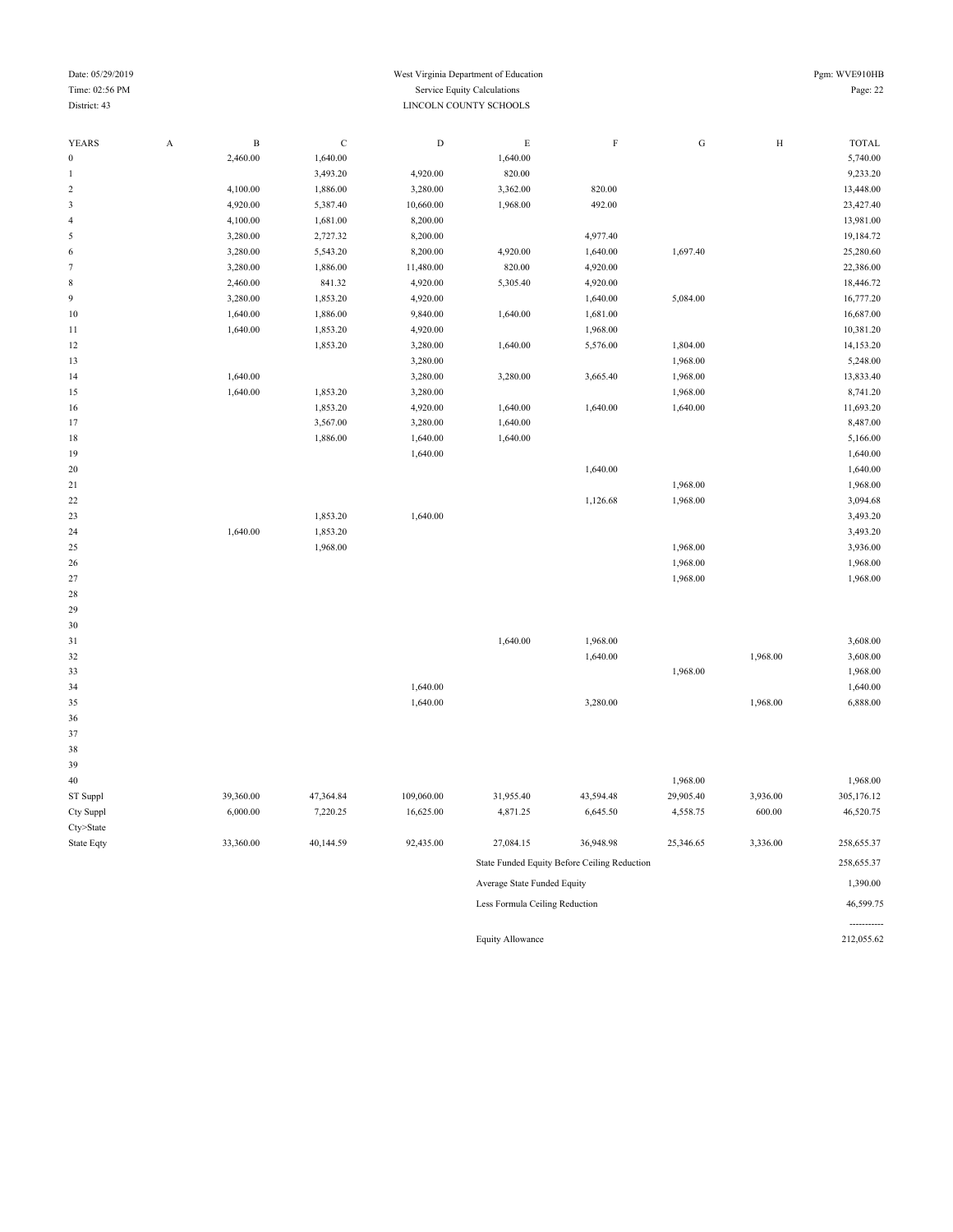#### Date: 05/29/2019 Pgm: WVE910HB Time: 02:56 PM Service Equity Calculations Page: 22 District: 43 LINCOLN COUNTY SCHOOLS

| <b>YEARS</b>            | $\boldsymbol{\mathsf{A}}$ | $\, {\bf B}$ | $\mathbf C$ | $\mathbf D$ | $\mathbf E$ | $\rm F$  | ${\bf G}$ | $\rm H$  | <b>TOTAL</b> |
|-------------------------|---------------------------|--------------|-------------|-------------|-------------|----------|-----------|----------|--------------|
| $\boldsymbol{0}$        |                           | 2,460.00     | 1,640.00    |             | 1,640.00    |          |           |          | 5,740.00     |
| $\mathbf{1}$            |                           |              | 3,493.20    | 4,920.00    | 820.00      |          |           |          | 9,233.20     |
| $\sqrt{2}$              |                           | 4,100.00     | 1,886.00    | 3,280.00    | 3,362.00    | 820.00   |           |          | 13,448.00    |
| $\overline{\mathbf{3}}$ |                           | 4,920.00     | 5,387.40    | 10,660.00   | 1,968.00    | 492.00   |           |          | 23,427.40    |
| $\overline{4}$          |                           | 4,100.00     | 1,681.00    | 8,200.00    |             |          |           |          | 13,981.00    |
| 5                       |                           | 3,280.00     | 2,727.32    | 8,200.00    |             | 4,977.40 |           |          | 19,184.72    |
| 6                       |                           | 3,280.00     | 5,543.20    | 8,200.00    | 4,920.00    | 1,640.00 | 1,697.40  |          | 25,280.60    |
| $\tau$                  |                           | 3,280.00     | 1,886.00    | 11,480.00   | 820.00      | 4,920.00 |           |          | 22,386.00    |
| $\,$ 8 $\,$             |                           | 2,460.00     | 841.32      | 4,920.00    | 5,305.40    | 4,920.00 |           |          | 18,446.72    |
| $\overline{9}$          |                           | 3,280.00     | 1,853.20    | 4,920.00    |             | 1,640.00 | 5,084.00  |          | 16,777.20    |
| 10                      |                           | 1,640.00     | 1,886.00    | 9,840.00    | 1,640.00    | 1,681.00 |           |          | 16,687.00    |
| 11                      |                           | 1,640.00     | 1,853.20    | 4,920.00    |             | 1,968.00 |           |          | 10,381.20    |
| 12                      |                           |              | 1,853.20    | 3,280.00    | 1,640.00    | 5,576.00 | 1,804.00  |          | 14,153.20    |
| 13                      |                           |              |             | 3,280.00    |             |          | 1,968.00  |          | 5,248.00     |
| 14                      |                           | 1,640.00     |             | 3,280.00    | 3,280.00    | 3,665.40 | 1,968.00  |          | 13,833.40    |
| 15                      |                           | 1,640.00     | 1,853.20    | 3,280.00    |             |          | 1,968.00  |          | 8,741.20     |
| 16                      |                           |              | 1,853.20    | 4,920.00    | 1,640.00    | 1,640.00 | 1,640.00  |          | 11,693.20    |
| 17                      |                           |              | 3,567.00    | 3,280.00    | 1,640.00    |          |           |          | 8,487.00     |
| 18                      |                           |              | 1,886.00    | 1,640.00    | 1,640.00    |          |           |          | 5,166.00     |
| 19                      |                           |              |             | 1,640.00    |             |          |           |          | 1,640.00     |
| 20                      |                           |              |             |             |             | 1,640.00 |           |          | 1,640.00     |
| $21\,$                  |                           |              |             |             |             |          | 1,968.00  |          | 1,968.00     |
| 22                      |                           |              |             |             |             | 1,126.68 | 1,968.00  |          | 3,094.68     |
| 23                      |                           |              | 1,853.20    | 1,640.00    |             |          |           |          | 3,493.20     |
| 24                      |                           | 1,640.00     | 1,853.20    |             |             |          |           |          | 3,493.20     |
| 25                      |                           |              | 1,968.00    |             |             |          | 1,968.00  |          | 3,936.00     |
| 26                      |                           |              |             |             |             |          | 1,968.00  |          | 1,968.00     |
| 27                      |                           |              |             |             |             |          | 1,968.00  |          | 1,968.00     |
| 28                      |                           |              |             |             |             |          |           |          |              |
| 29                      |                           |              |             |             |             |          |           |          |              |
| 30                      |                           |              |             |             |             |          |           |          |              |
| 31                      |                           |              |             |             | 1,640.00    | 1,968.00 |           |          | 3,608.00     |
| 32                      |                           |              |             |             |             | 1,640.00 |           | 1,968.00 | 3,608.00     |
| 33                      |                           |              |             |             |             |          | 1,968.00  |          | 1,968.00     |
| 34                      |                           |              |             | 1,640.00    |             |          |           |          | 1,640.00     |
| 35                      |                           |              |             | 1,640.00    |             | 3,280.00 |           | 1,968.00 | 6,888.00     |
| 36                      |                           |              |             |             |             |          |           |          |              |
| 37                      |                           |              |             |             |             |          |           |          |              |
| 38                      |                           |              |             |             |             |          |           |          |              |

| 39         |           |           |            |                             |                                              |           |          |            |
|------------|-----------|-----------|------------|-----------------------------|----------------------------------------------|-----------|----------|------------|
| 40         |           |           |            |                             |                                              | 1,968.00  |          | 1,968.00   |
| ST Suppl   | 39,360.00 | 47,364.84 | 109,060.00 | 31,955.40                   | 43,594.48                                    | 29,905.40 | 3,936.00 | 305,176.12 |
| Cty Suppl  | 6,000.00  | 7,220.25  | 16,625.00  | 4,871.25                    | 6,645.50                                     | 4,558.75  | 600.00   | 46,520.75  |
| Cty>State  |           |           |            |                             |                                              |           |          |            |
| State Eqty | 33,360.00 | 40,144.59 | 92,435.00  | 27,084.15                   | 36,948.98                                    | 25,346.65 | 3,336.00 | 258,655.37 |
|            |           |           |            |                             | State Funded Equity Before Ceiling Reduction |           |          | 258,655.37 |
|            |           |           |            | Average State Funded Equity |                                              |           |          | 1,390.00   |

| Less Formula Ceiling Reduction | 46.599.75 |
|--------------------------------|-----------|
| Average state Funded Equity    | 1.390.00  |

Equity Allowance 212,055.62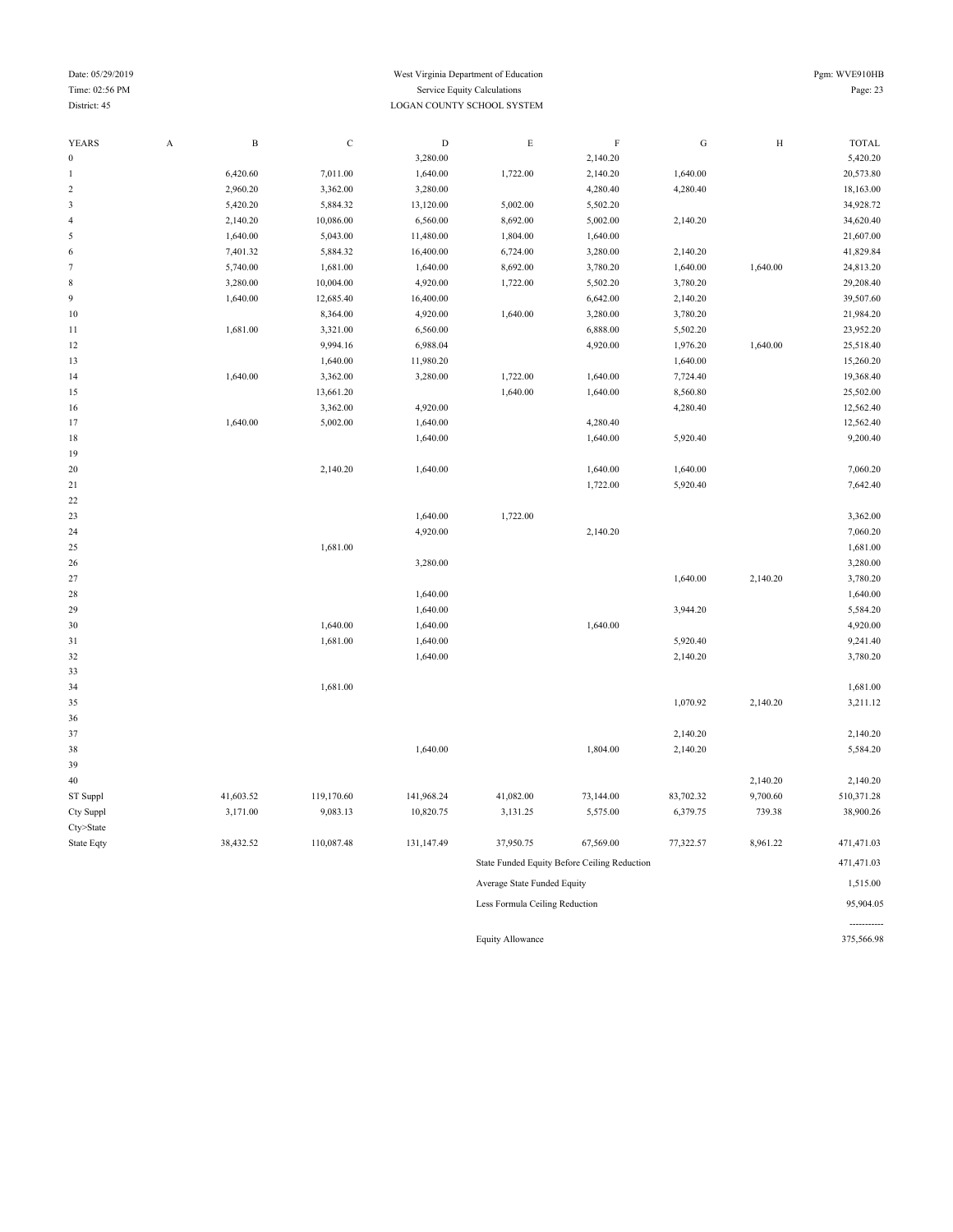#### Date: 05/29/2019 Pgm: WVE910HB Time: 02:56 PM Service Equity Calculations Page: 23 District: 45 LOGAN COUNTY SCHOOL SYSTEM

| $\overline{0}$<br>3,280.00<br>2,140.20<br>6,420.60<br>7,011.00<br>1,640.00<br>2,140.20<br>1,640.00<br>1,722.00<br>$\overline{\mathbf{c}}$<br>2,960.20<br>3,362.00<br>3,280.00<br>4,280.40<br>4,280.40<br>3<br>5,420.20<br>5,884.32<br>13,120.00<br>5,002.00<br>5,502.20<br>2,140.20<br>10,086.00<br>6,560.00<br>8,692.00<br>5,002.00<br>2,140.20<br>$\overline{4}$<br>1,640.00<br>5,043.00<br>11,480.00<br>1,804.00<br>1,640.00<br>5<br>7,401.32<br>5,884.32<br>16,400.00<br>6,724.00<br>3,280.00<br>2,140.20<br>41,829.84<br>6<br>$\tau$<br>5,740.00<br>1,681.00<br>1,640.00<br>8,692.00<br>3,780.20<br>1,640.00<br>1,640.00<br>8<br>3,280.00<br>10,004.00<br>4,920.00<br>1,722.00<br>5,502.20<br>3,780.20<br>9<br>1,640.00<br>12,685.40<br>16,400.00<br>6,642.00<br>2,140.20<br>4,920.00<br>1,640.00<br>3,280.00<br>$10\,$<br>8,364.00<br>3,780.20<br>3,321.00<br>1,681.00<br>6,560.00<br>6,888.00<br>5,502.20<br>11<br>9,994.16<br>4,920.00<br>1,640.00<br>25,518.40<br>12<br>6,988.04<br>1,976.20<br>1,640.00<br>11,980.20<br>1,640.00<br>13<br>14<br>1,640.00<br>3,362.00<br>3,280.00<br>1,722.00<br>1,640.00<br>7,724.40<br>15<br>13,661.20<br>1,640.00<br>1,640.00<br>8,560.80<br>3,362.00<br>12,562.40<br>4,920.00<br>4,280.40<br>16<br>17<br>1,640.00<br>5,002.00<br>1,640.00<br>4,280.40<br>12,562.40<br>18<br>1,640.00<br>1,640.00<br>5,920.40<br>19<br>2,140.20<br>1,640.00<br>1,640.00<br>1,640.00<br>20<br>5,920.40<br>21<br>1,722.00<br>$22\,$<br>23<br>1,640.00<br>1,722.00<br>4,920.00<br>2,140.20<br>7,060.20<br>24<br>25<br>1,681.00<br>1,681.00<br>26<br>3,280.00<br>3,280.00<br>27<br>1,640.00<br>2,140.20<br>3,780.20<br>1,640.00<br>28<br>1,640.00<br>29<br>1,640.00<br>3,944.20<br>5,584.20<br>1,640.00<br>4,920.00<br>30<br>1,640.00<br>1,640.00<br>1,681.00<br>1,640.00<br>5,920.40<br>9,241.40<br>31<br>32<br>1,640.00<br>2,140.20<br>3,780.20<br>33<br>34<br>1,681.00<br>1,681.00<br>1,070.92<br>2,140.20<br>3,211.12<br>35<br>36<br>37<br>2,140.20<br>2,140.20<br>1,804.00<br>5,584.20<br>38<br>1,640.00<br>2,140.20<br>39<br>$40\,$<br>2,140.20<br>2,140.20<br>41,603.52<br>119,170.60<br>41,082.00<br>9,700.60<br>510,371.28<br>ST Suppl<br>141,968.24<br>73,144.00<br>83,702.32<br>3,171.00<br>9,083.13<br>6,379.75<br>739.38<br>38,900.26<br>Cty Suppl<br>10,820.75<br>3,131.25<br>5,575.00<br>Cty>State<br>38,432.52<br>110,087.48<br>131,147.49<br>37,950.75<br>67,569.00<br>77,322.57<br>8,961.22<br>471,471.03<br>State Eqty<br>471,471.03<br>State Funded Equity Before Ceiling Reduction<br>Average State Funded Equity<br>Less Formula Ceiling Reduction | YEARS | $\boldsymbol{\rm{A}}$ | $\, {\bf B}$ | $\mathbf C$ | $\mathbf D$ | $\mathbf E$ | $\mathbf F$ | ${\rm G}$ | $\rm H$ | <b>TOTAL</b> |
|--------------------------------------------------------------------------------------------------------------------------------------------------------------------------------------------------------------------------------------------------------------------------------------------------------------------------------------------------------------------------------------------------------------------------------------------------------------------------------------------------------------------------------------------------------------------------------------------------------------------------------------------------------------------------------------------------------------------------------------------------------------------------------------------------------------------------------------------------------------------------------------------------------------------------------------------------------------------------------------------------------------------------------------------------------------------------------------------------------------------------------------------------------------------------------------------------------------------------------------------------------------------------------------------------------------------------------------------------------------------------------------------------------------------------------------------------------------------------------------------------------------------------------------------------------------------------------------------------------------------------------------------------------------------------------------------------------------------------------------------------------------------------------------------------------------------------------------------------------------------------------------------------------------------------------------------------------------------------------------------------------------------------------------------------------------------------------------------------------------------------------------------------------------------------------------------------------------------------------------------------------------------------------------------------------------------------------------------------------------------------------------------------------------------------------------------------------------------------------------------------------------------------------------------------------------------------------------------------|-------|-----------------------|--------------|-------------|-------------|-------------|-------------|-----------|---------|--------------|
|                                                                                                                                                                                                                                                                                                                                                                                                                                                                                                                                                                                                                                                                                                                                                                                                                                                                                                                                                                                                                                                                                                                                                                                                                                                                                                                                                                                                                                                                                                                                                                                                                                                                                                                                                                                                                                                                                                                                                                                                                                                                                                                                                                                                                                                                                                                                                                                                                                                                                                                                                                                                  |       |                       |              |             |             |             |             |           |         | 5,420.20     |
|                                                                                                                                                                                                                                                                                                                                                                                                                                                                                                                                                                                                                                                                                                                                                                                                                                                                                                                                                                                                                                                                                                                                                                                                                                                                                                                                                                                                                                                                                                                                                                                                                                                                                                                                                                                                                                                                                                                                                                                                                                                                                                                                                                                                                                                                                                                                                                                                                                                                                                                                                                                                  |       |                       |              |             |             |             |             |           |         | 20,573.80    |
|                                                                                                                                                                                                                                                                                                                                                                                                                                                                                                                                                                                                                                                                                                                                                                                                                                                                                                                                                                                                                                                                                                                                                                                                                                                                                                                                                                                                                                                                                                                                                                                                                                                                                                                                                                                                                                                                                                                                                                                                                                                                                                                                                                                                                                                                                                                                                                                                                                                                                                                                                                                                  |       |                       |              |             |             |             |             |           |         | 18,163.00    |
|                                                                                                                                                                                                                                                                                                                                                                                                                                                                                                                                                                                                                                                                                                                                                                                                                                                                                                                                                                                                                                                                                                                                                                                                                                                                                                                                                                                                                                                                                                                                                                                                                                                                                                                                                                                                                                                                                                                                                                                                                                                                                                                                                                                                                                                                                                                                                                                                                                                                                                                                                                                                  |       |                       |              |             |             |             |             |           |         | 34,928.72    |
|                                                                                                                                                                                                                                                                                                                                                                                                                                                                                                                                                                                                                                                                                                                                                                                                                                                                                                                                                                                                                                                                                                                                                                                                                                                                                                                                                                                                                                                                                                                                                                                                                                                                                                                                                                                                                                                                                                                                                                                                                                                                                                                                                                                                                                                                                                                                                                                                                                                                                                                                                                                                  |       |                       |              |             |             |             |             |           |         | 34,620.40    |
|                                                                                                                                                                                                                                                                                                                                                                                                                                                                                                                                                                                                                                                                                                                                                                                                                                                                                                                                                                                                                                                                                                                                                                                                                                                                                                                                                                                                                                                                                                                                                                                                                                                                                                                                                                                                                                                                                                                                                                                                                                                                                                                                                                                                                                                                                                                                                                                                                                                                                                                                                                                                  |       |                       |              |             |             |             |             |           |         | 21,607.00    |
|                                                                                                                                                                                                                                                                                                                                                                                                                                                                                                                                                                                                                                                                                                                                                                                                                                                                                                                                                                                                                                                                                                                                                                                                                                                                                                                                                                                                                                                                                                                                                                                                                                                                                                                                                                                                                                                                                                                                                                                                                                                                                                                                                                                                                                                                                                                                                                                                                                                                                                                                                                                                  |       |                       |              |             |             |             |             |           |         |              |
|                                                                                                                                                                                                                                                                                                                                                                                                                                                                                                                                                                                                                                                                                                                                                                                                                                                                                                                                                                                                                                                                                                                                                                                                                                                                                                                                                                                                                                                                                                                                                                                                                                                                                                                                                                                                                                                                                                                                                                                                                                                                                                                                                                                                                                                                                                                                                                                                                                                                                                                                                                                                  |       |                       |              |             |             |             |             |           |         | 24,813.20    |
|                                                                                                                                                                                                                                                                                                                                                                                                                                                                                                                                                                                                                                                                                                                                                                                                                                                                                                                                                                                                                                                                                                                                                                                                                                                                                                                                                                                                                                                                                                                                                                                                                                                                                                                                                                                                                                                                                                                                                                                                                                                                                                                                                                                                                                                                                                                                                                                                                                                                                                                                                                                                  |       |                       |              |             |             |             |             |           |         | 29,208.40    |
|                                                                                                                                                                                                                                                                                                                                                                                                                                                                                                                                                                                                                                                                                                                                                                                                                                                                                                                                                                                                                                                                                                                                                                                                                                                                                                                                                                                                                                                                                                                                                                                                                                                                                                                                                                                                                                                                                                                                                                                                                                                                                                                                                                                                                                                                                                                                                                                                                                                                                                                                                                                                  |       |                       |              |             |             |             |             |           |         | 39,507.60    |
|                                                                                                                                                                                                                                                                                                                                                                                                                                                                                                                                                                                                                                                                                                                                                                                                                                                                                                                                                                                                                                                                                                                                                                                                                                                                                                                                                                                                                                                                                                                                                                                                                                                                                                                                                                                                                                                                                                                                                                                                                                                                                                                                                                                                                                                                                                                                                                                                                                                                                                                                                                                                  |       |                       |              |             |             |             |             |           |         | 21,984.20    |
|                                                                                                                                                                                                                                                                                                                                                                                                                                                                                                                                                                                                                                                                                                                                                                                                                                                                                                                                                                                                                                                                                                                                                                                                                                                                                                                                                                                                                                                                                                                                                                                                                                                                                                                                                                                                                                                                                                                                                                                                                                                                                                                                                                                                                                                                                                                                                                                                                                                                                                                                                                                                  |       |                       |              |             |             |             |             |           |         | 23,952.20    |
|                                                                                                                                                                                                                                                                                                                                                                                                                                                                                                                                                                                                                                                                                                                                                                                                                                                                                                                                                                                                                                                                                                                                                                                                                                                                                                                                                                                                                                                                                                                                                                                                                                                                                                                                                                                                                                                                                                                                                                                                                                                                                                                                                                                                                                                                                                                                                                                                                                                                                                                                                                                                  |       |                       |              |             |             |             |             |           |         |              |
|                                                                                                                                                                                                                                                                                                                                                                                                                                                                                                                                                                                                                                                                                                                                                                                                                                                                                                                                                                                                                                                                                                                                                                                                                                                                                                                                                                                                                                                                                                                                                                                                                                                                                                                                                                                                                                                                                                                                                                                                                                                                                                                                                                                                                                                                                                                                                                                                                                                                                                                                                                                                  |       |                       |              |             |             |             |             |           |         | 15,260.20    |
|                                                                                                                                                                                                                                                                                                                                                                                                                                                                                                                                                                                                                                                                                                                                                                                                                                                                                                                                                                                                                                                                                                                                                                                                                                                                                                                                                                                                                                                                                                                                                                                                                                                                                                                                                                                                                                                                                                                                                                                                                                                                                                                                                                                                                                                                                                                                                                                                                                                                                                                                                                                                  |       |                       |              |             |             |             |             |           |         | 19,368.40    |
|                                                                                                                                                                                                                                                                                                                                                                                                                                                                                                                                                                                                                                                                                                                                                                                                                                                                                                                                                                                                                                                                                                                                                                                                                                                                                                                                                                                                                                                                                                                                                                                                                                                                                                                                                                                                                                                                                                                                                                                                                                                                                                                                                                                                                                                                                                                                                                                                                                                                                                                                                                                                  |       |                       |              |             |             |             |             |           |         | 25,502.00    |
|                                                                                                                                                                                                                                                                                                                                                                                                                                                                                                                                                                                                                                                                                                                                                                                                                                                                                                                                                                                                                                                                                                                                                                                                                                                                                                                                                                                                                                                                                                                                                                                                                                                                                                                                                                                                                                                                                                                                                                                                                                                                                                                                                                                                                                                                                                                                                                                                                                                                                                                                                                                                  |       |                       |              |             |             |             |             |           |         |              |
|                                                                                                                                                                                                                                                                                                                                                                                                                                                                                                                                                                                                                                                                                                                                                                                                                                                                                                                                                                                                                                                                                                                                                                                                                                                                                                                                                                                                                                                                                                                                                                                                                                                                                                                                                                                                                                                                                                                                                                                                                                                                                                                                                                                                                                                                                                                                                                                                                                                                                                                                                                                                  |       |                       |              |             |             |             |             |           |         |              |
|                                                                                                                                                                                                                                                                                                                                                                                                                                                                                                                                                                                                                                                                                                                                                                                                                                                                                                                                                                                                                                                                                                                                                                                                                                                                                                                                                                                                                                                                                                                                                                                                                                                                                                                                                                                                                                                                                                                                                                                                                                                                                                                                                                                                                                                                                                                                                                                                                                                                                                                                                                                                  |       |                       |              |             |             |             |             |           |         | 9,200.40     |
|                                                                                                                                                                                                                                                                                                                                                                                                                                                                                                                                                                                                                                                                                                                                                                                                                                                                                                                                                                                                                                                                                                                                                                                                                                                                                                                                                                                                                                                                                                                                                                                                                                                                                                                                                                                                                                                                                                                                                                                                                                                                                                                                                                                                                                                                                                                                                                                                                                                                                                                                                                                                  |       |                       |              |             |             |             |             |           |         |              |
|                                                                                                                                                                                                                                                                                                                                                                                                                                                                                                                                                                                                                                                                                                                                                                                                                                                                                                                                                                                                                                                                                                                                                                                                                                                                                                                                                                                                                                                                                                                                                                                                                                                                                                                                                                                                                                                                                                                                                                                                                                                                                                                                                                                                                                                                                                                                                                                                                                                                                                                                                                                                  |       |                       |              |             |             |             |             |           |         | 7,060.20     |
|                                                                                                                                                                                                                                                                                                                                                                                                                                                                                                                                                                                                                                                                                                                                                                                                                                                                                                                                                                                                                                                                                                                                                                                                                                                                                                                                                                                                                                                                                                                                                                                                                                                                                                                                                                                                                                                                                                                                                                                                                                                                                                                                                                                                                                                                                                                                                                                                                                                                                                                                                                                                  |       |                       |              |             |             |             |             |           |         | 7,642.40     |
|                                                                                                                                                                                                                                                                                                                                                                                                                                                                                                                                                                                                                                                                                                                                                                                                                                                                                                                                                                                                                                                                                                                                                                                                                                                                                                                                                                                                                                                                                                                                                                                                                                                                                                                                                                                                                                                                                                                                                                                                                                                                                                                                                                                                                                                                                                                                                                                                                                                                                                                                                                                                  |       |                       |              |             |             |             |             |           |         |              |
|                                                                                                                                                                                                                                                                                                                                                                                                                                                                                                                                                                                                                                                                                                                                                                                                                                                                                                                                                                                                                                                                                                                                                                                                                                                                                                                                                                                                                                                                                                                                                                                                                                                                                                                                                                                                                                                                                                                                                                                                                                                                                                                                                                                                                                                                                                                                                                                                                                                                                                                                                                                                  |       |                       |              |             |             |             |             |           |         | 3,362.00     |
|                                                                                                                                                                                                                                                                                                                                                                                                                                                                                                                                                                                                                                                                                                                                                                                                                                                                                                                                                                                                                                                                                                                                                                                                                                                                                                                                                                                                                                                                                                                                                                                                                                                                                                                                                                                                                                                                                                                                                                                                                                                                                                                                                                                                                                                                                                                                                                                                                                                                                                                                                                                                  |       |                       |              |             |             |             |             |           |         |              |
|                                                                                                                                                                                                                                                                                                                                                                                                                                                                                                                                                                                                                                                                                                                                                                                                                                                                                                                                                                                                                                                                                                                                                                                                                                                                                                                                                                                                                                                                                                                                                                                                                                                                                                                                                                                                                                                                                                                                                                                                                                                                                                                                                                                                                                                                                                                                                                                                                                                                                                                                                                                                  |       |                       |              |             |             |             |             |           |         |              |
|                                                                                                                                                                                                                                                                                                                                                                                                                                                                                                                                                                                                                                                                                                                                                                                                                                                                                                                                                                                                                                                                                                                                                                                                                                                                                                                                                                                                                                                                                                                                                                                                                                                                                                                                                                                                                                                                                                                                                                                                                                                                                                                                                                                                                                                                                                                                                                                                                                                                                                                                                                                                  |       |                       |              |             |             |             |             |           |         |              |
|                                                                                                                                                                                                                                                                                                                                                                                                                                                                                                                                                                                                                                                                                                                                                                                                                                                                                                                                                                                                                                                                                                                                                                                                                                                                                                                                                                                                                                                                                                                                                                                                                                                                                                                                                                                                                                                                                                                                                                                                                                                                                                                                                                                                                                                                                                                                                                                                                                                                                                                                                                                                  |       |                       |              |             |             |             |             |           |         |              |
|                                                                                                                                                                                                                                                                                                                                                                                                                                                                                                                                                                                                                                                                                                                                                                                                                                                                                                                                                                                                                                                                                                                                                                                                                                                                                                                                                                                                                                                                                                                                                                                                                                                                                                                                                                                                                                                                                                                                                                                                                                                                                                                                                                                                                                                                                                                                                                                                                                                                                                                                                                                                  |       |                       |              |             |             |             |             |           |         |              |
|                                                                                                                                                                                                                                                                                                                                                                                                                                                                                                                                                                                                                                                                                                                                                                                                                                                                                                                                                                                                                                                                                                                                                                                                                                                                                                                                                                                                                                                                                                                                                                                                                                                                                                                                                                                                                                                                                                                                                                                                                                                                                                                                                                                                                                                                                                                                                                                                                                                                                                                                                                                                  |       |                       |              |             |             |             |             |           |         |              |
|                                                                                                                                                                                                                                                                                                                                                                                                                                                                                                                                                                                                                                                                                                                                                                                                                                                                                                                                                                                                                                                                                                                                                                                                                                                                                                                                                                                                                                                                                                                                                                                                                                                                                                                                                                                                                                                                                                                                                                                                                                                                                                                                                                                                                                                                                                                                                                                                                                                                                                                                                                                                  |       |                       |              |             |             |             |             |           |         |              |
|                                                                                                                                                                                                                                                                                                                                                                                                                                                                                                                                                                                                                                                                                                                                                                                                                                                                                                                                                                                                                                                                                                                                                                                                                                                                                                                                                                                                                                                                                                                                                                                                                                                                                                                                                                                                                                                                                                                                                                                                                                                                                                                                                                                                                                                                                                                                                                                                                                                                                                                                                                                                  |       |                       |              |             |             |             |             |           |         |              |
|                                                                                                                                                                                                                                                                                                                                                                                                                                                                                                                                                                                                                                                                                                                                                                                                                                                                                                                                                                                                                                                                                                                                                                                                                                                                                                                                                                                                                                                                                                                                                                                                                                                                                                                                                                                                                                                                                                                                                                                                                                                                                                                                                                                                                                                                                                                                                                                                                                                                                                                                                                                                  |       |                       |              |             |             |             |             |           |         |              |
|                                                                                                                                                                                                                                                                                                                                                                                                                                                                                                                                                                                                                                                                                                                                                                                                                                                                                                                                                                                                                                                                                                                                                                                                                                                                                                                                                                                                                                                                                                                                                                                                                                                                                                                                                                                                                                                                                                                                                                                                                                                                                                                                                                                                                                                                                                                                                                                                                                                                                                                                                                                                  |       |                       |              |             |             |             |             |           |         |              |
|                                                                                                                                                                                                                                                                                                                                                                                                                                                                                                                                                                                                                                                                                                                                                                                                                                                                                                                                                                                                                                                                                                                                                                                                                                                                                                                                                                                                                                                                                                                                                                                                                                                                                                                                                                                                                                                                                                                                                                                                                                                                                                                                                                                                                                                                                                                                                                                                                                                                                                                                                                                                  |       |                       |              |             |             |             |             |           |         |              |
|                                                                                                                                                                                                                                                                                                                                                                                                                                                                                                                                                                                                                                                                                                                                                                                                                                                                                                                                                                                                                                                                                                                                                                                                                                                                                                                                                                                                                                                                                                                                                                                                                                                                                                                                                                                                                                                                                                                                                                                                                                                                                                                                                                                                                                                                                                                                                                                                                                                                                                                                                                                                  |       |                       |              |             |             |             |             |           |         |              |
|                                                                                                                                                                                                                                                                                                                                                                                                                                                                                                                                                                                                                                                                                                                                                                                                                                                                                                                                                                                                                                                                                                                                                                                                                                                                                                                                                                                                                                                                                                                                                                                                                                                                                                                                                                                                                                                                                                                                                                                                                                                                                                                                                                                                                                                                                                                                                                                                                                                                                                                                                                                                  |       |                       |              |             |             |             |             |           |         |              |
|                                                                                                                                                                                                                                                                                                                                                                                                                                                                                                                                                                                                                                                                                                                                                                                                                                                                                                                                                                                                                                                                                                                                                                                                                                                                                                                                                                                                                                                                                                                                                                                                                                                                                                                                                                                                                                                                                                                                                                                                                                                                                                                                                                                                                                                                                                                                                                                                                                                                                                                                                                                                  |       |                       |              |             |             |             |             |           |         |              |
|                                                                                                                                                                                                                                                                                                                                                                                                                                                                                                                                                                                                                                                                                                                                                                                                                                                                                                                                                                                                                                                                                                                                                                                                                                                                                                                                                                                                                                                                                                                                                                                                                                                                                                                                                                                                                                                                                                                                                                                                                                                                                                                                                                                                                                                                                                                                                                                                                                                                                                                                                                                                  |       |                       |              |             |             |             |             |           |         |              |
|                                                                                                                                                                                                                                                                                                                                                                                                                                                                                                                                                                                                                                                                                                                                                                                                                                                                                                                                                                                                                                                                                                                                                                                                                                                                                                                                                                                                                                                                                                                                                                                                                                                                                                                                                                                                                                                                                                                                                                                                                                                                                                                                                                                                                                                                                                                                                                                                                                                                                                                                                                                                  |       |                       |              |             |             |             |             |           |         |              |
|                                                                                                                                                                                                                                                                                                                                                                                                                                                                                                                                                                                                                                                                                                                                                                                                                                                                                                                                                                                                                                                                                                                                                                                                                                                                                                                                                                                                                                                                                                                                                                                                                                                                                                                                                                                                                                                                                                                                                                                                                                                                                                                                                                                                                                                                                                                                                                                                                                                                                                                                                                                                  |       |                       |              |             |             |             |             |           |         |              |
|                                                                                                                                                                                                                                                                                                                                                                                                                                                                                                                                                                                                                                                                                                                                                                                                                                                                                                                                                                                                                                                                                                                                                                                                                                                                                                                                                                                                                                                                                                                                                                                                                                                                                                                                                                                                                                                                                                                                                                                                                                                                                                                                                                                                                                                                                                                                                                                                                                                                                                                                                                                                  |       |                       |              |             |             |             |             |           |         |              |
|                                                                                                                                                                                                                                                                                                                                                                                                                                                                                                                                                                                                                                                                                                                                                                                                                                                                                                                                                                                                                                                                                                                                                                                                                                                                                                                                                                                                                                                                                                                                                                                                                                                                                                                                                                                                                                                                                                                                                                                                                                                                                                                                                                                                                                                                                                                                                                                                                                                                                                                                                                                                  |       |                       |              |             |             |             |             |           |         |              |
|                                                                                                                                                                                                                                                                                                                                                                                                                                                                                                                                                                                                                                                                                                                                                                                                                                                                                                                                                                                                                                                                                                                                                                                                                                                                                                                                                                                                                                                                                                                                                                                                                                                                                                                                                                                                                                                                                                                                                                                                                                                                                                                                                                                                                                                                                                                                                                                                                                                                                                                                                                                                  |       |                       |              |             |             |             |             |           |         |              |
|                                                                                                                                                                                                                                                                                                                                                                                                                                                                                                                                                                                                                                                                                                                                                                                                                                                                                                                                                                                                                                                                                                                                                                                                                                                                                                                                                                                                                                                                                                                                                                                                                                                                                                                                                                                                                                                                                                                                                                                                                                                                                                                                                                                                                                                                                                                                                                                                                                                                                                                                                                                                  |       |                       |              |             |             |             |             |           |         |              |
|                                                                                                                                                                                                                                                                                                                                                                                                                                                                                                                                                                                                                                                                                                                                                                                                                                                                                                                                                                                                                                                                                                                                                                                                                                                                                                                                                                                                                                                                                                                                                                                                                                                                                                                                                                                                                                                                                                                                                                                                                                                                                                                                                                                                                                                                                                                                                                                                                                                                                                                                                                                                  |       |                       |              |             |             |             |             |           |         |              |
|                                                                                                                                                                                                                                                                                                                                                                                                                                                                                                                                                                                                                                                                                                                                                                                                                                                                                                                                                                                                                                                                                                                                                                                                                                                                                                                                                                                                                                                                                                                                                                                                                                                                                                                                                                                                                                                                                                                                                                                                                                                                                                                                                                                                                                                                                                                                                                                                                                                                                                                                                                                                  |       |                       |              |             |             |             |             |           |         | 1,515.00     |
|                                                                                                                                                                                                                                                                                                                                                                                                                                                                                                                                                                                                                                                                                                                                                                                                                                                                                                                                                                                                                                                                                                                                                                                                                                                                                                                                                                                                                                                                                                                                                                                                                                                                                                                                                                                                                                                                                                                                                                                                                                                                                                                                                                                                                                                                                                                                                                                                                                                                                                                                                                                                  |       |                       |              |             |             |             |             |           |         | 95,904.05    |

Equity Allowance 375,566.98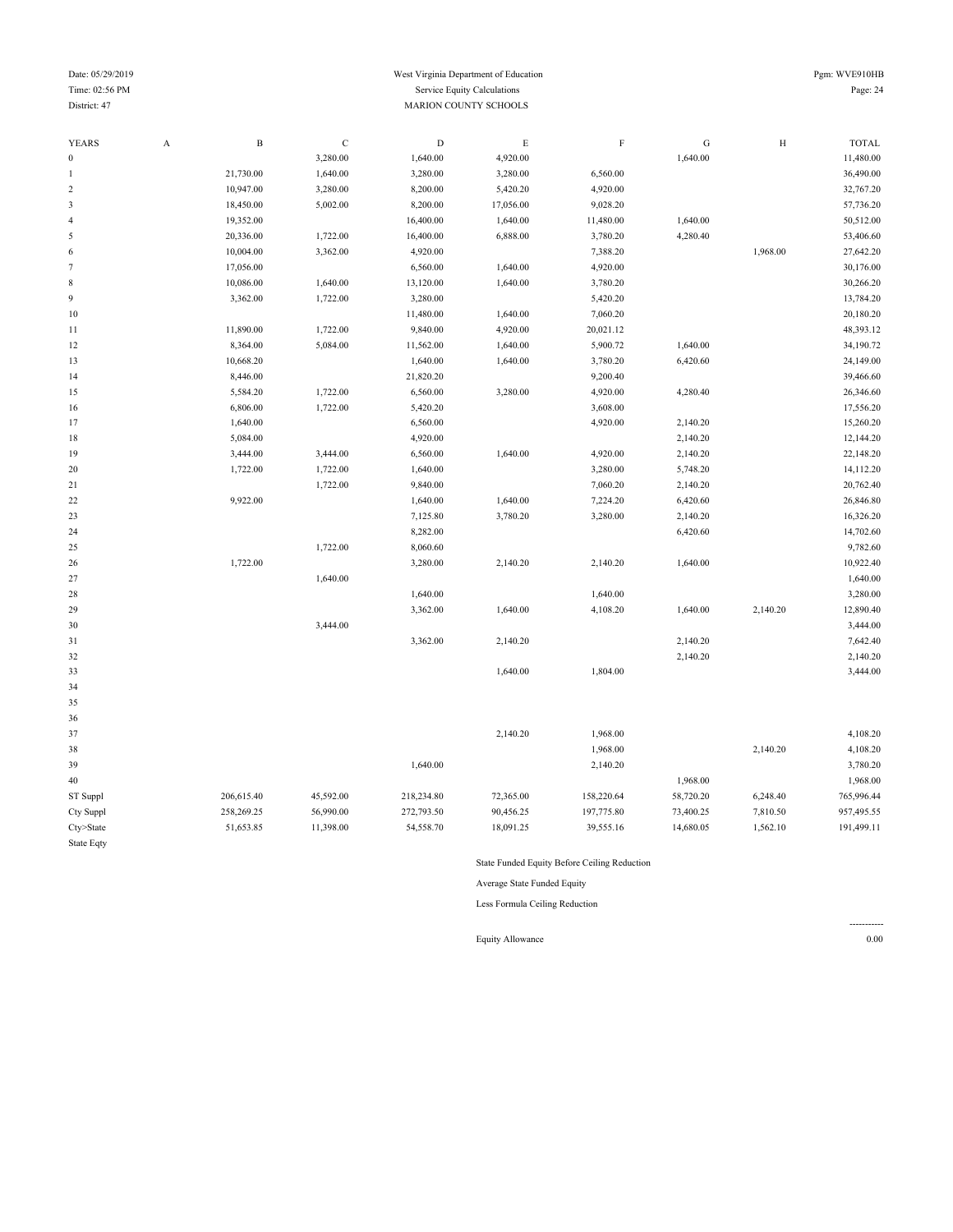#### Date: 05/29/2019 Pgm: WVE910HB Time: 02:56 PM Service Equity Calculations Page: 24 Service Equity Calculations Page: 24 District: 47 MARION COUNTY SCHOOLS

| <b>YEARS</b>             | $\boldsymbol{\rm{A}}$ | $\, {\bf B}$ | $\mathbf C$ | $\mathbf D$ | E         | $\mathbf F$ | ${\bf G}$ | $\,$ H   | <b>TOTAL</b> |
|--------------------------|-----------------------|--------------|-------------|-------------|-----------|-------------|-----------|----------|--------------|
| $\boldsymbol{0}$         |                       |              | 3,280.00    | 1,640.00    | 4,920.00  |             | 1,640.00  |          | 11,480.00    |
| $\mathbf{1}$             |                       | 21,730.00    | 1,640.00    | 3,280.00    | 3,280.00  | 6,560.00    |           |          | 36,490.00    |
| $\sqrt{2}$               |                       | 10,947.00    | 3,280.00    | 8,200.00    | 5,420.20  | 4,920.00    |           |          | 32,767.20    |
| $\mathbf{3}$             |                       | 18,450.00    | 5,002.00    | 8,200.00    | 17,056.00 | 9,028.20    |           |          | 57,736.20    |
| $\overline{\mathcal{L}}$ |                       | 19,352.00    |             | 16,400.00   | 1,640.00  | 11,480.00   | 1,640.00  |          | 50,512.00    |
| 5                        |                       | 20,336.00    | 1,722.00    | 16,400.00   | 6,888.00  | 3,780.20    | 4,280.40  |          | 53,406.60    |
| 6                        |                       | 10,004.00    | 3,362.00    | 4,920.00    |           | 7,388.20    |           | 1,968.00 | 27,642.20    |
| $\tau$                   |                       | 17,056.00    |             | 6,560.00    | 1,640.00  | 4,920.00    |           |          | 30,176.00    |
| 8                        |                       | 10,086.00    | 1,640.00    | 13,120.00   | 1,640.00  | 3,780.20    |           |          | 30,266.20    |
| 9                        |                       | 3,362.00     | 1,722.00    | 3,280.00    |           | 5,420.20    |           |          | 13,784.20    |
| $10$                     |                       |              |             | 11,480.00   | 1,640.00  | 7,060.20    |           |          | 20,180.20    |
| 11                       |                       | 11,890.00    | 1,722.00    | 9,840.00    | 4,920.00  | 20,021.12   |           |          | 48,393.12    |
| 12                       |                       | 8,364.00     | 5,084.00    | 11,562.00   | 1,640.00  | 5,900.72    | 1,640.00  |          | 34,190.72    |
| 13                       |                       | 10,668.20    |             | 1,640.00    | 1,640.00  | 3,780.20    | 6,420.60  |          | 24,149.00    |
| 14                       |                       | 8,446.00     |             | 21,820.20   |           | 9,200.40    |           |          | 39,466.60    |
| 15                       |                       | 5,584.20     | 1,722.00    | 6,560.00    | 3,280.00  | 4,920.00    | 4,280.40  |          | 26,346.60    |
| 16                       |                       | 6,806.00     | 1,722.00    | 5,420.20    |           | 3,608.00    |           |          | 17,556.20    |
| 17                       |                       | 1,640.00     |             | 6,560.00    |           | 4,920.00    | 2,140.20  |          | 15,260.20    |
| 18                       |                       | 5,084.00     |             | 4,920.00    |           |             | 2,140.20  |          | 12,144.20    |
| 19                       |                       | 3,444.00     | 3,444.00    | 6,560.00    | 1,640.00  | 4,920.00    | 2,140.20  |          | 22,148.20    |
| 20                       |                       | 1,722.00     | 1,722.00    | 1,640.00    |           | 3,280.00    | 5,748.20  |          | 14,112.20    |
| 21                       |                       |              | 1,722.00    | 9,840.00    |           | 7,060.20    | 2,140.20  |          | 20,762.40    |
| 22                       |                       | 9,922.00     |             | 1,640.00    | 1,640.00  | 7,224.20    | 6,420.60  |          | 26,846.80    |
| 23                       |                       |              |             | 7,125.80    | 3,780.20  | 3,280.00    | 2,140.20  |          | 16,326.20    |
| 24                       |                       |              |             | 8,282.00    |           |             | 6,420.60  |          | 14,702.60    |
| 25                       |                       |              | 1,722.00    | 8,060.60    |           |             |           |          | 9,782.60     |
| 26                       |                       | 1,722.00     |             | 3,280.00    | 2,140.20  | 2,140.20    | 1,640.00  |          | 10,922.40    |
| 27                       |                       |              | 1,640.00    |             |           |             |           |          | 1,640.00     |
| 28                       |                       |              |             | 1,640.00    |           | 1,640.00    |           |          | 3,280.00     |
| 29                       |                       |              |             | 3,362.00    | 1,640.00  | 4,108.20    | 1,640.00  | 2,140.20 | 12,890.40    |
| 30                       |                       |              | 3,444.00    |             |           |             |           |          | 3,444.00     |
| 31                       |                       |              |             | 3,362.00    | 2,140.20  |             | 2,140.20  |          | 7,642.40     |
| 32                       |                       |              |             |             |           |             | 2,140.20  |          | 2,140.20     |
| 33                       |                       |              |             |             | 1,640.00  | 1,804.00    |           |          | 3,444.00     |
| 34                       |                       |              |             |             |           |             |           |          |              |
| 35                       |                       |              |             |             |           |             |           |          |              |
| 36                       |                       |              |             |             |           |             |           |          |              |
| 37                       |                       |              |             |             | 2,140.20  | 1,968.00    |           |          | 4,108.20     |
| 38                       |                       |              |             |             |           | 1,968.00    |           | 2,140.20 | 4,108.20     |
| 39                       |                       |              |             | 1,640.00    |           | 2,140.20    |           |          | 3,780.20     |
| 40                       |                       |              |             |             |           |             | 1,968.00  |          | 1,968.00     |
|                          |                       | 206,615.40   | 45,592.00   | 218,234.80  | 72,365.00 | 158,220.64  | 58,720.20 | 6,248.40 | 765,996.44   |
| ST Suppl                 |                       | 258,269.25   | 56,990.00   | 272,793.50  | 90,456.25 | 197,775.80  | 73,400.25 | 7,810.50 | 957,495.55   |
| Cty Suppl<br>Cty>State   |                       | 51,653.85    | 11,398.00   | 54,558.70   | 18,091.25 | 39,555.16   | 14,680.05 | 1,562.10 | 191,499.11   |
|                          |                       |              |             |             |           |             |           |          |              |
| <b>State Eqty</b>        |                       |              |             |             |           |             |           |          |              |

State Funded Equity Before Ceiling Reduction

Average State Funded Equity

Less Formula Ceiling Reduction

Equity Allowance 0.00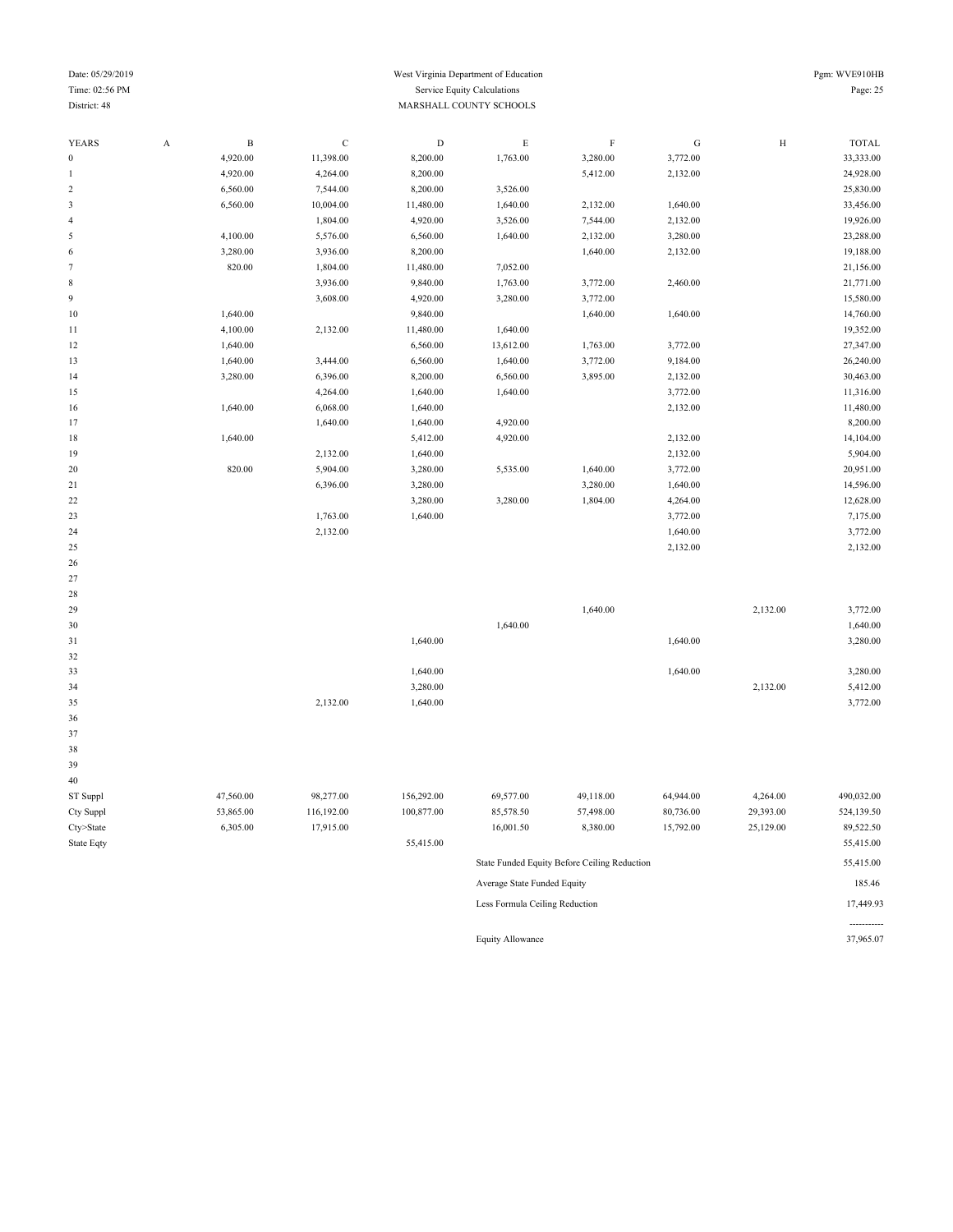#### Date: 05/29/2019 Pgm: WVE910HB Time: 02:56 PM Service Equity Calculations Page: 25 District: 48 MARSHALL COUNTY SCHOOLS

-----------

| <b>YEARS</b> | A | $\, {\bf B}$ | $\mathbf C$ | $\mathbf D$ | E         | $\mathbf F$ | ${\bf G}$ | $\, {\rm H}$ | <b>TOTAL</b> |
|--------------|---|--------------|-------------|-------------|-----------|-------------|-----------|--------------|--------------|
| $\bf{0}$     |   | 4,920.00     | 11,398.00   | 8,200.00    | 1,763.00  | 3,280.00    | 3,772.00  |              | 33,333.00    |
| 1            |   | 4,920.00     | 4,264.00    | 8,200.00    |           | 5,412.00    | 2,132.00  |              | 24,928.00    |
| 2            |   | 6,560.00     | 7,544.00    | 8,200.00    | 3,526.00  |             |           |              | 25,830.00    |
| 3            |   | 6,560.00     | 10,004.00   | 11,480.00   | 1,640.00  | 2,132.00    | 1,640.00  |              | 33,456.00    |
| 4            |   |              | 1,804.00    | 4,920.00    | 3,526.00  | 7,544.00    | 2,132.00  |              | 19,926.00    |
| 5            |   | 4,100.00     | 5,576.00    | 6,560.00    | 1,640.00  | 2,132.00    | 3,280.00  |              | 23,288.00    |
| 6            |   | 3,280.00     | 3,936.00    | 8,200.00    |           | 1,640.00    | 2,132.00  |              | 19,188.00    |
| 7            |   | 820.00       | 1,804.00    | 11,480.00   | 7,052.00  |             |           |              | 21,156.00    |
| 8            |   |              | 3,936.00    | 9,840.00    | 1,763.00  | 3,772.00    | 2,460.00  |              | 21,771.00    |
| 9            |   |              | 3,608.00    | 4,920.00    | 3,280.00  | 3,772.00    |           |              | 15,580.00    |
| 10           |   | 1,640.00     |             | 9,840.00    |           | 1,640.00    | 1,640.00  |              | 14,760.00    |
| 11           |   | 4,100.00     | 2,132.00    | 11,480.00   | 1,640.00  |             |           |              | 19,352.00    |
| 12           |   | 1,640.00     |             | 6,560.00    | 13,612.00 | 1,763.00    | 3,772.00  |              | 27,347.00    |
| 13           |   | 1,640.00     | 3,444.00    | 6,560.00    | 1,640.00  | 3,772.00    | 9,184.00  |              | 26,240.00    |
| 14           |   | 3,280.00     | 6,396.00    | 8,200.00    | 6,560.00  | 3,895.00    | 2,132.00  |              | 30,463.00    |
| 15           |   |              | 4,264.00    | 1,640.00    | 1,640.00  |             | 3,772.00  |              | 11,316.00    |
| 16           |   | 1,640.00     | 6,068.00    | 1,640.00    |           |             | 2,132.00  |              | 11,480.00    |
| 17           |   |              | 1,640.00    | 1,640.00    | 4,920.00  |             |           |              | 8,200.00     |
| 18           |   | 1,640.00     |             | 5,412.00    | 4,920.00  |             | 2,132.00  |              | 14,104.00    |
| 19           |   |              | 2,132.00    | 1,640.00    |           |             | 2,132.00  |              | 5,904.00     |
| 20           |   | 820.00       | 5,904.00    | 3,280.00    | 5,535.00  | 1,640.00    | 3,772.00  |              | 20,951.00    |
| 21           |   |              | 6,396.00    | 3,280.00    |           | 3,280.00    | 1,640.00  |              | 14,596.00    |
| 22           |   |              |             | 3,280.00    | 3,280.00  | 1,804.00    | 4,264.00  |              | 12,628.00    |
| 23           |   |              | 1,763.00    | 1,640.00    |           |             | 3,772.00  |              | 7,175.00     |
| 24           |   |              | 2,132.00    |             |           |             | 1,640.00  |              | 3,772.00     |
| 25           |   |              |             |             |           |             | 2,132.00  |              | 2,132.00     |
| 26           |   |              |             |             |           |             |           |              |              |
| 27           |   |              |             |             |           |             |           |              |              |

| 29 |          |          | 1,640.00 | 2,132.00 | 3,772.00 |
|----|----------|----------|----------|----------|----------|
| 30 |          |          | 1,640.00 |          | 1,640.00 |
| 31 |          | 1,640.00 | 1,640.00 |          | 3,280.00 |
| 32 |          |          |          |          |          |
| 33 |          | 1,640.00 | 1,640.00 |          | 3,280.00 |
| 34 |          | 3,280.00 |          | 2,132.00 | 5,412.00 |
| 35 | 2,132.00 | 1,640.00 |          |          | 3,772.00 |
|    |          |          |          |          |          |

| 39           |           |            |            |           |                                              |           |           |            |
|--------------|-----------|------------|------------|-----------|----------------------------------------------|-----------|-----------|------------|
| 40           |           |            |            |           |                                              |           |           |            |
| ST Suppl     | 47.560.00 | 98.277.00  | 156.292.00 | 69,577.00 | 49.118.00                                    | 64.944.00 | 4.264.00  | 490,032.00 |
| Cty Suppl    | 53,865.00 | 116,192.00 | 100,877.00 | 85,578.50 | 57,498.00                                    | 80,736.00 | 29,393.00 | 524,139.50 |
| $C$ ty>State | 6,305.00  | 17,915.00  |            | 16,001.50 | 8,380.00                                     | 15,792.00 | 25,129.00 | 89,522.50  |
| State Eqty   |           |            | 55,415.00  |           |                                              |           |           | 55,415.00  |
|              |           |            |            |           | State Funded Equity Before Ceiling Reduction |           |           | 55,415.00  |

| Average State Funded Equity    | 185.46    |
|--------------------------------|-----------|
| Less Formula Ceiling Reduction | 17.449.93 |

Equity Allowance 37,965.07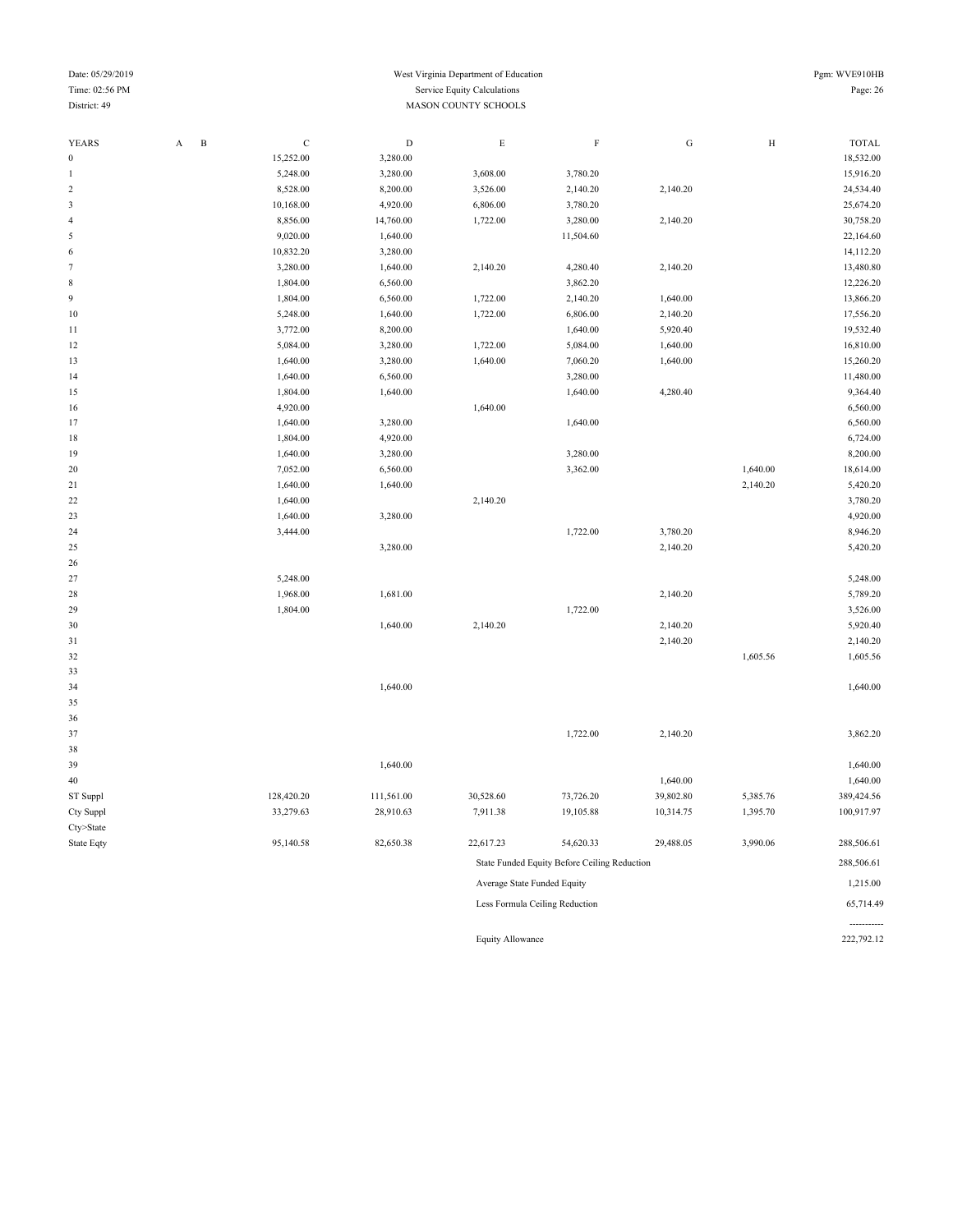#### Date: 05/29/2019 Pgm: WVE910HB Time: 02:56 PM Service Equity Calculations Page: 26 District: 49 MASON COUNTY SCHOOLS

-----------<br>222,792.12

| <b>YEARS</b>   | $\, {\bf B}$<br>A | $\mathbf C$ | ${\rm D}$  | $\mathbf E$                 | $\mathbf F$                                  | ${\bf G}$ | $\,$ H   | <b>TOTAL</b> |
|----------------|-------------------|-------------|------------|-----------------------------|----------------------------------------------|-----------|----------|--------------|
| $\mathbf{0}$   |                   | 15,252.00   | 3,280.00   |                             |                                              |           |          | 18,532.00    |
| 1              |                   | 5,248.00    | 3,280.00   | 3,608.00                    | 3,780.20                                     |           |          | 15,916.20    |
| $\overline{c}$ |                   | 8,528.00    | 8,200.00   | 3,526.00                    | 2,140.20                                     | 2,140.20  |          | 24,534.40    |
| $\mathfrak{Z}$ |                   | 10,168.00   | 4,920.00   | 6,806.00                    | 3,780.20                                     |           |          | 25,674.20    |
| 4              |                   | 8,856.00    | 14,760.00  | 1,722.00                    | 3,280.00                                     | 2,140.20  |          | 30,758.20    |
| 5              |                   | 9,020.00    | 1,640.00   |                             | 11,504.60                                    |           |          | 22,164.60    |
| 6              |                   | 10,832.20   | 3,280.00   |                             |                                              |           |          | 14,112.20    |
| $\tau$         |                   | 3,280.00    | 1,640.00   | 2,140.20                    | 4,280.40                                     | 2,140.20  |          | 13,480.80    |
| $\,$ 8 $\,$    |                   | 1,804.00    | 6,560.00   |                             | 3,862.20                                     |           |          | 12,226.20    |
| 9              |                   | 1,804.00    | 6,560.00   | 1,722.00                    | 2,140.20                                     | 1,640.00  |          | 13,866.20    |
| 10             |                   | 5,248.00    | 1,640.00   | 1,722.00                    | 6,806.00                                     | 2,140.20  |          | 17,556.20    |
| $1\,1$         |                   | 3,772.00    | 8,200.00   |                             | 1,640.00                                     | 5,920.40  |          | 19,532.40    |
| 12             |                   | 5,084.00    | 3,280.00   | 1,722.00                    | 5,084.00                                     | 1,640.00  |          | 16,810.00    |
| 13             |                   | 1,640.00    | 3,280.00   | 1,640.00                    | 7,060.20                                     | 1,640.00  |          | 15,260.20    |
| 14             |                   | 1,640.00    | 6,560.00   |                             | 3,280.00                                     |           |          | 11,480.00    |
| 15             |                   | 1,804.00    | 1,640.00   |                             | 1,640.00                                     | 4,280.40  |          | 9,364.40     |
| 16             |                   | 4,920.00    |            | 1,640.00                    |                                              |           |          | 6,560.00     |
| $17\,$         |                   | 1,640.00    | 3,280.00   |                             | 1,640.00                                     |           |          | 6,560.00     |
| 18             |                   | 1,804.00    | 4,920.00   |                             |                                              |           |          | 6,724.00     |
| 19             |                   | 1,640.00    | 3,280.00   |                             | 3,280.00                                     |           |          | 8,200.00     |
| 20             |                   | 7,052.00    | 6,560.00   |                             | 3,362.00                                     |           | 1,640.00 | 18,614.00    |
| 21             |                   | 1,640.00    | 1,640.00   |                             |                                              |           | 2,140.20 | 5,420.20     |
| 22             |                   | 1,640.00    |            | 2,140.20                    |                                              |           |          | 3,780.20     |
| 23             |                   | 1,640.00    | 3,280.00   |                             |                                              |           |          | 4,920.00     |
| 24             |                   | 3,444.00    |            |                             | 1,722.00                                     | 3,780.20  |          | 8,946.20     |
| 25             |                   |             | 3,280.00   |                             |                                              | 2,140.20  |          | 5,420.20     |
| 26             |                   |             |            |                             |                                              |           |          |              |
| $27\,$         |                   | 5,248.00    |            |                             |                                              |           |          | 5,248.00     |
| 28             |                   | 1,968.00    | 1,681.00   |                             |                                              | 2,140.20  |          | 5,789.20     |
| 29             |                   | 1,804.00    |            |                             | 1,722.00                                     |           |          | 3,526.00     |
| 30             |                   |             | 1,640.00   | 2,140.20                    |                                              | 2,140.20  |          | 5,920.40     |
| 31             |                   |             |            |                             |                                              | 2,140.20  |          | 2,140.20     |
| $32\,$         |                   |             |            |                             |                                              |           | 1,605.56 | 1,605.56     |
| 33             |                   |             |            |                             |                                              |           |          |              |
| 34             |                   |             | 1,640.00   |                             |                                              |           |          | 1,640.00     |
| 35             |                   |             |            |                             |                                              |           |          |              |
| 36             |                   |             |            |                             |                                              |           |          |              |
| 37             |                   |             |            |                             | 1,722.00                                     | 2,140.20  |          | 3,862.20     |
| 38             |                   |             |            |                             |                                              |           |          |              |
| 39             |                   |             | 1,640.00   |                             |                                              |           |          | 1,640.00     |
| 40             |                   |             |            |                             |                                              | 1,640.00  |          | 1,640.00     |
| ST Suppl       |                   | 128,420.20  | 111,561.00 | 30,528.60                   | 73,726.20                                    | 39,802.80 | 5,385.76 | 389,424.56   |
| Cty Suppl      |                   | 33,279.63   | 28,910.63  | 7,911.38                    | 19,105.88                                    | 10,314.75 | 1,395.70 | 100,917.97   |
| Cty>State      |                   |             |            |                             |                                              |           |          |              |
| State Eqty     |                   | 95,140.58   | 82,650.38  | 22,617.23                   | 54,620.33                                    | 29,488.05 | 3,990.06 | 288,506.61   |
|                |                   |             |            |                             | State Funded Equity Before Ceiling Reduction |           |          | 288,506.61   |
|                |                   |             |            | Average State Funded Equity |                                              |           |          | 1,215.00     |
|                |                   |             |            |                             | Less Formula Ceiling Reduction               |           |          | 65,714.49    |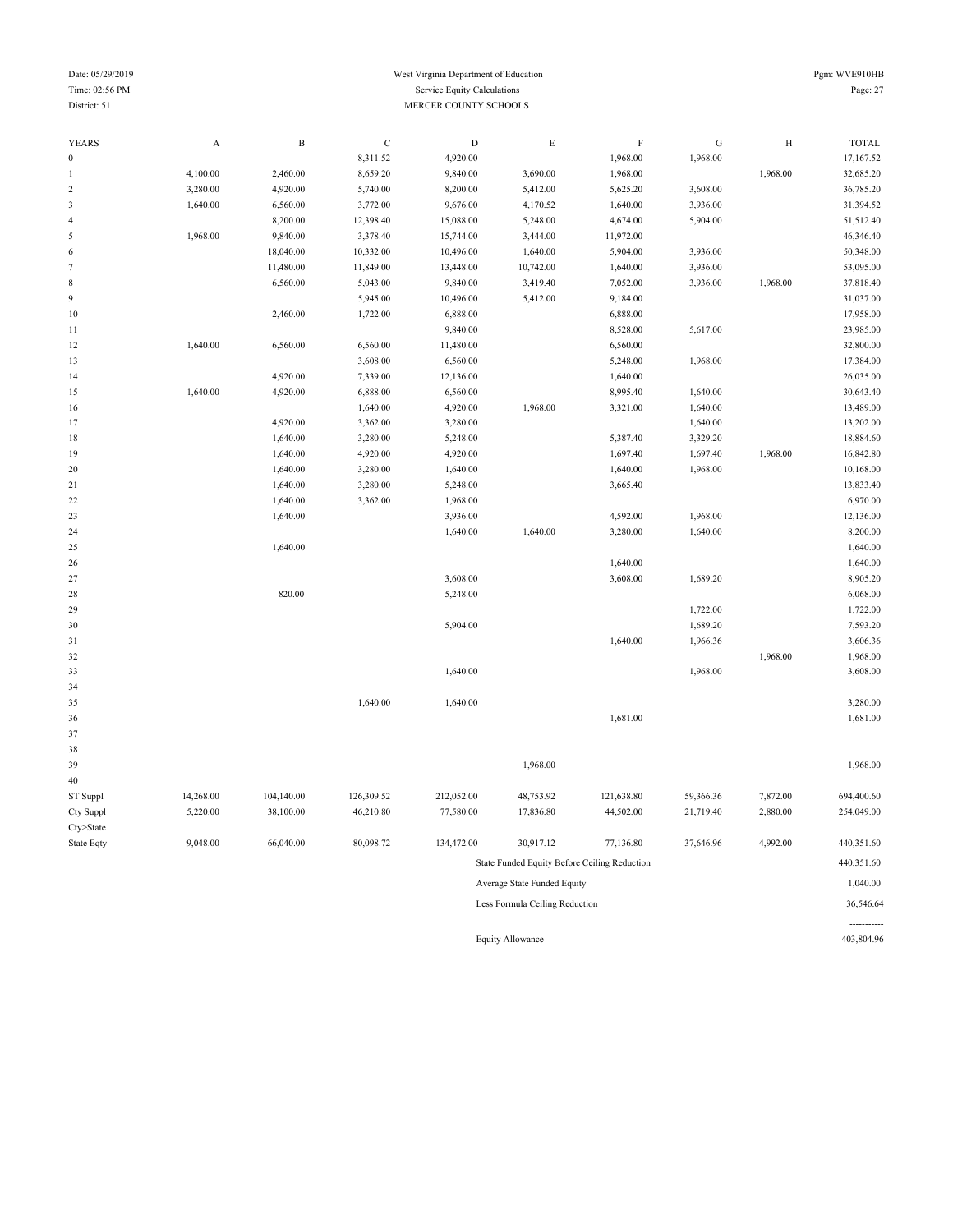| YEARS                       | A         | $\, {\bf B}$ | $\mathbf C$ | $\mathbf D$ | $\mathbf E$                                  | $\rm F$    | G         | H        | <b>TOTAL</b> |
|-----------------------------|-----------|--------------|-------------|-------------|----------------------------------------------|------------|-----------|----------|--------------|
| $\boldsymbol{0}$            |           |              | 8,311.52    | 4,920.00    |                                              | 1,968.00   | 1,968.00  |          | 17,167.52    |
| $\,1$                       | 4,100.00  | 2,460.00     | 8,659.20    | 9,840.00    | 3,690.00                                     | 1,968.00   |           | 1,968.00 | 32,685.20    |
| $\sqrt{2}$                  | 3,280.00  | 4,920.00     | 5,740.00    | 8,200.00    | 5,412.00                                     | 5,625.20   | 3,608.00  |          | 36,785.20    |
| $\ensuremath{\mathfrak{Z}}$ | 1,640.00  | 6,560.00     | 3,772.00    | 9,676.00    | 4,170.52                                     | 1,640.00   | 3,936.00  |          | 31,394.52    |
| $\sqrt{4}$                  |           | 8,200.00     | 12,398.40   | 15,088.00   | 5,248.00                                     | 4,674.00   | 5,904.00  |          | 51,512.40    |
| $\sqrt{5}$                  | 1,968.00  | 9,840.00     | 3,378.40    | 15,744.00   | 3,444.00                                     | 11,972.00  |           |          | 46,346.40    |
| 6                           |           | 18,040.00    | 10,332.00   | 10,496.00   | 1,640.00                                     | 5,904.00   | 3,936.00  |          | 50,348.00    |
| $\boldsymbol{7}$            |           | 11,480.00    | 11,849.00   | 13,448.00   | 10,742.00                                    | 1,640.00   | 3,936.00  |          | 53,095.00    |
| 8                           |           | 6,560.00     | 5,043.00    | 9,840.00    | 3,419.40                                     | 7,052.00   | 3,936.00  | 1,968.00 | 37,818.40    |
| 9                           |           |              | 5,945.00    | 10,496.00   | 5,412.00                                     | 9,184.00   |           |          | 31,037.00    |
| 10                          |           | 2,460.00     | 1,722.00    | 6,888.00    |                                              | 6,888.00   |           |          | 17,958.00    |
| 11                          |           |              |             | 9,840.00    |                                              | 8,528.00   | 5,617.00  |          | 23,985.00    |
| 12                          | 1,640.00  | 6,560.00     | 6,560.00    | 11,480.00   |                                              | 6,560.00   |           |          | 32,800.00    |
| 13                          |           |              | 3,608.00    | 6,560.00    |                                              | 5,248.00   | 1,968.00  |          | 17,384.00    |
| 14                          |           | 4,920.00     | 7,339.00    | 12,136.00   |                                              | 1,640.00   |           |          | 26,035.00    |
| 15                          | 1,640.00  | 4,920.00     | 6,888.00    | 6,560.00    |                                              | 8,995.40   | 1,640.00  |          | 30,643.40    |
| 16                          |           |              | 1,640.00    | 4,920.00    | 1,968.00                                     | 3,321.00   | 1,640.00  |          | 13,489.00    |
| 17                          |           | 4,920.00     | 3,362.00    | 3,280.00    |                                              |            | 1,640.00  |          | 13,202.00    |
| 18                          |           | 1,640.00     | 3,280.00    | 5,248.00    |                                              | 5,387.40   | 3,329.20  |          | 18,884.60    |
| 19                          |           | 1,640.00     | 4,920.00    | 4,920.00    |                                              | 1,697.40   | 1,697.40  | 1,968.00 | 16,842.80    |
| 20                          |           | 1,640.00     | 3,280.00    | 1,640.00    |                                              | 1,640.00   | 1,968.00  |          | 10,168.00    |
| 21                          |           | 1,640.00     | 3,280.00    | 5,248.00    |                                              | 3,665.40   |           |          | 13,833.40    |
| 22                          |           | 1,640.00     | 3,362.00    | 1,968.00    |                                              |            |           |          | 6,970.00     |
| 23                          |           | 1,640.00     |             | 3,936.00    |                                              | 4,592.00   | 1,968.00  |          | 12,136.00    |
| 24                          |           |              |             | 1,640.00    | 1,640.00                                     | 3,280.00   | 1,640.00  |          | 8,200.00     |
| 25                          |           | 1,640.00     |             |             |                                              |            |           |          | 1,640.00     |
| 26                          |           |              |             |             |                                              | 1,640.00   |           |          | 1,640.00     |
| $27\,$                      |           |              |             | 3,608.00    |                                              | 3,608.00   | 1,689.20  |          | 8,905.20     |
| 28                          |           | 820.00       |             | 5,248.00    |                                              |            |           |          | 6,068.00     |
| 29                          |           |              |             |             |                                              |            | 1,722.00  |          | 1,722.00     |
| 30                          |           |              |             | 5,904.00    |                                              |            | 1,689.20  |          | 7,593.20     |
| 31                          |           |              |             |             |                                              | 1,640.00   | 1,966.36  |          | 3,606.36     |
| 32                          |           |              |             |             |                                              |            |           | 1,968.00 | 1,968.00     |
| 33                          |           |              |             | 1,640.00    |                                              |            | 1,968.00  |          | 3,608.00     |
| 34                          |           |              |             |             |                                              |            |           |          |              |
| 35                          |           |              | 1,640.00    | 1,640.00    |                                              |            |           |          | 3,280.00     |
| 36                          |           |              |             |             |                                              | 1,681.00   |           |          | 1,681.00     |
| 37                          |           |              |             |             |                                              |            |           |          |              |
| 38                          |           |              |             |             |                                              |            |           |          |              |
| 39                          |           |              |             |             | 1,968.00                                     |            |           |          | 1,968.00     |
| 40                          |           |              |             |             |                                              |            |           |          |              |
| ST Suppl                    | 14,268.00 | 104,140.00   | 126,309.52  | 212,052.00  | 48,753.92                                    | 121,638.80 | 59,366.36 | 7,872.00 | 694,400.60   |
| Cty Suppl                   | 5,220.00  | 38,100.00    | 46,210.80   | 77,580.00   | 17,836.80                                    | 44,502.00  | 21,719.40 | 2,880.00 | 254,049.00   |
| Cty>State                   |           |              |             |             |                                              |            |           |          |              |
| State Eqty                  | 9,048.00  | 66,040.00    | 80,098.72   | 134,472.00  | 30,917.12                                    | 77,136.80  | 37,646.96 | 4,992.00 | 440,351.60   |
|                             |           |              |             |             | State Funded Equity Before Ceiling Reduction |            |           |          | 440,351.60   |
|                             |           |              |             |             | Average State Funded Equity                  |            |           |          | 1,040.00     |
|                             |           |              |             |             | Less Formula Ceiling Reduction               |            |           |          | 36,546.64    |
|                             |           |              |             |             |                                              |            |           |          |              |

Equity Allowance 403,804.96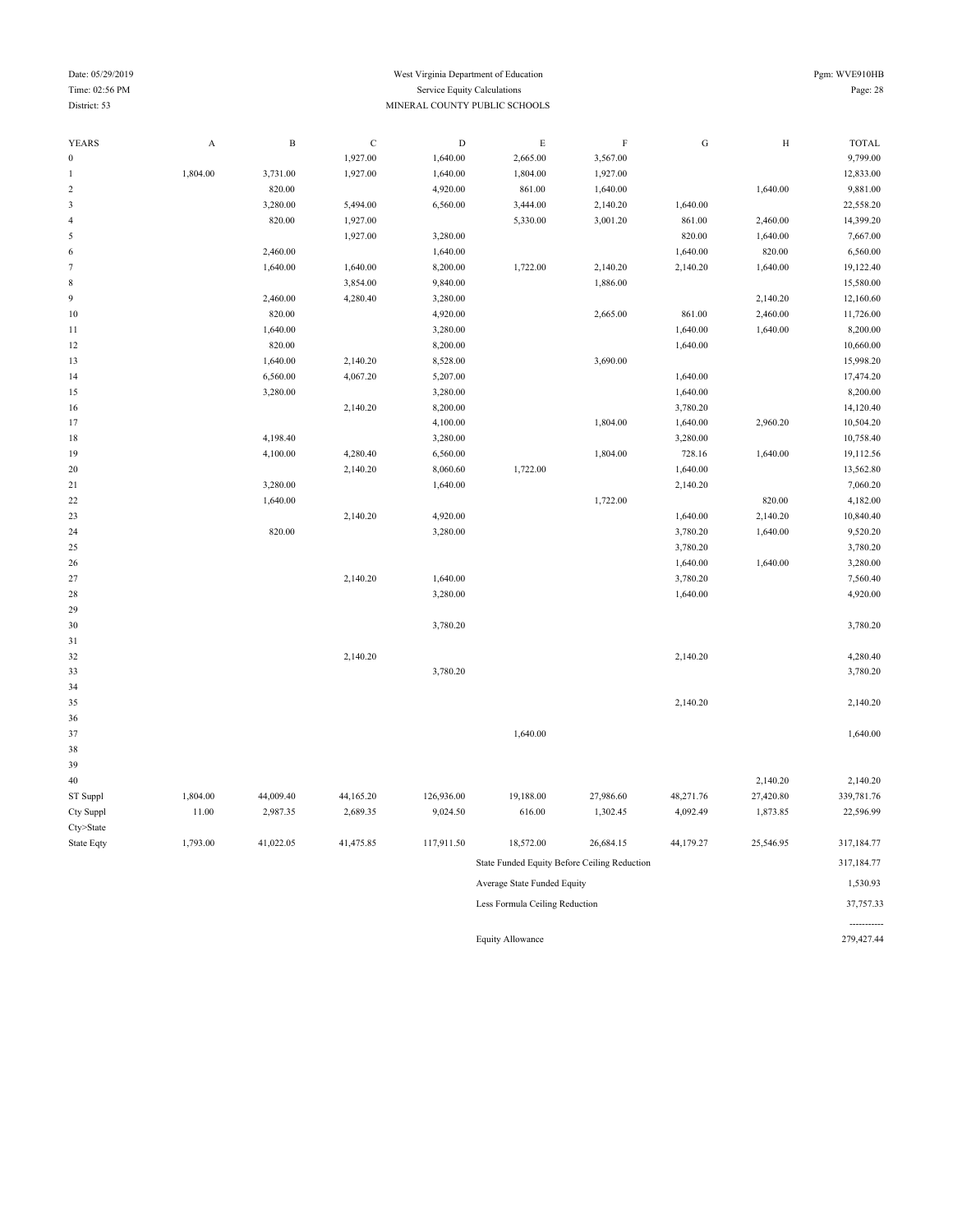-----------

### Date: 05/29/2019 Pgm: WVE910HB Time: 02:56 PM Service Equity Calculations Page: 28 District: 53 MINERAL COUNTY PUBLIC SCHOOLS

| <b>YEARS</b>     | $\boldsymbol{\mathsf{A}}$ | $\, {\bf B}$ | $\mathbf C$ | $\mathbf D$ | $\mathbf E$                    | $\mathbf F$                                  | ${\bf G}$ | $\, {\rm H}$ | <b>TOTAL</b> |
|------------------|---------------------------|--------------|-------------|-------------|--------------------------------|----------------------------------------------|-----------|--------------|--------------|
| $\boldsymbol{0}$ |                           |              | 1,927.00    | 1,640.00    | 2,665.00                       | 3,567.00                                     |           |              | 9,799.00     |
| $\mathbf{1}$     | 1,804.00                  | 3,731.00     | 1,927.00    | 1,640.00    | 1,804.00                       | 1,927.00                                     |           |              | 12,833.00    |
| $\sqrt{2}$       |                           | 820.00       |             | 4,920.00    | 861.00                         | 1,640.00                                     |           | 1,640.00     | 9,881.00     |
| $\mathfrak z$    |                           | 3,280.00     | 5,494.00    | 6,560.00    | 3,444.00                       | 2,140.20                                     | 1,640.00  |              | 22,558.20    |
| $\overline{4}$   |                           | 820.00       | 1,927.00    |             | 5,330.00                       | 3,001.20                                     | 861.00    | 2,460.00     | 14,399.20    |
| 5                |                           |              | 1,927.00    | 3,280.00    |                                |                                              | 820.00    | 1,640.00     | 7,667.00     |
| $\sqrt{6}$       |                           | 2,460.00     |             | 1,640.00    |                                |                                              | 1,640.00  | 820.00       | 6,560.00     |
| $\tau$           |                           | 1,640.00     | 1,640.00    | 8,200.00    | 1,722.00                       | 2,140.20                                     | 2,140.20  | 1,640.00     | 19,122.40    |
| $\,$ 8 $\,$      |                           |              | 3,854.00    | 9,840.00    |                                | 1,886.00                                     |           |              | 15,580.00    |
| $\overline{9}$   |                           | 2,460.00     | 4,280.40    | 3,280.00    |                                |                                              |           | 2,140.20     | 12,160.60    |
| 10               |                           | 820.00       |             | 4,920.00    |                                | 2,665.00                                     | 861.00    | 2,460.00     | 11,726.00    |
| 11               |                           | 1,640.00     |             | 3,280.00    |                                |                                              | 1,640.00  | 1,640.00     | 8,200.00     |
| 12               |                           | 820.00       |             | 8,200.00    |                                |                                              | 1,640.00  |              | 10,660.00    |
| 13               |                           | 1,640.00     | 2,140.20    | 8,528.00    |                                | 3,690.00                                     |           |              | 15,998.20    |
| 14               |                           | 6,560.00     | 4,067.20    | 5,207.00    |                                |                                              | 1,640.00  |              | 17,474.20    |
| 15               |                           | 3,280.00     |             | 3,280.00    |                                |                                              | 1,640.00  |              | 8,200.00     |
| 16               |                           |              | 2,140.20    | 8,200.00    |                                |                                              | 3,780.20  |              | 14,120.40    |
| 17               |                           |              |             | 4,100.00    |                                | 1,804.00                                     | 1,640.00  | 2,960.20     | 10,504.20    |
| $18\,$           |                           | 4,198.40     |             | 3,280.00    |                                |                                              | 3,280.00  |              | 10,758.40    |
| 19               |                           | 4,100.00     | 4,280.40    | 6,560.00    |                                | 1,804.00                                     | 728.16    | 1,640.00     | 19,112.56    |
| $20\,$           |                           |              | 2,140.20    | 8,060.60    | 1,722.00                       |                                              | 1,640.00  |              | 13,562.80    |
| 21               |                           | 3,280.00     |             | 1,640.00    |                                |                                              | 2,140.20  |              | 7,060.20     |
| $22\,$           |                           | 1,640.00     |             |             |                                | 1,722.00                                     |           | 820.00       | 4,182.00     |
| 23               |                           |              | 2,140.20    | 4,920.00    |                                |                                              | 1,640.00  | 2,140.20     | 10,840.40    |
| 24               |                           | 820.00       |             | 3,280.00    |                                |                                              | 3,780.20  | 1,640.00     | 9,520.20     |
| 25               |                           |              |             |             |                                |                                              | 3,780.20  |              | 3,780.20     |
| 26               |                           |              |             |             |                                |                                              | 1,640.00  | 1,640.00     | 3,280.00     |
| 27               |                           |              | 2,140.20    | 1,640.00    |                                |                                              | 3,780.20  |              | 7,560.40     |
| 28               |                           |              |             | 3,280.00    |                                |                                              | 1,640.00  |              | 4,920.00     |
| 29               |                           |              |             |             |                                |                                              |           |              |              |
| 30               |                           |              |             | 3,780.20    |                                |                                              |           |              | 3,780.20     |
| 31               |                           |              |             |             |                                |                                              |           |              |              |
| 32               |                           |              | 2,140.20    |             |                                |                                              | 2,140.20  |              | 4,280.40     |
| 33               |                           |              |             | 3,780.20    |                                |                                              |           |              | 3,780.20     |
| 34               |                           |              |             |             |                                |                                              |           |              |              |
| 35               |                           |              |             |             |                                |                                              | 2,140.20  |              | 2,140.20     |
| 36               |                           |              |             |             |                                |                                              |           |              |              |
| 37               |                           |              |             |             | 1,640.00                       |                                              |           |              | 1,640.00     |
| 38               |                           |              |             |             |                                |                                              |           |              |              |
| 39               |                           |              |             |             |                                |                                              |           |              |              |
| 40               |                           |              |             |             |                                |                                              |           | 2,140.20     | 2,140.20     |
| ST Suppl         | 1,804.00                  | 44,009.40    | 44,165.20   | 126,936.00  | 19,188.00                      | 27,986.60                                    | 48,271.76 | 27,420.80    | 339,781.76   |
| Cty Suppl        | 11.00                     | 2,987.35     | 2,689.35    | 9,024.50    | 616.00                         | 1,302.45                                     | 4,092.49  | 1,873.85     | 22,596.99    |
| Cty>State        |                           |              |             |             |                                |                                              |           |              |              |
| State Eqty       | 1,793.00                  | 41,022.05    | 41,475.85   | 117,911.50  | 18,572.00                      | 26,684.15                                    | 44,179.27 | 25,546.95    | 317,184.77   |
|                  |                           |              |             |             |                                | State Funded Equity Before Ceiling Reduction |           |              | 317,184.77   |
|                  |                           |              |             |             | Average State Funded Equity    |                                              |           |              | 1,530.93     |
|                  |                           |              |             |             | Less Formula Ceiling Reduction |                                              |           |              | 37,757.33    |

Equity Allowance 279,427.44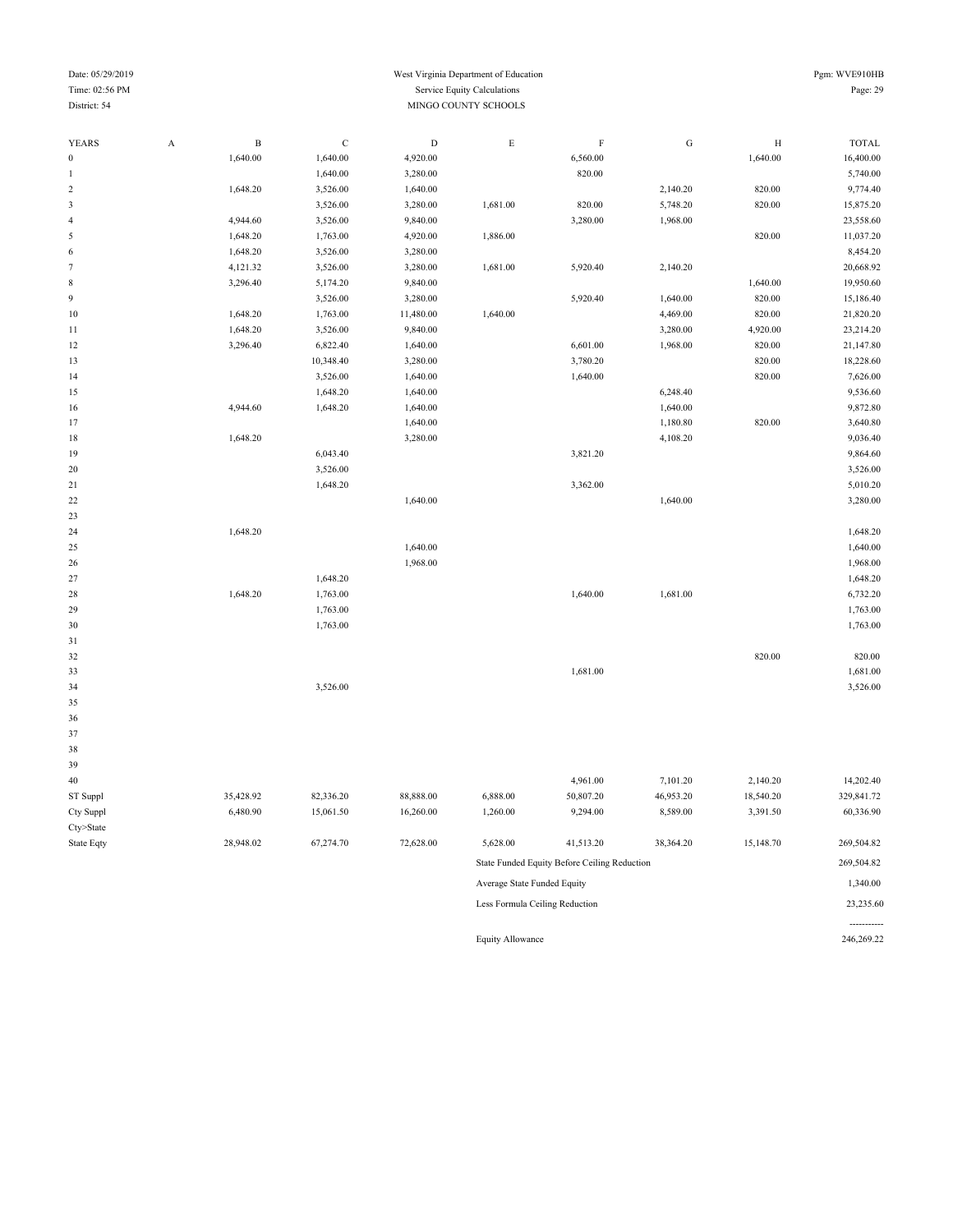#### Date: 05/29/2019 West Virginia Department of Education Pgm: WVE910HB Time: 02:56 PM Service Equity Calculations Page: 29 District: 54 MINGO COUNTY SCHOOLS

| YEARS                       | $\boldsymbol{A}$ | $\, {\bf B}$ | $\mathbf C$ | $\mathbf D$ | $\mathbf E$ | $\, {\rm F}$ | ${\bf G}$ | $\, {\rm H}$ | <b>TOTAL</b> |
|-----------------------------|------------------|--------------|-------------|-------------|-------------|--------------|-----------|--------------|--------------|
| $\boldsymbol{0}$            |                  | 1,640.00     | 1,640.00    | 4,920.00    |             | 6,560.00     |           | 1,640.00     | 16,400.00    |
| $\mathbf{1}$                |                  |              | 1,640.00    | 3,280.00    |             | 820.00       |           |              | 5,740.00     |
| $\sqrt{2}$                  |                  | 1,648.20     | 3,526.00    | 1,640.00    |             |              | 2,140.20  | 820.00       | 9,774.40     |
| $\ensuremath{\mathfrak{Z}}$ |                  |              | 3,526.00    | 3,280.00    | 1,681.00    | 820.00       | 5,748.20  | 820.00       | 15,875.20    |
| $\overline{4}$              |                  | 4,944.60     | 3,526.00    | 9,840.00    |             | 3,280.00     | 1,968.00  |              | 23,558.60    |
| $\sqrt{5}$                  |                  | 1,648.20     | 1,763.00    | 4,920.00    | 1,886.00    |              |           | 820.00       | 11,037.20    |
| 6                           |                  | 1,648.20     | 3,526.00    | 3,280.00    |             |              |           |              | 8,454.20     |
| $\tau$                      |                  | 4,121.32     | 3,526.00    | 3,280.00    | 1,681.00    | 5,920.40     | 2,140.20  |              | 20,668.92    |
| $\,$ 8 $\,$                 |                  | 3,296.40     | 5,174.20    | 9,840.00    |             |              |           | 1,640.00     | 19,950.60    |
| $\overline{9}$              |                  |              | 3,526.00    | 3,280.00    |             | 5,920.40     | 1,640.00  | 820.00       | 15,186.40    |
| 10                          |                  | 1,648.20     | 1,763.00    | 11,480.00   | 1,640.00    |              | 4,469.00  | 820.00       | 21,820.20    |
| 11                          |                  | 1,648.20     | 3,526.00    | 9,840.00    |             |              | 3,280.00  | 4,920.00     | 23,214.20    |
| 12                          |                  | 3,296.40     | 6,822.40    | 1,640.00    |             | 6,601.00     | 1,968.00  | 820.00       | 21,147.80    |
| 13                          |                  |              | 10,348.40   | 3,280.00    |             | 3,780.20     |           | 820.00       | 18,228.60    |
| 14                          |                  |              | 3,526.00    | 1,640.00    |             | 1,640.00     |           | 820.00       | 7,626.00     |
| 15                          |                  |              | 1,648.20    | 1,640.00    |             |              | 6,248.40  |              | 9,536.60     |
| 16                          |                  | 4,944.60     | 1,648.20    | 1,640.00    |             |              | 1,640.00  |              | 9,872.80     |
| 17                          |                  |              |             | 1,640.00    |             |              | 1,180.80  | 820.00       | 3,640.80     |
| 18                          |                  | 1,648.20     |             | 3,280.00    |             |              | 4,108.20  |              | 9,036.40     |
| 19                          |                  |              | 6,043.40    |             |             | 3,821.20     |           |              | 9,864.60     |
| $20\,$                      |                  |              | 3,526.00    |             |             |              |           |              | 3,526.00     |
| 21                          |                  |              | 1,648.20    |             |             | 3,362.00     |           |              | 5,010.20     |
| $22\,$                      |                  |              |             | 1,640.00    |             |              | 1,640.00  |              | 3,280.00     |
| 23                          |                  |              |             |             |             |              |           |              |              |
| 24                          |                  | 1,648.20     |             |             |             |              |           |              | 1,648.20     |
| 25                          |                  |              |             | 1,640.00    |             |              |           |              | 1,640.00     |
| $26\,$                      |                  |              |             | 1,968.00    |             |              |           |              | 1,968.00     |
| 27                          |                  |              | 1,648.20    |             |             |              |           |              | 1,648.20     |
| $28\,$                      |                  | 1,648.20     | 1,763.00    |             |             | 1,640.00     | 1,681.00  |              | 6,732.20     |
| 29                          |                  |              | 1,763.00    |             |             |              |           |              | 1,763.00     |
| 30                          |                  |              | 1,763.00    |             |             |              |           |              | 1,763.00     |
| 31                          |                  |              |             |             |             |              |           |              |              |
| 32                          |                  |              |             |             |             |              |           | 820.00       | 820.00       |
| 33                          |                  |              |             |             |             | 1,681.00     |           |              | 1,681.00     |
| 34                          |                  |              | 3,526.00    |             |             |              |           |              | 3,526.00     |
| 35                          |                  |              |             |             |             |              |           |              |              |
| 36                          |                  |              |             |             |             |              |           |              |              |
| 37                          |                  |              |             |             |             |              |           |              |              |
| 38                          |                  |              |             |             |             |              |           |              |              |
| 39                          |                  |              |             |             |             |              |           |              |              |
| 40                          |                  |              |             |             |             | 4,961.00     | 7,101.20  | 2,140.20     | 14,202.40    |
| ST Suppl                    |                  | 35,428.92    | 82,336.20   | 88,888.00   | 6,888.00    | 50,807.20    | 46,953.20 | 18,540.20    | 329,841.72   |
| Cty Suppl                   |                  | 6,480.90     | 15,061.50   | 16,260.00   | 1,260.00    | 9,294.00     | 8,589.00  | 3,391.50     | 60,336.90    |
| Cty>State                   |                  |              |             |             |             |              |           |              |              |

State Eqty 28,948.02 67,274.70 72,628.00 5,628.00 41,513.20 38,364.20 15,148.70 269,504.82 State Funded Equity Before Ceiling Reduction 269,504.82 Average State Funded Equity 1,340.00 Less Formula Ceiling Reduction 23,235.60 -----------<br>246,269.22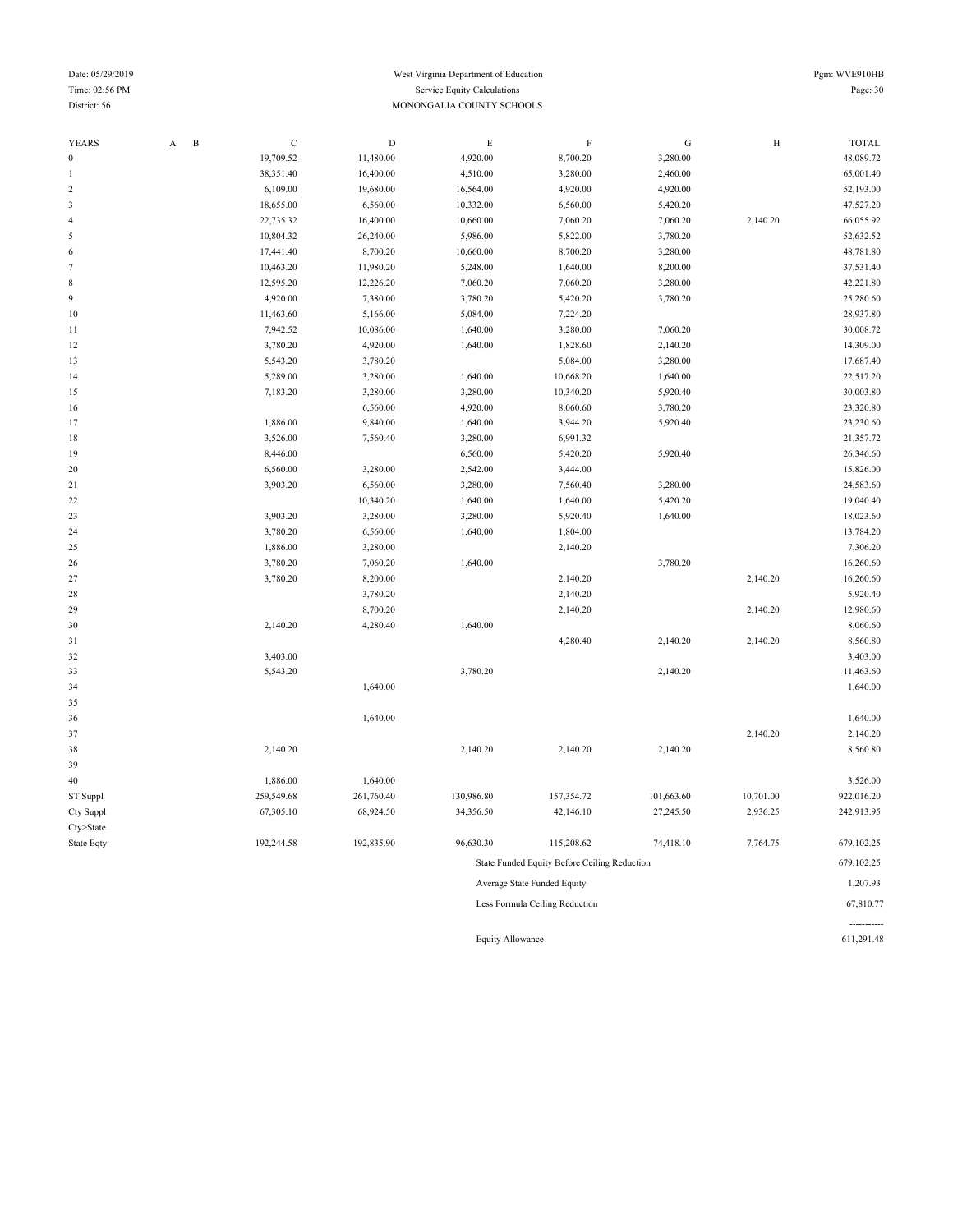#### Date: 05/29/2019 Pgm: WVE910HB Time: 02:56 PM Service Equity Calculations Page: 30 District: 56 MONONGALIA COUNTY SCHOOLS

| <b>YEARS</b>           | A | $\, {\bf B}$ | $\mathbf C$ | $\mathbf D$ | $\mathbf E$ | $\rm F$                                      | ${\bf G}$  | $\, {\rm H}$ | <b>TOTAL</b> |
|------------------------|---|--------------|-------------|-------------|-------------|----------------------------------------------|------------|--------------|--------------|
| $\mathbf{0}$           |   |              | 19,709.52   | 11,480.00   | 4,920.00    | 8,700.20                                     | 3,280.00   |              | 48,089.72    |
| 1                      |   |              | 38,351.40   | 16,400.00   | 4,510.00    | 3,280.00                                     | 2,460.00   |              | 65,001.40    |
| $\boldsymbol{2}$       |   |              | 6,109.00    | 19,680.00   | 16,564.00   | 4,920.00                                     | 4,920.00   |              | 52,193.00    |
| 3                      |   |              | 18,655.00   | 6,560.00    | 10,332.00   | 6,560.00                                     | 5,420.20   |              | 47,527.20    |
| 4                      |   |              | 22,735.32   | 16,400.00   | 10,660.00   | 7,060.20                                     | 7,060.20   | 2,140.20     | 66,055.92    |
| 5                      |   |              | 10,804.32   | 26,240.00   | 5,986.00    | 5,822.00                                     | 3,780.20   |              | 52,632.52    |
| 6                      |   |              | 17,441.40   | 8,700.20    | 10,660.00   | 8,700.20                                     | 3,280.00   |              | 48,781.80    |
| $\overline{7}$         |   |              | 10,463.20   | 11,980.20   | 5,248.00    | 1,640.00                                     | 8,200.00   |              | 37,531.40    |
| 8                      |   |              | 12,595.20   | 12,226.20   | 7,060.20    | 7,060.20                                     | 3,280.00   |              | 42,221.80    |
| 9                      |   |              | 4,920.00    | 7,380.00    | 3,780.20    | 5,420.20                                     | 3,780.20   |              | 25,280.60    |
| 10                     |   |              | 11,463.60   | 5,166.00    | 5,084.00    | 7,224.20                                     |            |              | 28,937.80    |
| 11                     |   |              | 7,942.52    | 10,086.00   | 1,640.00    | 3,280.00                                     | 7,060.20   |              | 30,008.72    |
| 12                     |   |              | 3,780.20    | 4,920.00    | 1,640.00    | 1,828.60                                     | 2,140.20   |              | 14,309.00    |
| 13                     |   |              | 5,543.20    | 3,780.20    |             | 5,084.00                                     | 3,280.00   |              | 17,687.40    |
| 14                     |   |              | 5,289.00    | 3,280.00    | 1,640.00    | 10,668.20                                    | 1,640.00   |              | 22,517.20    |
| 15                     |   |              | 7,183.20    | 3,280.00    | 3,280.00    | 10,340.20                                    | 5,920.40   |              | 30,003.80    |
| 16                     |   |              |             | 6,560.00    | 4,920.00    | 8,060.60                                     | 3,780.20   |              | 23,320.80    |
| 17                     |   |              | 1,886.00    | 9,840.00    | 1,640.00    | 3,944.20                                     | 5,920.40   |              | 23,230.60    |
| 18                     |   |              | 3,526.00    | 7,560.40    | 3,280.00    | 6,991.32                                     |            |              | 21,357.72    |
| 19                     |   |              | 8,446.00    |             | 6,560.00    | 5,420.20                                     | 5,920.40   |              | 26,346.60    |
| 20                     |   |              | 6,560.00    | 3,280.00    | 2,542.00    | 3,444.00                                     |            |              | 15,826.00    |
| 21                     |   |              | 3,903.20    | 6,560.00    | 3,280.00    | 7,560.40                                     | 3,280.00   |              | 24,583.60    |
| 22                     |   |              |             | 10,340.20   | 1,640.00    | 1,640.00                                     | 5,420.20   |              | 19,040.40    |
| 23                     |   |              | 3,903.20    | 3,280.00    | 3,280.00    | 5,920.40                                     | 1,640.00   |              | 18,023.60    |
| 24                     |   |              | 3,780.20    | 6,560.00    | 1,640.00    | 1,804.00                                     |            |              | 13,784.20    |
| 25                     |   |              | 1,886.00    | 3,280.00    |             | 2,140.20                                     |            |              | 7,306.20     |
| 26                     |   |              | 3,780.20    | 7,060.20    | 1,640.00    |                                              | 3,780.20   |              | 16,260.60    |
| 27                     |   |              | 3,780.20    | 8,200.00    |             | 2,140.20                                     |            | 2,140.20     | 16,260.60    |
| 28                     |   |              |             | 3,780.20    |             | 2,140.20                                     |            |              | 5,920.40     |
| 29                     |   |              |             | 8,700.20    |             | 2,140.20                                     |            | 2,140.20     | 12,980.60    |
| 30                     |   |              | 2,140.20    | 4,280.40    | 1,640.00    |                                              |            |              | 8,060.60     |
| 31                     |   |              |             |             |             | 4,280.40                                     | 2,140.20   | 2,140.20     | 8,560.80     |
| 32                     |   |              | 3,403.00    |             |             |                                              |            |              | 3,403.00     |
| 33                     |   |              | 5,543.20    |             | 3,780.20    |                                              | 2,140.20   |              | 11,463.60    |
| 34                     |   |              |             | 1,640.00    |             |                                              |            |              | 1,640.00     |
| 35                     |   |              |             |             |             |                                              |            |              |              |
| 36                     |   |              |             | 1,640.00    |             |                                              |            |              | 1,640.00     |
| 37                     |   |              |             |             |             |                                              |            | 2,140.20     | 2,140.20     |
| 38                     |   |              | 2,140.20    |             | 2,140.20    | 2,140.20                                     | 2,140.20   |              | 8,560.80     |
| 39                     |   |              | 1,886.00    | 1,640.00    |             |                                              |            |              | 3,526.00     |
| 40                     |   |              | 259,549.68  | 261,760.40  | 130,986.80  | 157,354.72                                   | 101,663.60 | 10,701.00    | 922,016.20   |
| ST Suppl               |   |              |             |             |             |                                              |            |              | 242,913.95   |
| Cty Suppl<br>Cty>State |   |              | 67,305.10   | 68,924.50   | 34,356.50   | 42,146.10                                    | 27,245.50  | 2,936.25     |              |
|                        |   |              | 192,244.58  | 192,835.90  | 96,630.30   |                                              |            |              | 679,102.25   |
| State Eqty             |   |              |             |             |             | 115,208.62                                   | 74,418.10  | 7,764.75     |              |
|                        |   |              |             |             |             | State Funded Equity Before Ceiling Reduction |            |              | 679,102.25   |
|                        |   |              |             |             |             | Average State Funded Equity                  |            |              | 1,207.93     |
|                        |   |              |             |             |             | Less Formula Ceiling Reduction               |            |              | 67,810.77    |

Equity Allowance 611,291.48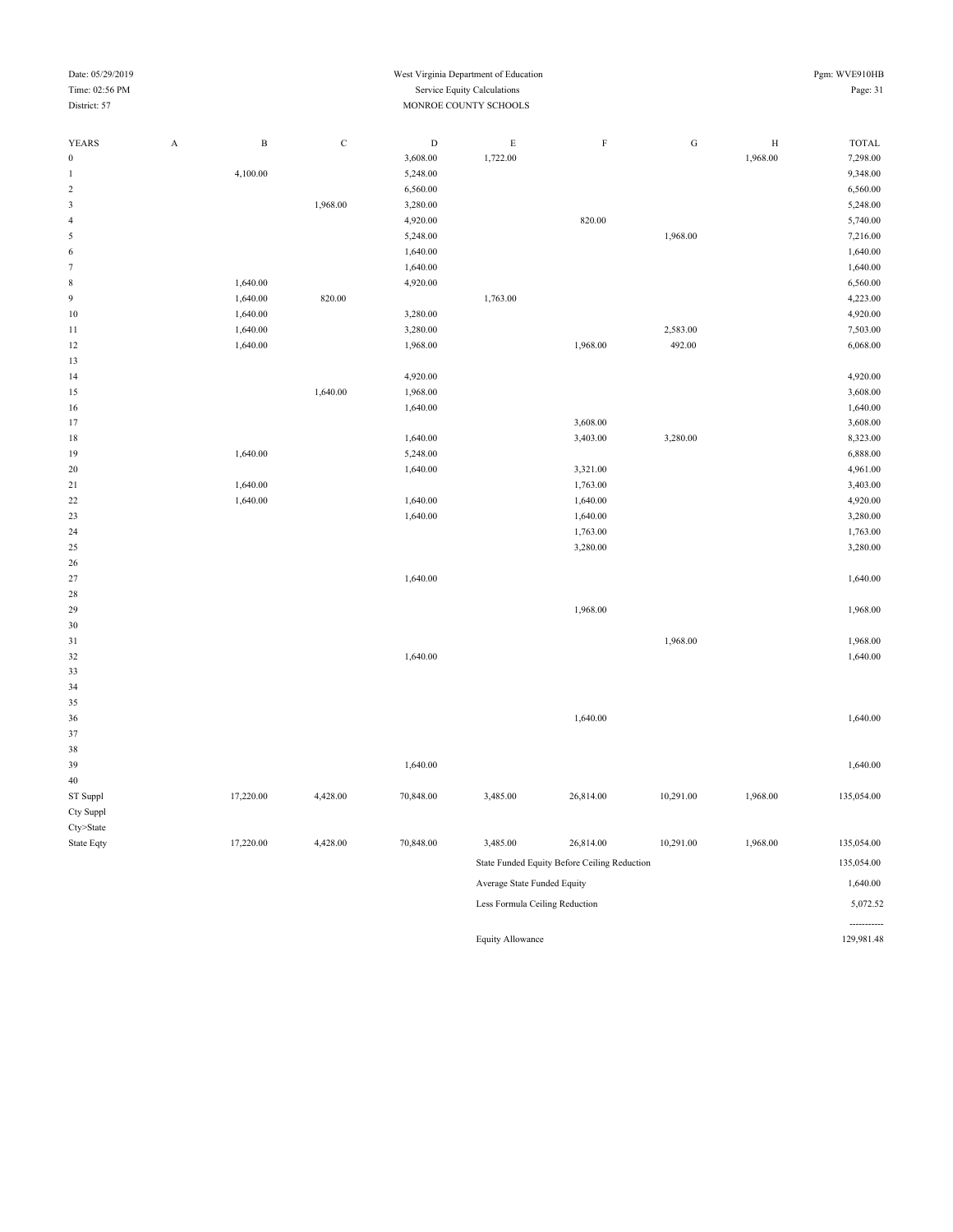----------<br>129,981.48

| YEARS            | $\mathbf A$ | $\, {\bf B}$ | $\mathbf C$ | $\mathbf D$ | $\mathbf E$                 | $\rm F$                                      | ${\bf G}$ | $\, {\rm H}$ | <b>TOTAL</b> |
|------------------|-------------|--------------|-------------|-------------|-----------------------------|----------------------------------------------|-----------|--------------|--------------|
| $\boldsymbol{0}$ |             |              |             | 3,608.00    | 1,722.00                    |                                              |           | 1,968.00     | 7,298.00     |
| $\mathbf{1}$     |             | 4,100.00     |             | 5,248.00    |                             |                                              |           |              | 9,348.00     |
| $\sqrt{2}$       |             |              |             | 6,560.00    |                             |                                              |           |              | 6,560.00     |
| $\sqrt{3}$       |             |              | 1,968.00    | 3,280.00    |                             |                                              |           |              | 5,248.00     |
| $\sqrt{4}$       |             |              |             | 4,920.00    |                             | 820.00                                       |           |              | 5,740.00     |
| $\sqrt{5}$       |             |              |             | 5,248.00    |                             |                                              | 1,968.00  |              | 7,216.00     |
| $\sqrt{6}$       |             |              |             | 1,640.00    |                             |                                              |           |              | 1,640.00     |
| $\tau$           |             |              |             | 1,640.00    |                             |                                              |           |              | 1,640.00     |
| $\,$ 8 $\,$      |             | 1,640.00     |             | 4,920.00    |                             |                                              |           |              | 6,560.00     |
| $\boldsymbol{9}$ |             | 1,640.00     | 820.00      |             | 1,763.00                    |                                              |           |              | 4,223.00     |
| 10               |             | 1,640.00     |             | 3,280.00    |                             |                                              |           |              | 4,920.00     |
| 11               |             | 1,640.00     |             | 3,280.00    |                             |                                              | 2,583.00  |              | 7,503.00     |
| 12               |             | 1,640.00     |             | 1,968.00    |                             | 1,968.00                                     | 492.00    |              | 6,068.00     |
| 13               |             |              |             |             |                             |                                              |           |              |              |
| 14               |             |              |             | 4,920.00    |                             |                                              |           |              | 4,920.00     |
| 15               |             |              | 1,640.00    | 1,968.00    |                             |                                              |           |              | 3,608.00     |
| 16               |             |              |             | 1,640.00    |                             |                                              |           |              | 1,640.00     |
| 17               |             |              |             |             |                             | 3,608.00                                     |           |              | 3,608.00     |
| 18               |             |              |             | 1,640.00    |                             | 3,403.00                                     | 3,280.00  |              | 8,323.00     |
| 19               |             | 1,640.00     |             | 5,248.00    |                             |                                              |           |              | 6,888.00     |
| 20               |             |              |             | 1,640.00    |                             | 3,321.00                                     |           |              | 4,961.00     |
| 21               |             | 1,640.00     |             |             |                             | 1,763.00                                     |           |              | 3,403.00     |
| 22               |             | 1,640.00     |             | 1,640.00    |                             | 1,640.00                                     |           |              | 4,920.00     |
| 23               |             |              |             | 1,640.00    |                             | 1,640.00                                     |           |              | 3,280.00     |
| 24<br>25         |             |              |             |             |                             | 1,763.00                                     |           |              | 1,763.00     |
|                  |             |              |             |             |                             | 3,280.00                                     |           |              | 3,280.00     |
| 26<br>27         |             |              |             | 1,640.00    |                             |                                              |           |              | 1,640.00     |
| 28               |             |              |             |             |                             |                                              |           |              |              |
| 29               |             |              |             |             |                             | 1,968.00                                     |           |              | 1,968.00     |
| 30               |             |              |             |             |                             |                                              |           |              |              |
| 31               |             |              |             |             |                             |                                              | 1,968.00  |              | 1,968.00     |
| 32               |             |              |             | 1,640.00    |                             |                                              |           |              | 1,640.00     |
| 33               |             |              |             |             |                             |                                              |           |              |              |
| 34               |             |              |             |             |                             |                                              |           |              |              |
| 35               |             |              |             |             |                             |                                              |           |              |              |
| 36               |             |              |             |             |                             | 1,640.00                                     |           |              | 1,640.00     |
| 37               |             |              |             |             |                             |                                              |           |              |              |
| 38               |             |              |             |             |                             |                                              |           |              |              |
| 39               |             |              |             | 1,640.00    |                             |                                              |           |              | 1,640.00     |
| $40\,$           |             |              |             |             |                             |                                              |           |              |              |
| ST Suppl         |             | 17,220.00    | 4,428.00    | 70,848.00   | 3,485.00                    | 26,814.00                                    | 10,291.00 | 1,968.00     | 135,054.00   |
| Cty Suppl        |             |              |             |             |                             |                                              |           |              |              |
| Cty>State        |             |              |             |             |                             |                                              |           |              |              |
| State Eqty       |             | 17,220.00    | 4,428.00    | 70,848.00   | 3,485.00                    | 26,814.00                                    | 10,291.00 | 1,968.00     | 135,054.00   |
|                  |             |              |             |             |                             | State Funded Equity Before Ceiling Reduction |           |              | 135,054.00   |
|                  |             |              |             |             |                             |                                              |           |              |              |
|                  |             |              |             |             | Average State Funded Equity |                                              |           |              | 1,640.00     |

Equity Allowance

Less Formula Ceiling Reduction 5,072.52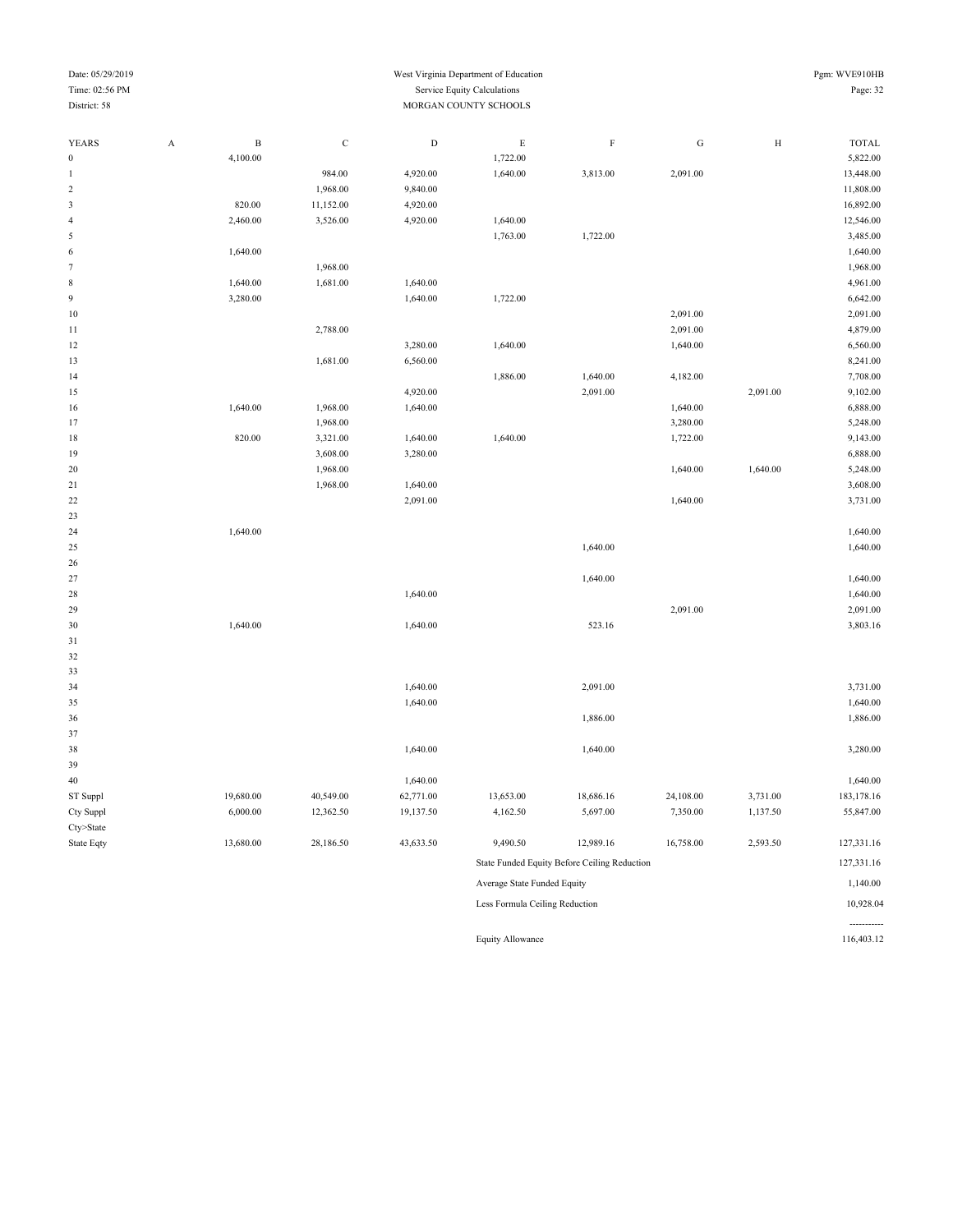#### Date: 05/29/2019 Pgm: WVE910HB Time: 02:56 PM Service Equity Calculations Page: 32 District: 58 MORGAN COUNTY SCHOOLS

-----------

| <b>YEARS</b>     | $\boldsymbol{\mathsf{A}}$ | $\, {\bf B}$ | $\mathbf C$ | ${\rm D}$ | $\mathbf E$                    | $\mathbf F$                                  | ${\rm G}$ | $\, {\rm H}$ | <b>TOTAL</b> |
|------------------|---------------------------|--------------|-------------|-----------|--------------------------------|----------------------------------------------|-----------|--------------|--------------|
| $\boldsymbol{0}$ |                           | 4,100.00     |             |           | 1,722.00                       |                                              |           |              | 5,822.00     |
| 1                |                           |              | 984.00      | 4,920.00  | 1,640.00                       | 3,813.00                                     | 2,091.00  |              | 13,448.00    |
| $\sqrt{2}$       |                           |              | 1,968.00    | 9,840.00  |                                |                                              |           |              | 11,808.00    |
| 3                |                           | 820.00       | 11,152.00   | 4,920.00  |                                |                                              |           |              | 16,892.00    |
| 4                |                           | 2,460.00     | 3,526.00    | 4,920.00  | 1,640.00                       |                                              |           |              | 12,546.00    |
| 5                |                           |              |             |           | 1,763.00                       | 1,722.00                                     |           |              | 3,485.00     |
| 6                |                           | 1,640.00     |             |           |                                |                                              |           |              | 1,640.00     |
| $\tau$           |                           |              | 1,968.00    |           |                                |                                              |           |              | 1,968.00     |
| $\,$ 8 $\,$      |                           | 1,640.00     | 1,681.00    | 1,640.00  |                                |                                              |           |              | 4,961.00     |
| $\overline{9}$   |                           | 3,280.00     |             | 1,640.00  | 1,722.00                       |                                              |           |              | 6,642.00     |
| $10\,$           |                           |              |             |           |                                |                                              | 2,091.00  |              | 2,091.00     |
| $1\,1$           |                           |              | 2,788.00    |           |                                |                                              | 2,091.00  |              | 4,879.00     |
| $12\,$           |                           |              |             | 3,280.00  | 1,640.00                       |                                              | 1,640.00  |              | 6,560.00     |
| 13               |                           |              | 1,681.00    | 6,560.00  |                                |                                              |           |              | 8,241.00     |
| 14               |                           |              |             |           | 1,886.00                       | 1,640.00                                     | 4,182.00  |              | 7,708.00     |
| 15               |                           |              |             | 4,920.00  |                                | 2,091.00                                     |           | 2,091.00     | 9,102.00     |
| 16               |                           | 1,640.00     | 1,968.00    | 1,640.00  |                                |                                              | 1,640.00  |              | 6,888.00     |
| 17               |                           |              | 1,968.00    |           |                                |                                              | 3,280.00  |              | 5,248.00     |
| 18               |                           | 820.00       | 3,321.00    | 1,640.00  | 1,640.00                       |                                              | 1,722.00  |              | 9,143.00     |
| 19               |                           |              | 3,608.00    | 3,280.00  |                                |                                              |           |              | 6,888.00     |
| 20               |                           |              | 1,968.00    |           |                                |                                              | 1,640.00  | 1,640.00     | 5,248.00     |
| 21               |                           |              | 1,968.00    | 1,640.00  |                                |                                              |           |              | 3,608.00     |
| 22               |                           |              |             | 2,091.00  |                                |                                              | 1,640.00  |              | 3,731.00     |
| 23               |                           |              |             |           |                                |                                              |           |              |              |
| 24               |                           | 1,640.00     |             |           |                                |                                              |           |              | 1,640.00     |
| 25               |                           |              |             |           |                                | 1,640.00                                     |           |              | 1,640.00     |
| 26               |                           |              |             |           |                                |                                              |           |              |              |
| 27               |                           |              |             |           |                                | 1,640.00                                     |           |              | 1,640.00     |
| 28               |                           |              |             | 1,640.00  |                                |                                              |           |              | 1,640.00     |
| 29               |                           |              |             |           |                                |                                              | 2,091.00  |              | 2,091.00     |
| 30               |                           | 1,640.00     |             | 1,640.00  |                                | 523.16                                       |           |              | 3,803.16     |
| 31               |                           |              |             |           |                                |                                              |           |              |              |
| 32               |                           |              |             |           |                                |                                              |           |              |              |
| 33               |                           |              |             |           |                                |                                              |           |              |              |
| 34               |                           |              |             | 1,640.00  |                                | 2,091.00                                     |           |              | 3,731.00     |
| 35               |                           |              |             | 1,640.00  |                                |                                              |           |              | 1,640.00     |
| 36               |                           |              |             |           |                                | 1,886.00                                     |           |              | 1,886.00     |
| 37               |                           |              |             |           |                                |                                              |           |              |              |
| 38               |                           |              |             | 1,640.00  |                                | 1,640.00                                     |           |              | 3,280.00     |
| 39               |                           |              |             |           |                                |                                              |           |              |              |
| $40\,$           |                           |              |             | 1,640.00  |                                |                                              |           |              | 1,640.00     |
| ST Suppl         |                           | 19,680.00    | 40,549.00   | 62,771.00 | 13,653.00                      | 18,686.16                                    | 24,108.00 | 3,731.00     | 183,178.16   |
| Cty Suppl        |                           | 6,000.00     | 12,362.50   | 19,137.50 | 4,162.50                       | 5,697.00                                     | 7,350.00  | 1,137.50     | 55,847.00    |
| Cty>State        |                           |              |             |           |                                |                                              |           |              |              |
| State Eqty       |                           | 13,680.00    | 28,186.50   | 43,633.50 | 9,490.50                       | 12,989.16                                    | 16,758.00 | 2,593.50     | 127,331.16   |
|                  |                           |              |             |           |                                | State Funded Equity Before Ceiling Reduction |           |              | 127,331.16   |
|                  |                           |              |             |           | Average State Funded Equity    |                                              |           |              | 1,140.00     |
|                  |                           |              |             |           | Less Formula Ceiling Reduction |                                              |           |              | 10,928.04    |

Equity Allowance 116,403.12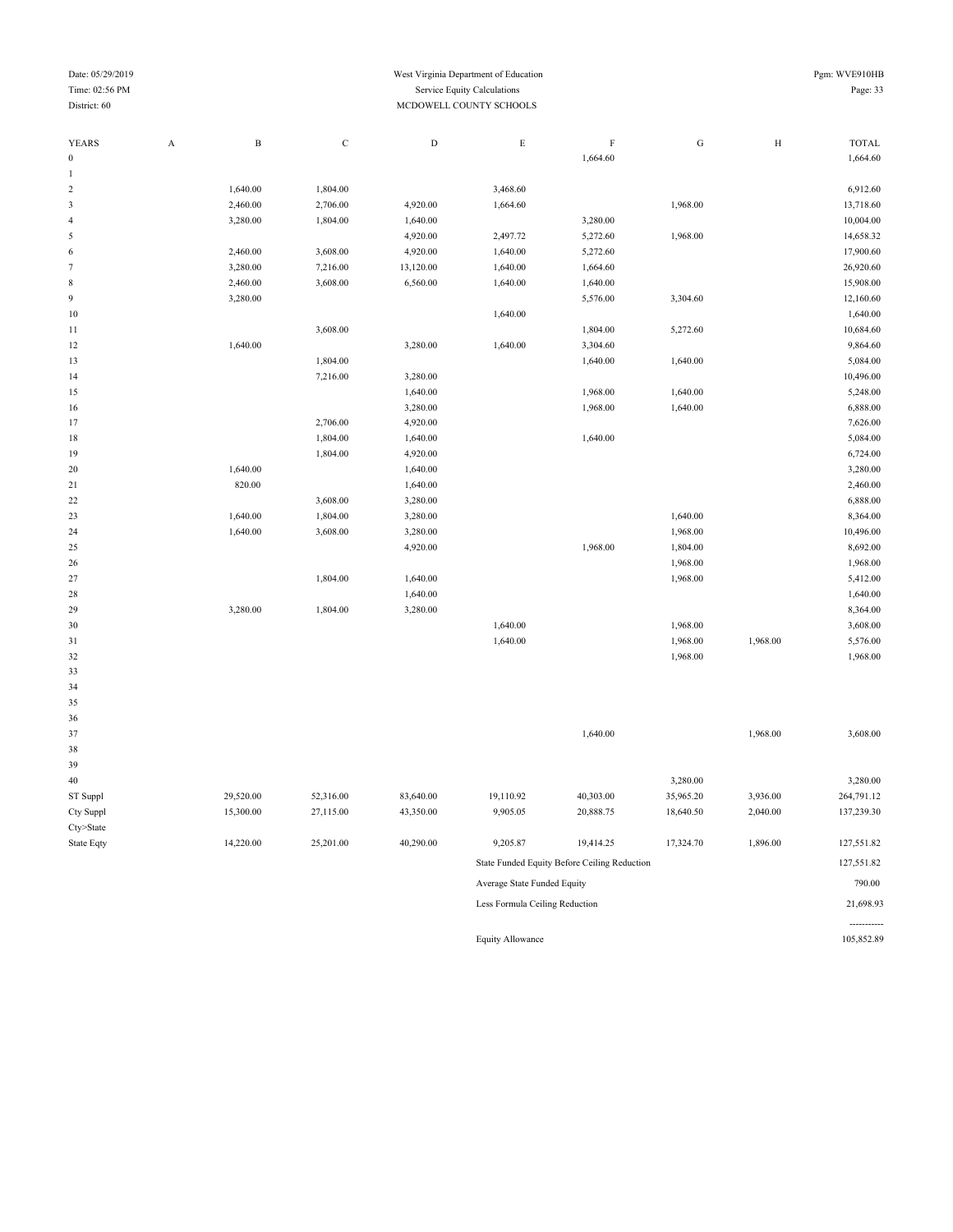| Date: 05/29/2019<br>Time: 02:56 PM<br>District: 60 |   |          |          |          | West Virginia Department of Education<br>Service Equity Calculations<br>MCDOWELL COUNTY SCHOOLS |          |          | Pgm: WVE910HB<br>Page: 33 |              |  |
|----------------------------------------------------|---|----------|----------|----------|-------------------------------------------------------------------------------------------------|----------|----------|---------------------------|--------------|--|
| <b>YEARS</b>                                       | А | B        | C        | D        | E                                                                                               | E.       | G        | H                         | <b>TOTAL</b> |  |
| $\mathbf{0}$                                       |   |          |          |          |                                                                                                 | 1,664.60 |          |                           | 1,664.60     |  |
|                                                    |   |          |          |          |                                                                                                 |          |          |                           |              |  |
| 2                                                  |   | 1,640.00 | 1,804.00 |          | 3,468.60                                                                                        |          |          |                           | 6,912.60     |  |
| 3                                                  |   | 2,460.00 | 2,706.00 | 4,920.00 | 1,664.60                                                                                        |          | 1,968.00 |                           | 13,718.60    |  |
| 4                                                  |   | 3,280.00 | 1,804.00 | 1,640.00 |                                                                                                 | 3,280.00 |          |                           | 10,004.00    |  |
| 5                                                  |   |          |          | 4,920.00 | 2,497.72                                                                                        | 5,272.60 | 1,968.00 |                           | 14,658.32    |  |
| 6                                                  |   | 2,460.00 | 3,608.00 | 4,920.00 | 1,640.00                                                                                        | 5,272.60 |          |                           | 17,900.60    |  |

| 7  | 3,280.00 | 7,216.00 | 13,120.00 | 1,640.00 | 1,664.60 |          |          | 26,920.60 |
|----|----------|----------|-----------|----------|----------|----------|----------|-----------|
| 8  | 2,460.00 | 3,608.00 | 6,560.00  | 1,640.00 | 1,640.00 |          |          | 15,908.00 |
| 9  | 3,280.00 |          |           |          | 5,576.00 | 3,304.60 |          | 12,160.60 |
| 10 |          |          |           | 1,640.00 |          |          |          | 1,640.00  |
| 11 |          | 3,608.00 |           |          | 1,804.00 | 5,272.60 |          | 10,684.60 |
| 12 | 1,640.00 |          | 3,280.00  | 1,640.00 | 3,304.60 |          |          | 9,864.60  |
| 13 |          | 1,804.00 |           |          | 1,640.00 | 1,640.00 |          | 5,084.00  |
| 14 |          | 7,216.00 | 3,280.00  |          |          |          |          | 10,496.00 |
| 15 |          |          | 1,640.00  |          | 1,968.00 | 1,640.00 |          | 5,248.00  |
| 16 |          |          | 3,280.00  |          | 1,968.00 | 1,640.00 |          | 6,888.00  |
| 17 |          | 2,706.00 | 4,920.00  |          |          |          |          | 7,626.00  |
| 18 |          | 1,804.00 | 1,640.00  |          | 1,640.00 |          |          | 5,084.00  |
| 19 |          | 1,804.00 | 4,920.00  |          |          |          |          | 6,724.00  |
| 20 | 1,640.00 |          | 1,640.00  |          |          |          |          | 3,280.00  |
| 21 | 820.00   |          | 1,640.00  |          |          |          |          | 2,460.00  |
| 22 |          | 3,608.00 | 3,280.00  |          |          |          |          | 6,888.00  |
| 23 | 1,640.00 | 1,804.00 | 3,280.00  |          |          | 1,640.00 |          | 8,364.00  |
| 24 | 1,640.00 | 3,608.00 | 3,280.00  |          |          | 1,968.00 |          | 10,496.00 |
| 25 |          |          | 4,920.00  |          | 1,968.00 | 1,804.00 |          | 8,692.00  |
| 26 |          |          |           |          |          | 1,968.00 |          | 1,968.00  |
| 27 |          | 1,804.00 | 1,640.00  |          |          | 1,968.00 |          | 5,412.00  |
| 28 |          |          | 1,640.00  |          |          |          |          | 1,640.00  |
| 29 | 3,280.00 | 1,804.00 | 3,280.00  |          |          |          |          | 8,364.00  |
| 30 |          |          |           | 1,640.00 |          | 1,968.00 |          | 3,608.00  |
| 31 |          |          |           | 1,640.00 |          | 1,968.00 | 1,968.00 | 5,576.00  |
| 32 |          |          |           |          |          | 1,968.00 |          | 1,968.00  |
| 33 |          |          |           |          |          |          |          |           |
| 34 |          |          |           |          |          |          |          |           |
| 35 |          |          |           |          |          |          |          |           |
| 36 |          |          |           |          |          |          |          |           |
| 37 |          |          |           |          | 1,640.00 |          | 1,968.00 | 3,608.00  |
| 38 |          |          |           |          |          |          |          |           |
| 39 |          |          |           |          |          |          |          |           |
|    |          |          |           |          |          |          |          |           |

| 39         |           |           |           |                             |                                              |           |          |            |
|------------|-----------|-----------|-----------|-----------------------------|----------------------------------------------|-----------|----------|------------|
| 40         |           |           |           |                             |                                              | 3,280.00  |          | 3,280.00   |
| ST Suppl   | 29,520.00 | 52,316.00 | 83,640.00 | 19,110.92                   | 40,303.00                                    | 35,965.20 | 3,936.00 | 264,791.12 |
| Cty Suppl  | 15,300.00 | 27,115.00 | 43,350.00 | 9,905.05                    | 20,888.75                                    | 18,640.50 | 2,040.00 | 137,239.30 |
| Cty>State  |           |           |           |                             |                                              |           |          |            |
| State Eqty | 14.220.00 | 25.201.00 | 40.290.00 | 9.205.87                    | 19.414.25                                    | 17,324.70 | 1,896.00 | 127,551.82 |
|            |           |           |           |                             | State Funded Equity Before Ceiling Reduction |           |          | 127,551.82 |
|            |           |           |           | Average State Funded Equity |                                              |           |          | 790.00     |

Less Formula Ceiling Reduction 21,698.93

Equity Allowance 105,852.89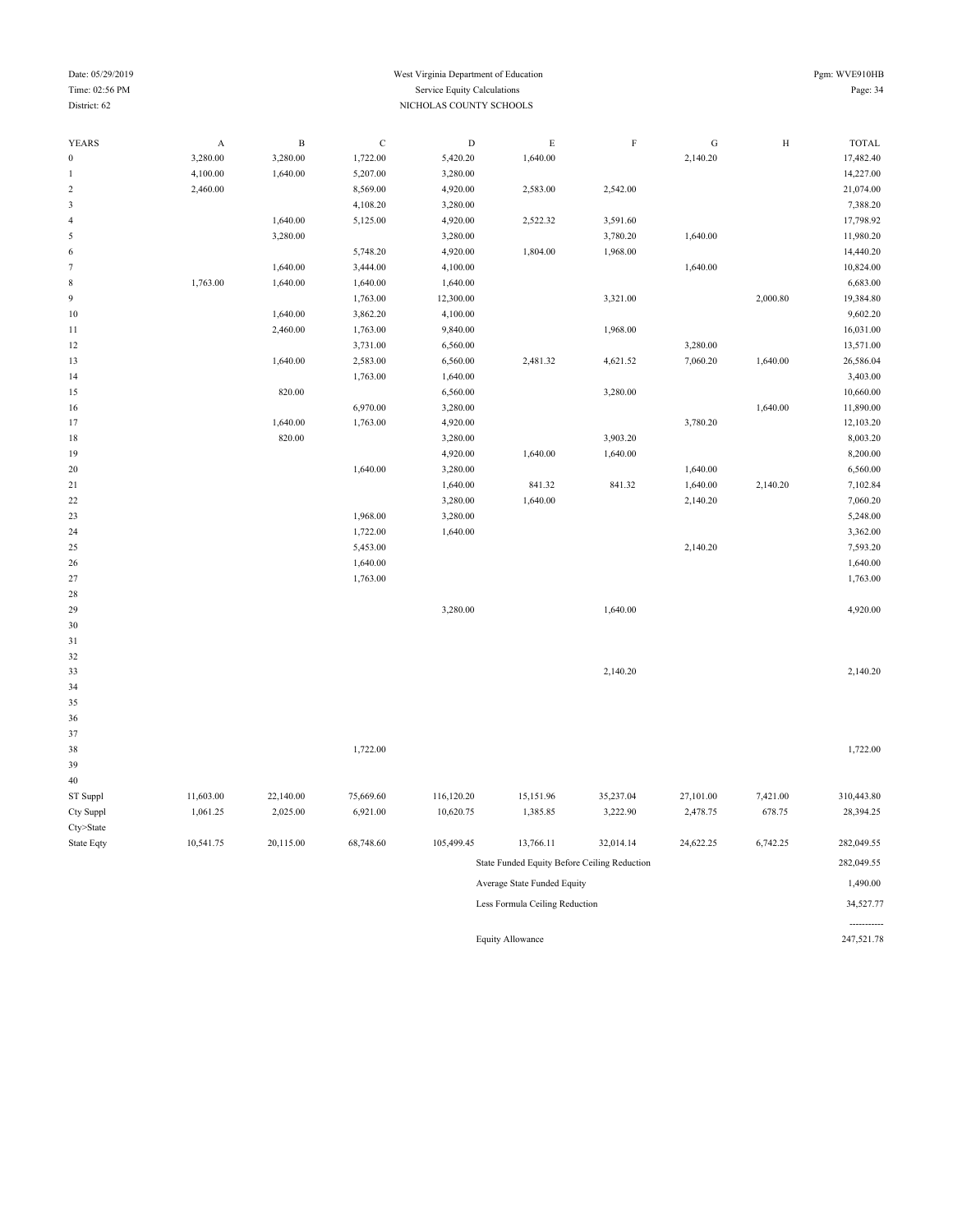-----------

### Date: 05/29/2019 Pgm: WVE910HB Time: 02:56 PM Service Equity Calculations Page: 34 District: 62 NICHOLAS COUNTY SCHOOLS

| <b>YEARS</b>            | A         | $\, {\bf B}$ | $\mathbf C$ | $\mathbf D$ | $\mathbf E$                                  | $\mathbf F$ | ${\bf G}$ | $\, {\rm H}$ | <b>TOTAL</b> |
|-------------------------|-----------|--------------|-------------|-------------|----------------------------------------------|-------------|-----------|--------------|--------------|
| $\boldsymbol{0}$        | 3,280.00  | 3,280.00     | 1,722.00    | 5,420.20    | 1,640.00                                     |             | 2,140.20  |              | 17,482.40    |
| $\mathbf{1}$            | 4,100.00  | 1,640.00     | 5,207.00    | 3,280.00    |                                              |             |           |              | 14,227.00    |
| $\sqrt{2}$              | 2,460.00  |              | 8,569.00    | 4,920.00    | 2,583.00                                     | 2,542.00    |           |              | 21,074.00    |
| $\overline{\mathbf{3}}$ |           |              | 4,108.20    | 3,280.00    |                                              |             |           |              | 7,388.20     |
| $\overline{4}$          |           | 1,640.00     | 5,125.00    | 4,920.00    | 2,522.32                                     | 3,591.60    |           |              | 17,798.92    |
| 5                       |           | 3,280.00     |             | 3,280.00    |                                              | 3,780.20    | 1,640.00  |              | 11,980.20    |
| 6                       |           |              | 5,748.20    | 4,920.00    | 1,804.00                                     | 1,968.00    |           |              | 14,440.20    |
| $\tau$                  |           | 1,640.00     | 3,444.00    | 4,100.00    |                                              |             | 1,640.00  |              | 10,824.00    |
| $\,$ 8 $\,$             | 1,763.00  | 1,640.00     | 1,640.00    | 1,640.00    |                                              |             |           |              | 6,683.00     |
| 9                       |           |              | 1,763.00    | 12,300.00   |                                              | 3,321.00    |           | 2,000.80     | 19,384.80    |
| $10\,$                  |           | 1,640.00     | 3,862.20    | 4,100.00    |                                              |             |           |              | 9,602.20     |
| 11                      |           | 2,460.00     | 1,763.00    | 9,840.00    |                                              | 1,968.00    |           |              | 16,031.00    |
| 12                      |           |              | 3,731.00    | 6,560.00    |                                              |             | 3,280.00  |              | 13,571.00    |
| 13                      |           | 1,640.00     | 2,583.00    | 6,560.00    | 2,481.32                                     | 4,621.52    | 7,060.20  | 1,640.00     | 26,586.04    |
| 14                      |           |              | 1,763.00    | 1,640.00    |                                              |             |           |              | 3,403.00     |
| 15                      |           | 820.00       |             | 6,560.00    |                                              | 3,280.00    |           |              | 10,660.00    |
| 16                      |           |              | 6,970.00    | 3,280.00    |                                              |             |           | 1,640.00     | 11,890.00    |
| 17                      |           | 1,640.00     | 1,763.00    | 4,920.00    |                                              |             | 3,780.20  |              | 12,103.20    |
| $18\,$                  |           | 820.00       |             | 3,280.00    |                                              | 3,903.20    |           |              | 8,003.20     |
| 19                      |           |              |             | 4,920.00    | 1,640.00                                     | 1,640.00    |           |              | 8,200.00     |
| 20                      |           |              | 1,640.00    | 3,280.00    |                                              |             | 1,640.00  |              | 6,560.00     |
| 21                      |           |              |             | 1,640.00    | 841.32                                       | 841.32      | 1,640.00  | 2,140.20     | 7,102.84     |
| $22\,$                  |           |              |             | 3,280.00    | 1,640.00                                     |             | 2,140.20  |              | 7,060.20     |
| 23                      |           |              | 1,968.00    | 3,280.00    |                                              |             |           |              | 5,248.00     |
| 24                      |           |              | 1,722.00    | 1,640.00    |                                              |             |           |              | 3,362.00     |
| $25\,$                  |           |              | 5,453.00    |             |                                              |             | 2,140.20  |              | 7,593.20     |
| 26                      |           |              | 1,640.00    |             |                                              |             |           |              | 1,640.00     |
| 27                      |           |              | 1,763.00    |             |                                              |             |           |              | 1,763.00     |
| 28                      |           |              |             |             |                                              |             |           |              |              |
| 29                      |           |              |             | 3,280.00    |                                              | 1,640.00    |           |              | 4,920.00     |
| 30                      |           |              |             |             |                                              |             |           |              |              |
| 31                      |           |              |             |             |                                              |             |           |              |              |
| 32                      |           |              |             |             |                                              |             |           |              |              |
| 33                      |           |              |             |             |                                              | 2,140.20    |           |              | 2,140.20     |
| 34                      |           |              |             |             |                                              |             |           |              |              |
| 35                      |           |              |             |             |                                              |             |           |              |              |
| 36                      |           |              |             |             |                                              |             |           |              |              |
| 37                      |           |              |             |             |                                              |             |           |              |              |
| 38                      |           |              | 1,722.00    |             |                                              |             |           |              | 1,722.00     |
| 39                      |           |              |             |             |                                              |             |           |              |              |
| 40                      |           |              |             |             |                                              |             |           |              |              |
| ST Suppl                | 11,603.00 | 22,140.00    | 75,669.60   | 116,120.20  | 15,151.96                                    | 35,237.04   | 27,101.00 | 7,421.00     | 310,443.80   |
| Cty Suppl               | 1,061.25  | 2,025.00     | 6,921.00    | 10,620.75   | 1,385.85                                     | 3,222.90    | 2,478.75  | 678.75       | 28,394.25    |
| Cty>State               |           |              |             |             |                                              |             |           |              |              |
| State Eqty              | 10,541.75 | 20,115.00    | 68,748.60   | 105,499.45  | 13,766.11                                    | 32,014.14   | 24,622.25 | 6,742.25     | 282,049.55   |
|                         |           |              |             |             | State Funded Equity Before Ceiling Reduction |             |           |              | 282,049.55   |
|                         |           |              |             |             | Average State Funded Equity                  |             |           |              | 1,490.00     |
|                         |           |              |             |             | Less Formula Ceiling Reduction               |             |           |              | 34,527.77    |

Equity Allowance 247,521.78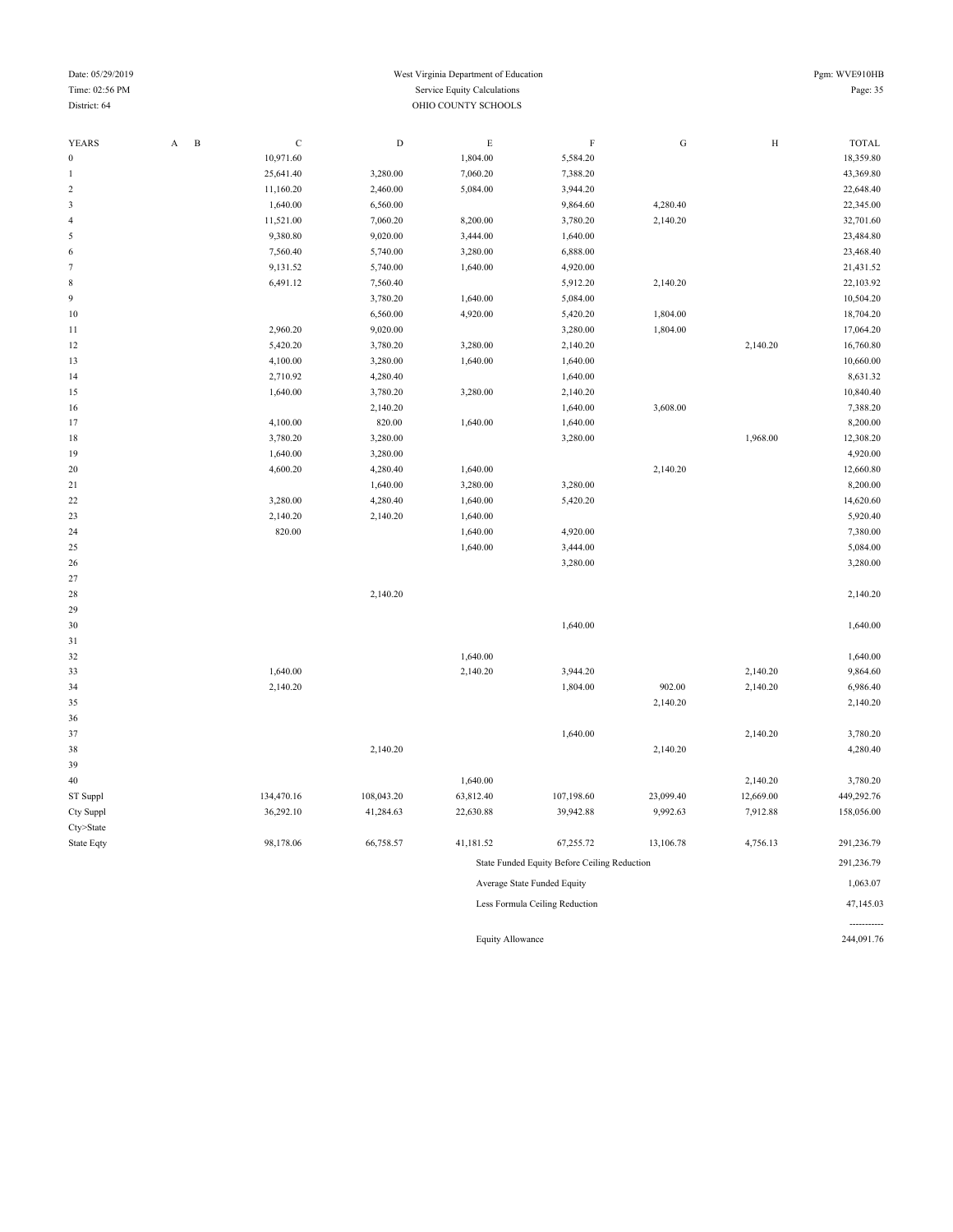| Date: 05/29/2019 |                     |   | Pgm: WVE910HB |  |                             |          |   |   |              |  |
|------------------|---------------------|---|---------------|--|-----------------------------|----------|---|---|--------------|--|
| Time: 02:56 PM   |                     |   |               |  | Service Equity Calculations |          |   |   | Page: 35     |  |
| District: 64     | OHIO COUNTY SCHOOLS |   |               |  |                             |          |   |   |              |  |
|                  |                     |   |               |  |                             |          |   |   |              |  |
| YEARS            |                     | B |               |  | н.                          |          | G | Н | <b>TOTAL</b> |  |
|                  |                     |   | 10.071.60     |  | 804.00                      | 5.584.20 |   |   | 18 350 80    |  |

| YEARS                     | $\, {\bf B}$<br>$\mathbf A$ | $\mathbf C$ | $\mathbf D$ | $\mathbf E$ | $\mathbf F$                                  | ${\rm G}$ | $\, {\rm H}$ | <b>TOTAL</b> |
|---------------------------|-----------------------------|-------------|-------------|-------------|----------------------------------------------|-----------|--------------|--------------|
| $\boldsymbol{0}$          |                             | 10,971.60   |             | 1,804.00    | 5,584.20                                     |           |              | 18,359.80    |
| 1                         |                             | 25,641.40   | 3,280.00    | 7,060.20    | 7,388.20                                     |           |              | 43,369.80    |
| $\sqrt{2}$                |                             | 11,160.20   | 2,460.00    | 5,084.00    | 3,944.20                                     |           |              | 22,648.40    |
| $\sqrt{3}$                |                             | 1,640.00    | 6,560.00    |             | 9,864.60                                     | 4,280.40  |              | 22,345.00    |
| $\overline{4}$            |                             | 11,521.00   | 7,060.20    | 8,200.00    | 3,780.20                                     | 2,140.20  |              | 32,701.60    |
| $\sqrt{5}$                |                             | 9,380.80    | 9,020.00    | 3,444.00    | 1,640.00                                     |           |              | 23,484.80    |
| $\sqrt{6}$                |                             | 7,560.40    | 5,740.00    | 3,280.00    | 6,888.00                                     |           |              | 23,468.40    |
| $\boldsymbol{7}$          |                             | 9,131.52    | 5,740.00    | 1,640.00    | 4,920.00                                     |           |              | 21,431.52    |
| $\,$ 8 $\,$               |                             | 6,491.12    | 7,560.40    |             | 5,912.20                                     | 2,140.20  |              | 22,103.92    |
| $\boldsymbol{9}$          |                             |             | 3,780.20    | 1,640.00    | 5,084.00                                     |           |              | 10,504.20    |
| $10$                      |                             |             | 6,560.00    | 4,920.00    | 5,420.20                                     | 1,804.00  |              | 18,704.20    |
| 11                        |                             | 2,960.20    | 9,020.00    |             | 3,280.00                                     | 1,804.00  |              | 17,064.20    |
| 12                        |                             | 5,420.20    | 3,780.20    | 3,280.00    | 2,140.20                                     |           | 2,140.20     | 16,760.80    |
| 13                        |                             | 4,100.00    | 3,280.00    | 1,640.00    | 1,640.00                                     |           |              | 10,660.00    |
| 14                        |                             | 2,710.92    | 4,280.40    |             | 1,640.00                                     |           |              | 8,631.32     |
| 15                        |                             | 1,640.00    | 3,780.20    | 3,280.00    | 2,140.20                                     |           |              | 10,840.40    |
| 16                        |                             |             | 2,140.20    |             | 1,640.00                                     | 3,608.00  |              | 7,388.20     |
| 17                        |                             | 4,100.00    | 820.00      | 1,640.00    | 1,640.00                                     |           |              | 8,200.00     |
| 18                        |                             | 3,780.20    | 3,280.00    |             | 3,280.00                                     |           | 1,968.00     | 12,308.20    |
| 19                        |                             | 1,640.00    | 3,280.00    |             |                                              |           |              | 4,920.00     |
| 20                        |                             | 4,600.20    | 4,280.40    | 1,640.00    |                                              | 2,140.20  |              | 12,660.80    |
| 21                        |                             |             | 1,640.00    | 3,280.00    | 3,280.00                                     |           |              | 8,200.00     |
| 22                        |                             | 3,280.00    | 4,280.40    | 1,640.00    | 5,420.20                                     |           |              | 14,620.60    |
| 23                        |                             | 2,140.20    | 2,140.20    | 1,640.00    |                                              |           |              | 5,920.40     |
| 24                        |                             | 820.00      |             | 1,640.00    | 4,920.00                                     |           |              | 7,380.00     |
| 25                        |                             |             |             | 1,640.00    | 3,444.00                                     |           |              | 5,084.00     |
| 26                        |                             |             |             |             | 3,280.00                                     |           |              | 3,280.00     |
| 27                        |                             |             |             |             |                                              |           |              |              |
| 28                        |                             |             | 2,140.20    |             |                                              |           |              | 2,140.20     |
| 29                        |                             |             |             |             |                                              |           |              |              |
| 30                        |                             |             |             |             | 1,640.00                                     |           |              | 1,640.00     |
| 31                        |                             |             |             |             |                                              |           |              |              |
| 32                        |                             |             |             | 1,640.00    |                                              |           |              | 1,640.00     |
| 33                        |                             | 1,640.00    |             | 2,140.20    | 3,944.20                                     |           | 2,140.20     | 9,864.60     |
| 34                        |                             | 2,140.20    |             |             | 1,804.00                                     | 902.00    | 2,140.20     | 6,986.40     |
| 35                        |                             |             |             |             |                                              | 2,140.20  |              | 2,140.20     |
| 36                        |                             |             |             |             |                                              |           |              |              |
| 37                        |                             |             |             |             | 1,640.00                                     |           | 2,140.20     | 3,780.20     |
| 38                        |                             |             | 2,140.20    |             |                                              | 2,140.20  |              | 4,280.40     |
| 39                        |                             |             |             |             |                                              |           |              |              |
| $40\,$                    |                             |             |             | 1,640.00    |                                              |           | 2,140.20     | 3,780.20     |
| ST Suppl                  |                             | 134,470.16  | 108,043.20  | 63,812.40   | 107,198.60                                   | 23,099.40 | 12,669.00    | 449,292.76   |
| Cty Suppl                 |                             | 36,292.10   | 41,284.63   | 22,630.88   | 39,942.88                                    | 9,992.63  | 7,912.88     | 158,056.00   |
| $\mbox{Cty}\mbox{>State}$ |                             |             |             |             |                                              |           |              |              |
| State Eqty                |                             | 98,178.06   | 66,758.57   | 41,181.52   | 67,255.72                                    | 13,106.78 | 4,756.13     | 291,236.79   |
|                           |                             |             |             |             | State Funded Equity Before Ceiling Reduction |           |              | 291,236.79   |
|                           |                             |             |             |             | Average State Funded Equity                  |           |              | 1,063.07     |
|                           |                             |             |             |             | Less Formula Ceiling Reduction               |           |              | 47,145.03    |
|                           |                             |             |             |             |                                              |           |              |              |

Equity Allowance 244,091.76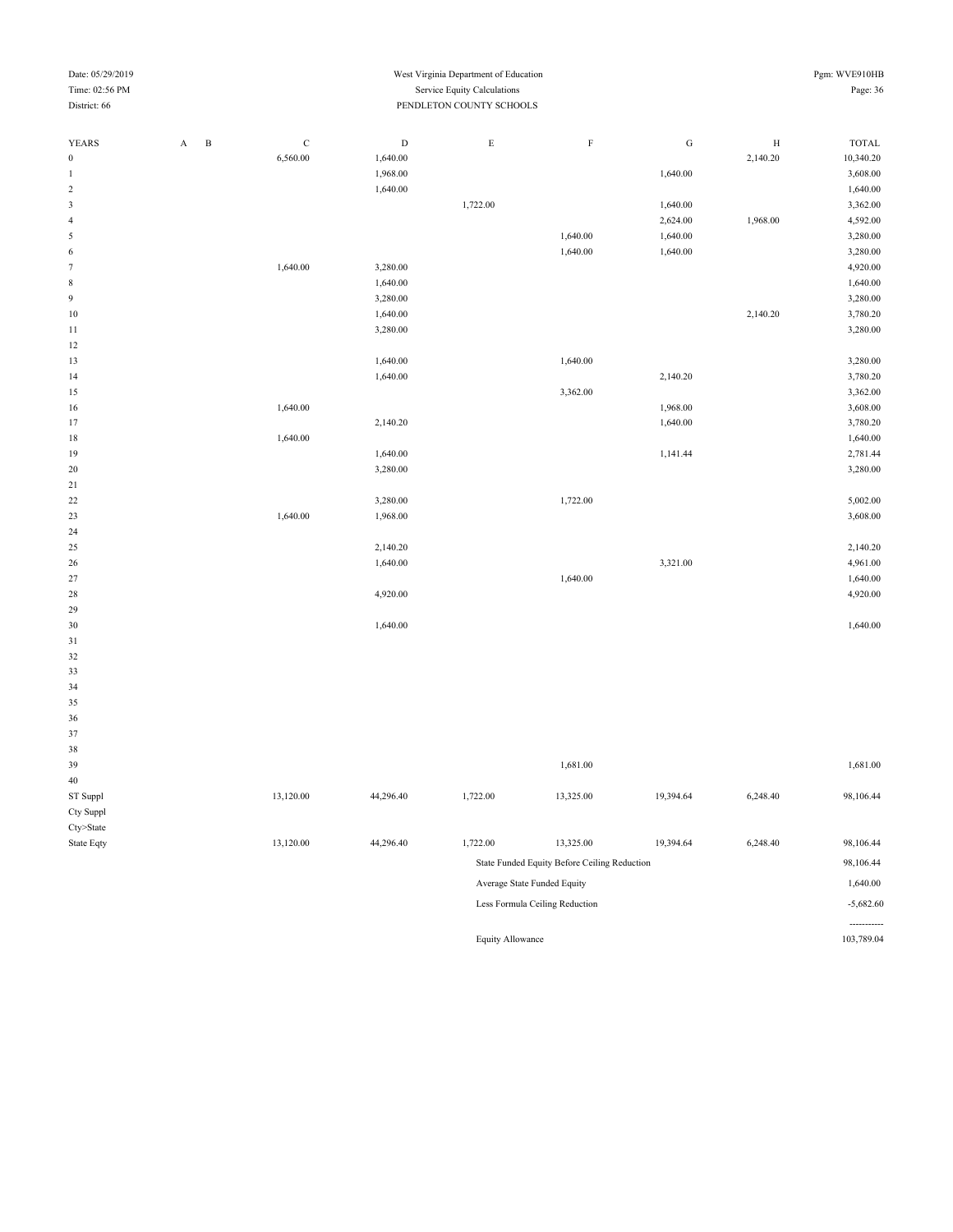| Date: 05/29/2019 | West Virginia Department of Education | Pgm: WVE910HB |
|------------------|---------------------------------------|---------------|
| Time: 02:56 PM   | <b>Service Equity Calculations</b>    | Page: 36      |
| District: 66     | PENDLETON COUNTY SCHOOLS              |               |
|                  |                                       |               |

| <b>YEARS</b>            | $\mathbf{A}$<br>$\, {\bf B}$ | $\mathbf C$ | D        | E        | F        | G        | H        | <b>TOTAL</b> |
|-------------------------|------------------------------|-------------|----------|----------|----------|----------|----------|--------------|
| $\boldsymbol{0}$        |                              | 6,560.00    | 1,640.00 |          |          |          | 2,140.20 | 10,340.20    |
| 1                       |                              |             | 1,968.00 |          |          | 1,640.00 |          | 3,608.00     |
| $\sqrt{2}$              |                              |             | 1,640.00 |          |          |          |          | 1,640.00     |
| $\overline{\mathbf{3}}$ |                              |             |          | 1,722.00 |          | 1,640.00 |          | 3,362.00     |
| $\sqrt{4}$              |                              |             |          |          |          | 2,624.00 | 1,968.00 | 4,592.00     |
| 5                       |                              |             |          |          | 1,640.00 | 1,640.00 |          | 3,280.00     |
| 6                       |                              |             |          |          | 1,640.00 | 1,640.00 |          | 3,280.00     |
| $\boldsymbol{7}$        |                              | 1,640.00    | 3,280.00 |          |          |          |          | 4,920.00     |
| $\,$ 8 $\,$             |                              |             | 1,640.00 |          |          |          |          | 1,640.00     |
| 9                       |                              |             | 3,280.00 |          |          |          |          | 3,280.00     |
| 10                      |                              |             | 1,640.00 |          |          |          | 2,140.20 | 3,780.20     |
| 11                      |                              |             | 3,280.00 |          |          |          |          | 3,280.00     |
| 12                      |                              |             |          |          |          |          |          |              |
| 13                      |                              |             | 1,640.00 |          | 1,640.00 |          |          | 3,280.00     |
| 14                      |                              |             | 1,640.00 |          |          | 2,140.20 |          | 3,780.20     |
| 15                      |                              |             |          |          | 3,362.00 |          |          | 3,362.00     |
| 16                      |                              | 1,640.00    |          |          |          | 1,968.00 |          | 3,608.00     |
| 17                      |                              |             | 2,140.20 |          |          | 1,640.00 |          | 3,780.20     |
| $18\,$                  |                              | 1,640.00    |          |          |          |          |          | 1,640.00     |
| 19                      |                              |             | 1,640.00 |          |          | 1,141.44 |          | 2,781.44     |
| 20                      |                              |             | 3,280.00 |          |          |          |          | 3,280.00     |
| 21                      |                              |             |          |          |          |          |          |              |
| 22                      |                              |             | 3,280.00 |          | 1,722.00 |          |          | 5,002.00     |
| 23                      |                              | 1,640.00    | 1,968.00 |          |          |          |          | 3,608.00     |
| 24                      |                              |             |          |          |          |          |          |              |
| 25                      |                              |             | 2,140.20 |          |          |          |          | 2,140.20     |
| 26                      |                              |             | 1,640.00 |          |          | 3,321.00 |          | 4,961.00     |
| 27                      |                              |             |          |          | 1,640.00 |          |          | 1,640.00     |
| 28                      |                              |             | 4,920.00 |          |          |          |          | 4,920.00     |
| 29                      |                              |             |          |          |          |          |          |              |
| 30                      |                              |             | 1,640.00 |          |          |          |          | 1,640.00     |
| 31                      |                              |             |          |          |          |          |          |              |
| 32                      |                              |             |          |          |          |          |          |              |
| 33                      |                              |             |          |          |          |          |          |              |
| 34                      |                              |             |          |          |          |          |          |              |

| 37         |           |           |          |                                              |           |          |             |
|------------|-----------|-----------|----------|----------------------------------------------|-----------|----------|-------------|
| 38         |           |           |          |                                              |           |          |             |
| 39         |           |           |          | 1,681.00                                     |           |          | 1,681.00    |
| 40         |           |           |          |                                              |           |          |             |
| ST Suppl   | 13,120.00 | 44,296.40 | 1,722.00 | 13,325.00                                    | 19,394.64 | 6,248.40 | 98,106.44   |
| Cty Suppl  |           |           |          |                                              |           |          |             |
| Cty>State  |           |           |          |                                              |           |          |             |
| State Eqty | 13,120.00 | 44,296.40 | 1,722.00 | 13,325.00                                    | 19,394.64 | 6,248.40 | 98,106.44   |
|            |           |           |          | State Funded Equity Before Ceiling Reduction |           |          | 98,106.44   |
|            |           |           |          | Average State Funded Equity                  |           |          | 1,640.00    |
|            |           |           |          | Less Formula Ceiling Reduction               |           |          | $-5,682.60$ |

 

Equity Allowance 103,789.04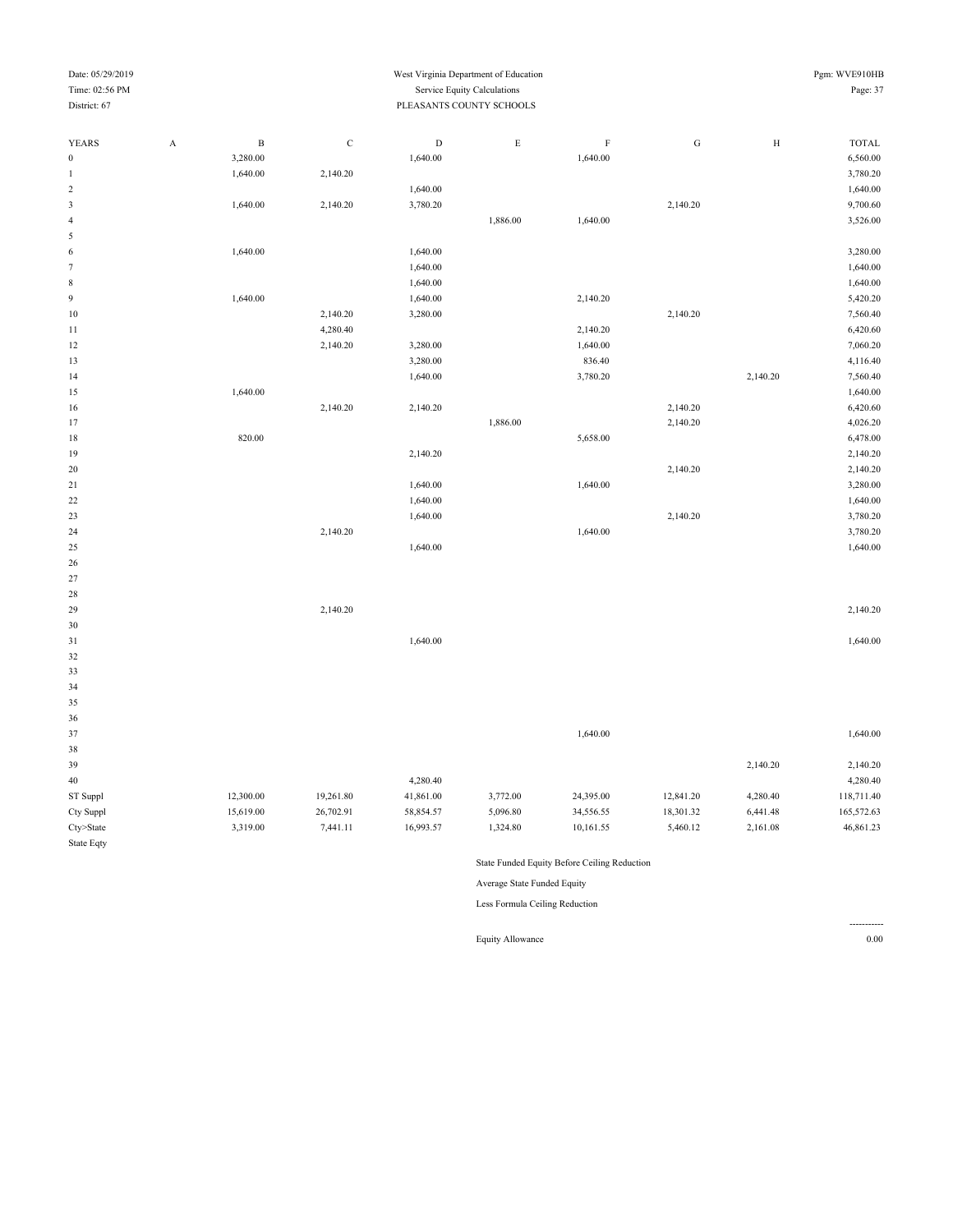#### Date: 05/29/2019 Pgm: WVE910HB Time: 02:56 PM Service Equity Calculations Page: 37 District: 67 PLEASANTS COUNTY SCHOOLS

| YEARS                       | $\boldsymbol{\rm{A}}$ | $\, {\bf B}$ | $\mathbf C$ | $\mathbf D$ | $\mathop{\hbox{\bf E}}$ | $\mathbf F$          | ${\rm G}$ | $\rm H$  | <b>TOTAL</b>         |
|-----------------------------|-----------------------|--------------|-------------|-------------|-------------------------|----------------------|-----------|----------|----------------------|
| $\boldsymbol{0}$            |                       | 3,280.00     |             | 1,640.00    |                         | 1,640.00             |           |          | 6,560.00             |
| $\,1\,$                     |                       | 1,640.00     | 2,140.20    |             |                         |                      |           |          | 3,780.20             |
| $\sqrt{2}$                  |                       |              |             | 1,640.00    |                         |                      |           |          | 1,640.00             |
| $\ensuremath{\mathfrak{Z}}$ |                       | 1,640.00     | 2,140.20    | 3,780.20    |                         |                      | 2,140.20  |          | 9,700.60             |
| $\sqrt{4}$                  |                       |              |             |             | 1,886.00                | 1,640.00             |           |          | 3,526.00             |
| $\mathfrak s$               |                       |              |             |             |                         |                      |           |          |                      |
| $\,$ 6 $\,$                 |                       | 1,640.00     |             | 1,640.00    |                         |                      |           |          | 3,280.00             |
| $\tau$                      |                       |              |             | 1,640.00    |                         |                      |           |          | 1,640.00             |
| $\,$ 8 $\,$                 |                       |              |             | 1,640.00    |                         |                      |           |          | 1,640.00             |
| $\overline{9}$              |                       | 1,640.00     |             | 1,640.00    |                         | 2,140.20             |           |          | 5,420.20             |
| 10                          |                       |              | 2,140.20    | 3,280.00    |                         |                      | 2,140.20  |          | 7,560.40             |
|                             |                       |              | 4,280.40    |             |                         |                      |           |          |                      |
| 11<br>12                    |                       |              | 2,140.20    | 3,280.00    |                         | 2,140.20<br>1,640.00 |           |          | 6,420.60<br>7,060.20 |
|                             |                       |              |             |             |                         | 836.40               |           |          |                      |
| 13                          |                       |              |             | 3,280.00    |                         |                      |           |          | 4,116.40             |
| 14                          |                       |              |             | 1,640.00    |                         | 3,780.20             |           | 2,140.20 | 7,560.40             |
| 15                          |                       | 1,640.00     |             |             |                         |                      |           |          | 1,640.00             |
| $16\,$                      |                       |              | 2,140.20    | 2,140.20    |                         |                      | 2,140.20  |          | 6,420.60             |
| 17                          |                       |              |             |             | 1,886.00                |                      | 2,140.20  |          | 4,026.20             |
| 18                          |                       | 820.00       |             |             |                         | 5,658.00             |           |          | 6,478.00             |
| 19                          |                       |              |             | 2,140.20    |                         |                      |           |          | 2,140.20             |
| $20\,$                      |                       |              |             |             |                         |                      | 2,140.20  |          | 2,140.20             |
| $21\,$                      |                       |              |             | 1,640.00    |                         | 1,640.00             |           |          | 3,280.00             |
| $22\,$                      |                       |              |             | 1,640.00    |                         |                      |           |          | 1,640.00             |
| 23                          |                       |              |             | 1,640.00    |                         |                      | 2,140.20  |          | 3,780.20             |
| 24                          |                       |              | 2,140.20    |             |                         | 1,640.00             |           |          | 3,780.20             |
| $25\,$                      |                       |              |             | 1,640.00    |                         |                      |           |          | 1,640.00             |
| 26                          |                       |              |             |             |                         |                      |           |          |                      |
| $27\,$                      |                       |              |             |             |                         |                      |           |          |                      |
| 28                          |                       |              |             |             |                         |                      |           |          |                      |
| 29                          |                       |              | 2,140.20    |             |                         |                      |           |          | 2,140.20             |
| $30\,$                      |                       |              |             |             |                         |                      |           |          |                      |
| $31\,$                      |                       |              |             | 1,640.00    |                         |                      |           |          | 1,640.00             |
| $32\,$                      |                       |              |             |             |                         |                      |           |          |                      |
| 33                          |                       |              |             |             |                         |                      |           |          |                      |
| 34                          |                       |              |             |             |                         |                      |           |          |                      |
| 35                          |                       |              |             |             |                         |                      |           |          |                      |
| $36\,$                      |                       |              |             |             |                         |                      |           |          |                      |
| $37\,$                      |                       |              |             |             |                         | 1,640.00             |           |          | 1,640.00             |
| $38\,$                      |                       |              |             |             |                         |                      |           |          |                      |
| 39                          |                       |              |             |             |                         |                      |           | 2,140.20 | 2,140.20             |
| $40\,$                      |                       |              |             | 4,280.40    |                         |                      |           |          | 4,280.40             |
| ST Suppl                    |                       | 12,300.00    | 19,261.80   | 41,861.00   | 3,772.00                | 24,395.00            | 12,841.20 | 4,280.40 | 118,711.40           |
| Cty Suppl                   |                       | 15,619.00    | 26,702.91   | 58,854.57   | 5,096.80                | 34,556.55            | 18,301.32 | 6,441.48 | 165,572.63           |
| Cty>State                   |                       | 3,319.00     | 7,441.11    | 16,993.57   | 1,324.80                | 10,161.55            | 5,460.12  | 2,161.08 | 46,861.23            |
| State Eqty                  |                       |              |             |             |                         |                      |           |          |                      |

State Funded Equity Before Ceiling Reduction

Average State Funded Equity

Less Formula Ceiling Reduction

Equity Allowance 0.00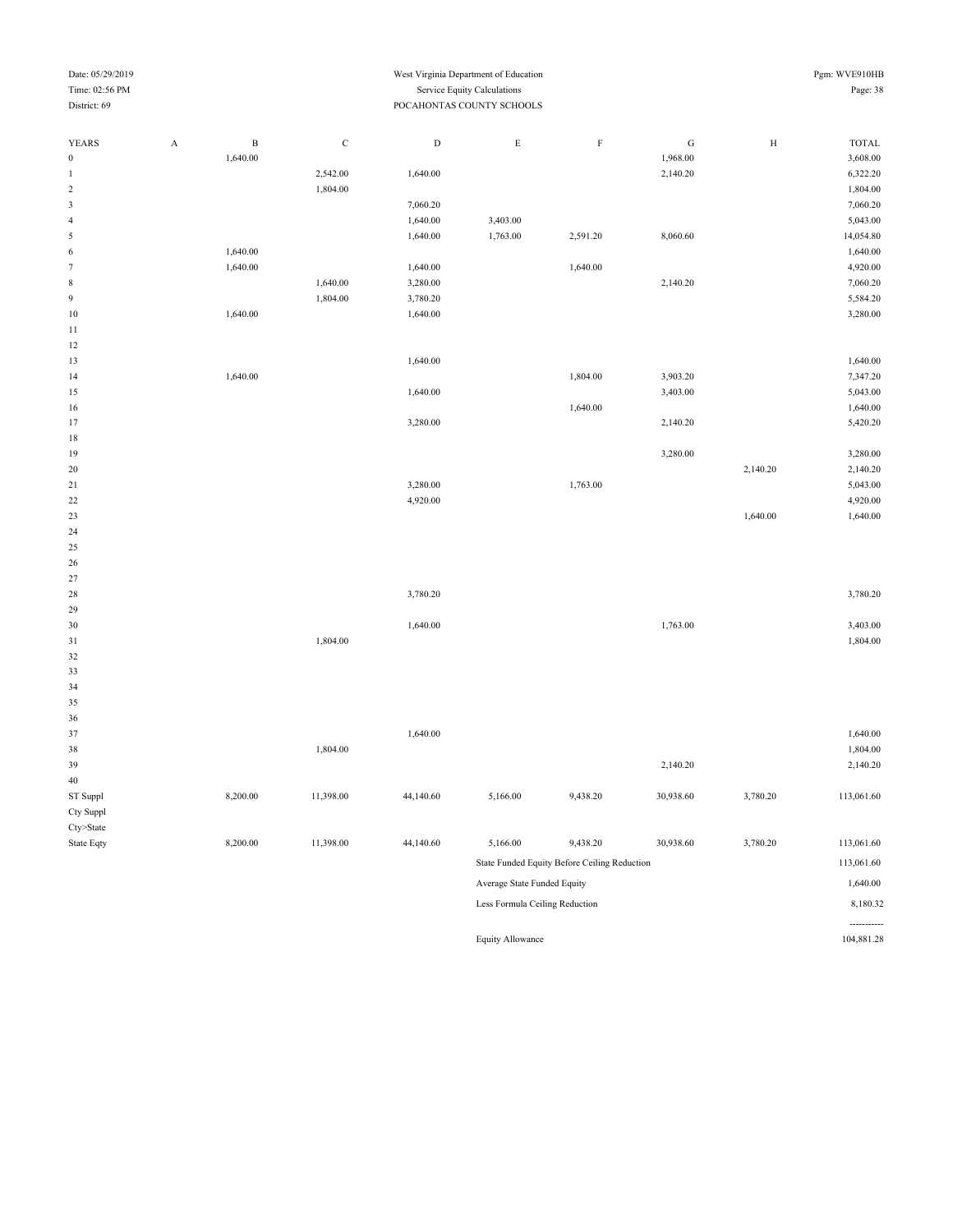| Time: 02:56 PM   |                       |                           |             |           | Service Equity Calculations |                                              |           |              | Page: 38   |  |  |  |
|------------------|-----------------------|---------------------------|-------------|-----------|-----------------------------|----------------------------------------------|-----------|--------------|------------|--|--|--|
| District: 69     |                       | POCAHONTAS COUNTY SCHOOLS |             |           |                             |                                              |           |              |            |  |  |  |
| YEARS            | $\boldsymbol{\rm{A}}$ | $\, {\bf B}$              | $\mathbf C$ | ${\rm D}$ | $\mathbf E$                 | $\rm F$                                      | ${\bf G}$ | $\, {\rm H}$ | TOTAL      |  |  |  |
| $\boldsymbol{0}$ |                       | 1,640.00                  |             |           |                             |                                              | 1,968.00  |              | 3,608.00   |  |  |  |
| $\mathbf{1}$     |                       |                           | 2,542.00    | 1,640.00  |                             |                                              | 2,140.20  |              | 6,322.20   |  |  |  |
| $\overline{c}$   |                       |                           | 1,804.00    |           |                             |                                              |           |              | 1,804.00   |  |  |  |
| 3                |                       |                           |             | 7,060.20  |                             |                                              |           |              | 7,060.20   |  |  |  |
| $\overline{4}$   |                       |                           |             | 1,640.00  | 3,403.00                    |                                              |           |              | 5,043.00   |  |  |  |
| 5                |                       |                           |             | 1,640.00  | 1,763.00                    | 2,591.20                                     | 8,060.60  |              | 14,054.80  |  |  |  |
| 6                |                       | 1,640.00                  |             |           |                             |                                              |           |              | 1,640.00   |  |  |  |
| $\boldsymbol{7}$ |                       | 1,640.00                  |             | 1,640.00  |                             | 1,640.00                                     |           |              | 4,920.00   |  |  |  |
| $\,$ 8 $\,$      |                       |                           | 1,640.00    | 3,280.00  |                             |                                              | 2,140.20  |              | 7,060.20   |  |  |  |
| 9                |                       |                           | 1,804.00    | 3,780.20  |                             |                                              |           |              | 5,584.20   |  |  |  |
| $10\,$           |                       | 1,640.00                  |             | 1,640.00  |                             |                                              |           |              | 3,280.00   |  |  |  |
| 11               |                       |                           |             |           |                             |                                              |           |              |            |  |  |  |
| 12               |                       |                           |             |           |                             |                                              |           |              |            |  |  |  |
| 13               |                       |                           |             | 1,640.00  |                             |                                              |           |              | 1,640.00   |  |  |  |
| 14               |                       | 1,640.00                  |             |           |                             | 1,804.00                                     | 3,903.20  |              | 7,347.20   |  |  |  |
| 15               |                       |                           |             | 1,640.00  |                             |                                              | 3,403.00  |              | 5,043.00   |  |  |  |
| 16               |                       |                           |             |           |                             | 1,640.00                                     |           |              | 1,640.00   |  |  |  |
| 17               |                       |                           |             | 3,280.00  |                             |                                              | 2,140.20  |              | 5,420.20   |  |  |  |
| $1\,8$           |                       |                           |             |           |                             |                                              |           |              |            |  |  |  |
| 19               |                       |                           |             |           |                             |                                              | 3,280.00  |              | 3,280.00   |  |  |  |
| 20               |                       |                           |             |           |                             |                                              |           | 2,140.20     | 2,140.20   |  |  |  |
| 21               |                       |                           |             | 3,280.00  |                             | 1,763.00                                     |           |              | 5,043.00   |  |  |  |
| 22               |                       |                           |             | 4,920.00  |                             |                                              |           |              | 4,920.00   |  |  |  |
| 23               |                       |                           |             |           |                             |                                              |           | 1,640.00     | 1,640.00   |  |  |  |
| 24               |                       |                           |             |           |                             |                                              |           |              |            |  |  |  |
| 25               |                       |                           |             |           |                             |                                              |           |              |            |  |  |  |
| 26               |                       |                           |             |           |                             |                                              |           |              |            |  |  |  |
| 27               |                       |                           |             |           |                             |                                              |           |              |            |  |  |  |
| 28               |                       |                           |             | 3,780.20  |                             |                                              |           |              | 3,780.20   |  |  |  |
| 29               |                       |                           |             |           |                             |                                              |           |              |            |  |  |  |
| 30               |                       |                           |             | 1,640.00  |                             |                                              | 1,763.00  |              | 3,403.00   |  |  |  |
| $3\sqrt{1}$      |                       |                           | 1,804.00    |           |                             |                                              |           |              | 1,804.00   |  |  |  |
| 32               |                       |                           |             |           |                             |                                              |           |              |            |  |  |  |
| 33               |                       |                           |             |           |                             |                                              |           |              |            |  |  |  |
| 34               |                       |                           |             |           |                             |                                              |           |              |            |  |  |  |
| 35               |                       |                           |             |           |                             |                                              |           |              |            |  |  |  |
| 36               |                       |                           |             |           |                             |                                              |           |              |            |  |  |  |
| 37               |                       |                           |             | 1,640.00  |                             |                                              |           |              | 1,640.00   |  |  |  |
| 38               |                       |                           | 1,804.00    |           |                             |                                              |           |              | 1,804.00   |  |  |  |
| 39               |                       |                           |             |           |                             |                                              | 2,140.20  |              | 2,140.20   |  |  |  |
| $40\,$           |                       |                           |             |           |                             |                                              |           |              |            |  |  |  |
| ST Suppl         |                       | 8,200.00                  | 11,398.00   | 44,140.60 | 5,166.00                    | 9,438.20                                     | 30,938.60 | 3,780.20     | 113,061.60 |  |  |  |
| Cty Suppl        |                       |                           |             |           |                             |                                              |           |              |            |  |  |  |
| Cty>State        |                       |                           |             |           |                             |                                              |           |              |            |  |  |  |
| State Eqty       |                       | 8,200.00                  | 11,398.00   | 44,140.60 | 5,166.00                    | 9,438.20                                     | 30,938.60 | 3,780.20     | 113,061.60 |  |  |  |
|                  |                       |                           |             |           |                             | State Funded Equity Before Ceiling Reduction |           |              | 113,061.60 |  |  |  |
|                  |                       |                           |             |           | Average State Funded Equity |                                              |           |              | 1,640.00   |  |  |  |
|                  |                       |                           |             |           |                             |                                              |           |              |            |  |  |  |

Date: 05/29/2019 West Virginia Department of Education Pgm: WVE910HB

Less Formula Ceiling Reduction 8,180.32

-----------

Equity Allowance 104,881.28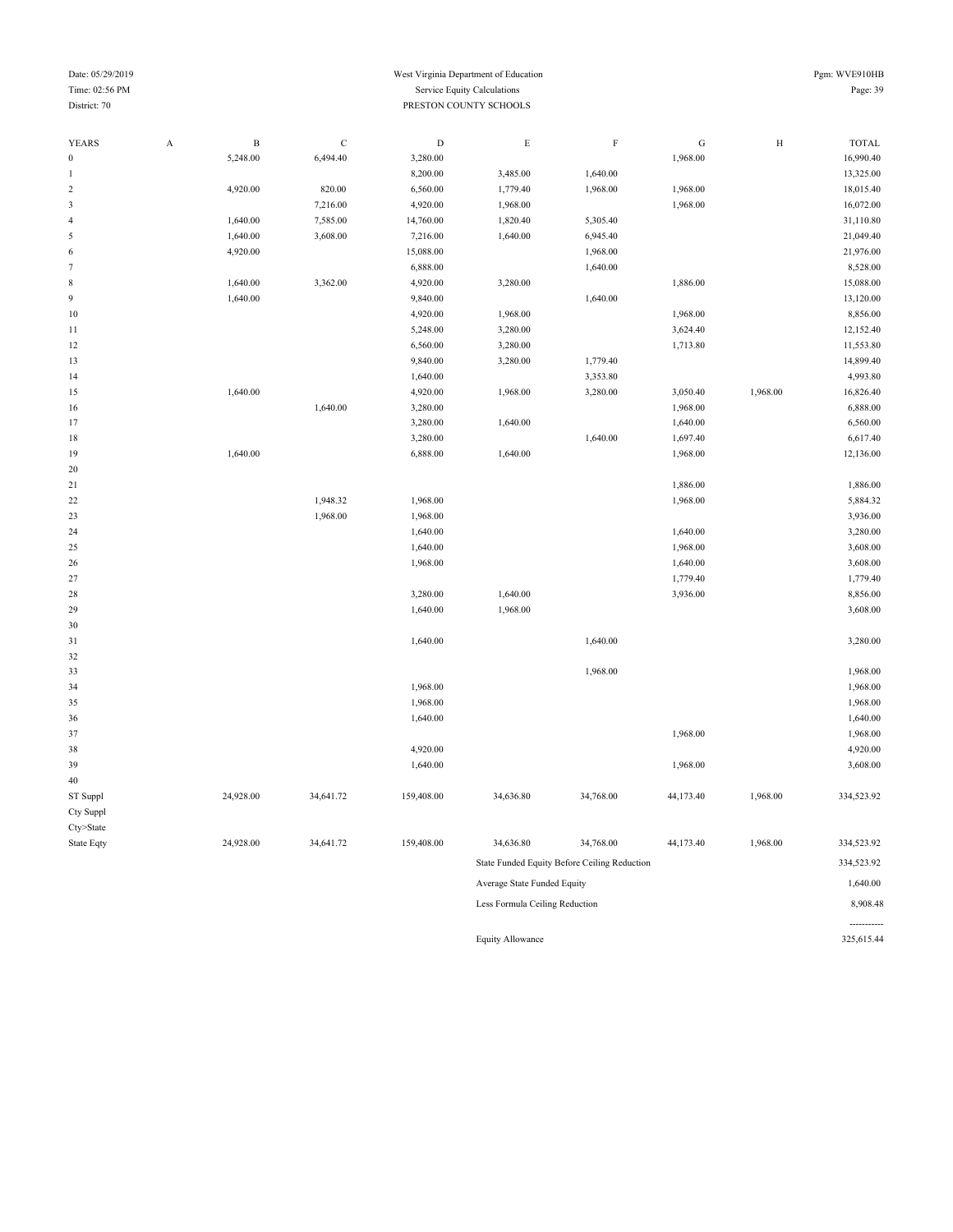#### Date: 05/29/2019 Pgm: WVE910HB Time: 02:56 PM Service Equity Calculations Page: 39 Page: 39 **District: 70** PRESTON COUNTY SCHOOLS

| YEARS                   | $\boldsymbol{\mathsf{A}}$ | $\, {\bf B}$ | $\mathbf C$ | $\mathbf D$ | $\mathbf E$                    | $\rm F$                                      | ${\bf G}$ | $\rm H$  | <b>TOTAL</b> |
|-------------------------|---------------------------|--------------|-------------|-------------|--------------------------------|----------------------------------------------|-----------|----------|--------------|
| 0                       |                           | 5,248.00     | 6,494.40    | 3,280.00    |                                |                                              | 1,968.00  |          | 16,990.40    |
|                         |                           |              |             | 8,200.00    | 3,485.00                       | 1,640.00                                     |           |          | 13,325.00    |
| $\overline{\mathbf{c}}$ |                           | 4,920.00     | 820.00      | 6,560.00    | 1,779.40                       | 1,968.00                                     | 1,968.00  |          | 18,015.40    |
| 3                       |                           |              | 7,216.00    | 4,920.00    | 1,968.00                       |                                              | 1,968.00  |          | 16,072.00    |
| 4                       |                           | 1,640.00     | 7,585.00    | 14,760.00   | 1,820.40                       | 5,305.40                                     |           |          | 31,110.80    |
| 5                       |                           | 1,640.00     | 3,608.00    | 7,216.00    | 1,640.00                       | 6,945.40                                     |           |          | 21,049.40    |
| 6                       |                           | 4,920.00     |             | 15,088.00   |                                | 1,968.00                                     |           |          | 21,976.00    |
| 7                       |                           |              |             | 6,888.00    |                                | 1,640.00                                     |           |          | 8,528.00     |
| 8                       |                           | 1,640.00     | 3,362.00    | 4,920.00    | 3,280.00                       |                                              | 1,886.00  |          | 15,088.00    |
| 9                       |                           | 1,640.00     |             | 9,840.00    |                                | 1,640.00                                     |           |          | 13,120.00    |
| 10                      |                           |              |             | 4,920.00    | 1,968.00                       |                                              | 1,968.00  |          | 8,856.00     |
| 11                      |                           |              |             | 5,248.00    | 3,280.00                       |                                              | 3,624.40  |          | 12,152.40    |
| 12                      |                           |              |             | 6,560.00    | 3,280.00                       |                                              | 1,713.80  |          | 11,553.80    |
| 13                      |                           |              |             | 9,840.00    | 3,280.00                       | 1,779.40                                     |           |          | 14,899.40    |
| 14                      |                           |              |             | 1,640.00    |                                | 3,353.80                                     |           |          | 4,993.80     |
| 15                      |                           | 1,640.00     |             | 4,920.00    | 1,968.00                       | 3,280.00                                     | 3,050.40  | 1,968.00 | 16,826.40    |
| 16                      |                           |              | 1,640.00    | 3,280.00    |                                |                                              | 1,968.00  |          | 6,888.00     |
| 17                      |                           |              |             | 3,280.00    | 1,640.00                       |                                              | 1,640.00  |          | 6,560.00     |
| 18                      |                           |              |             | 3,280.00    |                                | 1,640.00                                     | 1,697.40  |          | 6,617.40     |
| 19                      |                           | 1,640.00     |             | 6,888.00    | 1,640.00                       |                                              | 1,968.00  |          | 12,136.00    |
| 20                      |                           |              |             |             |                                |                                              |           |          |              |
| 21                      |                           |              |             |             |                                |                                              | 1,886.00  |          | 1,886.00     |
| 22                      |                           |              | 1,948.32    | 1,968.00    |                                |                                              | 1,968.00  |          | 5,884.32     |
| 23                      |                           |              | 1,968.00    | 1,968.00    |                                |                                              |           |          | 3,936.00     |
| 24                      |                           |              |             | 1,640.00    |                                |                                              | 1,640.00  |          | 3,280.00     |
| 25                      |                           |              |             | 1,640.00    |                                |                                              | 1,968.00  |          | 3,608.00     |
| 26                      |                           |              |             | 1,968.00    |                                |                                              | 1,640.00  |          | 3,608.00     |
| 27                      |                           |              |             |             |                                |                                              | 1,779.40  |          | 1,779.40     |
| 28                      |                           |              |             | 3,280.00    | 1,640.00                       |                                              | 3,936.00  |          | 8,856.00     |
| 29                      |                           |              |             | 1,640.00    | 1,968.00                       |                                              |           |          | 3,608.00     |
| 30                      |                           |              |             |             |                                | 1,640.00                                     |           |          |              |
| 31                      |                           |              |             | 1,640.00    |                                |                                              |           |          | 3,280.00     |
| 32<br>33                |                           |              |             |             |                                | 1,968.00                                     |           |          | 1,968.00     |
| 34                      |                           |              |             | 1,968.00    |                                |                                              |           |          | 1,968.00     |
| 35                      |                           |              |             | 1,968.00    |                                |                                              |           |          | 1,968.00     |
| 36                      |                           |              |             | 1,640.00    |                                |                                              |           |          | 1,640.00     |
| 37                      |                           |              |             |             |                                |                                              | 1,968.00  |          | 1,968.00     |
|                         |                           |              |             | 4,920.00    |                                |                                              |           |          | 4,920.00     |
| 38<br>39                |                           |              |             | 1,640.00    |                                |                                              | 1,968.00  |          | 3,608.00     |
| 40                      |                           |              |             |             |                                |                                              |           |          |              |
|                         |                           | 24,928.00    | 34,641.72   | 159,408.00  | 34,636.80                      | 34,768.00                                    | 44,173.40 | 1,968.00 | 334,523.92   |
| ST Suppl<br>Cty Suppl   |                           |              |             |             |                                |                                              |           |          |              |
| Cty>State               |                           |              |             |             |                                |                                              |           |          |              |
| State Eqty              |                           | 24,928.00    | 34,641.72   | 159,408.00  | 34,636.80                      | 34,768.00                                    | 44,173.40 | 1,968.00 | 334,523.92   |
|                         |                           |              |             |             |                                | State Funded Equity Before Ceiling Reduction |           |          | 334,523.92   |
|                         |                           |              |             |             |                                |                                              |           |          |              |
|                         |                           |              |             |             | Average State Funded Equity    |                                              |           |          | 1,640.00     |
|                         |                           |              |             |             | Less Formula Ceiling Reduction |                                              |           |          | 8,908.48     |
|                         |                           |              |             |             |                                |                                              |           |          |              |

Equity Allowance 325,615.44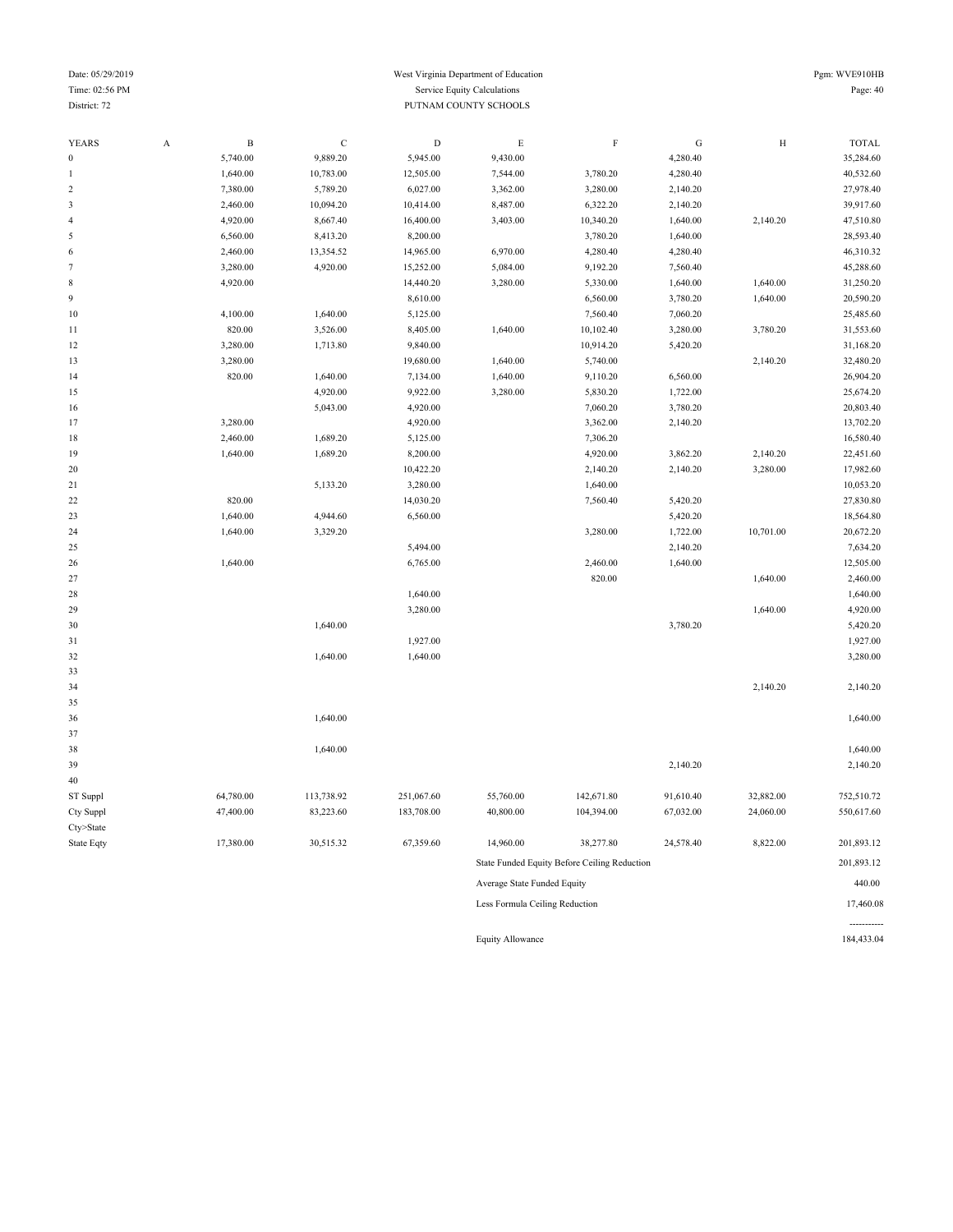#### Date: 05/29/2019 West Virginia Department of Education Pgm: WVE910HB Time: 02:56 PM Service Equity Calculations Page: 40 **District: 72** PUTNAM COUNTY SCHOOLS

----------<br>184,433.04

| <b>YEARS</b>                   | $\boldsymbol{\mathsf{A}}$ | $\, {\bf B}$ | $\mathbf C$ | $\mathbf D$ | $\mathbf E$                 | $\mathbf F$                                  | ${\bf G}$ | $\rm H$   | <b>TOTAL</b> |
|--------------------------------|---------------------------|--------------|-------------|-------------|-----------------------------|----------------------------------------------|-----------|-----------|--------------|
| $\boldsymbol{0}$               |                           | 5,740.00     | 9,889.20    | 5,945.00    | 9,430.00                    |                                              | 4,280.40  |           | 35,284.60    |
| $\mathbf{1}$                   |                           | 1,640.00     | 10,783.00   | 12,505.00   | 7,544.00                    | 3,780.20                                     | 4,280.40  |           | 40,532.60    |
| $\sqrt{2}$                     |                           | 7,380.00     | 5,789.20    | 6,027.00    | 3,362.00                    | 3,280.00                                     | 2,140.20  |           | 27,978.40    |
| $\sqrt{3}$                     |                           | 2,460.00     | 10,094.20   | 10,414.00   | 8,487.00                    | 6,322.20                                     | 2,140.20  |           | 39,917.60    |
| 4                              |                           | 4,920.00     | 8,667.40    | 16,400.00   | 3,403.00                    | 10,340.20                                    | 1,640.00  | 2,140.20  | 47,510.80    |
| $\sqrt{5}$                     |                           | 6,560.00     | 8,413.20    | 8,200.00    |                             | 3,780.20                                     | 1,640.00  |           | 28,593.40    |
| 6                              |                           | 2,460.00     | 13,354.52   | 14,965.00   | 6,970.00                    | 4,280.40                                     | 4,280.40  |           | 46,310.32    |
| $\tau$                         |                           | 3,280.00     | 4,920.00    | 15,252.00   | 5,084.00                    | 9,192.20                                     | 7,560.40  |           | 45,288.60    |
| $\,$ 8 $\,$                    |                           | 4,920.00     |             | 14,440.20   | 3,280.00                    | 5,330.00                                     | 1,640.00  | 1,640.00  | 31,250.20    |
| $\overline{9}$                 |                           |              |             | 8,610.00    |                             | 6,560.00                                     | 3,780.20  | 1,640.00  | 20,590.20    |
| 10                             |                           | 4,100.00     | 1,640.00    | 5,125.00    |                             | 7,560.40                                     | 7,060.20  |           | 25,485.60    |
| 11                             |                           | 820.00       | 3,526.00    | 8,405.00    | 1,640.00                    | 10,102.40                                    | 3,280.00  | 3,780.20  | 31,553.60    |
| 12                             |                           | 3,280.00     | 1,713.80    | 9,840.00    |                             | 10,914.20                                    | 5,420.20  |           | 31,168.20    |
| 13                             |                           | 3,280.00     |             | 19,680.00   | 1,640.00                    | 5,740.00                                     |           | 2,140.20  | 32,480.20    |
| 14                             |                           | 820.00       | 1,640.00    | 7,134.00    | 1,640.00                    | 9,110.20                                     | 6,560.00  |           | 26,904.20    |
| 15                             |                           |              | 4,920.00    | 9,922.00    | 3,280.00                    | 5,830.20                                     | 1,722.00  |           | 25,674.20    |
| 16                             |                           |              | 5,043.00    | 4,920.00    |                             | 7,060.20                                     | 3,780.20  |           | 20,803.40    |
| 17                             |                           | 3,280.00     |             | 4,920.00    |                             | 3,362.00                                     | 2,140.20  |           | 13,702.20    |
| 18                             |                           | 2,460.00     | 1,689.20    | 5,125.00    |                             | 7,306.20                                     |           |           | 16,580.40    |
| 19                             |                           | 1,640.00     | 1,689.20    | 8,200.00    |                             | 4,920.00                                     | 3,862.20  | 2,140.20  | 22,451.60    |
| 20                             |                           |              |             | 10,422.20   |                             | 2,140.20                                     | 2,140.20  | 3,280.00  | 17,982.60    |
| 21                             |                           |              | 5,133.20    | 3,280.00    |                             | 1,640.00                                     |           |           | 10,053.20    |
| 22                             |                           | 820.00       |             | 14,030.20   |                             | 7,560.40                                     | 5,420.20  |           | 27,830.80    |
| 23                             |                           | 1,640.00     | 4,944.60    | 6,560.00    |                             |                                              | 5,420.20  |           | 18,564.80    |
| 24                             |                           | 1,640.00     | 3,329.20    |             |                             | 3,280.00                                     | 1,722.00  | 10,701.00 | 20,672.20    |
| 25                             |                           |              |             | 5,494.00    |                             |                                              | 2,140.20  |           | 7,634.20     |
| 26                             |                           | 1,640.00     |             | 6,765.00    |                             | 2,460.00                                     | 1,640.00  |           | 12,505.00    |
| 27                             |                           |              |             |             |                             | 820.00                                       |           | 1,640.00  | 2,460.00     |
| 28                             |                           |              |             | 1,640.00    |                             |                                              |           |           | 1,640.00     |
| 29                             |                           |              |             | 3,280.00    |                             |                                              |           | 1,640.00  | 4,920.00     |
| 30                             |                           |              | 1,640.00    |             |                             |                                              | 3,780.20  |           | 5,420.20     |
| 31                             |                           |              |             | 1,927.00    |                             |                                              |           |           | 1,927.00     |
| 32                             |                           |              | 1,640.00    | 1,640.00    |                             |                                              |           |           | 3,280.00     |
| 33                             |                           |              |             |             |                             |                                              |           |           |              |
| 34                             |                           |              |             |             |                             |                                              |           | 2,140.20  | 2,140.20     |
| 35                             |                           |              |             |             |                             |                                              |           |           |              |
| 36                             |                           |              | 1,640.00    |             |                             |                                              |           |           | 1,640.00     |
| 37                             |                           |              |             |             |                             |                                              |           |           |              |
| 38                             |                           |              | 1,640.00    |             |                             |                                              |           |           | 1,640.00     |
| 39                             |                           |              |             |             |                             |                                              | 2,140.20  |           | 2,140.20     |
| 40                             |                           |              |             |             |                             |                                              |           |           |              |
| ST Suppl                       |                           | 64,780.00    | 113,738.92  | 251,067.60  | 55,760.00                   | 142,671.80                                   | 91,610.40 | 32,882.00 | 752,510.72   |
| Cty Suppl                      |                           | 47,400.00    | 83,223.60   | 183,708.00  | 40,800.00                   | 104,394.00                                   | 67,032.00 | 24,060.00 | 550,617.60   |
| Cty>State                      |                           |              |             |             |                             |                                              |           |           |              |
| State Eqty                     |                           | 17,380.00    | 30,515.32   | 67,359.60   | 14,960.00                   | 38,277.80                                    | 24,578.40 | 8,822.00  | 201,893.12   |
|                                |                           |              |             |             |                             | State Funded Equity Before Ceiling Reduction |           |           | 201,893.12   |
|                                |                           |              |             |             | Average State Funded Equity |                                              |           |           | 440.00       |
| Less Formula Ceiling Reduction |                           |              |             |             |                             |                                              |           |           | 17,460.08    |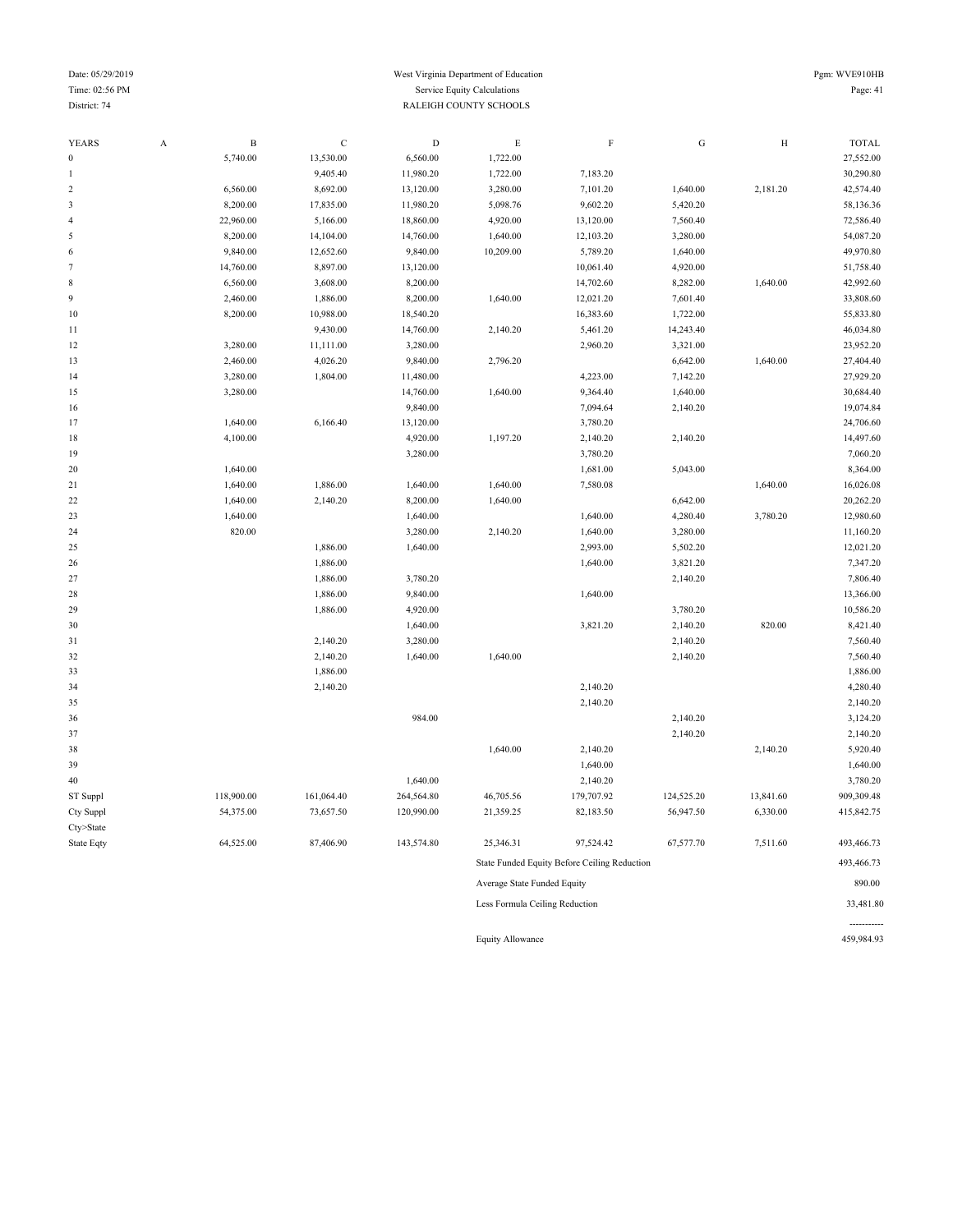#### Date: 05/29/2019 Pgm: WVE910HB Time: 02:56 PM Service Equity Calculations Page: 41 District: 74 RALEIGH COUNTY SCHOOLS

----------<br>459,984.93

| <b>YEARS</b>     | $\boldsymbol{\mathsf{A}}$ | $\, {\bf B}$ | $\mathsf C$ | $\mathbf D$ | $\mathbf E$                    | $\rm F$                                      | ${\rm G}$  | $\rm H$   | <b>TOTAL</b> |
|------------------|---------------------------|--------------|-------------|-------------|--------------------------------|----------------------------------------------|------------|-----------|--------------|
| $\boldsymbol{0}$ |                           | 5,740.00     | 13,530.00   | 6,560.00    | 1,722.00                       |                                              |            |           | 27,552.00    |
| 1                |                           |              | 9,405.40    | 11,980.20   | 1,722.00                       | 7,183.20                                     |            |           | 30,290.80    |
| $\boldsymbol{2}$ |                           | 6,560.00     | 8,692.00    | 13,120.00   | 3,280.00                       | 7,101.20                                     | 1,640.00   | 2,181.20  | 42,574.40    |
| 3                |                           | 8,200.00     | 17,835.00   | 11,980.20   | 5,098.76                       | 9,602.20                                     | 5,420.20   |           | 58,136.36    |
| $\overline{4}$   |                           | 22,960.00    | 5,166.00    | 18,860.00   | 4,920.00                       | 13,120.00                                    | 7,560.40   |           | 72,586.40    |
| 5                |                           | 8,200.00     | 14,104.00   | 14,760.00   | 1,640.00                       | 12,103.20                                    | 3,280.00   |           | 54,087.20    |
| 6                |                           | 9,840.00     | 12,652.60   | 9,840.00    | 10,209.00                      | 5,789.20                                     | 1,640.00   |           | 49,970.80    |
| $\tau$           |                           | 14,760.00    | 8,897.00    | 13,120.00   |                                | 10,061.40                                    | 4,920.00   |           | 51,758.40    |
| 8                |                           | 6,560.00     | 3,608.00    | 8,200.00    |                                | 14,702.60                                    | 8,282.00   | 1,640.00  | 42,992.60    |
| 9                |                           | 2,460.00     | 1,886.00    | 8,200.00    | 1,640.00                       | 12,021.20                                    | 7,601.40   |           | 33,808.60    |
| 10               |                           | 8,200.00     | 10,988.00   | 18,540.20   |                                | 16,383.60                                    | 1,722.00   |           | 55,833.80    |
| 11               |                           |              | 9,430.00    | 14,760.00   | 2,140.20                       | 5,461.20                                     | 14,243.40  |           | 46,034.80    |
| 12               |                           | 3,280.00     | 11,111.00   | 3,280.00    |                                | 2,960.20                                     | 3,321.00   |           | 23,952.20    |
| 13               |                           | 2,460.00     | 4,026.20    | 9,840.00    | 2,796.20                       |                                              | 6,642.00   | 1,640.00  | 27,404.40    |
| 14               |                           | 3,280.00     | 1,804.00    | 11,480.00   |                                | 4,223.00                                     | 7,142.20   |           | 27,929.20    |
| 15               |                           | 3,280.00     |             | 14,760.00   | 1,640.00                       | 9,364.40                                     | 1,640.00   |           | 30,684.40    |
| 16               |                           |              |             | 9,840.00    |                                | 7,094.64                                     | 2,140.20   |           | 19,074.84    |
| 17               |                           | 1,640.00     | 6,166.40    | 13,120.00   |                                | 3,780.20                                     |            |           | 24,706.60    |
| 18               |                           | 4,100.00     |             | 4,920.00    | 1,197.20                       | 2,140.20                                     | 2,140.20   |           | 14,497.60    |
| 19               |                           |              |             | 3,280.00    |                                | 3,780.20                                     |            |           | 7,060.20     |
| 20               |                           | 1,640.00     |             |             |                                | 1,681.00                                     | 5,043.00   |           | 8,364.00     |
| 21               |                           | 1,640.00     | 1,886.00    | 1,640.00    | 1,640.00                       | 7,580.08                                     |            | 1,640.00  | 16,026.08    |
| 22               |                           | 1,640.00     | 2,140.20    | 8,200.00    | 1,640.00                       |                                              | 6,642.00   |           | 20,262.20    |
| 23               |                           | 1,640.00     |             | 1,640.00    |                                | 1,640.00                                     | 4,280.40   | 3,780.20  | 12,980.60    |
| 24               |                           | 820.00       |             | 3,280.00    | 2,140.20                       | 1,640.00                                     | 3,280.00   |           | 11,160.20    |
| 25               |                           |              | 1,886.00    | 1,640.00    |                                | 2,993.00                                     | 5,502.20   |           | 12,021.20    |
| 26               |                           |              | 1,886.00    |             |                                | 1,640.00                                     | 3,821.20   |           | 7,347.20     |
| 27               |                           |              | 1,886.00    | 3,780.20    |                                |                                              | 2,140.20   |           | 7,806.40     |
| 28               |                           |              | 1,886.00    | 9,840.00    |                                | 1,640.00                                     |            |           | 13,366.00    |
| 29               |                           |              | 1,886.00    | 4,920.00    |                                |                                              | 3,780.20   |           | 10,586.20    |
| 30               |                           |              |             | 1,640.00    |                                | 3,821.20                                     | 2,140.20   | 820.00    | 8,421.40     |
| 31               |                           |              | 2,140.20    | 3,280.00    |                                |                                              | 2,140.20   |           | 7,560.40     |
| 32               |                           |              | 2,140.20    | 1,640.00    | 1,640.00                       |                                              | 2,140.20   |           | 7,560.40     |
| 33               |                           |              | 1,886.00    |             |                                |                                              |            |           | 1,886.00     |
| 34               |                           |              | 2,140.20    |             |                                | 2,140.20                                     |            |           | 4,280.40     |
| 35               |                           |              |             |             |                                | 2,140.20                                     |            |           | 2,140.20     |
| 36               |                           |              |             | 984.00      |                                |                                              | 2,140.20   |           | 3,124.20     |
| 37               |                           |              |             |             |                                |                                              | 2,140.20   |           | 2,140.20     |
| 38               |                           |              |             |             | 1,640.00                       | 2,140.20                                     |            | 2,140.20  | 5,920.40     |
| 39               |                           |              |             |             |                                | 1,640.00                                     |            |           | 1,640.00     |
| 40               |                           |              |             | 1,640.00    |                                | 2,140.20                                     |            |           | 3,780.20     |
| ST Suppl         |                           | 118,900.00   | 161,064.40  | 264,564.80  | 46,705.56                      | 179,707.92                                   | 124,525.20 | 13,841.60 | 909,309.48   |
| Cty Suppl        |                           | 54,375.00    | 73,657.50   | 120,990.00  | 21,359.25                      | 82,183.50                                    | 56,947.50  | 6,330.00  | 415,842.75   |
| Cty>State        |                           |              |             |             |                                |                                              |            |           |              |
| State Eqty       |                           | 64,525.00    | 87,406.90   | 143,574.80  | 25,346.31                      | 97,524.42                                    | 67,577.70  | 7,511.60  | 493,466.73   |
|                  |                           |              |             |             |                                | State Funded Equity Before Ceiling Reduction |            |           | 493,466.73   |
|                  |                           |              |             |             | Average State Funded Equity    |                                              |            |           | 890.00       |
|                  |                           |              |             |             | Less Formula Ceiling Reduction |                                              |            |           | 33,481.80    |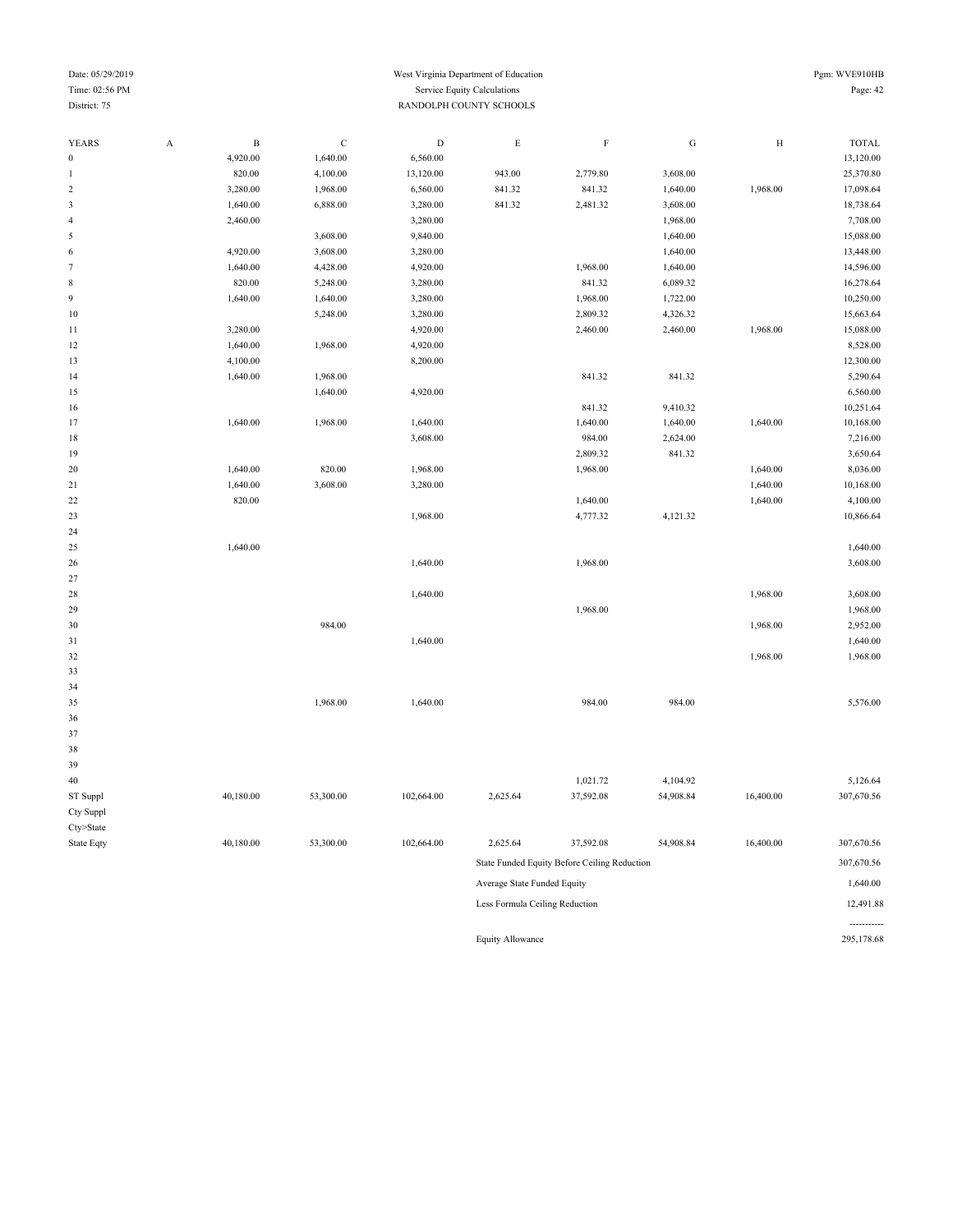#### Date: 05/29/2019 Pgm: WVE910HB Time: 02:56 PM Service Equity Calculations Page: 42 District: 75 RANDOLPH COUNTY SCHOOLS

----------<br>295,178.68

| <b>YEARS</b>     | A                                       | $\, {\bf B}$ | $\mathbf C$ | $\mathbf D$ | $\mathop{\hbox{\bf E}}$ | $\rm F$                                      | ${\bf G}$ | $\rm H$   | <b>TOTAL</b> |
|------------------|-----------------------------------------|--------------|-------------|-------------|-------------------------|----------------------------------------------|-----------|-----------|--------------|
| $\boldsymbol{0}$ |                                         | 4,920.00     | 1,640.00    | 6,560.00    |                         |                                              |           |           | 13,120.00    |
| $\mathbf{1}$     |                                         | 820.00       | 4,100.00    | 13,120.00   | 943.00                  | 2,779.80                                     | 3,608.00  |           | 25,370.80    |
| $\sqrt{2}$       |                                         | 3,280.00     | 1,968.00    | 6,560.00    | 841.32                  | 841.32                                       | 1,640.00  | 1,968.00  | 17,098.64    |
| $\mathfrak z$    |                                         | 1,640.00     | 6,888.00    | 3,280.00    | 841.32                  | 2,481.32                                     | 3,608.00  |           | 18,738.64    |
| $\sqrt{4}$       |                                         | 2,460.00     |             | 3,280.00    |                         |                                              | 1,968.00  |           | 7,708.00     |
| 5                |                                         |              | 3,608.00    | 9,840.00    |                         |                                              | 1,640.00  |           | 15,088.00    |
| $\,$ 6 $\,$      |                                         | 4,920.00     | 3,608.00    | 3,280.00    |                         |                                              | 1,640.00  |           | 13,448.00    |
| $\boldsymbol{7}$ |                                         | 1,640.00     | 4,428.00    | 4,920.00    |                         | 1,968.00                                     | 1,640.00  |           | 14,596.00    |
| $\,$ 8 $\,$      |                                         | 820.00       | 5,248.00    | 3,280.00    |                         | 841.32                                       | 6,089.32  |           | 16,278.64    |
| $\boldsymbol{9}$ |                                         | 1,640.00     | 1,640.00    | 3,280.00    |                         | 1,968.00                                     | 1,722.00  |           | 10,250.00    |
| 10               |                                         |              | 5,248.00    | 3,280.00    |                         | 2,809.32                                     | 4,326.32  |           | 15,663.64    |
| $1\,1$           |                                         | 3,280.00     |             | 4,920.00    |                         | 2,460.00                                     | 2,460.00  | 1,968.00  | 15,088.00    |
| 12               |                                         | 1,640.00     | 1,968.00    | 4,920.00    |                         |                                              |           |           | 8,528.00     |
| 13               |                                         | 4,100.00     |             | 8,200.00    |                         |                                              |           |           | 12,300.00    |
| 14               |                                         | 1,640.00     | 1,968.00    |             |                         | 841.32                                       | 841.32    |           | 5,290.64     |
| 15               |                                         |              | 1,640.00    | 4,920.00    |                         |                                              |           |           | 6,560.00     |
| 16               |                                         |              |             |             |                         | 841.32                                       | 9,410.32  |           | 10,251.64    |
| 17               |                                         | 1,640.00     | 1,968.00    | 1,640.00    |                         | 1,640.00                                     | 1,640.00  | 1,640.00  | 10,168.00    |
| $18\,$           |                                         |              |             | 3,608.00    |                         | 984.00                                       | 2,624.00  |           | 7,216.00     |
| 19               |                                         |              |             |             |                         | 2,809.32                                     | 841.32    |           | 3,650.64     |
| 20               |                                         | 1,640.00     | 820.00      | 1,968.00    |                         | 1,968.00                                     |           | 1,640.00  | 8,036.00     |
| 21               |                                         | 1,640.00     | 3,608.00    | 3,280.00    |                         |                                              |           | 1,640.00  | 10,168.00    |
| 22               |                                         | 820.00       |             |             |                         | 1,640.00                                     |           | 1,640.00  | 4,100.00     |
| 23               |                                         |              |             | 1,968.00    |                         | 4,777.32                                     | 4,121.32  |           | 10,866.64    |
| 24               |                                         |              |             |             |                         |                                              |           |           |              |
| 25               |                                         | 1,640.00     |             |             |                         |                                              |           |           | 1,640.00     |
| 26               |                                         |              |             | 1,640.00    |                         | 1,968.00                                     |           |           | 3,608.00     |
| 27               |                                         |              |             |             |                         |                                              |           |           |              |
| 28               |                                         |              |             | 1,640.00    |                         |                                              |           | 1,968.00  | 3,608.00     |
| 29               |                                         |              |             |             |                         | 1,968.00                                     |           |           | 1,968.00     |
| 30               |                                         |              | 984.00      |             |                         |                                              |           | 1,968.00  | 2,952.00     |
| 31               |                                         |              |             | 1,640.00    |                         |                                              |           |           | 1,640.00     |
| 32               |                                         |              |             |             |                         |                                              |           | 1,968.00  | 1,968.00     |
| 33               |                                         |              |             |             |                         |                                              |           |           |              |
| 34               |                                         |              |             |             |                         |                                              |           |           |              |
| 35               |                                         |              | 1,968.00    | 1,640.00    |                         | 984.00                                       | 984.00    |           | 5,576.00     |
| 36               |                                         |              |             |             |                         |                                              |           |           |              |
| 37               |                                         |              |             |             |                         |                                              |           |           |              |
| 38               |                                         |              |             |             |                         |                                              |           |           |              |
| 39               |                                         |              |             |             |                         |                                              |           |           |              |
| 40               |                                         |              |             |             |                         | 1,021.72                                     | 4,104.92  |           | 5,126.64     |
| ST Suppl         |                                         | 40,180.00    | 53,300.00   | 102,664.00  | 2,625.64                | 37,592.08                                    | 54,908.84 | 16,400.00 | 307,670.56   |
| Cty Suppl        |                                         |              |             |             |                         |                                              |           |           |              |
| Cty>State        |                                         |              |             |             |                         |                                              |           |           |              |
| State Eqty       |                                         | 40,180.00    | 53,300.00   | 102,664.00  | 2,625.64                | 37,592.08                                    | 54,908.84 | 16,400.00 | 307,670.56   |
|                  |                                         |              |             |             |                         | State Funded Equity Before Ceiling Reduction |           |           | 307,670.56   |
|                  | 1,640.00<br>Average State Funded Equity |              |             |             |                         |                                              |           |           |              |

Less Formula Ceiling Reduction 12,491.88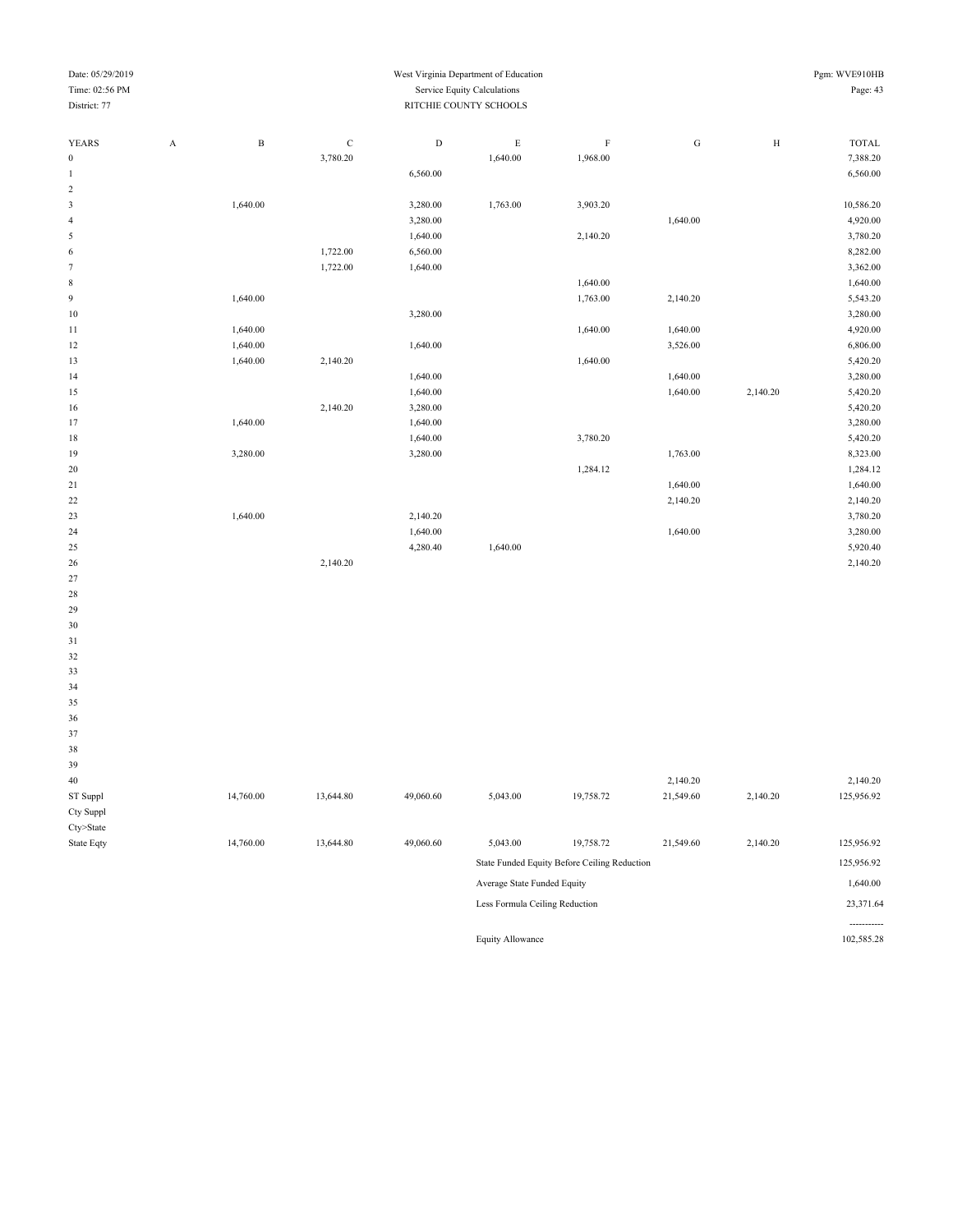| Date: 05/29/2019 |                           |              |             |                             | West Virginia Department of Education                         |                   |           |              | Pgm: WVE910HB |
|------------------|---------------------------|--------------|-------------|-----------------------------|---------------------------------------------------------------|-------------------|-----------|--------------|---------------|
| Time: 02:56 PM   |                           |              |             | Service Equity Calculations |                                                               | Page: 43          |           |              |               |
| District: 77     |                           |              |             | RITCHIE COUNTY SCHOOLS      |                                                               |                   |           |              |               |
|                  |                           |              |             |                             |                                                               |                   |           |              |               |
| YEARS            | $\boldsymbol{\mathsf{A}}$ | $\, {\bf B}$ | $\mathbf C$ | $\mathbf D$                 | $\mathop{\hbox{\bf E}}$                                       | $\mathbf F$       | ${\rm G}$ | $\, {\rm H}$ | TOTAL         |
| $\boldsymbol{0}$ |                           |              | 3,780.20    |                             | 1,640.00                                                      | 1,968.00          |           |              | 7,388.20      |
| $\,1$            |                           |              |             | 6,560.00                    |                                                               |                   |           |              | 6,560.00      |
| $\sqrt{2}$       |                           |              |             |                             |                                                               |                   |           |              |               |
| $\sqrt{3}$       |                           | 1,640.00     |             | 3,280.00                    | 1,763.00                                                      | 3,903.20          |           |              | 10,586.20     |
| $\sqrt{4}$       |                           |              |             | 3,280.00                    |                                                               |                   | 1,640.00  |              | 4,920.00      |
| $\sqrt{5}$       |                           |              |             | 1,640.00                    |                                                               | 2,140.20          |           |              | 3,780.20      |
| $\sqrt{6}$       |                           |              | 1,722.00    | 6,560.00                    |                                                               |                   |           |              | 8,282.00      |
| $\boldsymbol{7}$ |                           |              | 1,722.00    | 1,640.00                    |                                                               |                   |           |              | 3,362.00      |
| $\,$ 8 $\,$      |                           |              |             |                             |                                                               | 1,640.00          |           |              | 1,640.00      |
| $\boldsymbol{9}$ |                           | 1,640.00     |             |                             |                                                               | 1,763.00          | 2,140.20  |              | 5,543.20      |
| 10               |                           |              |             | 3,280.00                    |                                                               |                   |           |              | 3,280.00      |
| 11               |                           | 1,640.00     |             |                             |                                                               | 1,640.00          | 1,640.00  |              | 4,920.00      |
| 12               |                           | 1,640.00     |             | 1,640.00                    |                                                               |                   | 3,526.00  |              | 6,806.00      |
| 13               |                           | 1,640.00     | 2,140.20    |                             |                                                               | 1,640.00          |           |              | 5,420.20      |
| 14               |                           |              |             | 1,640.00                    |                                                               |                   | 1,640.00  |              | 3,280.00      |
| 15               |                           |              |             | 1,640.00                    |                                                               |                   | 1,640.00  | 2,140.20     | 5,420.20      |
| 16               |                           |              | 2,140.20    | 3,280.00                    |                                                               |                   |           |              | 5,420.20      |
| 17               |                           | 1,640.00     |             | 1,640.00                    |                                                               |                   |           |              | 3,280.00      |
| $18\,$           |                           |              |             | 1,640.00                    |                                                               | 3,780.20          |           |              | 5,420.20      |
| 19               |                           | 3,280.00     |             | 3,280.00                    |                                                               |                   | 1,763.00  |              | 8,323.00      |
| 20               |                           |              |             |                             |                                                               | 1,284.12          |           |              | 1,284.12      |
| 21               |                           |              |             |                             |                                                               |                   | 1,640.00  |              | 1,640.00      |
| 22               |                           |              |             |                             |                                                               |                   | 2,140.20  |              | 2,140.20      |
| 23               |                           | 1,640.00     |             | 2,140.20                    |                                                               |                   |           |              | 3,780.20      |
| 24               |                           |              |             | 1,640.00                    |                                                               |                   | 1,640.00  |              | 3,280.00      |
| 25               |                           |              |             | 4,280.40                    | 1,640.00                                                      |                   |           |              | 5,920.40      |
| 26               |                           |              | 2,140.20    |                             |                                                               |                   |           |              | 2,140.20      |
| 27               |                           |              |             |                             |                                                               |                   |           |              |               |
| 28               |                           |              |             |                             |                                                               |                   |           |              |               |
| 29               |                           |              |             |                             |                                                               |                   |           |              |               |
| 30               |                           |              |             |                             |                                                               |                   |           |              |               |
| 31<br>32         |                           |              |             |                             |                                                               |                   |           |              |               |
| 33               |                           |              |             |                             |                                                               |                   |           |              |               |
| 34               |                           |              |             |                             |                                                               |                   |           |              |               |
| 35               |                           |              |             |                             |                                                               |                   |           |              |               |
| 36               |                           |              |             |                             |                                                               |                   |           |              |               |
| 37               |                           |              |             |                             |                                                               |                   |           |              |               |
| 38               |                           |              |             |                             |                                                               |                   |           |              |               |
| 39               |                           |              |             |                             |                                                               |                   |           |              |               |
| $40\,$           |                           |              |             |                             |                                                               |                   | 2,140.20  |              | 2,140.20      |
| ST Suppl         |                           | 14,760.00    | 13,644.80   | 49,060.60                   | 5,043.00                                                      | 19,758.72         | 21,549.60 | 2,140.20     | 125,956.92    |
| Cty Suppl        |                           |              |             |                             |                                                               |                   |           |              |               |
| Cty>State        |                           |              |             |                             |                                                               |                   |           |              |               |
| State Eqty       |                           | 14,760.00    | 13,644.80   | 49,060.60                   | 5,043.00                                                      | 19,758.72         | 21,549.60 | 2,140.20     | 125,956.92    |
|                  |                           |              |             |                             | $1.1m$ $\sim$ $m/c$<br>$\mathbf{C}$ $\mathbf{C}$ $\mathbf{C}$ | $(2.22)$ $(2.22)$ |           |              | 12202222      |

| 5.043.00                    | 19,758.72                                    | 21.549.60 | 2.140.20 | 125,956.92 |  |  |  |  |
|-----------------------------|----------------------------------------------|-----------|----------|------------|--|--|--|--|
|                             | State Funded Equity Before Ceiling Reduction |           |          | 125,956.92 |  |  |  |  |
| Average State Funded Equity |                                              |           |          | 1.640.00   |  |  |  |  |
|                             | Less Formula Ceiling Reduction               |           |          |            |  |  |  |  |
|                             |                                              |           |          |            |  |  |  |  |
| <b>Equity Allowance</b>     |                                              |           |          | 102,585.28 |  |  |  |  |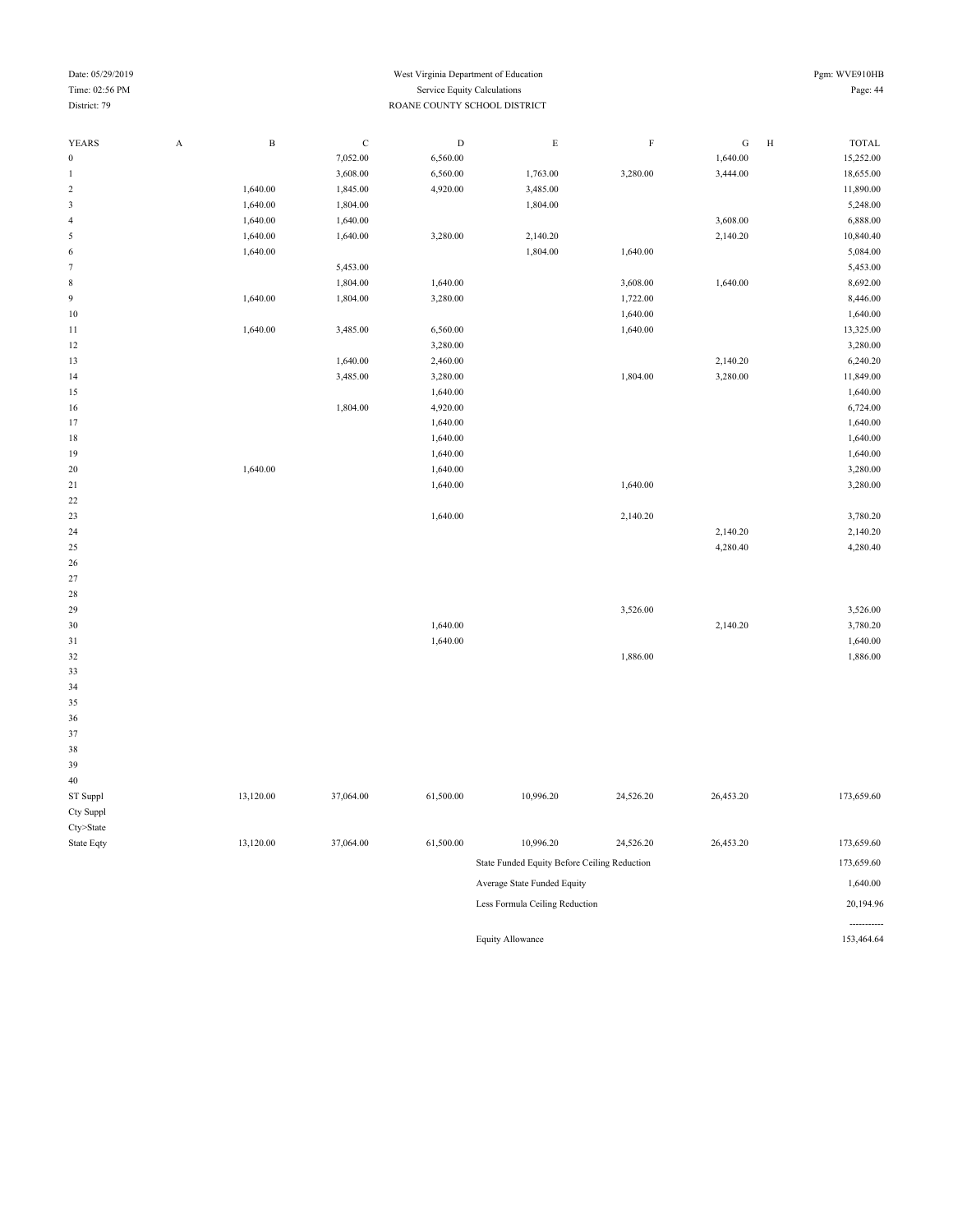| Date: 05/29/2019 |   |            |                              |                             | Pgm: WVE910HB |          |          |   |              |  |
|------------------|---|------------|------------------------------|-----------------------------|---------------|----------|----------|---|--------------|--|
| Time: 02:56 PM   |   |            |                              | Service Equity Calculations |               |          |          |   | Page: 44     |  |
| District: 79     |   |            | ROANE COUNTY SCHOOL DISTRICT |                             |               |          |          |   |              |  |
|                  |   |            |                              |                             |               |          |          |   |              |  |
| <b>YEARS</b>     | A | $_{\rm B}$ | C                            | D                           | E             | F        | G        | H | <b>TOTAL</b> |  |
| $\bf{0}$         |   |            | 7,052.00                     | 6,560.00                    |               |          | 1,640.00 |   | 15,252.00    |  |
|                  |   |            | 3,608.00                     | 6,560.00                    | 1,763.00      | 3,280.00 | 3,444.00 |   | 18,655.00    |  |
| $\overline{2}$   |   | 1,640.00   | 1,845.00                     | 4,920.00                    | 3,485.00      |          |          |   | 11,890.00    |  |
| 3                |   | 1,640.00   | 1,804.00                     |                             | 1,804.00      |          |          |   | 5,248.00     |  |
| 4                |   | 1,640.00   | 1,640.00                     |                             |               |          | 3,608.00 |   | 6,888.00     |  |
| 5                |   | 1,640.00   | 1,640.00                     | 3,280.00                    | 2,140.20      |          | 2,140.20 |   | 10,840.40    |  |
| 6                |   | 1,640.00   |                              |                             | 1,804.00      | 1,640.00 |          |   | 5,084.00     |  |
|                  |   |            | 5,453.00                     |                             |               |          |          |   | 5,453.00     |  |
| 8                |   |            | 1,804.00                     | 1,640.00                    |               | 3,608.00 | 1,640.00 |   | 8,692.00     |  |
| 9                |   | 1,640.00   | 1,804.00                     | 3,280.00                    |               | 1,722.00 |          |   | 8,446.00     |  |
| 10               |   |            |                              |                             |               | 1,640.00 |          |   | 1,640.00     |  |
|                  |   |            |                              |                             |               |          |          |   |              |  |

1,640.00 3,485.00 6,560.00 13,325.00 13,325.00  $3,280.00$   $3,280.00$ 13 13 1,640.00 2,460.00 2,460.00 2,460.00 2,460.00 2,460.00 2,460.00 2,460.00 2,460.00 2,460.00 2,460.00 2,460 14 3,485.00 3,280.00 11,849.00 3,280.00 11,849.00 15 1,640.00 1,640.00 1,804.00 **4,920.00** 6,724.00 **6**,724.00 17 1,640.00 1,640.00 1,640.00 1,640.00 1,640.00 1,640.00 19 1,640.00 1,640.00 1,640.00 1,640.00 1,640.00 1,640.00 1,640.00 1,640.00 3,280.00 21 1,640.00 1,640.00 1,640.00 1,640.00 1,640.00 3,280.00

23 1,640.00 2,140.20 2,140.20 2,140.20 2,140.20 3,780.20 2,140.20 2,140.20 2,140.20 2,140.20 2,140.20 2,140.20 2,140.20 2,140.20 2,140.20 2,140.20 2,140.20 2,140.20 2,140.20 25 4,280.40 4,280.40

 3,526.00 3,526.00 1,640.00 2,140.20 3,780.20 1,640.00 1,640.00  $1,886.00$   $1,886.00$ 

22

26 27 28

| 39         |           |           |           |                                              |           |           |            |
|------------|-----------|-----------|-----------|----------------------------------------------|-----------|-----------|------------|
| 40         |           |           |           |                                              |           |           |            |
| ST Suppl   | 13,120.00 | 37,064.00 | 61,500.00 | 10,996.20                                    | 24,526.20 | 26,453.20 | 173,659.60 |
| Cty Suppl  |           |           |           |                                              |           |           |            |
| Cty>State  |           |           |           |                                              |           |           |            |
| State Eqty | 13,120.00 | 37,064.00 | 61,500.00 | 10,996.20                                    | 24,526.20 | 26,453.20 | 173,659.60 |
|            |           |           |           | State Funded Equity Before Ceiling Reduction |           |           | 173,659.60 |
|            |           |           |           | Average State Funded Equity                  |           |           | 1,640.00   |
|            |           |           |           | Less Formula Ceiling Reduction               |           |           | 20,194.96  |

Equity Allowance 153,464.64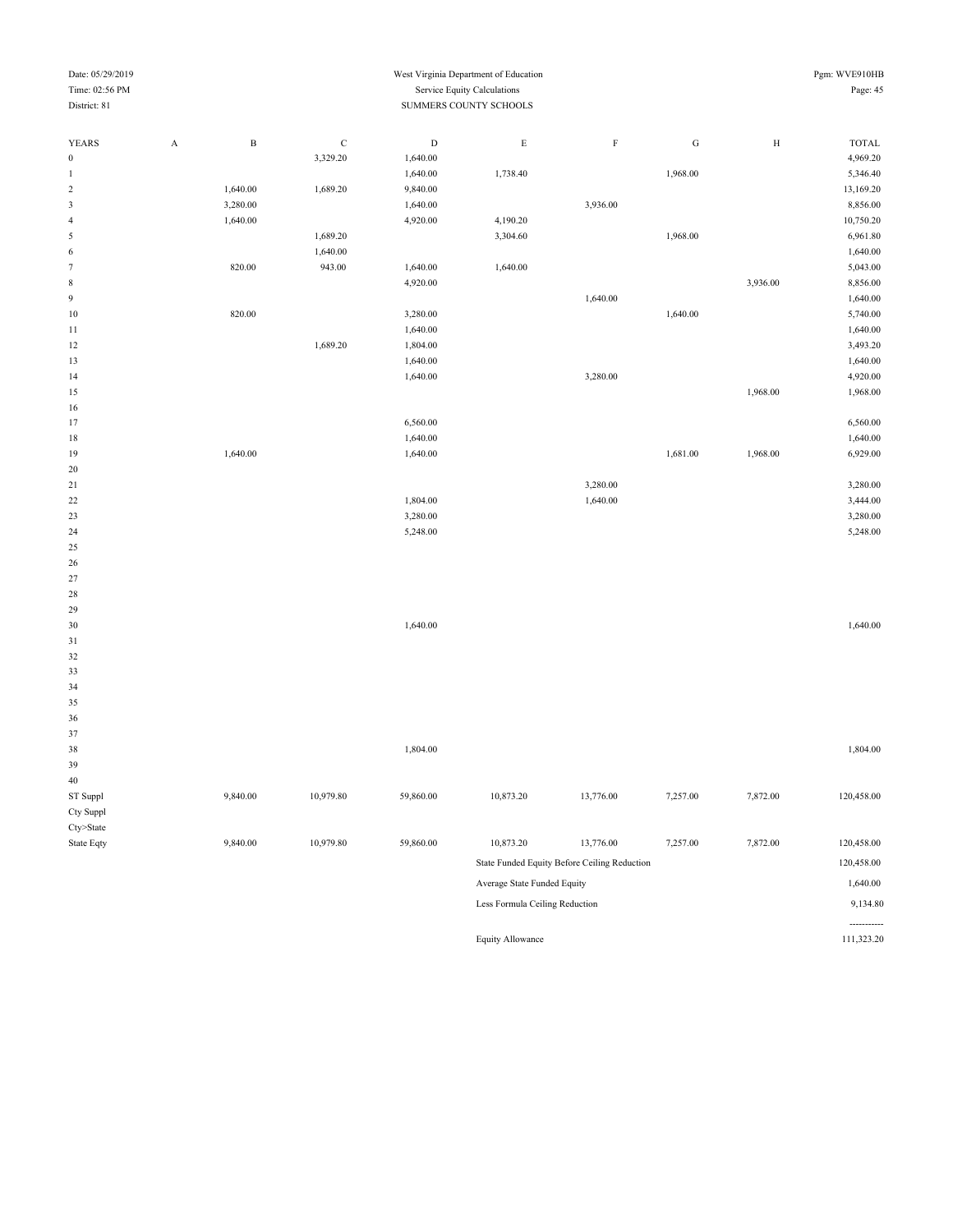| Date: 05/29/2019 |             |              |             |             | West Virginia Department of Education |                                              |           |              | Pgm: WVE910HB        |
|------------------|-------------|--------------|-------------|-------------|---------------------------------------|----------------------------------------------|-----------|--------------|----------------------|
| Time: 02:56 PM   |             |              |             |             | Service Equity Calculations           |                                              |           |              | Page: 45             |
| District: 81     |             |              |             |             | SUMMERS COUNTY SCHOOLS                |                                              |           |              |                      |
|                  |             |              |             |             |                                       |                                              |           |              |                      |
| <b>YEARS</b>     | $\mathbf A$ | $\, {\bf B}$ | $\mathbf C$ | $\mathbf D$ | $\mathbf E$                           | $\mathbf F$                                  | ${\bf G}$ | $\, {\rm H}$ | <b>TOTAL</b>         |
| $\boldsymbol{0}$ |             |              | 3,329.20    | 1,640.00    |                                       |                                              |           |              | 4,969.20             |
| $\mathbf{1}$     |             |              |             | 1,640.00    | 1,738.40                              |                                              | 1,968.00  |              | 5,346.40             |
| $\sqrt{2}$       |             | 1,640.00     | 1,689.20    | 9,840.00    |                                       |                                              |           |              | 13,169.20            |
| 3                |             | 3,280.00     |             | 1,640.00    |                                       | 3,936.00                                     |           |              | 8,856.00             |
| $\overline{4}$   |             | 1,640.00     |             | 4,920.00    | 4,190.20                              |                                              |           |              | 10,750.20            |
| 5                |             |              | 1,689.20    |             | 3,304.60                              |                                              | 1,968.00  |              | 6,961.80             |
| 6                |             |              | 1,640.00    |             |                                       |                                              |           |              | 1,640.00             |
| $\tau$           |             | 820.00       | 943.00      | 1,640.00    | 1,640.00                              |                                              |           |              | 5,043.00             |
| $\,$ 8 $\,$      |             |              |             | 4,920.00    |                                       |                                              |           | 3,936.00     | 8,856.00             |
| $\overline{9}$   |             |              |             |             |                                       | 1,640.00                                     |           |              | 1,640.00             |
| $10\,$           |             | 820.00       |             | 3,280.00    |                                       |                                              | 1,640.00  |              | 5,740.00             |
| 11               |             |              |             | 1,640.00    |                                       |                                              |           |              | 1,640.00             |
| 12               |             |              | 1,689.20    | 1,804.00    |                                       |                                              |           |              | 3,493.20             |
| 13               |             |              |             | 1,640.00    |                                       |                                              |           |              | 1,640.00             |
| 14               |             |              |             | 1,640.00    |                                       | 3,280.00                                     |           |              | 4,920.00             |
| 15               |             |              |             |             |                                       |                                              |           | 1,968.00     | 1,968.00             |
| 16               |             |              |             |             |                                       |                                              |           |              |                      |
| 17               |             |              |             | 6,560.00    |                                       |                                              |           |              | 6,560.00             |
| 18               |             |              |             | 1,640.00    |                                       |                                              |           |              | 1,640.00             |
| 19               |             | 1,640.00     |             | 1,640.00    |                                       |                                              | 1,681.00  | 1,968.00     | 6,929.00             |
| 20               |             |              |             |             |                                       | 3,280.00                                     |           |              |                      |
| 21<br>$22\,$     |             |              |             | 1,804.00    |                                       | 1,640.00                                     |           |              | 3,280.00<br>3,444.00 |
| 23               |             |              |             | 3,280.00    |                                       |                                              |           |              | 3,280.00             |
| 24               |             |              |             | 5,248.00    |                                       |                                              |           |              | 5,248.00             |
| 25               |             |              |             |             |                                       |                                              |           |              |                      |
| 26               |             |              |             |             |                                       |                                              |           |              |                      |
| 27               |             |              |             |             |                                       |                                              |           |              |                      |
| $28\,$           |             |              |             |             |                                       |                                              |           |              |                      |
| 29               |             |              |             |             |                                       |                                              |           |              |                      |
| 30               |             |              |             | 1,640.00    |                                       |                                              |           |              | 1,640.00             |
| 31               |             |              |             |             |                                       |                                              |           |              |                      |
| 32               |             |              |             |             |                                       |                                              |           |              |                      |
| 33               |             |              |             |             |                                       |                                              |           |              |                      |
| 34               |             |              |             |             |                                       |                                              |           |              |                      |
| 35               |             |              |             |             |                                       |                                              |           |              |                      |
| 36               |             |              |             |             |                                       |                                              |           |              |                      |
| 37               |             |              |             |             |                                       |                                              |           |              |                      |
| 38               |             |              |             | 1,804.00    |                                       |                                              |           |              | 1,804.00             |
| 39               |             |              |             |             |                                       |                                              |           |              |                      |
| $40\,$           |             |              |             |             |                                       |                                              |           |              |                      |
| ST Suppl         |             | 9,840.00     | 10,979.80   | 59,860.00   | 10,873.20                             | 13,776.00                                    | 7,257.00  | 7,872.00     | 120,458.00           |
| Cty Suppl        |             |              |             |             |                                       |                                              |           |              |                      |
| Cty>State        |             |              |             |             |                                       |                                              |           |              |                      |
| State Eqty       |             | 9,840.00     | 10,979.80   | 59,860.00   | 10,873.20                             | 13,776.00                                    | 7,257.00  | 7,872.00     | 120,458.00           |
|                  |             |              |             |             |                                       | State Funded Equity Before Ceiling Reduction |           |              | 120,458.00           |
|                  |             |              |             |             | Average State Funded Equity           |                                              |           |              | 1,640.00             |
|                  |             |              |             |             | Less Formula Ceiling Reduction        |                                              |           |              | 9,134.80             |
|                  |             |              |             |             |                                       |                                              |           |              |                      |

Equity Allowance

-----------<br>111,323.20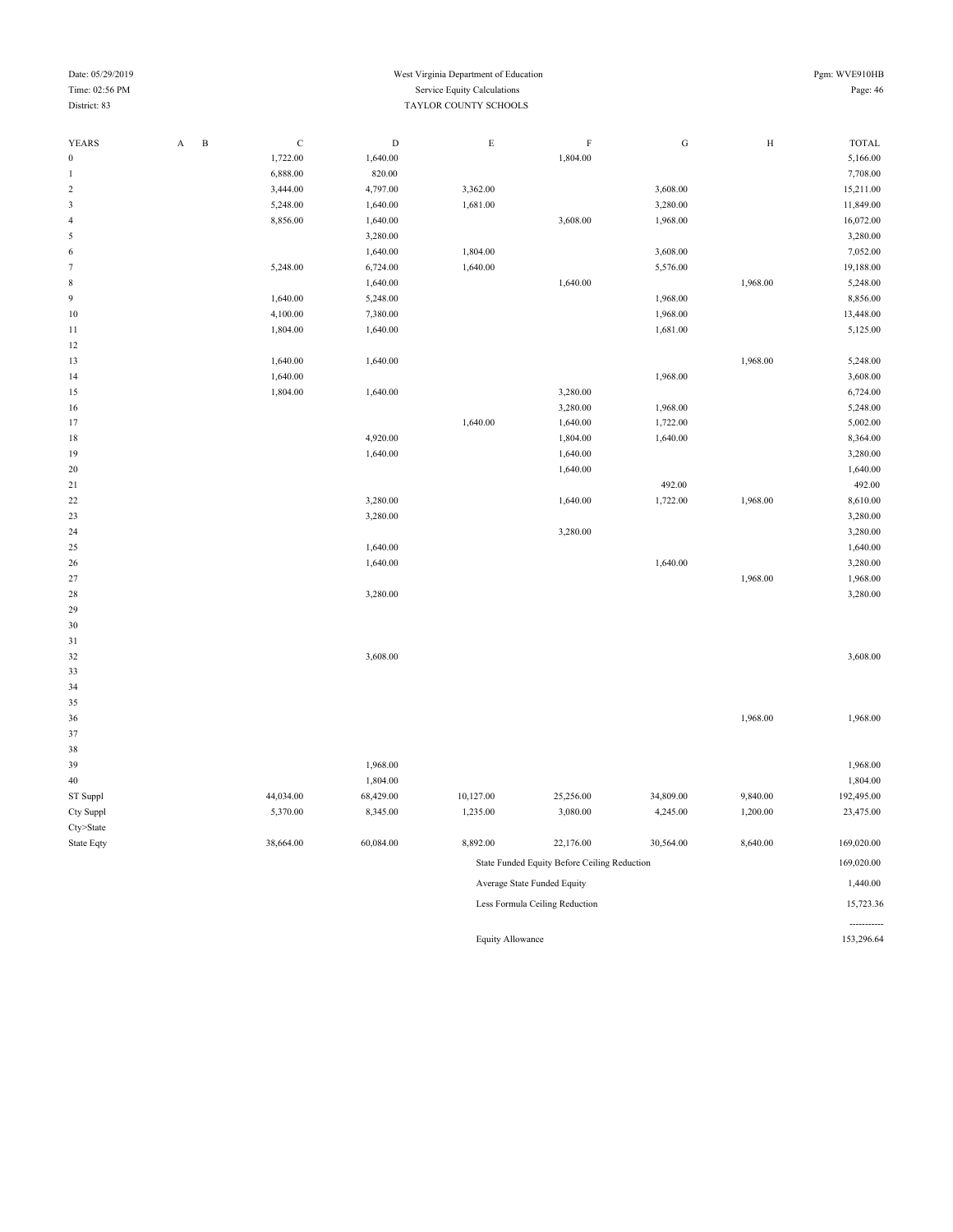| $1 \, \text{m} \cdot \text{m} \cdot \text{m} \cdot \text{m} \cdot \text{m}$<br>District: 83 |                                       | bet vice Lyany Calearanons<br>TAYLOR COUNTY SCHOOLS |             |             |                                              |           |              |              |  |
|---------------------------------------------------------------------------------------------|---------------------------------------|-----------------------------------------------------|-------------|-------------|----------------------------------------------|-----------|--------------|--------------|--|
|                                                                                             |                                       |                                                     |             |             |                                              |           |              |              |  |
| <b>YEARS</b>                                                                                | $\, {\bf B}$<br>$\boldsymbol{\rm{A}}$ | $\mathbf C$                                         | $\mathbf D$ | $\mathbf E$ | $\mathbf F$                                  | ${\bf G}$ | $\, {\rm H}$ | <b>TOTAL</b> |  |
| $\boldsymbol{0}$                                                                            |                                       | 1,722.00                                            | 1,640.00    |             | 1,804.00                                     |           |              | 5,166.00     |  |
| $\mathbf{1}$                                                                                |                                       | 6,888.00                                            | 820.00      |             |                                              |           |              | 7,708.00     |  |
| $\sqrt{2}$                                                                                  |                                       | 3,444.00                                            | 4,797.00    | 3,362.00    |                                              | 3,608.00  |              | 15,211.00    |  |
| $\mathfrak z$                                                                               |                                       | 5,248.00                                            | 1,640.00    | 1,681.00    |                                              | 3,280.00  |              | 11,849.00    |  |
| $\overline{4}$                                                                              |                                       | 8,856.00                                            | 1,640.00    |             | 3,608.00                                     | 1,968.00  |              | 16,072.00    |  |
| $\sqrt{5}$                                                                                  |                                       |                                                     | 3,280.00    |             |                                              |           |              | 3,280.00     |  |
| $\,$ 6 $\,$                                                                                 |                                       |                                                     | 1,640.00    | 1,804.00    |                                              | 3,608.00  |              | 7,052.00     |  |
| $\boldsymbol{7}$                                                                            |                                       | 5,248.00                                            | 6,724.00    | 1,640.00    |                                              | 5,576.00  |              | 19,188.00    |  |
| $\,$ 8 $\,$                                                                                 |                                       |                                                     | 1,640.00    |             | 1,640.00                                     |           | 1,968.00     | 5,248.00     |  |
| $\boldsymbol{9}$                                                                            |                                       | 1,640.00                                            | 5,248.00    |             |                                              | 1,968.00  |              | 8,856.00     |  |
| 10                                                                                          |                                       | 4,100.00                                            | 7,380.00    |             |                                              | 1,968.00  |              | 13,448.00    |  |
| 11                                                                                          |                                       | 1,804.00                                            | 1,640.00    |             |                                              | 1,681.00  |              | 5,125.00     |  |
| 12                                                                                          |                                       |                                                     |             |             |                                              |           |              |              |  |
| 13                                                                                          |                                       | 1,640.00                                            | 1,640.00    |             |                                              |           | 1,968.00     | 5,248.00     |  |
| 14                                                                                          |                                       | 1,640.00                                            |             |             |                                              | 1,968.00  |              | 3,608.00     |  |
| 15                                                                                          |                                       | 1,804.00                                            | 1,640.00    |             | 3,280.00                                     |           |              | 6,724.00     |  |
| 16                                                                                          |                                       |                                                     |             |             | 3,280.00                                     | 1,968.00  |              | 5,248.00     |  |
| 17                                                                                          |                                       |                                                     |             | 1,640.00    | 1,640.00                                     | 1,722.00  |              | 5,002.00     |  |
| $18\,$                                                                                      |                                       |                                                     | 4,920.00    |             | 1,804.00                                     | 1,640.00  |              | 8,364.00     |  |
| 19                                                                                          |                                       |                                                     | 1,640.00    |             | 1,640.00                                     |           |              | 3,280.00     |  |
| 20                                                                                          |                                       |                                                     |             |             | 1,640.00                                     |           |              | 1,640.00     |  |
| 21                                                                                          |                                       |                                                     |             |             |                                              | 492.00    |              | 492.00       |  |
| 22                                                                                          |                                       |                                                     | 3,280.00    |             | 1,640.00                                     | 1,722.00  | 1,968.00     | 8,610.00     |  |
| 23                                                                                          |                                       |                                                     | 3,280.00    |             |                                              |           |              | 3,280.00     |  |
| 24                                                                                          |                                       |                                                     |             |             | 3,280.00                                     |           |              | 3,280.00     |  |
| 25                                                                                          |                                       |                                                     | 1,640.00    |             |                                              |           |              | 1,640.00     |  |
| 26                                                                                          |                                       |                                                     | 1,640.00    |             |                                              | 1,640.00  |              | 3,280.00     |  |
| 27                                                                                          |                                       |                                                     |             |             |                                              |           | 1,968.00     | 1,968.00     |  |
| 28                                                                                          |                                       |                                                     | 3,280.00    |             |                                              |           |              | 3,280.00     |  |
| 29                                                                                          |                                       |                                                     |             |             |                                              |           |              |              |  |
| 30                                                                                          |                                       |                                                     |             |             |                                              |           |              |              |  |
| 31                                                                                          |                                       |                                                     |             |             |                                              |           |              |              |  |
| 32                                                                                          |                                       |                                                     | 3,608.00    |             |                                              |           |              | 3,608.00     |  |
| 33                                                                                          |                                       |                                                     |             |             |                                              |           |              |              |  |
| 34                                                                                          |                                       |                                                     |             |             |                                              |           |              |              |  |
| 35                                                                                          |                                       |                                                     |             |             |                                              |           |              |              |  |
| 36                                                                                          |                                       |                                                     |             |             |                                              |           | 1,968.00     | 1,968.00     |  |
| 37                                                                                          |                                       |                                                     |             |             |                                              |           |              |              |  |
| 38                                                                                          |                                       |                                                     |             |             |                                              |           |              |              |  |
| 39                                                                                          |                                       |                                                     | 1,968.00    |             |                                              |           |              | 1,968.00     |  |
| $40\,$                                                                                      |                                       |                                                     | 1,804.00    |             |                                              |           |              | 1,804.00     |  |
| ST Suppl                                                                                    |                                       | 44,034.00                                           | 68,429.00   | 10,127.00   | 25,256.00                                    | 34,809.00 | 9,840.00     | 192,495.00   |  |
| Cty Suppl                                                                                   |                                       | 5,370.00                                            | 8,345.00    | 1,235.00    | 3,080.00                                     | 4,245.00  | 1,200.00     | 23,475.00    |  |
| $Cty$ >State                                                                                |                                       |                                                     |             |             |                                              |           |              |              |  |
| State Eqty                                                                                  |                                       | 38,664.00                                           | 60,084.00   | 8,892.00    | 22,176.00                                    | 30,564.00 | 8,640.00     | 169,020.00   |  |
|                                                                                             |                                       |                                                     |             |             | State Funded Equity Before Ceiling Reduction |           |              | 169,020.00   |  |
|                                                                                             |                                       |                                                     |             |             | Average State Funded Equity                  |           |              | 1,440.00     |  |

----------- Equity Allowance 153,296.64

Less Formula Ceiling Reduction 15,723.36

## Date: 05/29/2019 West Virginia Department of Education Pgm: WVE910HB Time: 02:56 PM Service Equity Calculations Page: 46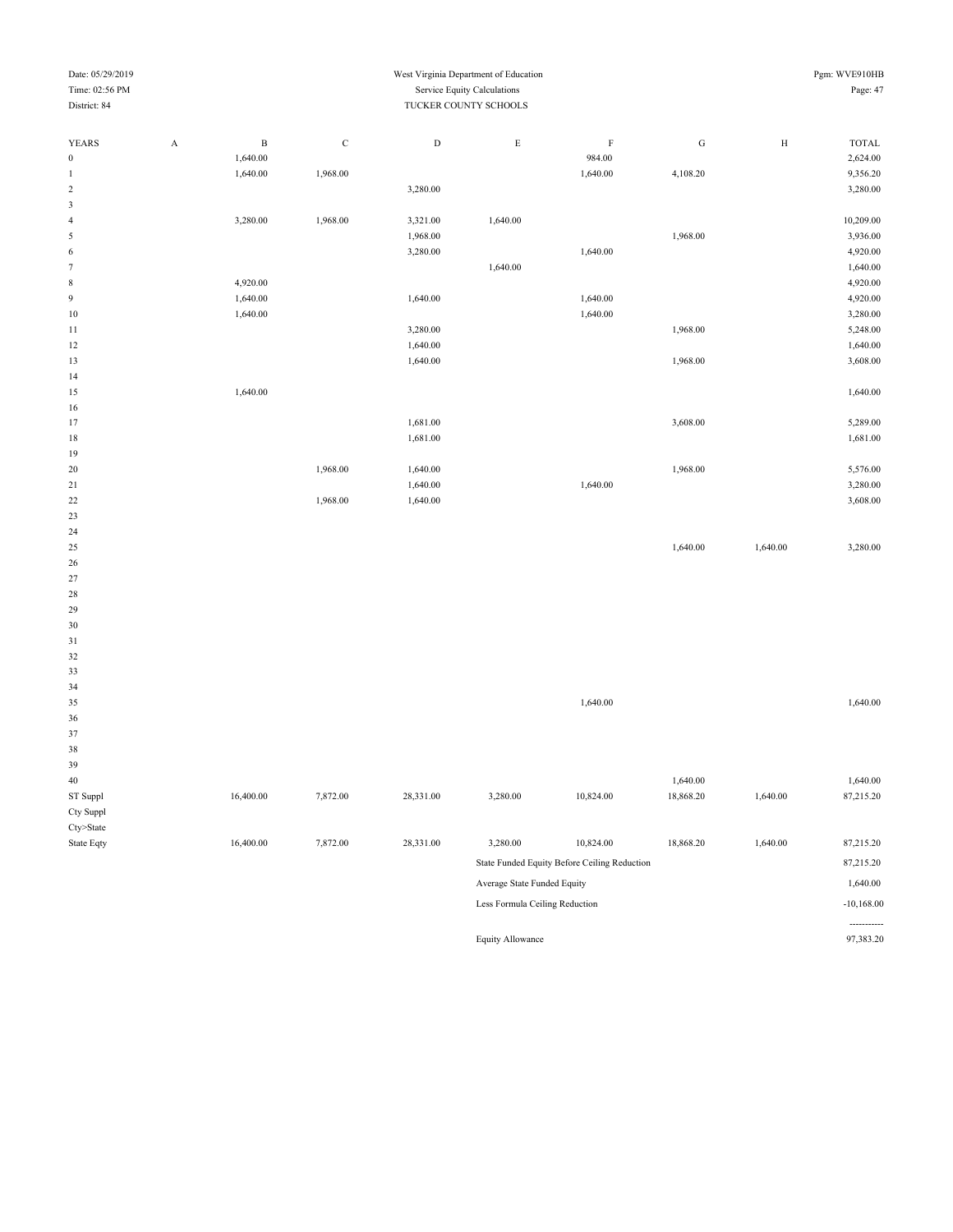| Date: 05/29/2019               |              |             |           | West Virginia Department of Education |                                              |           |          | Pgm: WVE910HB |
|--------------------------------|--------------|-------------|-----------|---------------------------------------|----------------------------------------------|-----------|----------|---------------|
| Time: 02:56 PM                 |              |             |           | Service Equity Calculations           |                                              |           |          | Page: 47      |
| District: 84                   |              |             |           | TUCKER COUNTY SCHOOLS                 |                                              |           |          |               |
|                                |              |             |           |                                       |                                              |           |          |               |
| YEARS<br>$\boldsymbol{\rm{A}}$ | $\, {\bf B}$ | $\mathbf C$ | ${\rm D}$ | $\mathbf E$                           | $\rm F$                                      | ${\rm G}$ | $\rm H$  | <b>TOTAL</b>  |
| $\boldsymbol{0}$               | 1,640.00     |             |           |                                       | 984.00                                       |           |          | 2,624.00      |
| $\mathbf{1}$                   | 1,640.00     | 1,968.00    |           |                                       | 1,640.00                                     | 4,108.20  |          | 9,356.20      |
| $\sqrt{2}$                     |              |             | 3,280.00  |                                       |                                              |           |          | 3,280.00      |
| $\sqrt{3}$                     |              |             |           |                                       |                                              |           |          |               |
| $\overline{4}$                 | 3,280.00     | 1,968.00    | 3,321.00  | 1,640.00                              |                                              |           |          | 10,209.00     |
| 5                              |              |             | 1,968.00  |                                       |                                              | 1,968.00  |          | 3,936.00      |
| $\sqrt{6}$                     |              |             | 3,280.00  |                                       | 1,640.00                                     |           |          | 4,920.00      |
| $\tau$                         |              |             |           | 1,640.00                              |                                              |           |          | 1,640.00      |
| $\,$ 8 $\,$                    | 4,920.00     |             |           |                                       |                                              |           |          | 4,920.00      |
| $\boldsymbol{9}$               | 1,640.00     |             | 1,640.00  |                                       | 1,640.00                                     |           |          | 4,920.00      |
| 10                             | 1,640.00     |             |           |                                       | 1,640.00                                     |           |          | 3,280.00      |
| 11                             |              |             | 3,280.00  |                                       |                                              | 1,968.00  |          | 5,248.00      |
| 12                             |              |             | 1,640.00  |                                       |                                              |           |          | 1,640.00      |
| 13                             |              |             | 1,640.00  |                                       |                                              | 1,968.00  |          | 3,608.00      |
| 14                             |              |             |           |                                       |                                              |           |          |               |
| 15                             | 1,640.00     |             |           |                                       |                                              |           |          | 1,640.00      |
| 16                             |              |             |           |                                       |                                              |           |          |               |
| 17                             |              |             | 1,681.00  |                                       |                                              | 3,608.00  |          | 5,289.00      |
| 18                             |              |             | 1,681.00  |                                       |                                              |           |          | 1,681.00      |
| 19                             |              |             |           |                                       |                                              |           |          |               |
| 20                             |              | 1,968.00    | 1,640.00  |                                       |                                              | 1,968.00  |          | 5,576.00      |
| 21                             |              |             | 1,640.00  |                                       | 1,640.00                                     |           |          | 3,280.00      |
| 22                             |              | 1,968.00    | 1,640.00  |                                       |                                              |           |          | 3,608.00      |
| 23                             |              |             |           |                                       |                                              |           |          |               |
| 24                             |              |             |           |                                       |                                              |           |          |               |
| 25                             |              |             |           |                                       |                                              | 1,640.00  | 1,640.00 | 3,280.00      |
| 26                             |              |             |           |                                       |                                              |           |          |               |
| 27                             |              |             |           |                                       |                                              |           |          |               |
| 28                             |              |             |           |                                       |                                              |           |          |               |
| 29                             |              |             |           |                                       |                                              |           |          |               |
| 30                             |              |             |           |                                       |                                              |           |          |               |
| 31                             |              |             |           |                                       |                                              |           |          |               |
| 32                             |              |             |           |                                       |                                              |           |          |               |
| 33                             |              |             |           |                                       |                                              |           |          |               |
| 34                             |              |             |           |                                       |                                              |           |          |               |
| 35                             |              |             |           |                                       | 1,640.00                                     |           |          | 1,640.00      |
| 36                             |              |             |           |                                       |                                              |           |          |               |
| 37                             |              |             |           |                                       |                                              |           |          |               |
| 38                             |              |             |           |                                       |                                              |           |          |               |
| 39                             |              |             |           |                                       |                                              |           |          |               |
| $40\,$                         |              |             |           |                                       |                                              | 1,640.00  |          | 1,640.00      |
| ST Suppl                       | 16,400.00    | 7,872.00    | 28,331.00 | 3,280.00                              | 10,824.00                                    | 18,868.20 | 1,640.00 | 87,215.20     |
| Cty Suppl                      |              |             |           |                                       |                                              |           |          |               |
| $Cty$ >State                   |              |             |           |                                       |                                              |           |          |               |
| State Eqty                     | 16,400.00    | 7,872.00    | 28,331.00 | 3,280.00                              | 10,824.00                                    | 18,868.20 | 1,640.00 | 87,215.20     |
|                                |              |             |           |                                       | State Funded Equity Before Ceiling Reduction |           |          | 87,215.20     |
|                                |              |             |           |                                       |                                              |           |          |               |
|                                |              |             |           | Average State Funded Equity           |                                              |           |          | 1,640.00      |
|                                |              |             |           | Less Formula Ceiling Reduction        |                                              |           |          | $-10,168.00$  |

Equity Allowance 97,383.20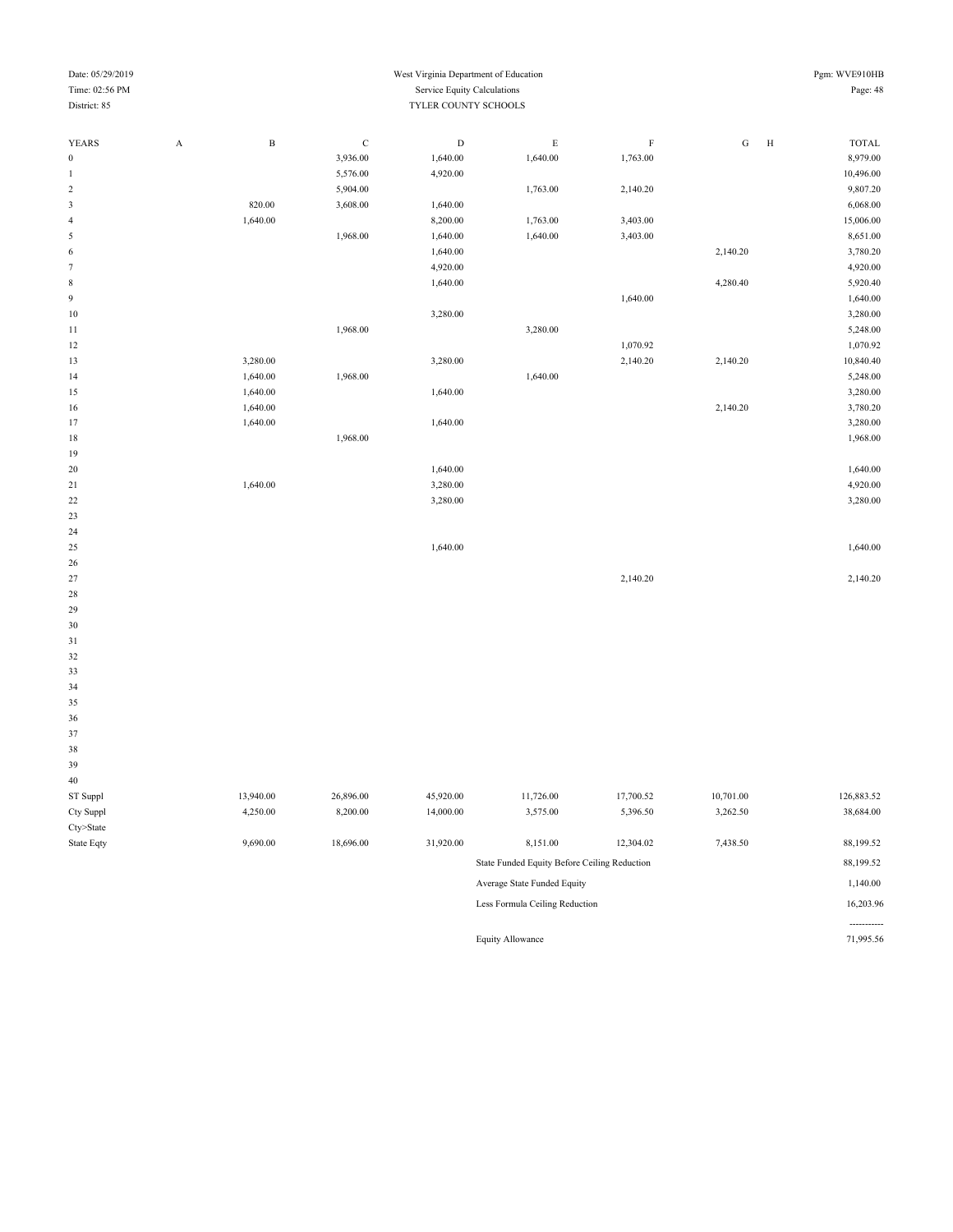| Date: 05/29/2019<br>Time: 02:56 PM<br>District: 85 |             |              | West Virginia Department of Education<br>Service Equity Calculations<br>TYLER COUNTY SCHOOLS |           |                                              |             |           |                              |  |  |
|----------------------------------------------------|-------------|--------------|----------------------------------------------------------------------------------------------|-----------|----------------------------------------------|-------------|-----------|------------------------------|--|--|
| YEARS                                              | $\mathbf A$ | $\, {\bf B}$ | $\mathbf C$                                                                                  | D         | $\mathbf E$                                  | $\mathbf F$ | ${\bf G}$ | $\, {\rm H}$<br><b>TOTAL</b> |  |  |
| $\boldsymbol{0}$                                   |             |              | 3,936.00                                                                                     | 1,640.00  | 1,640.00                                     | 1,763.00    |           | 8,979.00                     |  |  |
| $\mathbf{1}$                                       |             |              | 5,576.00                                                                                     | 4,920.00  |                                              |             |           | 10,496.00                    |  |  |
| $\sqrt{2}$                                         |             |              | 5,904.00                                                                                     |           | 1,763.00                                     | 2,140.20    |           | 9,807.20                     |  |  |
| $\sqrt{3}$                                         |             | 820.00       | 3,608.00                                                                                     | 1,640.00  |                                              |             |           | 6,068.00                     |  |  |
| $\overline{4}$                                     |             | 1,640.00     |                                                                                              | 8,200.00  | 1,763.00                                     | 3,403.00    |           | 15,006.00                    |  |  |
| $\sqrt{5}$                                         |             |              | 1,968.00                                                                                     | 1,640.00  | 1,640.00                                     | 3,403.00    |           | 8,651.00                     |  |  |
| 6                                                  |             |              |                                                                                              | 1,640.00  |                                              |             | 2,140.20  | 3,780.20                     |  |  |
| $\tau$                                             |             |              |                                                                                              | 4,920.00  |                                              |             |           | 4,920.00                     |  |  |
| $\bf 8$                                            |             |              |                                                                                              | 1,640.00  |                                              |             | 4,280.40  | 5,920.40                     |  |  |
| $\overline{9}$                                     |             |              |                                                                                              |           |                                              | 1,640.00    |           | 1,640.00                     |  |  |
| 10                                                 |             |              |                                                                                              | 3,280.00  |                                              |             |           | 3,280.00                     |  |  |
| 11                                                 |             |              | 1,968.00                                                                                     |           | 3,280.00                                     |             |           | 5,248.00                     |  |  |
| 12                                                 |             |              |                                                                                              |           |                                              | 1,070.92    |           | 1,070.92                     |  |  |
| 13                                                 |             | 3,280.00     |                                                                                              | 3,280.00  |                                              | 2,140.20    | 2,140.20  | 10,840.40                    |  |  |
| 14                                                 |             | 1,640.00     | 1,968.00                                                                                     |           | 1,640.00                                     |             |           | 5,248.00                     |  |  |
| 15                                                 |             | 1,640.00     |                                                                                              | 1,640.00  |                                              |             |           | 3,280.00                     |  |  |
| 16                                                 |             | 1,640.00     |                                                                                              |           |                                              |             | 2,140.20  | 3,780.20                     |  |  |
| 17                                                 |             | 1,640.00     |                                                                                              | 1,640.00  |                                              |             |           | 3,280.00                     |  |  |
| 18                                                 |             |              | 1,968.00                                                                                     |           |                                              |             |           | 1,968.00                     |  |  |
| 19                                                 |             |              |                                                                                              |           |                                              |             |           |                              |  |  |
| 20                                                 |             |              |                                                                                              | 1,640.00  |                                              |             |           | 1,640.00                     |  |  |
| 21                                                 |             | 1,640.00     |                                                                                              | 3,280.00  |                                              |             |           | 4,920.00                     |  |  |
| 22                                                 |             |              |                                                                                              | 3,280.00  |                                              |             |           | 3,280.00                     |  |  |
| 23                                                 |             |              |                                                                                              |           |                                              |             |           |                              |  |  |
| 24                                                 |             |              |                                                                                              |           |                                              |             |           |                              |  |  |
| 25                                                 |             |              |                                                                                              | 1,640.00  |                                              |             |           | 1,640.00                     |  |  |
| 26                                                 |             |              |                                                                                              |           |                                              |             |           |                              |  |  |
| 27                                                 |             |              |                                                                                              |           |                                              | 2,140.20    |           | 2,140.20                     |  |  |
| 28                                                 |             |              |                                                                                              |           |                                              |             |           |                              |  |  |
| 29                                                 |             |              |                                                                                              |           |                                              |             |           |                              |  |  |
| 30                                                 |             |              |                                                                                              |           |                                              |             |           |                              |  |  |
| 31                                                 |             |              |                                                                                              |           |                                              |             |           |                              |  |  |
| 32                                                 |             |              |                                                                                              |           |                                              |             |           |                              |  |  |
| 33                                                 |             |              |                                                                                              |           |                                              |             |           |                              |  |  |
| 34                                                 |             |              |                                                                                              |           |                                              |             |           |                              |  |  |
| 35<br>36                                           |             |              |                                                                                              |           |                                              |             |           |                              |  |  |
| 37                                                 |             |              |                                                                                              |           |                                              |             |           |                              |  |  |
| 38                                                 |             |              |                                                                                              |           |                                              |             |           |                              |  |  |
| 39                                                 |             |              |                                                                                              |           |                                              |             |           |                              |  |  |
| $40\,$                                             |             |              |                                                                                              |           |                                              |             |           |                              |  |  |
| ST Suppl                                           |             | 13,940.00    | 26,896.00                                                                                    | 45,920.00 | 11,726.00                                    | 17,700.52   | 10,701.00 | 126,883.52                   |  |  |
| Cty Suppl                                          |             | 4,250.00     | 8,200.00                                                                                     | 14,000.00 | 3,575.00                                     | 5,396.50    | 3,262.50  | 38,684.00                    |  |  |
| Cty>State                                          |             |              |                                                                                              |           |                                              |             |           |                              |  |  |
| State Eqty                                         |             | 9,690.00     | 18,696.00                                                                                    | 31,920.00 | 8,151.00                                     | 12,304.02   | 7,438.50  | 88,199.52                    |  |  |
|                                                    |             |              |                                                                                              |           |                                              |             |           |                              |  |  |
|                                                    |             |              |                                                                                              |           | State Funded Equity Before Ceiling Reduction |             |           | 88,199.52                    |  |  |
|                                                    |             |              |                                                                                              |           | Average State Funded Equity                  |             |           | 1,140.00                     |  |  |

Less Formula Ceiling Reduction 16,203.96

Equity Allowance

----------<br>71,995.56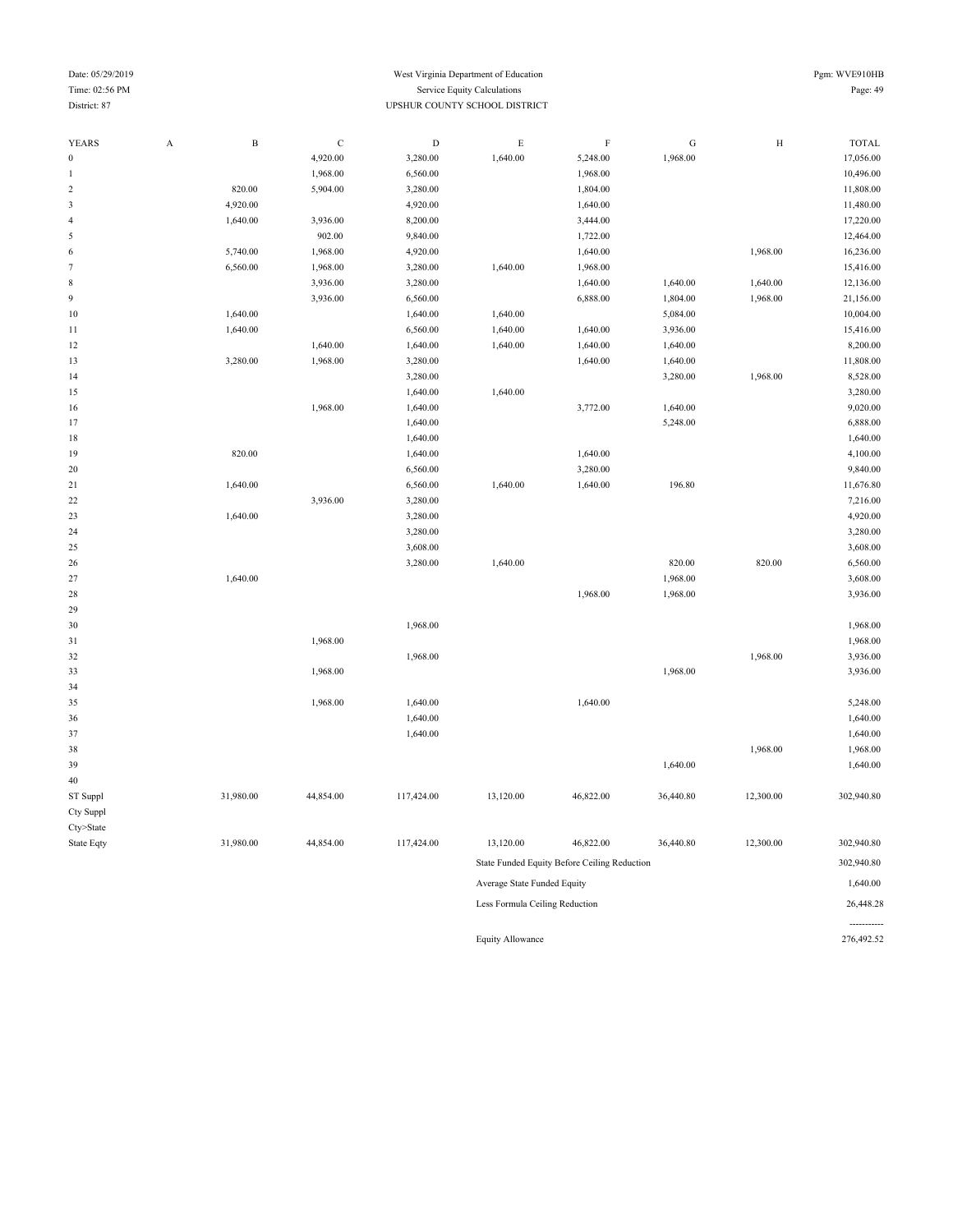#### Date: 05/29/2019 Pgm: WVE910HB Time: 02:56 PM Service Equity Calculations Page: 49 District: 87 UPSHUR COUNTY SCHOOL DISTRICT

| YEARS            | A | $\, {\bf B}$ | $\mathsf C$ | $\mathbf D$ | $\mathbf E$                    | $\mathbf F$                                  | G         | $\rm H$   | <b>TOTAL</b> |
|------------------|---|--------------|-------------|-------------|--------------------------------|----------------------------------------------|-----------|-----------|--------------|
| $\boldsymbol{0}$ |   |              | 4,920.00    | 3,280.00    | 1,640.00                       | 5,248.00                                     | 1,968.00  |           | 17,056.00    |
| $\mathbf{1}$     |   |              | 1,968.00    | 6,560.00    |                                | 1,968.00                                     |           |           | 10,496.00    |
| $\sqrt{2}$       |   | 820.00       | 5,904.00    | 3,280.00    |                                | 1,804.00                                     |           |           | 11,808.00    |
| $\sqrt{3}$       |   | 4,920.00     |             | 4,920.00    |                                | 1,640.00                                     |           |           | 11,480.00    |
| $\overline{4}$   |   | 1,640.00     | 3,936.00    | 8,200.00    |                                | 3,444.00                                     |           |           | 17,220.00    |
| $\sqrt{5}$       |   |              | 902.00      | 9,840.00    |                                | 1,722.00                                     |           |           | 12,464.00    |
| 6                |   | 5,740.00     | 1,968.00    | 4,920.00    |                                | 1,640.00                                     |           | 1,968.00  | 16,236.00    |
| 7                |   | 6,560.00     | 1,968.00    | 3,280.00    | 1,640.00                       | 1,968.00                                     |           |           | 15,416.00    |
| $\,$ 8 $\,$      |   |              | 3,936.00    | 3,280.00    |                                | 1,640.00                                     | 1,640.00  | 1,640.00  | 12,136.00    |
| 9                |   |              | 3,936.00    | 6,560.00    |                                | 6,888.00                                     | 1,804.00  | 1,968.00  | 21,156.00    |
| 10               |   | 1,640.00     |             | 1,640.00    | 1,640.00                       |                                              | 5,084.00  |           | 10,004.00    |
| $1\,1$           |   | 1,640.00     |             | 6,560.00    | 1,640.00                       | 1,640.00                                     | 3,936.00  |           | 15,416.00    |
| 12               |   |              | 1,640.00    | 1,640.00    | 1,640.00                       | 1,640.00                                     | 1,640.00  |           | 8,200.00     |
| 13               |   | 3,280.00     | 1,968.00    | 3,280.00    |                                | 1,640.00                                     | 1,640.00  |           | 11,808.00    |
| 14               |   |              |             | 3,280.00    |                                |                                              | 3,280.00  | 1,968.00  | 8,528.00     |
| 15               |   |              |             | 1,640.00    | 1,640.00                       |                                              |           |           | 3,280.00     |
| 16               |   |              | 1,968.00    | 1,640.00    |                                | 3,772.00                                     | 1,640.00  |           | 9,020.00     |
| 17               |   |              |             | 1,640.00    |                                |                                              | 5,248.00  |           | 6,888.00     |
| 18               |   |              |             | 1,640.00    |                                |                                              |           |           | 1,640.00     |
| 19               |   | 820.00       |             | 1,640.00    |                                | 1,640.00                                     |           |           | 4,100.00     |
| 20               |   |              |             | 6,560.00    |                                | 3,280.00                                     |           |           | 9,840.00     |
| 21               |   | 1,640.00     |             | 6,560.00    | 1,640.00                       | 1,640.00                                     | 196.80    |           | 11,676.80    |
| 22               |   |              | 3,936.00    | 3,280.00    |                                |                                              |           |           | 7,216.00     |
| 23               |   | 1,640.00     |             | 3,280.00    |                                |                                              |           |           | 4,920.00     |
| 24               |   |              |             | 3,280.00    |                                |                                              |           |           | 3,280.00     |
| 25               |   |              |             | 3,608.00    |                                |                                              |           |           | 3,608.00     |
| 26               |   |              |             | 3,280.00    | 1,640.00                       |                                              | 820.00    | 820.00    | 6,560.00     |
| 27               |   | 1,640.00     |             |             |                                |                                              | 1,968.00  |           | 3,608.00     |
| 28               |   |              |             |             |                                | 1,968.00                                     | 1,968.00  |           | 3,936.00     |
| 29               |   |              |             |             |                                |                                              |           |           |              |
| 30               |   |              |             | 1,968.00    |                                |                                              |           |           | 1,968.00     |
| 31               |   |              | 1,968.00    |             |                                |                                              |           |           | 1,968.00     |
| 32               |   |              |             | 1,968.00    |                                |                                              |           | 1,968.00  | 3,936.00     |
| 33               |   |              | 1,968.00    |             |                                |                                              | 1,968.00  |           | 3,936.00     |
| 34               |   |              |             |             |                                |                                              |           |           |              |
| 35               |   |              | 1,968.00    | 1,640.00    |                                | 1,640.00                                     |           |           | 5,248.00     |
| 36               |   |              |             | 1,640.00    |                                |                                              |           |           | 1,640.00     |
| 37               |   |              |             | 1,640.00    |                                |                                              |           |           | 1,640.00     |
| 38               |   |              |             |             |                                |                                              |           | 1,968.00  | 1,968.00     |
| 39               |   |              |             |             |                                |                                              | 1,640.00  |           | 1,640.00     |
| 40               |   |              |             |             |                                |                                              |           |           |              |
| ST Suppl         |   | 31,980.00    | 44,854.00   | 117,424.00  | 13,120.00                      | 46,822.00                                    | 36,440.80 | 12,300.00 | 302,940.80   |
| Cty Suppl        |   |              |             |             |                                |                                              |           |           |              |
| $Cty$ >State     |   |              |             |             |                                |                                              |           |           |              |
| State Eqty       |   | 31,980.00    | 44,854.00   | 117,424.00  | 13,120.00                      | 46,822.00                                    | 36,440.80 | 12,300.00 | 302,940.80   |
|                  |   |              |             |             |                                | State Funded Equity Before Ceiling Reduction |           |           | 302,940.80   |
|                  |   |              |             |             | Average State Funded Equity    |                                              |           |           | 1,640.00     |
|                  |   |              |             |             | Less Formula Ceiling Reduction |                                              |           |           | 26,448.28    |
|                  |   |              |             |             |                                |                                              |           |           |              |
|                  |   |              |             |             | <b>Equity Allowance</b>        |                                              |           |           | 276,492.52   |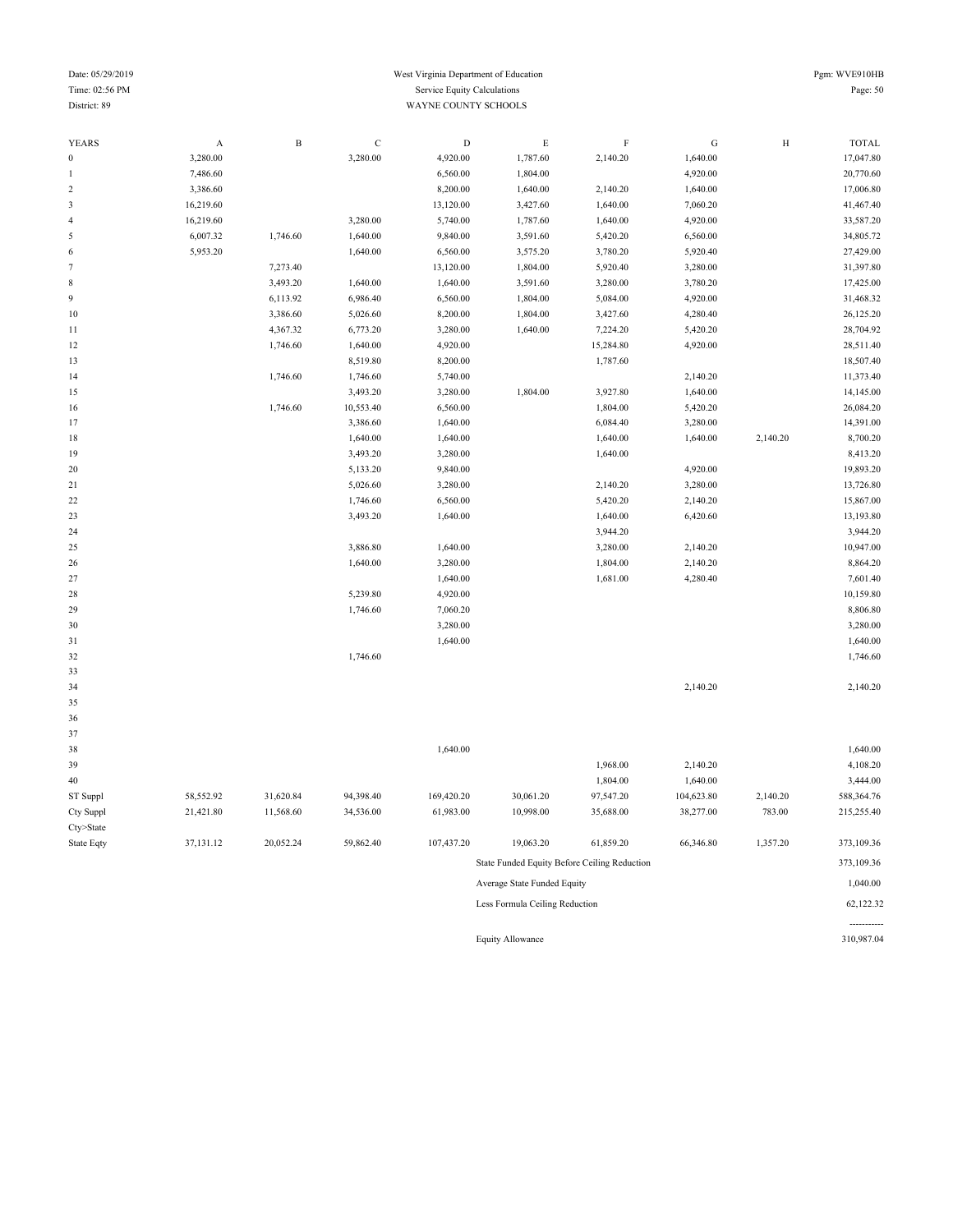#### Date: 05/29/2019 Pgm: WVE910HB Time: 02:56 PM Service Equity Calculations Page: 50 District: 89 WAYNE COUNTY SCHOOLS

| 1 gill. W v |  |
|-------------|--|
|             |  |
|             |  |
|             |  |

| <b>YEARS</b>   | $\boldsymbol{\rm{A}}$ | $\, {\bf B}$ | $\mathbf C$ | $\mathbf D$ | $\mathbf E$ | $\rm F$   | ${\bf G}$  | $\, {\rm H}$ | <b>TOTAL</b> |
|----------------|-----------------------|--------------|-------------|-------------|-------------|-----------|------------|--------------|--------------|
| $\bf{0}$       | 3,280.00              |              | 3,280.00    | 4,920.00    | 1,787.60    | 2,140.20  | 1,640.00   |              | 17,047.80    |
| 1              | 7,486.60              |              |             | 6,560.00    | 1,804.00    |           | 4,920.00   |              | 20,770.60    |
| $\overline{c}$ | 3,386.60              |              |             | 8,200.00    | 1,640.00    | 2,140.20  | 1,640.00   |              | 17,006.80    |
| 3              | 16,219.60             |              |             | 13,120.00   | 3,427.60    | 1,640.00  | 7,060.20   |              | 41,467.40    |
| 4              | 16,219.60             |              | 3,280.00    | 5,740.00    | 1,787.60    | 1,640.00  | 4,920.00   |              | 33,587.20    |
| 5              | 6,007.32              | 1,746.60     | 1,640.00    | 9,840.00    | 3,591.60    | 5,420.20  | 6,560.00   |              | 34,805.72    |
| 6              | 5,953.20              |              | 1,640.00    | 6,560.00    | 3,575.20    | 3,780.20  | 5,920.40   |              | 27,429.00    |
| 7              |                       | 7,273.40     |             | 13,120.00   | 1,804.00    | 5,920.40  | 3,280.00   |              | 31,397.80    |
| 8              |                       | 3,493.20     | 1,640.00    | 1,640.00    | 3,591.60    | 3,280.00  | 3,780.20   |              | 17,425.00    |
| 9              |                       | 6,113.92     | 6,986.40    | 6,560.00    | 1,804.00    | 5,084.00  | 4,920.00   |              | 31,468.32    |
| $10\,$         |                       | 3,386.60     | 5,026.60    | 8,200.00    | 1,804.00    | 3,427.60  | 4,280.40   |              | 26,125.20    |
| 11             |                       | 4,367.32     | 6,773.20    | 3,280.00    | 1,640.00    | 7,224.20  | 5,420.20   |              | 28,704.92    |
| 12             |                       | 1,746.60     | 1,640.00    | 4,920.00    |             | 15,284.80 | 4,920.00   |              | 28,511.40    |
| 13             |                       |              | 8,519.80    | 8,200.00    |             | 1,787.60  |            |              | 18,507.40    |
| 14             |                       | 1,746.60     | 1,746.60    | 5,740.00    |             |           | 2,140.20   |              | 11,373.40    |
| 15             |                       |              | 3,493.20    | 3,280.00    | 1,804.00    | 3,927.80  | 1,640.00   |              | 14,145.00    |
| 16             |                       | 1,746.60     | 10,553.40   | 6,560.00    |             | 1,804.00  | 5,420.20   |              | 26,084.20    |
| 17             |                       |              | 3,386.60    | 1,640.00    |             | 6,084.40  | 3,280.00   |              | 14,391.00    |
| 18             |                       |              | 1,640.00    | 1,640.00    |             | 1,640.00  | 1,640.00   | 2,140.20     | 8,700.20     |
| 19             |                       |              | 3,493.20    | 3,280.00    |             | 1,640.00  |            |              | 8,413.20     |
| 20             |                       |              | 5,133.20    | 9,840.00    |             |           | 4,920.00   |              | 19,893.20    |
| 21             |                       |              | 5,026.60    | 3,280.00    |             | 2,140.20  | 3,280.00   |              | 13,726.80    |
| 22             |                       |              | 1,746.60    | 6,560.00    |             | 5,420.20  | 2,140.20   |              | 15,867.00    |
| 23             |                       |              | 3,493.20    | 1,640.00    |             | 1,640.00  | 6,420.60   |              | 13,193.80    |
| 24             |                       |              |             |             |             | 3,944.20  |            |              | 3,944.20     |
| 25             |                       |              | 3,886.80    | 1,640.00    |             | 3,280.00  | 2,140.20   |              | 10,947.00    |
| 26             |                       |              | 1,640.00    | 3,280.00    |             | 1,804.00  | 2,140.20   |              | 8,864.20     |
| 27             |                       |              |             | 1,640.00    |             | 1,681.00  | 4,280.40   |              | 7,601.40     |
| 28             |                       |              | 5,239.80    | 4,920.00    |             |           |            |              | 10,159.80    |
| 29             |                       |              | 1,746.60    | 7,060.20    |             |           |            |              | 8,806.80     |
| 30             |                       |              |             | 3,280.00    |             |           |            |              | 3,280.00     |
| 31             |                       |              |             | 1,640.00    |             |           |            |              | 1,640.00     |
| 32             |                       |              | 1,746.60    |             |             |           |            |              | 1,746.60     |
| 33             |                       |              |             |             |             |           |            |              |              |
| 34             |                       |              |             |             |             |           | 2,140.20   |              | 2,140.20     |
| 35             |                       |              |             |             |             |           |            |              |              |
| 36             |                       |              |             |             |             |           |            |              |              |
| 37             |                       |              |             |             |             |           |            |              |              |
| 38             |                       |              |             | 1,640.00    |             |           |            |              | 1,640.00     |
| 39             |                       |              |             |             |             | 1,968.00  | 2,140.20   |              | 4,108.20     |
| 40             |                       |              |             |             |             | 1,804.00  | 1,640.00   |              | 3,444.00     |
| ST Suppl       | 58,552.92             | 31,620.84    | 94,398.40   | 169,420.20  | 30,061.20   | 97,547.20 | 104,623.80 | 2,140.20     | 588,364.76   |
| Cty Suppl      | 21,421.80             | 11,568.60    | 34,536.00   | 61,983.00   | 10,998.00   | 35,688.00 | 38,277.00  | 783.00       | 215,255.40   |
| Cty>State      |                       |              |             |             |             |           |            |              |              |
| State Eqty     | 37,131.12             | 20,052.24    | 59,862.40   | 107,437.20  | 19,063.20   | 61,859.20 | 66,346.80  | 1,357.20     | 373,109.36   |
|                |                       |              |             |             |             |           |            |              |              |

State Funded Equity Before Ceiling Reduction 373,109.36 Average State Funded Equity 1,040.00

Less Formula Ceiling Reduction 62,122.32

Equity Allowance

----------<br>310,987.04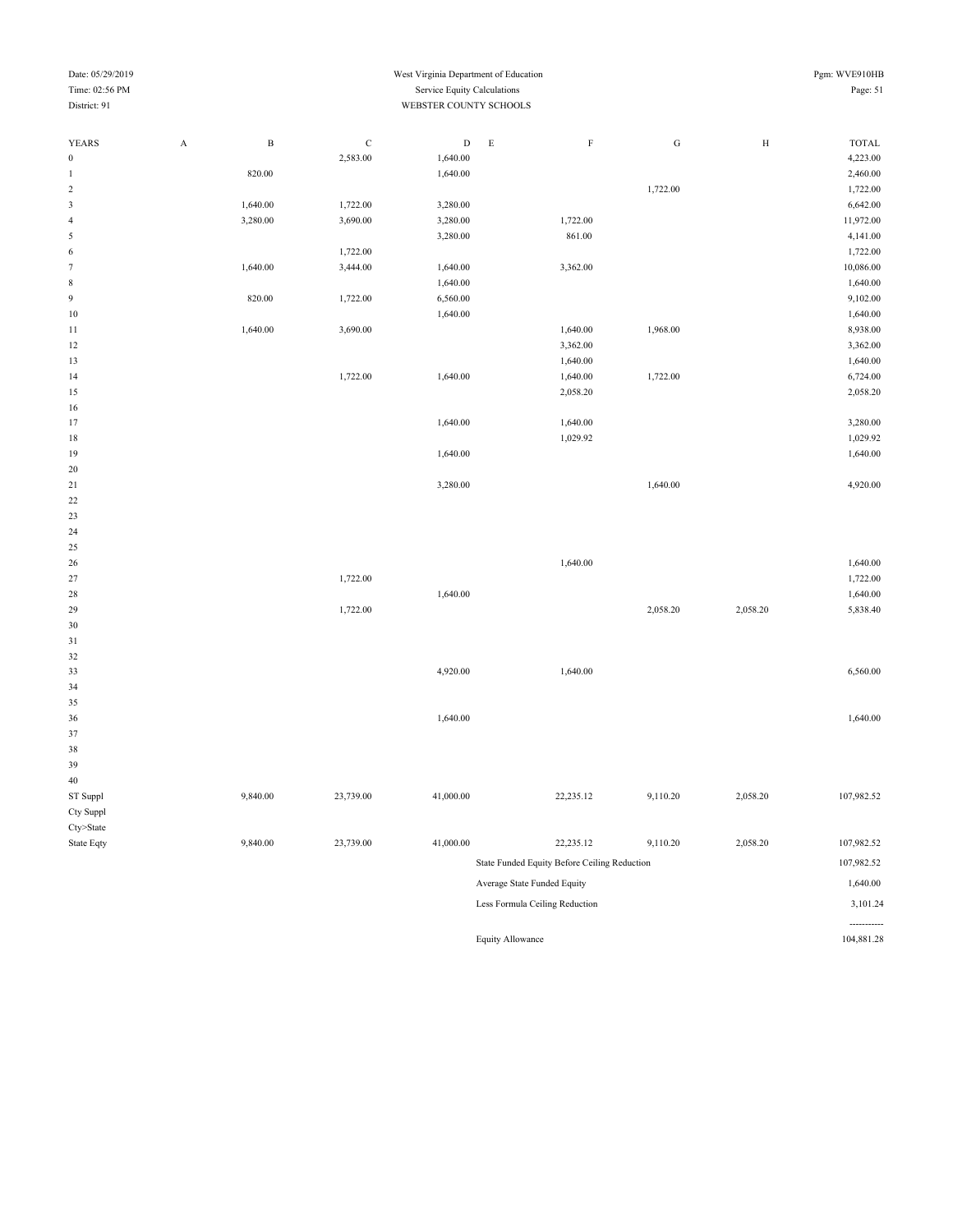| Date: 05/29/2019 |   |              |              | West Virginia Department of Education |   |          |          |   | Pgm: WVE910HB |
|------------------|---|--------------|--------------|---------------------------------------|---|----------|----------|---|---------------|
| Time: 02:56 PM   |   |              |              | Service Equity Calculations           |   |          |          |   | Page: 51      |
| District: 91     |   |              |              | WEBSTER COUNTY SCHOOLS                |   |          |          |   |               |
|                  |   |              |              |                                       |   |          |          |   |               |
| <b>YEARS</b>     | A | $\, {\bf B}$ | $\mathsf{C}$ | D                                     | E | $\rm F$  | G        | H | <b>TOTAL</b>  |
| $\bf{0}$         |   |              | 2,583.00     | 1,640.00                              |   |          |          |   | 4,223.00      |
| 1                |   | 820.00       |              | 1,640.00                              |   |          |          |   | 2,460.00      |
| $\overline{2}$   |   |              |              |                                       |   |          | 1,722.00 |   | 1,722.00      |
| 3                |   | 1,640.00     | 1,722.00     | 3,280.00                              |   |          |          |   | 6,642.00      |
| $\overline{4}$   |   | 3,280.00     | 3,690.00     | 3,280.00                              |   | 1,722.00 |          |   | 11,972.00     |
| 5                |   |              |              | 3,280.00                              |   | 861.00   |          |   | 4,141.00      |
| 6                |   |              | 1,722.00     |                                       |   |          |          |   | 1,722.00      |
| $\overline{7}$   |   | 1,640.00     | 3,444.00     | 1,640.00                              |   | 3,362.00 |          |   | 10,086.00     |
| 8                |   |              |              | 1,640.00                              |   |          |          |   | 1,640.00      |
| 9                |   | 820.00       | 1,722.00     | 6,560.00                              |   |          |          |   | 9,102.00      |
| 10               |   |              |              | 1,640.00                              |   |          |          |   | 1,640.00      |
| 11               |   | 1,640.00     | 3,690.00     |                                       |   | 1,640.00 | 1,968.00 |   | 8,938.00      |
| 12               |   |              |              |                                       |   | 3,362.00 |          |   | 3,362.00      |
| 13               |   |              |              |                                       |   | 1,640.00 |          |   | 1,640.00      |
| 14               |   |              | 1,722.00     | 1,640.00                              |   | 1,640.00 | 1,722.00 |   | 6,724.00      |
| 15               |   |              |              |                                       |   | 2,058.20 |          |   | 2,058.20      |
| 16               |   |              |              |                                       |   |          |          |   |               |
| 17               |   |              |              | 1,640.00                              |   | 1,640.00 |          |   | 3,280.00      |
| 18               |   |              |              |                                       |   | 1,029.92 |          |   | 1,029.92      |
|                  |   |              |              |                                       |   |          |          |   |               |

| 19 | 1,640.00 |          | 1,640.00 |
|----|----------|----------|----------|
| 20 |          |          |          |
| 21 | 3,280.00 | 1,640.00 | 4,920.00 |
| 22 |          |          |          |
| 23 |          |          |          |
| 24 |          |          |          |
|    |          |          |          |

| 26         |          |           |           | 1,640.00                                     |          |          | 1,640.00   |
|------------|----------|-----------|-----------|----------------------------------------------|----------|----------|------------|
| 27         |          | 1,722.00  |           |                                              |          |          | 1,722.00   |
| 28         |          |           | 1,640.00  |                                              |          |          | 1,640.00   |
| 29         |          | 1,722.00  |           |                                              | 2,058.20 | 2,058.20 | 5,838.40   |
| 30         |          |           |           |                                              |          |          |            |
| 31         |          |           |           |                                              |          |          |            |
| 32         |          |           |           |                                              |          |          |            |
| 33         |          |           | 4,920.00  | 1,640.00                                     |          |          | 6,560.00   |
| 34         |          |           |           |                                              |          |          |            |
| 35         |          |           |           |                                              |          |          |            |
| 36         |          |           | 1,640.00  |                                              |          |          | 1,640.00   |
| 37         |          |           |           |                                              |          |          |            |
| 38         |          |           |           |                                              |          |          |            |
| 39         |          |           |           |                                              |          |          |            |
| 40         |          |           |           |                                              |          |          |            |
| ST Suppl   | 9,840.00 | 23,739.00 | 41,000.00 | 22,235.12                                    | 9,110.20 | 2,058.20 | 107,982.52 |
| Cty Suppl  |          |           |           |                                              |          |          |            |
| Cty>State  |          |           |           |                                              |          |          |            |
| State Eqty | 9,840.00 | 23,739.00 | 41,000.00 | 22,235.12                                    | 9,110.20 | 2,058.20 | 107,982.52 |
|            |          |           |           | State Funded Equity Before Ceiling Reduction |          |          | 107,982.52 |
|            |          |           |           | Average State Funded Equity                  |          |          | 1,640.00   |

Equity Allowance

Less Formula Ceiling Reduction 3,101.24

----------<br>104,881.28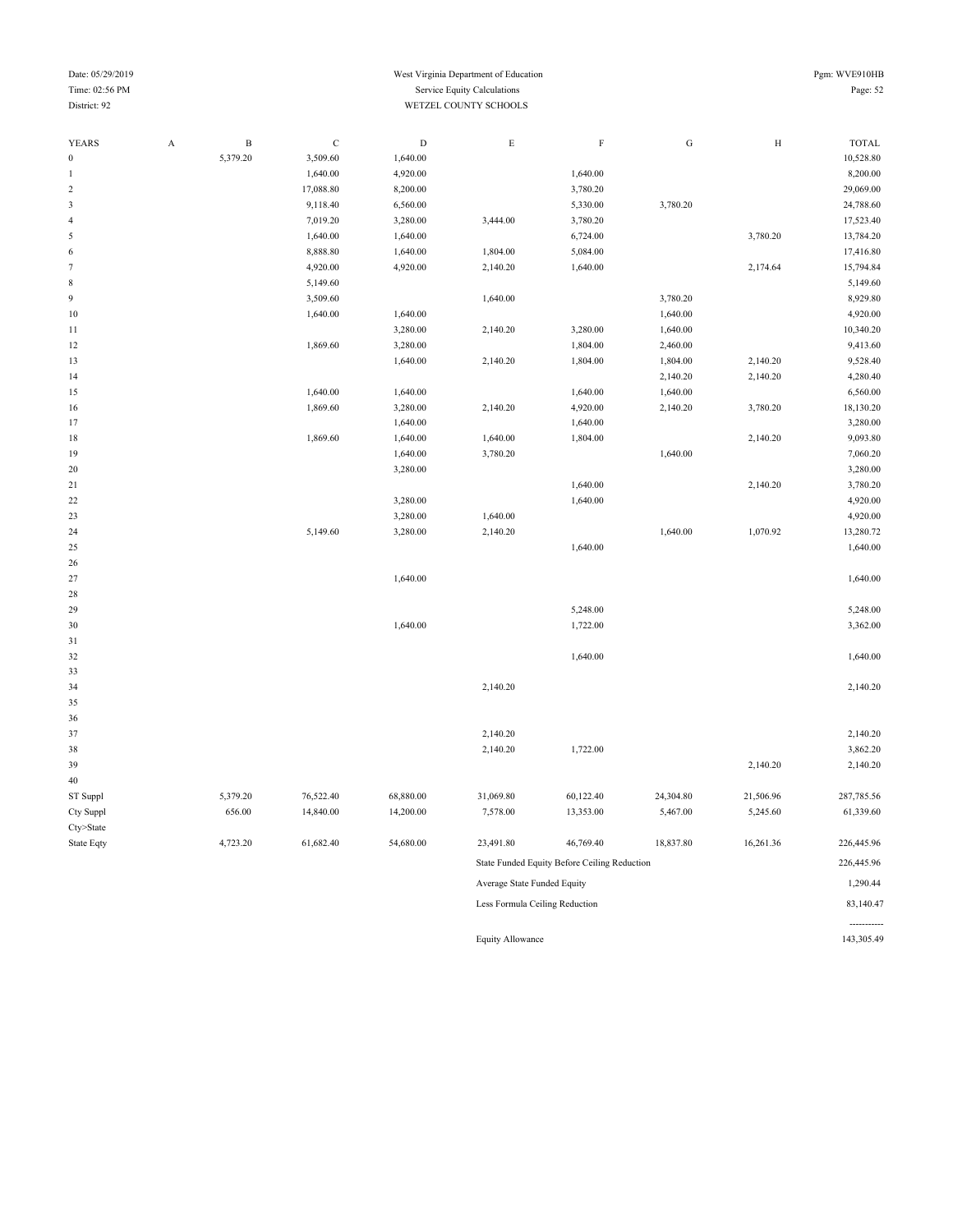#### Date: 05/29/2019 Pgm: WVE910HB Time: 02:56 PM Service Equity Calculations Page: 52 District: 92 WETZEL COUNTY SCHOOLS

-----------

| YEARS            | $\boldsymbol{\mathsf{A}}$ | $\, {\bf B}$ | $\mathbf C$ | $\mathbf D$ | $\mathbf E$                    | $\rm F$                                      | ${\bf G}$ | $\rm H$   | <b>TOTAL</b> |
|------------------|---------------------------|--------------|-------------|-------------|--------------------------------|----------------------------------------------|-----------|-----------|--------------|
| $\boldsymbol{0}$ |                           | 5,379.20     | 3,509.60    | 1,640.00    |                                |                                              |           |           | 10,528.80    |
| $\mathbf{1}$     |                           |              | 1,640.00    | 4,920.00    |                                | 1,640.00                                     |           |           | 8,200.00     |
| $\sqrt{2}$       |                           |              | 17,088.80   | 8,200.00    |                                | 3,780.20                                     |           |           | 29,069.00    |
| $\mathfrak{Z}$   |                           |              | 9,118.40    | 6,560.00    |                                | 5,330.00                                     | 3,780.20  |           | 24,788.60    |
| $\overline{4}$   |                           |              | 7,019.20    | 3,280.00    | 3,444.00                       | 3,780.20                                     |           |           | 17,523.40    |
| $\mathfrak s$    |                           |              | 1,640.00    | 1,640.00    |                                | 6,724.00                                     |           | 3,780.20  | 13,784.20    |
| 6                |                           |              | 8,888.80    | 1,640.00    | 1,804.00                       | 5,084.00                                     |           |           | 17,416.80    |
| $\tau$           |                           |              | 4,920.00    | 4,920.00    | 2,140.20                       | 1,640.00                                     |           | 2,174.64  | 15,794.84    |
| $\,$ 8 $\,$      |                           |              | 5,149.60    |             |                                |                                              |           |           | 5,149.60     |
| $\boldsymbol{9}$ |                           |              | 3,509.60    |             | 1,640.00                       |                                              | 3,780.20  |           | 8,929.80     |
| 10               |                           |              | 1,640.00    | 1,640.00    |                                |                                              | 1,640.00  |           | 4,920.00     |
| $1\,1$           |                           |              |             | 3,280.00    | 2,140.20                       | 3,280.00                                     | 1,640.00  |           | 10,340.20    |
| 12               |                           |              | 1,869.60    | 3,280.00    |                                | 1,804.00                                     | 2,460.00  |           | 9,413.60     |
| 13               |                           |              |             | 1,640.00    | 2,140.20                       | 1,804.00                                     | 1,804.00  | 2,140.20  | 9,528.40     |
| 14               |                           |              |             |             |                                |                                              | 2,140.20  | 2,140.20  | 4,280.40     |
| 15               |                           |              | 1,640.00    | 1,640.00    |                                | 1,640.00                                     | 1,640.00  |           | 6,560.00     |
| 16               |                           |              | 1,869.60    | 3,280.00    | 2,140.20                       | 4,920.00                                     | 2,140.20  | 3,780.20  | 18,130.20    |
| 17               |                           |              |             | 1,640.00    |                                | 1,640.00                                     |           |           | 3,280.00     |
| 18               |                           |              | 1,869.60    | 1,640.00    | 1,640.00                       | 1,804.00                                     |           | 2,140.20  | 9,093.80     |
| 19               |                           |              |             | 1,640.00    | 3,780.20                       |                                              | 1,640.00  |           | 7,060.20     |
| 20               |                           |              |             | 3,280.00    |                                |                                              |           |           | 3,280.00     |
| 21               |                           |              |             |             |                                | 1,640.00                                     |           | 2,140.20  | 3,780.20     |
| 22               |                           |              |             | 3,280.00    |                                | 1,640.00                                     |           |           | 4,920.00     |
| 23               |                           |              |             | 3,280.00    | 1,640.00                       |                                              |           |           | 4,920.00     |
| 24               |                           |              | 5,149.60    | 3,280.00    | 2,140.20                       |                                              | 1,640.00  | 1,070.92  | 13,280.72    |
| 25               |                           |              |             |             |                                | 1,640.00                                     |           |           | 1,640.00     |
| 26               |                           |              |             |             |                                |                                              |           |           |              |
| 27               |                           |              |             | 1,640.00    |                                |                                              |           |           | 1,640.00     |
| 28               |                           |              |             |             |                                |                                              |           |           |              |
| 29               |                           |              |             |             |                                | 5,248.00                                     |           |           | 5,248.00     |
| 30               |                           |              |             | 1,640.00    |                                | 1,722.00                                     |           |           | 3,362.00     |
| 31               |                           |              |             |             |                                |                                              |           |           |              |
| 32               |                           |              |             |             |                                | 1,640.00                                     |           |           | 1,640.00     |
| 33               |                           |              |             |             |                                |                                              |           |           |              |
| 34               |                           |              |             |             | 2,140.20                       |                                              |           |           | 2,140.20     |
| 35               |                           |              |             |             |                                |                                              |           |           |              |
| 36               |                           |              |             |             |                                |                                              |           |           |              |
| 37               |                           |              |             |             | 2,140.20                       |                                              |           |           | 2,140.20     |
| 38               |                           |              |             |             | 2,140.20                       | 1,722.00                                     |           |           | 3,862.20     |
| 39               |                           |              |             |             |                                |                                              |           | 2,140.20  | 2,140.20     |
| $40\,$           |                           |              |             |             |                                |                                              |           |           |              |
| ST Suppl         |                           | 5,379.20     | 76,522.40   | 68,880.00   | 31,069.80                      | 60,122.40                                    | 24,304.80 | 21,506.96 | 287,785.56   |
| Cty Suppl        |                           | 656.00       | 14,840.00   | 14,200.00   | 7,578.00                       | 13,353.00                                    | 5,467.00  | 5,245.60  | 61,339.60    |
| Cty>State        |                           |              |             |             |                                |                                              |           |           |              |
| State Eqty       |                           | 4,723.20     | 61,682.40   | 54,680.00   | 23,491.80                      | 46,769.40                                    | 18,837.80 | 16,261.36 | 226,445.96   |
|                  |                           |              |             |             |                                | State Funded Equity Before Ceiling Reduction |           |           | 226,445.96   |
|                  |                           |              |             |             | Average State Funded Equity    |                                              |           |           | 1,290.44     |
|                  |                           |              |             |             | Less Formula Ceiling Reduction |                                              |           |           | 83,140.47    |

Equity Allowance 143,305.49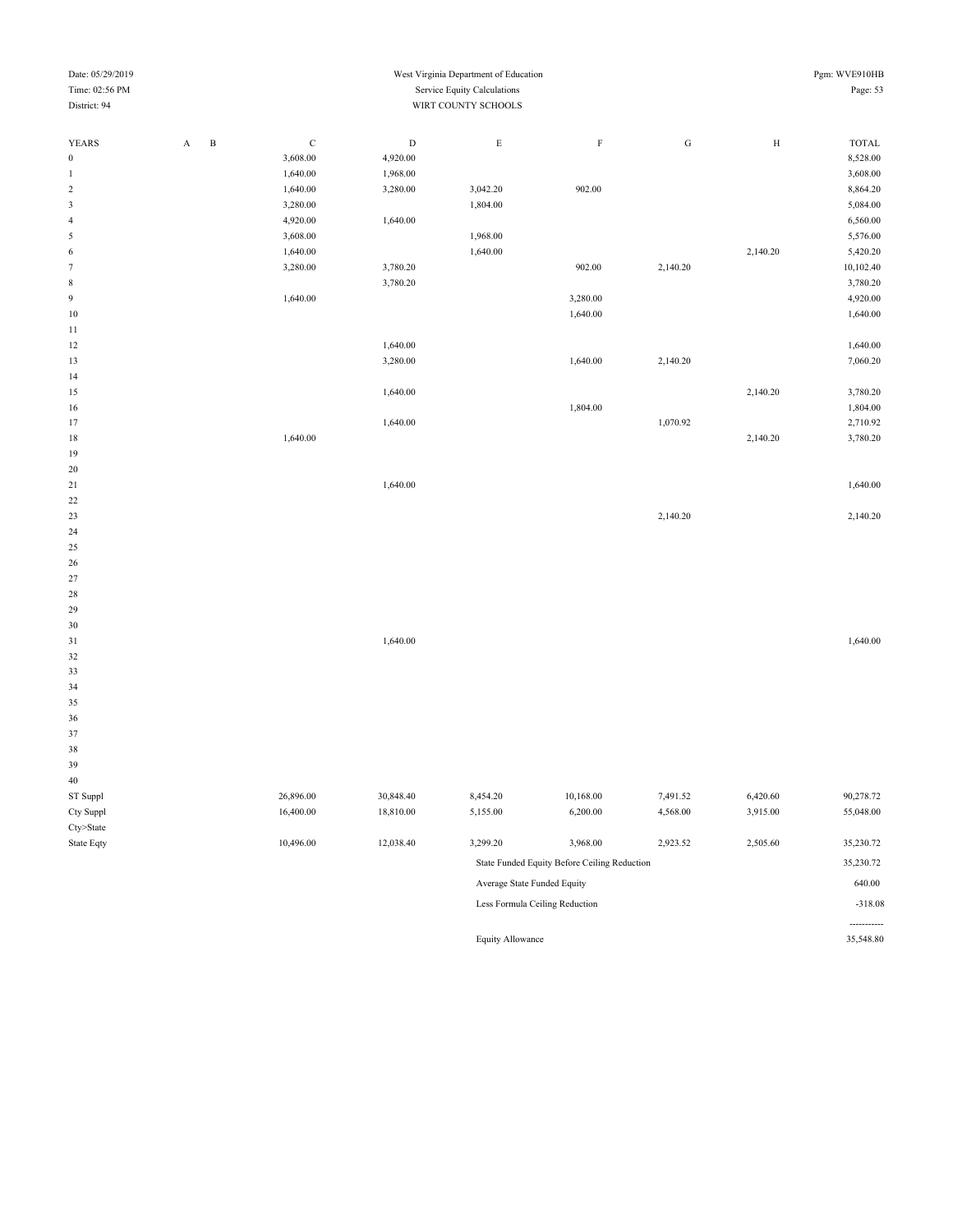| Date: 05/29/2019 | West Virginia Department of Education |   |  |  |          |  |    |  | Pgm: WVE910HB |
|------------------|---------------------------------------|---|--|--|----------|--|----|--|---------------|
| Time: 02:56 PM   |                                       |   |  |  | Page: 53 |  |    |  |               |
| District: 94     | WIRT COUNTY SCHOOLS                   |   |  |  |          |  |    |  |               |
|                  |                                       |   |  |  |          |  |    |  |               |
| <b>YEARS</b>     | $\Delta$                              | B |  |  | Е.       |  | ίí |  | <b>TOTAL</b>  |

| $\boldsymbol{0}$        | 3,608.00 | 4,920.00 |          |          |          |          | 8,528.00  |
|-------------------------|----------|----------|----------|----------|----------|----------|-----------|
| 1                       | 1,640.00 | 1,968.00 |          |          |          |          | 3,608.00  |
| $\overline{\mathbf{c}}$ | 1,640.00 | 3,280.00 | 3,042.20 | 902.00   |          |          | 8,864.20  |
| 3                       | 3,280.00 |          | 1,804.00 |          |          |          | 5,084.00  |
| 4                       | 4,920.00 | 1,640.00 |          |          |          |          | 6,560.00  |
| 5                       | 3,608.00 |          | 1,968.00 |          |          |          | 5,576.00  |
| 6                       | 1,640.00 |          | 1,640.00 |          |          | 2,140.20 | 5,420.20  |
| 7                       | 3,280.00 | 3,780.20 |          | 902.00   | 2,140.20 |          | 10,102.40 |
| 8                       |          | 3,780.20 |          |          |          |          | 3,780.20  |
| 9                       | 1,640.00 |          |          | 3,280.00 |          |          | 4,920.00  |
| 10                      |          |          |          | 1,640.00 |          |          | 1,640.00  |
| 11                      |          |          |          |          |          |          |           |
| 12                      |          | 1,640.00 |          |          |          |          | 1,640.00  |
| 13                      |          | 3,280.00 |          | 1,640.00 | 2,140.20 |          | 7,060.20  |
| 14                      |          |          |          |          |          |          |           |
| 15                      |          | 1,640.00 |          |          |          | 2,140.20 | 3,780.20  |
| 16                      |          |          |          | 1,804.00 |          |          | 1,804.00  |
| 17                      |          | 1,640.00 |          |          | 1,070.92 |          | 2,710.92  |
| $18\,$                  | 1,640.00 |          |          |          |          | 2,140.20 | 3,780.20  |
| 19                      |          |          |          |          |          |          |           |
| 20                      |          |          |          |          |          |          |           |
| 21                      |          | 1,640.00 |          |          |          |          | 1,640.00  |
| 22                      |          |          |          |          |          |          |           |
| 23                      |          |          |          |          | 2,140.20 |          | 2,140.20  |
| 24                      |          |          |          |          |          |          |           |
| 25                      |          |          |          |          |          |          |           |
| 26                      |          |          |          |          |          |          |           |
| 27                      |          |          |          |          |          |          |           |
| 28                      |          |          |          |          |          |          |           |
| 29                      |          |          |          |          |          |          |           |
| 30                      |          |          |          |          |          |          |           |
| 31                      |          | 1,640.00 |          |          |          |          | 1,640.00  |
| 32                      |          |          |          |          |          |          |           |
| 33                      |          |          |          |          |          |          |           |
| 34                      |          |          |          |          |          |          |           |
| 35                      |          |          |          |          |          |          |           |
| 36                      |          |          |          |          |          |          |           |
| 37                      |          |          |          |          |          |          |           |

|            |           |           |          | .         |          |          | 250000    |
|------------|-----------|-----------|----------|-----------|----------|----------|-----------|
| State Eqty | 10,496.00 | 12,038.40 | 3,299.20 | 3,968.00  | 2,923.52 | 2,505.60 | 35,230.72 |
| Cty>State  |           |           |          |           |          |          |           |
| Cty Suppl  | 16,400.00 | 18,810.00 | 5,155.00 | 6,200.00  | 4,568.00 | 3,915.00 | 55,048.00 |
| ST Suppl   | 26,896.00 | 30,848.40 | 8,454.20 | 10,168.00 | 7.491.52 | 6,420.60 | 90,278.72 |
| 40         |           |           |          |           |          |          |           |
| 39         |           |           |          |           |          |          |           |

| 3.277.20                    | 2.700.00                                     | 2.723.32 | 2.909.00 | <i>33.43</i> 0.72 |
|-----------------------------|----------------------------------------------|----------|----------|-------------------|
|                             | State Funded Equity Before Ceiling Reduction |          |          | 35,230.72         |
| Average State Funded Equity |                                              |          |          | 640.00            |
|                             | Less Formula Ceiling Reduction               |          |          | $-318.08$         |
|                             |                                              |          |          |                   |

Equity Allowance 35,548.80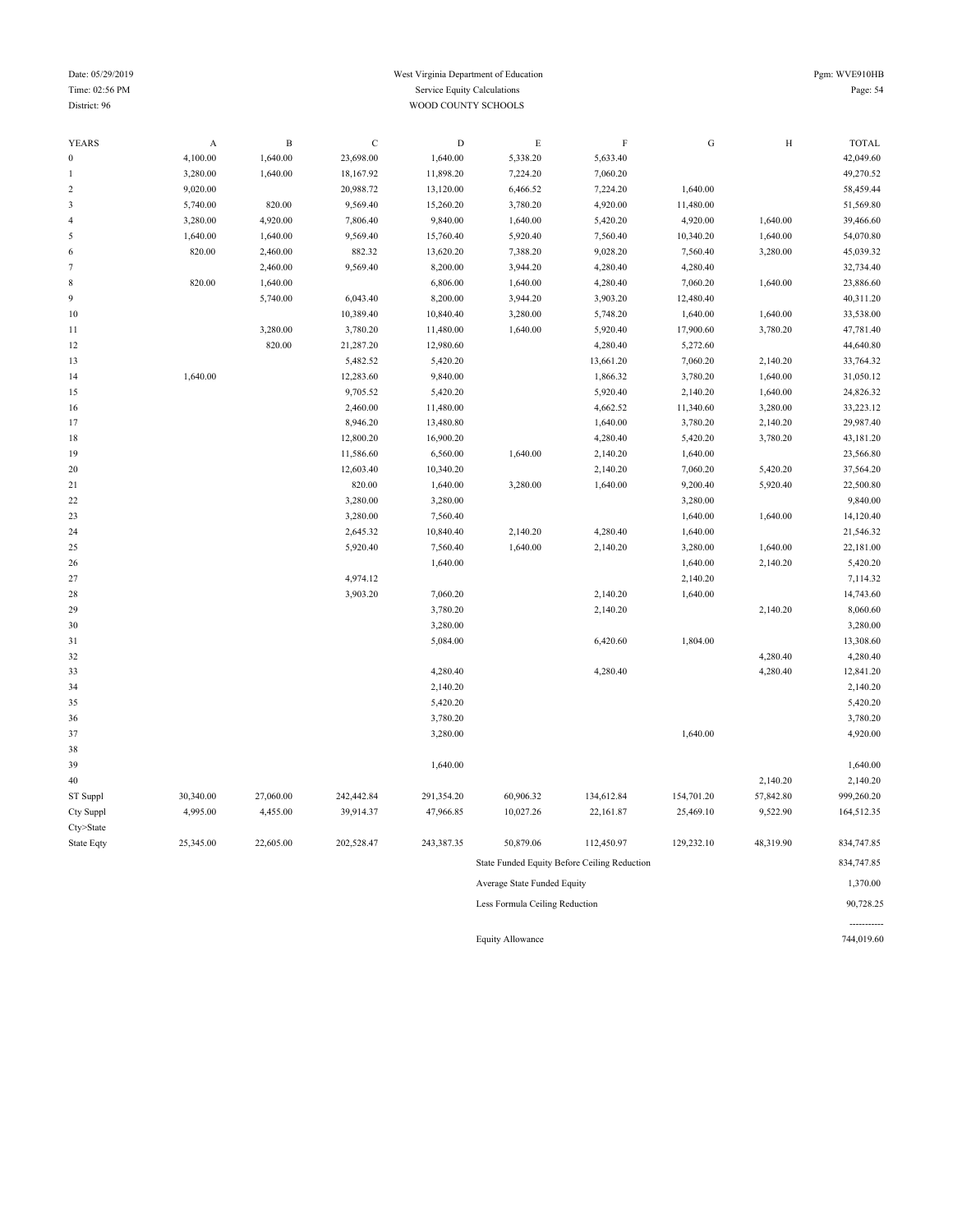#### Date: 05/29/2019 Pgm: WVE910HB Time: 02:56 PM Service Equity Calculations Page: 54 District: 96 WOOD COUNTY SCHOOLS

-----------

| YEARS            | $\boldsymbol{\mathsf{A}}$ | $\, {\bf B}$ | $\mathbf C$ | ${\rm D}$  | $\mathop{\hbox{\bf E}}$        | $\boldsymbol{\mathrm{F}}$                    | ${\rm G}$  | $\rm H$   | <b>TOTAL</b> |
|------------------|---------------------------|--------------|-------------|------------|--------------------------------|----------------------------------------------|------------|-----------|--------------|
| $\boldsymbol{0}$ | 4,100.00                  | 1,640.00     | 23,698.00   | 1,640.00   | 5,338.20                       | 5,633.40                                     |            |           | 42,049.60    |
| 1                | 3,280.00                  | 1,640.00     | 18,167.92   | 11,898.20  | 7,224.20                       | 7,060.20                                     |            |           | 49,270.52    |
| $\overline{c}$   | 9,020.00                  |              | 20,988.72   | 13,120.00  | 6,466.52                       | 7,224.20                                     | 1,640.00   |           | 58,459.44    |
| $\mathfrak z$    | 5,740.00                  | 820.00       | 9,569.40    | 15,260.20  | 3,780.20                       | 4,920.00                                     | 11,480.00  |           | 51,569.80    |
| $\overline{4}$   | 3,280.00                  | 4,920.00     | 7,806.40    | 9,840.00   | 1,640.00                       | 5,420.20                                     | 4,920.00   | 1,640.00  | 39,466.60    |
| $\sqrt{5}$       | 1,640.00                  | 1,640.00     | 9,569.40    | 15,760.40  | 5,920.40                       | 7,560.40                                     | 10,340.20  | 1,640.00  | 54,070.80    |
| 6                | 820.00                    | 2,460.00     | 882.32      | 13,620.20  | 7,388.20                       | 9,028.20                                     | 7,560.40   | 3,280.00  | 45,039.32    |
| $\boldsymbol{7}$ |                           | 2,460.00     | 9,569.40    | 8,200.00   | 3,944.20                       | 4,280.40                                     | 4,280.40   |           | 32,734.40    |
| $\,$ 8 $\,$      | 820.00                    | 1,640.00     |             | 6,806.00   | 1,640.00                       | 4,280.40                                     | 7,060.20   | 1,640.00  | 23,886.60    |
| 9                |                           | 5,740.00     | 6,043.40    | 8,200.00   | 3,944.20                       | 3,903.20                                     | 12,480.40  |           | 40,311.20    |
| $10$             |                           |              | 10,389.40   | 10,840.40  | 3,280.00                       | 5,748.20                                     | 1,640.00   | 1,640.00  | 33,538.00    |
| 11               |                           | 3,280.00     | 3,780.20    | 11,480.00  | 1,640.00                       | 5,920.40                                     | 17,900.60  | 3,780.20  | 47,781.40    |
| 12               |                           | 820.00       | 21,287.20   | 12,980.60  |                                | 4,280.40                                     | 5,272.60   |           | 44,640.80    |
| 13               |                           |              | 5,482.52    | 5,420.20   |                                | 13,661.20                                    | 7,060.20   | 2,140.20  | 33,764.32    |
| 14               | 1,640.00                  |              | 12,283.60   | 9,840.00   |                                | 1,866.32                                     | 3,780.20   | 1,640.00  | 31,050.12    |
| 15               |                           |              | 9,705.52    | 5,420.20   |                                | 5,920.40                                     | 2,140.20   | 1,640.00  | 24,826.32    |
| 16               |                           |              | 2,460.00    | 11,480.00  |                                | 4,662.52                                     | 11,340.60  | 3,280.00  | 33,223.12    |
| 17               |                           |              | 8,946.20    | 13,480.80  |                                | 1,640.00                                     | 3,780.20   | 2,140.20  | 29,987.40    |
| 18               |                           |              | 12,800.20   | 16,900.20  |                                | 4,280.40                                     | 5,420.20   | 3,780.20  | 43,181.20    |
| 19               |                           |              | 11,586.60   | 6,560.00   | 1,640.00                       | 2,140.20                                     | 1,640.00   |           | 23,566.80    |
| 20               |                           |              | 12,603.40   | 10,340.20  |                                | 2,140.20                                     | 7,060.20   | 5,420.20  | 37,564.20    |
| 21               |                           |              | 820.00      | 1,640.00   | 3,280.00                       | 1,640.00                                     | 9,200.40   | 5,920.40  | 22,500.80    |
| 22               |                           |              | 3,280.00    | 3,280.00   |                                |                                              | 3,280.00   |           | 9,840.00     |
| 23               |                           |              | 3,280.00    | 7,560.40   |                                |                                              | 1,640.00   | 1,640.00  | 14,120.40    |
| 24               |                           |              | 2,645.32    | 10,840.40  | 2,140.20                       | 4,280.40                                     | 1,640.00   |           | 21,546.32    |
| 25               |                           |              | 5,920.40    | 7,560.40   | 1,640.00                       | 2,140.20                                     | 3,280.00   | 1,640.00  | 22,181.00    |
| 26               |                           |              |             | 1,640.00   |                                |                                              | 1,640.00   | 2,140.20  | 5,420.20     |
| 27               |                           |              | 4,974.12    |            |                                |                                              | 2,140.20   |           | 7,114.32     |
| 28               |                           |              | 3,903.20    | 7,060.20   |                                | 2,140.20                                     | 1,640.00   |           | 14,743.60    |
| 29               |                           |              |             | 3,780.20   |                                | 2,140.20                                     |            | 2,140.20  | 8,060.60     |
| 30               |                           |              |             | 3,280.00   |                                |                                              |            |           | 3,280.00     |
| 31               |                           |              |             | 5,084.00   |                                | 6,420.60                                     | 1,804.00   |           | 13,308.60    |
| 32               |                           |              |             |            |                                |                                              |            | 4,280.40  | 4,280.40     |
| 33               |                           |              |             | 4,280.40   |                                | 4,280.40                                     |            | 4,280.40  | 12,841.20    |
| 34               |                           |              |             | 2,140.20   |                                |                                              |            |           | 2,140.20     |
| 35               |                           |              |             | 5,420.20   |                                |                                              |            |           | 5,420.20     |
| 36               |                           |              |             | 3,780.20   |                                |                                              |            |           | 3,780.20     |
| 37               |                           |              |             | 3,280.00   |                                |                                              | 1,640.00   |           | 4,920.00     |
| 38               |                           |              |             |            |                                |                                              |            |           |              |
| 39               |                           |              |             | 1,640.00   |                                |                                              |            |           | 1,640.00     |
| 40               |                           |              |             |            |                                |                                              |            | 2,140.20  | 2,140.20     |
| ST Suppl         | 30,340.00                 | 27,060.00    | 242,442.84  | 291,354.20 | 60,906.32                      | 134,612.84                                   | 154,701.20 | 57,842.80 | 999,260.20   |
| Cty Suppl        | 4,995.00                  | 4,455.00     | 39,914.37   | 47,966.85  | 10,027.26                      | 22,161.87                                    | 25,469.10  | 9,522.90  | 164,512.35   |
| Cty>State        |                           |              |             |            |                                |                                              |            |           |              |
| State Eqty       | 25,345.00                 | 22,605.00    | 202,528.47  | 243,387.35 | 50,879.06                      | 112,450.97                                   | 129,232.10 | 48,319.90 | 834,747.85   |
|                  |                           |              |             |            |                                | State Funded Equity Before Ceiling Reduction |            |           | 834,747.85   |
|                  |                           |              |             |            | Average State Funded Equity    |                                              |            |           | 1,370.00     |
|                  |                           |              |             |            | Less Formula Ceiling Reduction |                                              |            |           | 90,728.25    |

Equity Allowance 744,019.60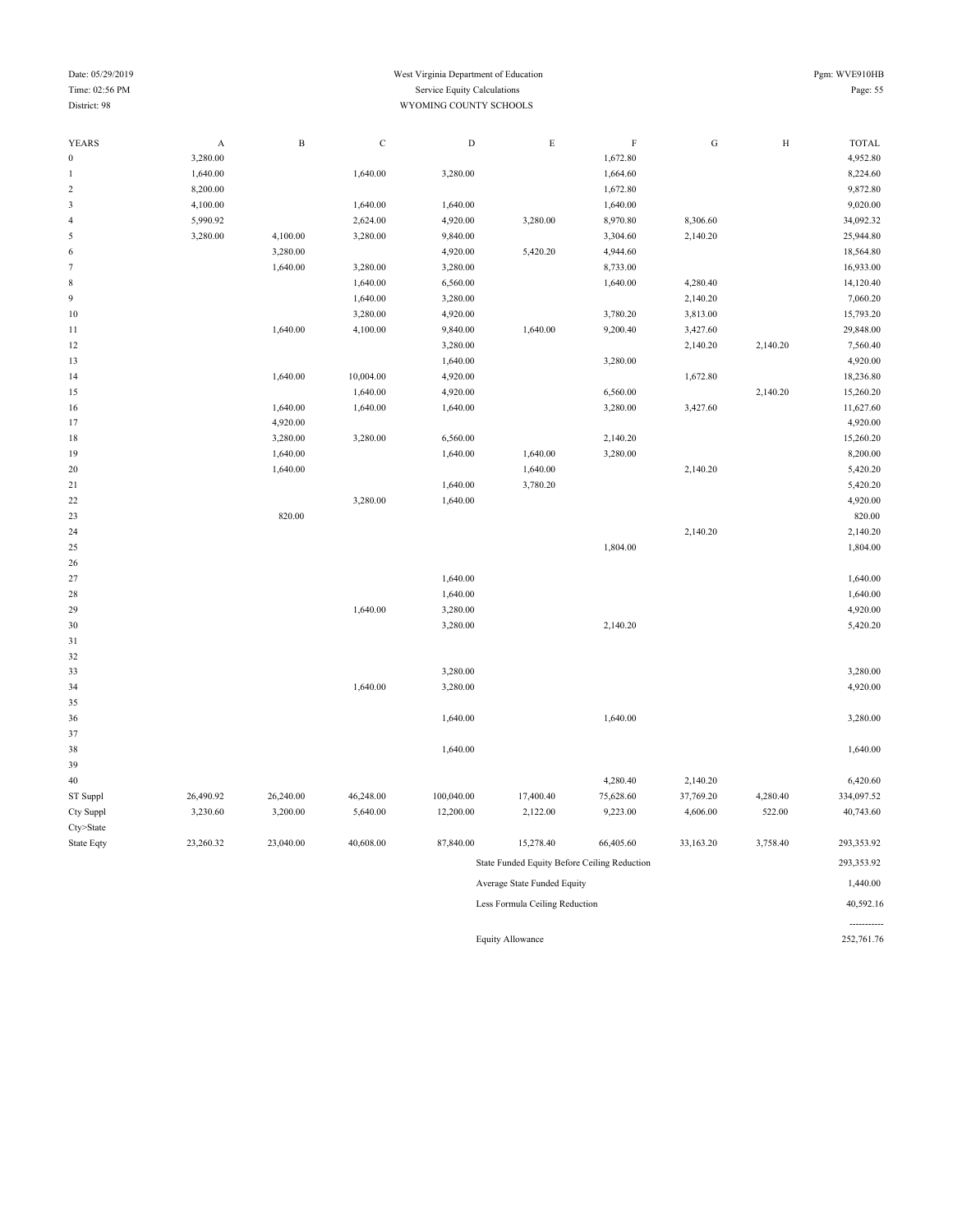#### Date: 05/29/2019 Pgm: WVE910HB Time: 02:56 PM Service Equity Calculations Page: 55 District: 98 WYOMING COUNTY SCHOOLS

| <b>YEARS</b>            | $\mathbf A$ | $\, {\bf B}$ | $\mathbf C$ | $\mathbf D$ | ${\bf E}$                                    | $\rm F$   | ${\bf G}$ | $\,$ H   | <b>TOTAL</b> |
|-------------------------|-------------|--------------|-------------|-------------|----------------------------------------------|-----------|-----------|----------|--------------|
| $\bf{0}$                | 3,280.00    |              |             |             |                                              | 1,672.80  |           |          | 4,952.80     |
| 1                       | 1,640.00    |              | 1,640.00    | 3,280.00    |                                              | 1,664.60  |           |          | 8,224.60     |
| $\sqrt{2}$              | 8,200.00    |              |             |             |                                              | 1,672.80  |           |          | 9,872.80     |
| 3                       | 4,100.00    |              | 1,640.00    | 1,640.00    |                                              | 1,640.00  |           |          | 9,020.00     |
| $\overline{4}$          | 5,990.92    |              | 2,624.00    | 4,920.00    | 3,280.00                                     | 8,970.80  | 8,306.60  |          | 34,092.32    |
| 5                       | 3,280.00    | 4,100.00     | 3,280.00    | 9,840.00    |                                              | 3,304.60  | 2,140.20  |          | 25,944.80    |
| 6                       |             | 3,280.00     |             | 4,920.00    | 5,420.20                                     | 4,944.60  |           |          | 18,564.80    |
| $\tau$                  |             | 1,640.00     | 3,280.00    | 3,280.00    |                                              | 8,733.00  |           |          | 16,933.00    |
| 8                       |             |              | 1,640.00    | 6,560.00    |                                              | 1,640.00  | 4,280.40  |          | 14,120.40    |
| 9                       |             |              | 1,640.00    | 3,280.00    |                                              |           | 2,140.20  |          | 7,060.20     |
| 10                      |             |              | 3,280.00    | 4,920.00    |                                              | 3,780.20  | 3,813.00  |          | 15,793.20    |
| 11                      |             | 1,640.00     | 4,100.00    | 9,840.00    | 1,640.00                                     | 9,200.40  | 3,427.60  |          | 29,848.00    |
| 12                      |             |              |             | 3,280.00    |                                              |           | 2,140.20  | 2,140.20 | 7,560.40     |
| 13                      |             |              |             | 1,640.00    |                                              | 3,280.00  |           |          | 4,920.00     |
| 14                      |             | 1,640.00     | 10,004.00   | 4,920.00    |                                              |           | 1,672.80  |          | 18,236.80    |
| 15                      |             |              | 1,640.00    | 4,920.00    |                                              | 6,560.00  |           | 2,140.20 | 15,260.20    |
| 16                      |             | 1,640.00     | 1,640.00    | 1,640.00    |                                              | 3,280.00  | 3,427.60  |          | 11,627.60    |
| 17                      |             | 4,920.00     |             |             |                                              |           |           |          | 4,920.00     |
| 18                      |             | 3,280.00     | 3,280.00    | 6,560.00    |                                              | 2,140.20  |           |          | 15,260.20    |
| 19                      |             | 1,640.00     |             | 1,640.00    | 1,640.00                                     | 3,280.00  |           |          | 8,200.00     |
| 20                      |             | 1,640.00     |             |             | 1,640.00                                     |           | 2,140.20  |          | 5,420.20     |
| 21                      |             |              |             | 1,640.00    | 3,780.20                                     |           |           |          | 5,420.20     |
| 22                      |             |              | 3,280.00    | 1,640.00    |                                              |           |           |          | 4,920.00     |
| 23                      |             | 820.00       |             |             |                                              |           |           |          | 820.00       |
| 24                      |             |              |             |             |                                              |           | 2,140.20  |          | 2,140.20     |
| 25                      |             |              |             |             |                                              | 1,804.00  |           |          | 1,804.00     |
| 26                      |             |              |             |             |                                              |           |           |          |              |
| 27                      |             |              |             | 1,640.00    |                                              |           |           |          | 1,640.00     |
| 28                      |             |              |             | 1,640.00    |                                              |           |           |          | 1,640.00     |
| 29                      |             |              | 1,640.00    | 3,280.00    |                                              |           |           |          | 4,920.00     |
| 30                      |             |              |             | 3,280.00    |                                              | 2,140.20  |           |          | 5,420.20     |
| 31                      |             |              |             |             |                                              |           |           |          |              |
| 32                      |             |              |             |             |                                              |           |           |          |              |
| 33                      |             |              |             | 3,280.00    |                                              |           |           |          | 3,280.00     |
| 34                      |             |              | 1,640.00    | 3,280.00    |                                              |           |           |          | 4,920.00     |
| 35                      |             |              |             |             |                                              |           |           |          |              |
| 36                      |             |              |             | 1,640.00    |                                              | 1,640.00  |           |          | 3,280.00     |
| 37                      |             |              |             |             |                                              |           |           |          |              |
| 38                      |             |              |             | 1,640.00    |                                              |           |           |          | 1,640.00     |
| 39                      |             |              |             |             |                                              |           |           |          |              |
| 40                      |             |              |             |             |                                              | 4,280.40  | 2,140.20  |          | 6,420.60     |
| ST Suppl                | 26,490.92   | 26,240.00    | 46,248.00   | 100,040.00  | 17,400.40                                    | 75,628.60 | 37,769.20 | 4,280.40 | 334,097.52   |
| Cty Suppl               | 3,230.60    | 3,200.00     | 5,640.00    | 12,200.00   | 2,122.00                                     | 9,223.00  | 4,606.00  | 522.00   | 40,743.60    |
| Cty>State<br>State Eqty | 23,260.32   | 23,040.00    | 40,608.00   | 87,840.00   | 15,278.40                                    | 66,405.60 | 33,163.20 | 3,758.40 | 293,353.92   |
|                         |             |              |             |             | State Funded Equity Before Ceiling Reduction |           |           |          | 293,353.92   |
|                         |             |              |             |             | Average State Funded Equity                  |           |           |          | 1,440.00     |
|                         |             |              |             |             | Less Formula Ceiling Reduction               |           |           |          | 40,592.16    |
|                         |             |              |             |             |                                              |           |           |          |              |

Equity Allowance 252,761.76